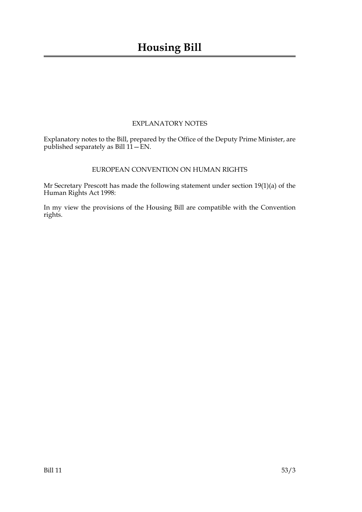## EXPLANATORY NOTES

Explanatory notes to the Bill, prepared by the Office of the Deputy Prime Minister, are published separately as Bill  $11 - EN$ .

## EUROPEAN CONVENTION ON HUMAN RIGHTS

Mr Secretary Prescott has made the following statement under section 19(1)(a) of the Human Rights Act 1998:

In my view the provisions of the Housing Bill are compatible with the Convention rights.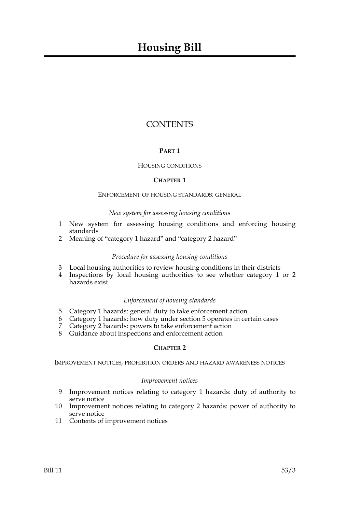# **CONTENTS**

## **PART 1**

## HOUSING CONDITIONS

## **CHAPTER 1**

## ENFORCEMENT OF HOUSING STANDARDS: GENERAL

## *New system for assessing housing conditions*

- 1 New system for assessing housing conditions and enforcing housing standards
- 2 Meaning of "category 1 hazard" and "category 2 hazard"

## *Procedure for assessing housing conditions*

- 3 Local housing authorities to review housing conditions in their districts
- 4 Inspections by local housing authorities to see whether category 1 or 2 hazards exist

## *Enforcement of housing standards*

- 5 Category 1 hazards: general duty to take enforcement action
- 6 Category 1 hazards: how duty under section 5 operates in certain cases
- 7 Category 2 hazards: powers to take enforcement action
- 8 Guidance about inspections and enforcement action

## **CHAPTER 2**

IMPROVEMENT NOTICES, PROHIBITION ORDERS AND HAZARD AWARENESS NOTICES

## *Improvement notices*

- 9 Improvement notices relating to category 1 hazards: duty of authority to serve notice
- 10 Improvement notices relating to category 2 hazards: power of authority to serve notice
- 11 Contents of improvement notices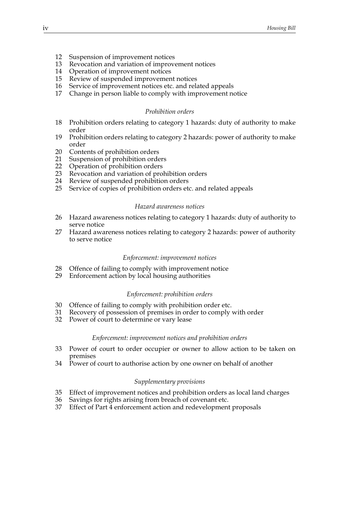- 12 Suspension of improvement notices
- 13 Revocation and variation of improvement notices
- 14 Operation of improvement notices
- 15 Review of suspended improvement notices
- 16 Service of improvement notices etc. and related appeals
- 17 Change in person liable to comply with improvement notice

#### *Prohibition orders*

- 18 Prohibition orders relating to category 1 hazards: duty of authority to make order
- 19 Prohibition orders relating to category 2 hazards: power of authority to make order
- 20 Contents of prohibition orders
- 21 Suspension of prohibition orders<br>22 Operation of prohibition orders
- 22 Operation of prohibition orders<br>23 Revocation and variation of pro
- Revocation and variation of prohibition orders
- 24 Review of suspended prohibition orders
- 25 Service of copies of prohibition orders etc. and related appeals

#### *Hazard awareness notices*

- 26 Hazard awareness notices relating to category 1 hazards: duty of authority to serve notice
- 27 Hazard awareness notices relating to category 2 hazards: power of authority to serve notice

#### *Enforcement: improvement notices*

- 28 Offence of failing to comply with improvement notice
- 29 Enforcement action by local housing authorities

#### *Enforcement: prohibition orders*

- 30 Offence of failing to comply with prohibition order etc.
- 31 Recovery of possession of premises in order to comply with order
- 32 Power of court to determine or vary lease

#### *Enforcement: improvement notices and prohibition orders*

- 33 Power of court to order occupier or owner to allow action to be taken on premises
- 34 Power of court to authorise action by one owner on behalf of another

#### *Supplementary provisions*

- 35 Effect of improvement notices and prohibition orders as local land charges
- 36 Savings for rights arising from breach of covenant etc.
- 37 Effect of Part 4 enforcement action and redevelopment proposals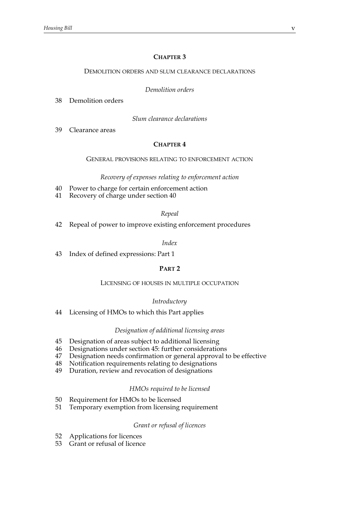## **CHAPTER 3**

## DEMOLITION ORDERS AND SLUM CLEARANCE DECLARATIONS

#### *Demolition orders*

38 Demolition orders

#### *Slum clearance declarations*

39 Clearance areas

#### **CHAPTER 4**

## GENERAL PROVISIONS RELATING TO ENFORCEMENT ACTION

## *Recovery of expenses relating to enforcement action*

- 40 Power to charge for certain enforcement action
- 41 Recovery of charge under section 40

#### *Repeal*

42 Repeal of power to improve existing enforcement procedures

*Index*

43 Index of defined expressions: Part 1

## **PART 2**

#### LICENSING OF HOUSES IN MULTIPLE OCCUPATION

#### *Introductory*

44 Licensing of HMOs to which this Part applies

#### *Designation of additional licensing areas*

- 45 Designation of areas subject to additional licensing
- 46 Designations under section 45: further considerations
- 47 Designation needs confirmation or general approval to be effective
- 48 Notification requirements relating to designations
- 49 Duration, review and revocation of designations

## *HMOs required to be licensed*

- 50 Requirement for HMOs to be licensed
- 51 Temporary exemption from licensing requirement

## *Grant or refusal of licences*

- 52 Applications for licences
- 53 Grant or refusal of licence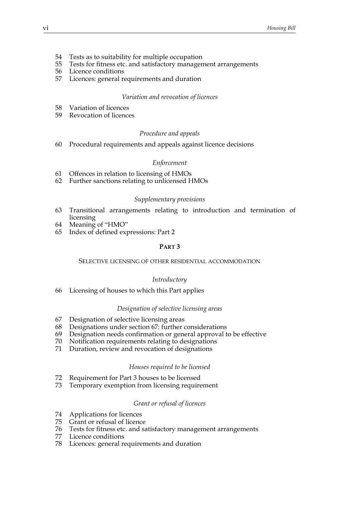- 54 Tests as to suitability for multiple occupation
- 55 Tests for fitness etc. and satisfactory management arrangements
- 56 Licence conditions
- 57 Licences: general requirements and duration

#### *Variation and revocation of licences*

- 58 Variation of licences
- 59 Revocation of licences

#### *Procedure and appeals*

60 Procedural requirements and appeals against licence decisions

#### *Enforcement*

- 61 Offences in relation to licensing of HMOs
- 62 Further sanctions relating to unlicensed HMOs

#### *Supplementary provisions*

- 63 Transitional arrangements relating to introduction and termination of licensing
- 64 Meaning of "HMO"
- 65 Index of defined expressions: Part 2

#### **PART 3**

#### SELECTIVE LICENSING OF OTHER RESIDENTIAL ACCOMMODATION

#### *Introductory*

66 Licensing of houses to which this Part applies

#### *Designation of selective licensing areas*

- 67 Designation of selective licensing areas
- 68 Designations under section 67: further considerations
- 69 Designation needs confirmation or general approval to be effective
- 70 Notification requirements relating to designations
- 71 Duration, review and revocation of designations

#### *Houses required to be licensed*

- 72 Requirement for Part 3 houses to be licensed
- 73 Temporary exemption from licensing requirement

#### *Grant or refusal of licences*

- 74 Applications for licences
- 75 Grant or refusal of licence
- 76 Tests for fitness etc. and satisfactory management arrangements
- Licence conditions
- 78 Licences: general requirements and duration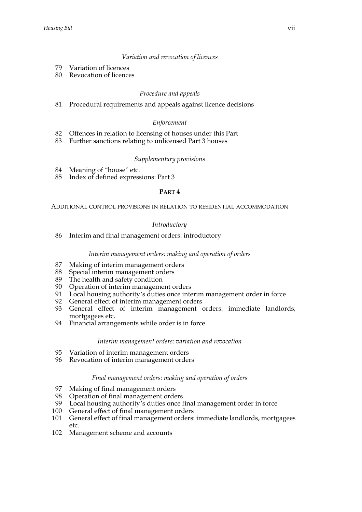## *Variation and revocation of licences*

- 79 Variation of licences
- 80 Revocation of licences

## *Procedure and appeals*

81 Procedural requirements and appeals against licence decisions

## *Enforcement*

- 82 Offences in relation to licensing of houses under this Part
- 83 Further sanctions relating to unlicensed Part 3 houses

## *Supplementary provisions*

- 84 Meaning of "house" etc.
- 85 Index of defined expressions: Part 3

## **PART 4**

ADDITIONAL CONTROL PROVISIONS IN RELATION TO RESIDENTIAL ACCOMMODATION

## *Introductory*

86 Interim and final management orders: introductory

## *Interim management orders: making and operation of orders*

- 87 Making of interim management orders
- 88 Special interim management orders
- 89 The health and safety condition
- 90 Operation of interim management orders
- 91 Local housing authority's duties once interim management order in force
- 92 General effect of interim management orders
- 93 General effect of interim management orders: immediate landlords, mortgagees etc.
- 94 Financial arrangements while order is in force

## *Interim management orders: variation and revocation*

- 95 Variation of interim management orders
- 96 Revocation of interim management orders

## *Final management orders: making and operation of orders*

- 97 Making of final management orders<br>98 Operation of final management orde
- 98 Operation of final management orders<br>99 Local housing authority's duties once f
- Local housing authority's duties once final management order in force
- 100 General effect of final management orders
- 101 General effect of final management orders: immediate landlords, mortgagees etc.
- 102 Management scheme and accounts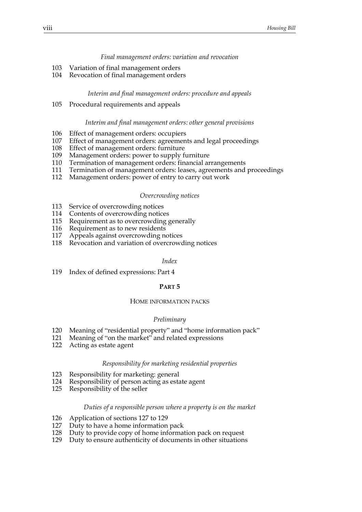*Final management orders: variation and revocation*

- 103 Variation of final management orders
- 104 Revocation of final management orders

#### *Interim and final management orders: procedure and appeals*

105 Procedural requirements and appeals

#### *Interim and final management orders: other general provisions*

- 106 Effect of management orders: occupiers
- 107 Effect of management orders: agreements and legal proceedings
- 108 Effect of management orders: furniture
- 109 Management orders: power to supply furniture
- 110 Termination of management orders: financial arrangements
- 111 Termination of management orders: leases, agreements and proceedings
- 112 Management orders: power of entry to carry out work

#### *Overcrowding notices*

- 113 Service of overcrowding notices
- 114 Contents of overcrowding notices
- 115 Requirement as to overcrowding generally
- 116 Requirement as to new residents
- 117 Appeals against overcrowding notices
- 118 Revocation and variation of overcrowding notices

#### *Index*

119 Index of defined expressions: Part 4

#### **PART 5**

#### HOME INFORMATION PACKS

#### *Preliminary*

- 120 Meaning of "residential property" and "home information pack"
- 121 Meaning of "on the market" and related expressions
- 122 Acting as estate agent

#### *Responsibility for marketing residential properties*

- 123 Responsibility for marketing: general
- 124 Responsibility of person acting as estate agent
- 125 Responsibility of the seller

#### *Duties of a responsible person where a property is on the market*

- 126 Application of sections 127 to 129
- 127 Duty to have a home information pack
- 128 Duty to provide copy of home information pack on request
- 129 Duty to ensure authenticity of documents in other situations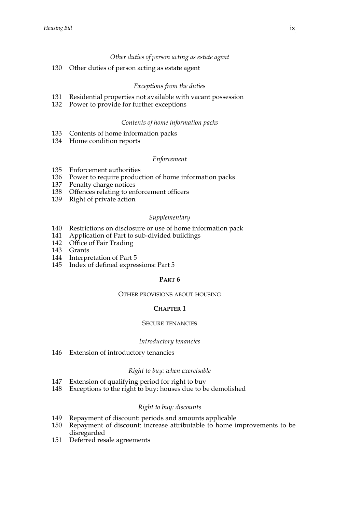## *Other duties of person acting as estate agent*

130 Other duties of person acting as estate agent

## *Exceptions from the duties*

- 131 Residential properties not available with vacant possession
- 132 Power to provide for further exceptions

## *Contents of home information packs*

- 133 Contents of home information packs
- 134 Home condition reports

#### *Enforcement*

- 135 Enforcement authorities
- 136 Power to require production of home information packs
- 137 Penalty charge notices
- 138 Offences relating to enforcement officers
- 139 Right of private action

#### *Supplementary*

- 140 Restrictions on disclosure or use of home information pack
- 141 Application of Part to sub-divided buildings
- 142 Office of Fair Trading
- 143 Grants
- 144 Interpretation of Part 5
- 145 Index of defined expressions: Part 5

#### **PART 6**

#### OTHER PROVISIONS ABOUT HOUSING

## **CHAPTER 1**

## SECURE TENANCIES

#### *Introductory tenancies*

146 Extension of introductory tenancies

#### *Right to buy: when exercisable*

- 147 Extension of qualifying period for right to buy
- 148 Exceptions to the right to buy: houses due to be demolished

#### *Right to buy: discounts*

- 149 Repayment of discount: periods and amounts applicable
- 150 Repayment of discount: increase attributable to home improvements to be disregarded
- 151 Deferred resale agreements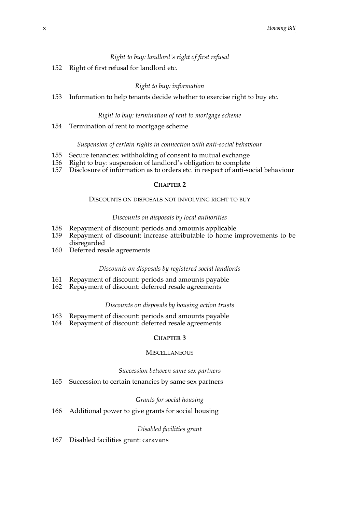## *Right to buy: landlord's right of first refusal*

152 Right of first refusal for landlord etc.

#### *Right to buy: information*

153 Information to help tenants decide whether to exercise right to buy etc.

#### *Right to buy: termination of rent to mortgage scheme*

154 Termination of rent to mortgage scheme

#### *Suspension of certain rights in connection with anti-social behaviour*

- 155 Secure tenancies: withholding of consent to mutual exchange
- 156 Right to buy: suspension of landlord's obligation to complete
- 157 Disclosure of information as to orders etc. in respect of anti-social behaviour

#### **CHAPTER 2**

#### DISCOUNTS ON DISPOSALS NOT INVOLVING RIGHT TO BUY

#### *Discounts on disposals by local authorities*

- 158 Repayment of discount: periods and amounts applicable
- 159 Repayment of discount: increase attributable to home improvements to be disregarded
- 160 Deferred resale agreements

#### *Discounts on disposals by registered social landlords*

- 161 Repayment of discount: periods and amounts payable
- 162 Repayment of discount: deferred resale agreements

#### *Discounts on disposals by housing action trusts*

- 163 Repayment of discount: periods and amounts payable
- 164 Repayment of discount: deferred resale agreements

#### **CHAPTER 3**

#### **MISCELLANEOUS**

#### *Succession between same sex partners*

165 Succession to certain tenancies by same sex partners

## *Grants for social housing*

166 Additional power to give grants for social housing

## *Disabled facilities grant*

167 Disabled facilities grant: caravans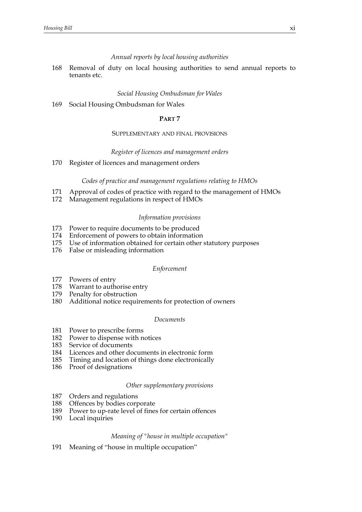## *Annual reports by local housing authorities*

168 Removal of duty on local housing authorities to send annual reports to tenants etc.

## *Social Housing Ombudsman for Wales*

169 Social Housing Ombudsman for Wales

## **PART 7**

#### SUPPLEMENTARY AND FINAL PROVISIONS

#### *Register of licences and management orders*

170 Register of licences and management orders

## *Codes of practice and management regulations relating to HMOs*

- 171 Approval of codes of practice with regard to the management of HMOs
- 172 Management regulations in respect of HMOs

## *Information provisions*

- 173 Power to require documents to be produced
- 174 Enforcement of powers to obtain information
- 175 Use of information obtained for certain other statutory purposes
- 176 False or misleading information

## *Enforcement*

- 177 Powers of entry
- 178 Warrant to authorise entry
- 179 Penalty for obstruction
- 180 Additional notice requirements for protection of owners

#### *Documents*

- 181 Power to prescribe forms
- 182 Power to dispense with notices
- 183 Service of documents
- 184 Licences and other documents in electronic form
- 185 Timing and location of things done electronically
- 186 Proof of designations

#### *Other supplementary provisions*

- 187 Orders and regulations
- 188 Offences by bodies corporate
- 189 Power to up-rate level of fines for certain offences
- 190 Local inquiries

#### *Meaning of "house in multiple occupation"*

191 Meaning of "house in multiple occupation"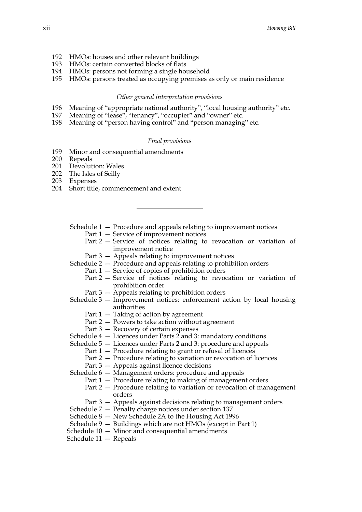- 192 HMOs: houses and other relevant buildings
- 193 HMOs: certain converted blocks of flats
- 194 HMOs: persons not forming a single household
- 195 HMOs: persons treated as occupying premises as only or main residence

#### *Other general interpretation provisions*

- 196 Meaning of "appropriate national authority", "local housing authority" etc.
- 197 Meaning of "lease", "tenancy", "occupier" and "owner" etc.
- 198 Meaning of "person having control" and "person managing" etc.

#### *Final provisions*

- 199 Minor and consequential amendments
- 200 Repeals
- 201 Devolution: Wales
- 202 The Isles of Scilly
- 203 Expenses
- 204 Short title, commencement and extent

Schedule 1 — Procedure and appeals relating to improvement notices

- Part 1 Service of improvement notices
- Part 2 Service of notices relating to revocation or variation of improvement notice
- Part 3 Appeals relating to improvement notices
- Schedule 2 Procedure and appeals relating to prohibition orders
	- Part 1 Service of copies of prohibition orders
	- Part 2 Service of notices relating to revocation or variation of prohibition order
	- Part 3 Appeals relating to prohibition orders
- Schedule 3 Improvement notices: enforcement action by local housing authorities
	- Part 1 Taking of action by agreement
	- Part 2 Powers to take action without agreement
	- Part 3 Recovery of certain expenses
- Schedule 4 Licences under Parts 2 and 3: mandatory conditions
- Schedule 5 Licences under Parts 2 and 3: procedure and appeals
	- Part 1 Procedure relating to grant or refusal of licences
	- Part 2 Procedure relating to variation or revocation of licences
	- Part 3 Appeals against licence decisions
- Schedule 6 Management orders: procedure and appeals
	- Part 1 Procedure relating to making of management orders
		- Part 2 Procedure relating to variation or revocation of management orders
		- Part 3 Appeals against decisions relating to management orders
- Schedule 7 Penalty charge notices under section 137
- Schedule 8 New Schedule 2A to the Housing Act 1996
- Schedule 9 Buildings which are not HMOs (except in Part 1)
- Schedule 10 Minor and consequential amendments

Schedule 11 — Repeals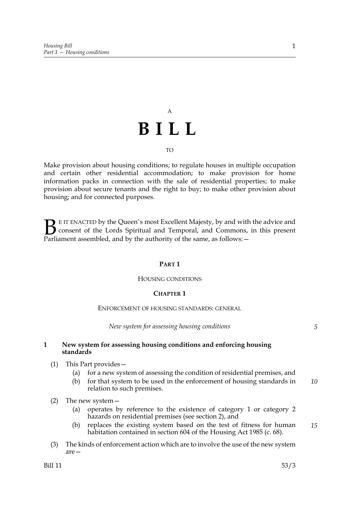# A **BILL**

#### TO

Make provision about housing conditions; to regulate houses in multiple occupation and certain other residential accommodation; to make provision for home information packs in connection with the sale of residential properties; to make provision about secure tenants and the right to buy; to make other provision about housing; and for connected purposes.

E IT ENACTED by the Queen's most Excellent Majesty, by and with the advice and consent of the Lords Spiritual and Temporal, and Commons, in this present **B** E IT ENACTED by the Queen's most Excellent Majesty, by and with consent of the Lords Spiritual and Temporal, and Commons, Parliament assembled, and by the authority of the same, as follows:  $-$ 

## **PART 1**

#### HOUSING CONDITIONS

#### **CHAPTER 1**

#### ENFORCEMENT OF HOUSING STANDARDS: GENERAL

*New system for assessing housing conditions*

*5*

## **1 New system for assessing housing conditions and enforcing housing standards**

- (1) This Part provides—
	- (a) for a new system of assessing the condition of residential premises, and
	- (b) for that system to be used in the enforcement of housing standards in relation to such premises. *10*
- (2) The new system—
	- (a) operates by reference to the existence of category 1 or category 2 hazards on residential premises (see section 2), and
	- (b) replaces the existing system based on the test of fitness for human habitation contained in section 604 of the Housing Act 1985 (c. 68). *15*
- (3) The kinds of enforcement action which are to involve the use of the new system are—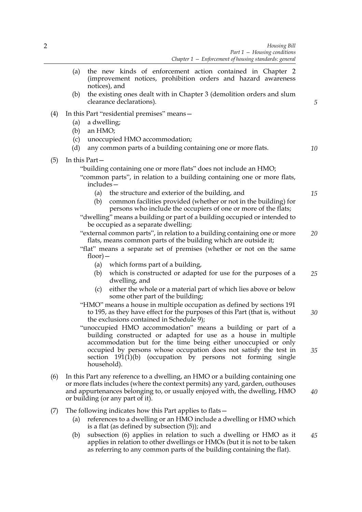|     | (a)                                                                                                                                                                                                                                                                               | the new kinds of enforcement action contained in Chapter 2<br>(improvement notices, prohibition orders and hazard awareness<br>notices), and                                                                                                                                                                                                        |    |
|-----|-----------------------------------------------------------------------------------------------------------------------------------------------------------------------------------------------------------------------------------------------------------------------------------|-----------------------------------------------------------------------------------------------------------------------------------------------------------------------------------------------------------------------------------------------------------------------------------------------------------------------------------------------------|----|
|     | (b)                                                                                                                                                                                                                                                                               | the existing ones dealt with in Chapter 3 (demolition orders and slum<br>clearance declarations).                                                                                                                                                                                                                                                   | 5  |
| (4) |                                                                                                                                                                                                                                                                                   | In this Part "residential premises" means-                                                                                                                                                                                                                                                                                                          |    |
|     | (a)<br>(b)                                                                                                                                                                                                                                                                        | a dwelling;<br>an HMO;                                                                                                                                                                                                                                                                                                                              |    |
|     | (c)                                                                                                                                                                                                                                                                               | unoccupied HMO accommodation;                                                                                                                                                                                                                                                                                                                       |    |
|     | (d)                                                                                                                                                                                                                                                                               | any common parts of a building containing one or more flats.                                                                                                                                                                                                                                                                                        | 10 |
| (5) |                                                                                                                                                                                                                                                                                   | In this Part-                                                                                                                                                                                                                                                                                                                                       |    |
|     |                                                                                                                                                                                                                                                                                   | "building containing one or more flats" does not include an HMO;<br>"common parts", in relation to a building containing one or more flats,                                                                                                                                                                                                         |    |
|     |                                                                                                                                                                                                                                                                                   | includes-                                                                                                                                                                                                                                                                                                                                           |    |
|     |                                                                                                                                                                                                                                                                                   | the structure and exterior of the building, and<br>(a)                                                                                                                                                                                                                                                                                              | 15 |
|     |                                                                                                                                                                                                                                                                                   | common facilities provided (whether or not in the building) for<br>(b)<br>persons who include the occupiers of one or more of the flats;                                                                                                                                                                                                            |    |
|     |                                                                                                                                                                                                                                                                                   | "dwelling" means a building or part of a building occupied or intended to<br>be occupied as a separate dwelling;                                                                                                                                                                                                                                    |    |
|     |                                                                                                                                                                                                                                                                                   | "external common parts", in relation to a building containing one or more                                                                                                                                                                                                                                                                           | 20 |
|     |                                                                                                                                                                                                                                                                                   | flats, means common parts of the building which are outside it;<br>"flat" means a separate set of premises (whether or not on the same                                                                                                                                                                                                              |    |
|     |                                                                                                                                                                                                                                                                                   | $floor$ –                                                                                                                                                                                                                                                                                                                                           |    |
|     |                                                                                                                                                                                                                                                                                   | which forms part of a building,<br>(a)                                                                                                                                                                                                                                                                                                              |    |
|     |                                                                                                                                                                                                                                                                                   | which is constructed or adapted for use for the purposes of a<br>(b)<br>dwelling, and                                                                                                                                                                                                                                                               | 25 |
|     |                                                                                                                                                                                                                                                                                   | either the whole or a material part of which lies above or below<br>(c)                                                                                                                                                                                                                                                                             |    |
|     |                                                                                                                                                                                                                                                                                   | some other part of the building;                                                                                                                                                                                                                                                                                                                    |    |
|     |                                                                                                                                                                                                                                                                                   | "HMO" means a house in multiple occupation as defined by sections 191<br>to 195, as they have effect for the purposes of this Part (that is, without<br>the exclusions contained in Schedule 9);                                                                                                                                                    | 30 |
|     |                                                                                                                                                                                                                                                                                   | "unoccupied HMO accommodation" means a building or part of a<br>building constructed or adapted for use as a house in multiple<br>accommodation but for the time being either unoccupied or only<br>occupied by persons whose occupation does not satisfy the test in<br>section 191(1)(b) (occupation by persons not forming single<br>household). | 35 |
| (6) | In this Part any reference to a dwelling, an HMO or a building containing one<br>or more flats includes (where the context permits) any yard, garden, outhouses<br>and appurtenances belonging to, or usually enjoyed with, the dwelling, HMO<br>or building (or any part of it). |                                                                                                                                                                                                                                                                                                                                                     | 40 |
| (7) | The following indicates how this Part applies to flats –<br>references to a dwelling or an HMO include a dwelling or HMO which<br>(a)                                                                                                                                             |                                                                                                                                                                                                                                                                                                                                                     |    |
|     |                                                                                                                                                                                                                                                                                   | is a flat (as defined by subsection (5)); and                                                                                                                                                                                                                                                                                                       |    |
|     | (b)                                                                                                                                                                                                                                                                               | subsection (6) applies in relation to such a dwelling or HMO as it<br>applies in relation to other dwellings or HMOs (but it is not to be taken<br>as referring to any common parts of the building containing the flat).                                                                                                                           | 45 |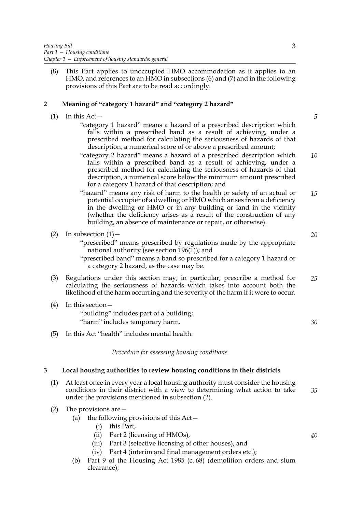(8) This Part applies to unoccupied HMO accommodation as it applies to an HMO, and references to an HMO in subsections (6) and (7) and in the following provisions of this Part are to be read accordingly.

## **2 Meaning of "category 1 hazard" and "category 2 hazard"**

- (1) In this Act—
	- "category 1 hazard" means a hazard of a prescribed description which falls within a prescribed band as a result of achieving, under a prescribed method for calculating the seriousness of hazards of that description, a numerical score of or above a prescribed amount;
	- "category 2 hazard" means a hazard of a prescribed description which falls within a prescribed band as a result of achieving, under a prescribed method for calculating the seriousness of hazards of that description, a numerical score below the minimum amount prescribed for a category 1 hazard of that description; and *10*

"hazard" means any risk of harm to the health or safety of an actual or potential occupier of a dwelling or HMO which arises from a deficiency in the dwelling or HMO or in any building or land in the vicinity (whether the deficiency arises as a result of the construction of any building, an absence of maintenance or repair, or otherwise). *15*

(2) In subsection  $(1)$  –

"prescribed" means prescribed by regulations made by the appropriate national authority (see section 196(1)); and

"prescribed band" means a band so prescribed for a category 1 hazard or a category 2 hazard, as the case may be.

- (3) Regulations under this section may, in particular, prescribe a method for calculating the seriousness of hazards which takes into account both the likelihood of the harm occurring and the severity of the harm if it were to occur. *25*
- (4) In this section—

"building" includes part of a building; "harm" includes temporary harm.

(5) In this Act "health" includes mental health.

*Procedure for assessing housing conditions*

## **3 Local housing authorities to review housing conditions in their districts**

- (1) At least once in every year a local housing authority must consider the housing conditions in their district with a view to determining what action to take under the provisions mentioned in subsection (2).
- (2) The provisions are—
	- (a) the following provisions of this Act—
		- (i) this Part,
		- (ii) Part 2 (licensing of HMOs),
		- (iii) Part 3 (selective licensing of other houses), and
		- (iv) Part 4 (interim and final management orders etc.);
	- (b) Part 9 of the Housing Act 1985 (c. 68) (demolition orders and slum clearance);

*30*

*20*

*35*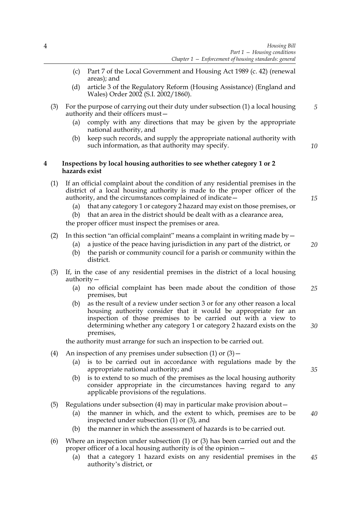- (c) Part 7 of the Local Government and Housing Act 1989 (c. 42) (renewal areas); and
- (d) article 3 of the Regulatory Reform (Housing Assistance) (England and Wales) Order 2002 (S.I. 2002/1860).
- (3) For the purpose of carrying out their duty under subsection (1) a local housing authority and their officers must—
	- (a) comply with any directions that may be given by the appropriate national authority, and
	- (b) keep such records, and supply the appropriate national authority with such information, as that authority may specify.

## **4 Inspections by local housing authorities to see whether category 1 or 2 hazards exist**

- (1) If an official complaint about the condition of any residential premises in the district of a local housing authority is made to the proper officer of the authority, and the circumstances complained of indicate—
	- (a) that any category 1 or category 2 hazard may exist on those premises, or
	- (b) that an area in the district should be dealt with as a clearance area,

the proper officer must inspect the premises or area.

- (2) In this section "an official complaint" means a complaint in writing made by  $-$ 
	- (a) a justice of the peace having jurisdiction in any part of the district, or
	- (b) the parish or community council for a parish or community within the district.
- (3) If, in the case of any residential premises in the district of a local housing authority—
	- (a) no official complaint has been made about the condition of those premises, but *25*
	- (b) as the result of a review under section 3 or for any other reason a local housing authority consider that it would be appropriate for an inspection of those premises to be carried out with a view to determining whether any category 1 or category 2 hazard exists on the premises,

the authority must arrange for such an inspection to be carried out.

- (4) An inspection of any premises under subsection  $(1)$  or  $(3)$ 
	- (a) is to be carried out in accordance with regulations made by the appropriate national authority; and
	- (b) is to extend to so much of the premises as the local housing authority consider appropriate in the circumstances having regard to any applicable provisions of the regulations.
- (5) Regulations under subsection (4) may in particular make provision about—
	- (a) the manner in which, and the extent to which, premises are to be inspected under subsection (1) or (3), and *40*
	- (b) the manner in which the assessment of hazards is to be carried out.
- (6) Where an inspection under subsection (1) or (3) has been carried out and the proper officer of a local housing authority is of the opinion—
	- (a) that a category 1 hazard exists on any residential premises in the authority's district, or *45*

*15*

*5*

*10*

*20*

*30*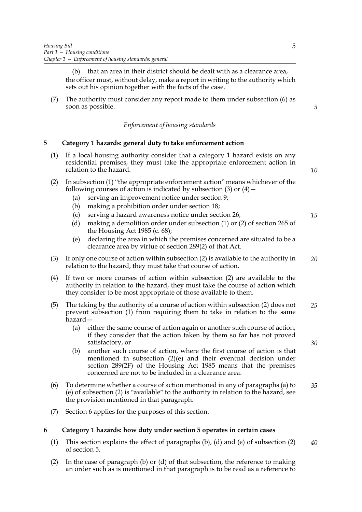(b) that an area in their district should be dealt with as a clearance area, the officer must, without delay, make a report in writing to the authority which sets out his opinion together with the facts of the case.

(7) The authority must consider any report made to them under subsection (6) as soon as possible.

## *Enforcement of housing standards*

## **5 Category 1 hazards: general duty to take enforcement action**

- (1) If a local housing authority consider that a category 1 hazard exists on any residential premises, they must take the appropriate enforcement action in relation to the hazard.
- (2) In subsection (1) "the appropriate enforcement action" means whichever of the following courses of action is indicated by subsection  $(3)$  or  $(4)$  –
	- (a) serving an improvement notice under section 9;
	- (b) making a prohibition order under section 18;
	- (c) serving a hazard awareness notice under section 26;
	- (d) making a demolition order under subsection (1) or (2) of section 265 of the Housing Act 1985 (c. 68);
	- (e) declaring the area in which the premises concerned are situated to be a clearance area by virtue of section 289(2) of that Act.
- (3) If only one course of action within subsection (2) is available to the authority in relation to the hazard, they must take that course of action. *20*
- (4) If two or more courses of action within subsection (2) are available to the authority in relation to the hazard, they must take the course of action which they consider to be most appropriate of those available to them.
- (5) The taking by the authority of a course of action within subsection (2) does not prevent subsection (1) from requiring them to take in relation to the same hazard— *25*
	- (a) either the same course of action again or another such course of action, if they consider that the action taken by them so far has not proved satisfactory, or
	- (b) another such course of action, where the first course of action is that mentioned in subsection (2)(e) and their eventual decision under section 289(2F) of the Housing Act 1985 means that the premises concerned are not to be included in a clearance area.
- (6) To determine whether a course of action mentioned in any of paragraphs (a) to (e) of subsection (2) is "available" to the authority in relation to the hazard, see the provision mentioned in that paragraph. *35*
- (7) Section 6 applies for the purposes of this section.

## **6 Category 1 hazards: how duty under section 5 operates in certain cases**

- (1) This section explains the effect of paragraphs (b), (d) and (e) of subsection (2) of section 5. *40*
- (2) In the case of paragraph (b) or (d) of that subsection, the reference to making an order such as is mentioned in that paragraph is to be read as a reference to

*5*

*10*

*15*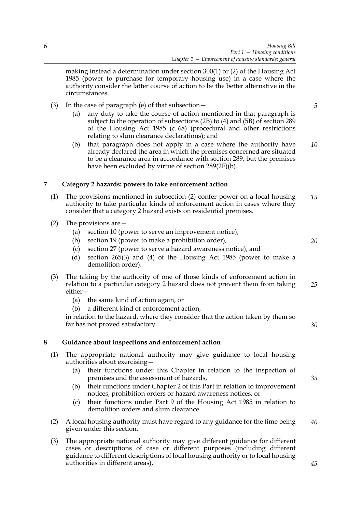|   |     | making instead a determination under section $300(1)$ or (2) of the Housing Act<br>1985 (power to purchase for temporary housing use) in a case where the<br>authority consider the latter course of action to be the better alternative in the<br>circumstances.                                                                        |    |  |
|---|-----|------------------------------------------------------------------------------------------------------------------------------------------------------------------------------------------------------------------------------------------------------------------------------------------------------------------------------------------|----|--|
|   | (3) | In the case of paragraph (e) of that subsection $-$<br>any duty to take the course of action mentioned in that paragraph is<br>(a)<br>subject to the operation of subsections (2B) to (4) and (5B) of section 289<br>of the Housing Act 1985 (c. 68) (procedural and other restrictions<br>relating to slum clearance declarations); and | 5  |  |
|   |     | that paragraph does not apply in a case where the authority have<br>(b)<br>already declared the area in which the premises concerned are situated<br>to be a clearance area in accordance with section 289, but the premises<br>have been excluded by virtue of section $289(2F)(b)$ .                                                   | 10 |  |
| 7 |     | Category 2 hazards: powers to take enforcement action                                                                                                                                                                                                                                                                                    |    |  |
|   | (1) | The provisions mentioned in subsection (2) confer power on a local housing<br>authority to take particular kinds of enforcement action in cases where they<br>consider that a category 2 hazard exists on residential premises.                                                                                                          | 15 |  |
|   | (2) | The provisions are $-$<br>section 10 (power to serve an improvement notice),<br>(a)<br>section 19 (power to make a prohibition order),<br>(b)<br>section 27 (power to serve a hazard awareness notice), and<br>(c)<br>section 265(3) and (4) of the Housing Act 1985 (power to make a<br>(d)<br>demolition order).                       | 20 |  |
|   | (3) | The taking by the authority of one of those kinds of enforcement action in<br>relation to a particular category 2 hazard does not prevent them from taking<br>either-                                                                                                                                                                    | 25 |  |
|   |     | the same kind of action again, or<br>(a)<br>a different kind of enforcement action,<br>(b)                                                                                                                                                                                                                                               |    |  |
|   |     | in relation to the hazard, where they consider that the action taken by them so<br>far has not proved satisfactory.                                                                                                                                                                                                                      | 30 |  |
| 8 |     | Guidance about inspections and enforcement action                                                                                                                                                                                                                                                                                        |    |  |
|   | (1) | The appropriate national authority may give guidance to local housing<br>authorities about exercising –                                                                                                                                                                                                                                  |    |  |
|   |     | their functions under this Chapter in relation to the inspection of<br>(a)<br>premises and the assessment of hazards,                                                                                                                                                                                                                    | 35 |  |
|   |     | (b) their functions under Chapter 2 of this Part in relation to improvement                                                                                                                                                                                                                                                              |    |  |

- (b) their functions under Chapter 2 of this Part in relation to improvement notices, prohibition orders or hazard awareness notices, or
- (c) their functions under Part 9 of the Housing Act 1985 in relation to demolition orders and slum clearance.
- (2) A local housing authority must have regard to any guidance for the time being given under this section. *40*
- (3) The appropriate national authority may give different guidance for different cases or descriptions of case or different purposes (including different guidance to different descriptions of local housing authority or to local housing authorities in different areas).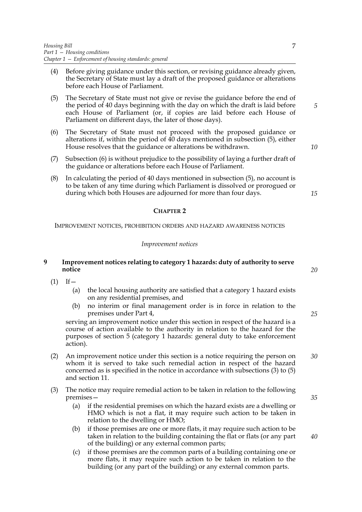- (4) Before giving guidance under this section, or revising guidance already given, the Secretary of State must lay a draft of the proposed guidance or alterations before each House of Parliament.
- (5) The Secretary of State must not give or revise the guidance before the end of the period of 40 days beginning with the day on which the draft is laid before each House of Parliament (or, if copies are laid before each House of Parliament on different days, the later of those days).
- (6) The Secretary of State must not proceed with the proposed guidance or alterations if, within the period of 40 days mentioned in subsection (5), either House resolves that the guidance or alterations be withdrawn.
- (7) Subsection (6) is without prejudice to the possibility of laying a further draft of the guidance or alterations before each House of Parliament.
- (8) In calculating the period of 40 days mentioned in subsection (5), no account is to be taken of any time during which Parliament is dissolved or prorogued or during which both Houses are adjourned for more than four days.

# **CHAPTER 2**

IMPROVEMENT NOTICES, PROHIBITION ORDERS AND HAZARD AWARENESS NOTICES

#### *Improvement notices*

## **9 Improvement notices relating to category 1 hazards: duty of authority to serve notice**

- $(1)$  If  $-$ 
	- (a) the local housing authority are satisfied that a category 1 hazard exists on any residential premises, and
	- (b) no interim or final management order is in force in relation to the premises under Part 4,

serving an improvement notice under this section in respect of the hazard is a course of action available to the authority in relation to the hazard for the purposes of section 5 (category 1 hazards: general duty to take enforcement action).

- (2) An improvement notice under this section is a notice requiring the person on whom it is served to take such remedial action in respect of the hazard concerned as is specified in the notice in accordance with subsections (3) to (5) and section 11. *30*
- (3) The notice may require remedial action to be taken in relation to the following premises—
	- (a) if the residential premises on which the hazard exists are a dwelling or HMO which is not a flat, it may require such action to be taken in relation to the dwelling or HMO;
	- (b) if those premises are one or more flats, it may require such action to be taken in relation to the building containing the flat or flats (or any part of the building) or any external common parts;
	- (c) if those premises are the common parts of a building containing one or more flats, it may require such action to be taken in relation to the building (or any part of the building) or any external common parts.

*20*

*25*

*35*

*40*

*5*

*10*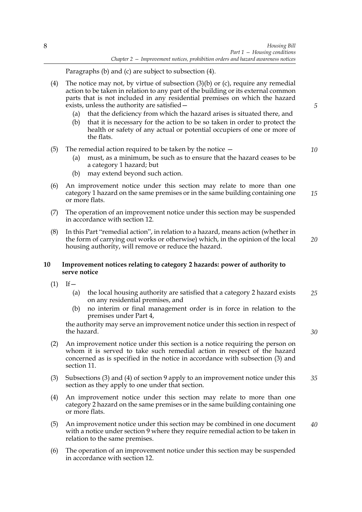Paragraphs (b) and (c) are subject to subsection (4).

- (4) The notice may not, by virtue of subsection (3)(b) or (c), require any remedial action to be taken in relation to any part of the building or its external common parts that is not included in any residential premises on which the hazard exists, unless the authority are satisfied—
	- (a) that the deficiency from which the hazard arises is situated there, and
	- (b) that it is necessary for the action to be so taken in order to protect the health or safety of any actual or potential occupiers of one or more of the flats.
- (5) The remedial action required to be taken by the notice
	- (a) must, as a minimum, be such as to ensure that the hazard ceases to be a category 1 hazard; but
	- (b) may extend beyond such action.
- (6) An improvement notice under this section may relate to more than one category 1 hazard on the same premises or in the same building containing one or more flats.
- (7) The operation of an improvement notice under this section may be suspended in accordance with section 12.
- (8) In this Part "remedial action", in relation to a hazard, means action (whether in the form of carrying out works or otherwise) which, in the opinion of the local housing authority, will remove or reduce the hazard. *20*

## **10 Improvement notices relating to category 2 hazards: power of authority to serve notice**

- $(1)$  If  $-$ 
	- (a) the local housing authority are satisfied that a category 2 hazard exists on any residential premises, and *25*
	- (b) no interim or final management order is in force in relation to the premises under Part 4,

the authority may serve an improvement notice under this section in respect of the hazard.

- (2) An improvement notice under this section is a notice requiring the person on whom it is served to take such remedial action in respect of the hazard concerned as is specified in the notice in accordance with subsection (3) and section 11.
- (3) Subsections (3) and (4) of section 9 apply to an improvement notice under this section as they apply to one under that section. *35*
- (4) An improvement notice under this section may relate to more than one category 2 hazard on the same premises or in the same building containing one or more flats.
- (5) An improvement notice under this section may be combined in one document with a notice under section 9 where they require remedial action to be taken in relation to the same premises. *40*
- (6) The operation of an improvement notice under this section may be suspended in accordance with section 12.

*10*

*5*

*15*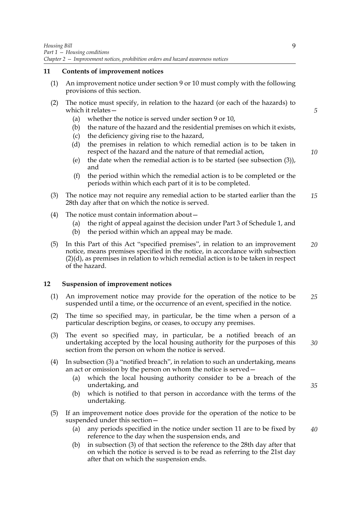## **11 Contents of improvement notices**

- (1) An improvement notice under section 9 or 10 must comply with the following provisions of this section.
- (2) The notice must specify, in relation to the hazard (or each of the hazards) to which it relates—
	- (a) whether the notice is served under section 9 or 10,
	- (b) the nature of the hazard and the residential premises on which it exists,
	- (c) the deficiency giving rise to the hazard,
	- (d) the premises in relation to which remedial action is to be taken in respect of the hazard and the nature of that remedial action,
	- (e) the date when the remedial action is to be started (see subsection (3)), and
	- (f) the period within which the remedial action is to be completed or the periods within which each part of it is to be completed.
- (3) The notice may not require any remedial action to be started earlier than the 28th day after that on which the notice is served. *15*
- (4) The notice must contain information about—
	- (a) the right of appeal against the decision under Part 3 of Schedule 1, and
	- (b) the period within which an appeal may be made.
- (5) In this Part of this Act "specified premises", in relation to an improvement notice, means premises specified in the notice, in accordance with subsection (2)(d), as premises in relation to which remedial action is to be taken in respect of the hazard. *20*

## **12 Suspension of improvement notices**

- (1) An improvement notice may provide for the operation of the notice to be suspended until a time, or the occurrence of an event, specified in the notice. *25*
- (2) The time so specified may, in particular, be the time when a person of a particular description begins, or ceases, to occupy any premises.
- (3) The event so specified may, in particular, be a notified breach of an undertaking accepted by the local housing authority for the purposes of this section from the person on whom the notice is served.
- (4) In subsection (3) a "notified breach", in relation to such an undertaking, means an act or omission by the person on whom the notice is served—
	- (a) which the local housing authority consider to be a breach of the undertaking, and
	- (b) which is notified to that person in accordance with the terms of the undertaking.
- (5) If an improvement notice does provide for the operation of the notice to be suspended under this section—
	- (a) any periods specified in the notice under section 11 are to be fixed by reference to the day when the suspension ends, and
	- (b) in subsection (3) of that section the reference to the 28th day after that on which the notice is served is to be read as referring to the 21st day after that on which the suspension ends.

*35*

*40*

*30*

*5*

*10*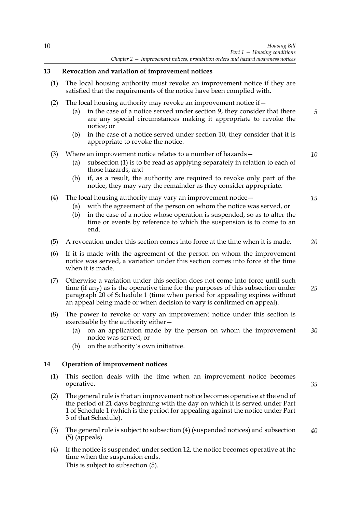## **13 Revocation and variation of improvement notices**

- (1) The local housing authority must revoke an improvement notice if they are satisfied that the requirements of the notice have been complied with.
- (2) The local housing authority may revoke an improvement notice if—
	- (a) in the case of a notice served under section 9, they consider that there are any special circumstances making it appropriate to revoke the notice; or *5*
	- (b) in the case of a notice served under section 10, they consider that it is appropriate to revoke the notice.

## (3) Where an improvement notice relates to a number of hazards—

- (a) subsection (1) is to be read as applying separately in relation to each of those hazards, and
- (b) if, as a result, the authority are required to revoke only part of the notice, they may vary the remainder as they consider appropriate.

## (4) The local housing authority may vary an improvement notice—

- (a) with the agreement of the person on whom the notice was served, or
- (b) in the case of a notice whose operation is suspended, so as to alter the time or events by reference to which the suspension is to come to an end.
- (5) A revocation under this section comes into force at the time when it is made. *20*
- (6) If it is made with the agreement of the person on whom the improvement notice was served, a variation under this section comes into force at the time when it is made.
- (7) Otherwise a variation under this section does not come into force until such time (if any) as is the operative time for the purposes of this subsection under paragraph 20 of Schedule 1 (time when period for appealing expires without an appeal being made or when decision to vary is confirmed on appeal). *25*
- (8) The power to revoke or vary an improvement notice under this section is exercisable by the authority either—
	- (a) on an application made by the person on whom the improvement notice was served, or *30*
	- (b) on the authority's own initiative.

## **14 Operation of improvement notices**

- (1) This section deals with the time when an improvement notice becomes operative.
- (2) The general rule is that an improvement notice becomes operative at the end of the period of 21 days beginning with the day on which it is served under Part 1 of Schedule 1 (which is the period for appealing against the notice under Part 3 of that Schedule).
- (3) The general rule is subject to subsection (4) (suspended notices) and subsection (5) (appeals). *40*
- (4) If the notice is suspended under section 12, the notice becomes operative at the time when the suspension ends. This is subject to subsection (5).

*15*

*35*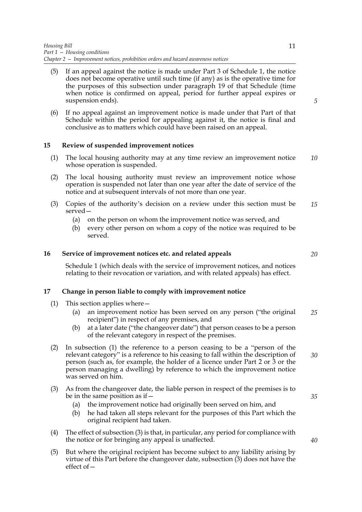- (5) If an appeal against the notice is made under Part 3 of Schedule 1, the notice does not become operative until such time (if any) as is the operative time for the purposes of this subsection under paragraph 19 of that Schedule (time when notice is confirmed on appeal, period for further appeal expires or suspension ends).
- (6) If no appeal against an improvement notice is made under that Part of that Schedule within the period for appealing against it, the notice is final and conclusive as to matters which could have been raised on an appeal.

## **15 Review of suspended improvement notices**

- (1) The local housing authority may at any time review an improvement notice whose operation is suspended. *10*
- (2) The local housing authority must review an improvement notice whose operation is suspended not later than one year after the date of service of the notice and at subsequent intervals of not more than one year.
- (3) Copies of the authority's decision on a review under this section must be served— *15*
	- (a) on the person on whom the improvement notice was served, and
	- (b) every other person on whom a copy of the notice was required to be served.

## **16 Service of improvement notices etc. and related appeals**

Schedule 1 (which deals with the service of improvement notices, and notices relating to their revocation or variation, and with related appeals) has effect.

## **17 Change in person liable to comply with improvement notice**

- (1) This section applies where—
	- (a) an improvement notice has been served on any person ("the original recipient") in respect of any premises, and *25*
	- (b) at a later date ("the changeover date") that person ceases to be a person of the relevant category in respect of the premises.
- (2) In subsection (1) the reference to a person ceasing to be a "person of the relevant category" is a reference to his ceasing to fall within the description of person (such as, for example, the holder of a licence under Part 2 or 3 or the person managing a dwelling) by reference to which the improvement notice was served on him. *30*
- (3) As from the changeover date, the liable person in respect of the premises is to be in the same position as if—
	- (a) the improvement notice had originally been served on him, and
	- (b) he had taken all steps relevant for the purposes of this Part which the original recipient had taken.
- (4) The effect of subsection (3) is that, in particular, any period for compliance with the notice or for bringing any appeal is unaffected.
- (5) But where the original recipient has become subject to any liability arising by virtue of this Part before the changeover date, subsection (3) does not have the effect of—

*5*

*20*

*35*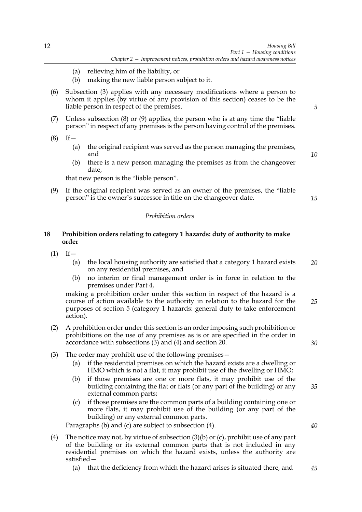- (a) relieving him of the liability, or
- (b) making the new liable person subject to it.
- (6) Subsection (3) applies with any necessary modifications where a person to whom it applies (by virtue of any provision of this section) ceases to be the liable person in respect of the premises.
- (7) Unless subsection (8) or (9) applies, the person who is at any time the "liable person" in respect of any premises is the person having control of the premises.
- $(8)$  If
	- (a) the original recipient was served as the person managing the premises, and
	- (b) there is a new person managing the premises as from the changeover date,

that new person is the "liable person".

(9) If the original recipient was served as an owner of the premises, the "liable person" is the owner's successor in title on the changeover date.

*15*

*10*

*5*

## *Prohibition orders*

## **18 Prohibition orders relating to category 1 hazards: duty of authority to make order**

- $(1)$  If  $-$ 
	- (a) the local housing authority are satisfied that a category 1 hazard exists on any residential premises, and *20*
	- (b) no interim or final management order is in force in relation to the premises under Part 4,

making a prohibition order under this section in respect of the hazard is a course of action available to the authority in relation to the hazard for the purposes of section 5 (category 1 hazards: general duty to take enforcement action). *25*

- (2) A prohibition order under this section is an order imposing such prohibition or prohibitions on the use of any premises as is or are specified in the order in accordance with subsections (3) and (4) and section 20.
- (3) The order may prohibit use of the following premises—
	- (a) if the residential premises on which the hazard exists are a dwelling or HMO which is not a flat, it may prohibit use of the dwelling or HMO;
	- (b) if those premises are one or more flats, it may prohibit use of the building containing the flat or flats (or any part of the building) or any external common parts;
	- (c) if those premises are the common parts of a building containing one or more flats, it may prohibit use of the building (or any part of the building) or any external common parts.

Paragraphs (b) and (c) are subject to subsection (4).

- (4) The notice may not, by virtue of subsection (3)(b) or (c), prohibit use of any part of the building or its external common parts that is not included in any residential premises on which the hazard exists, unless the authority are satisfied—
	- (a) that the deficiency from which the hazard arises is situated there, and *45*

*40*

*30*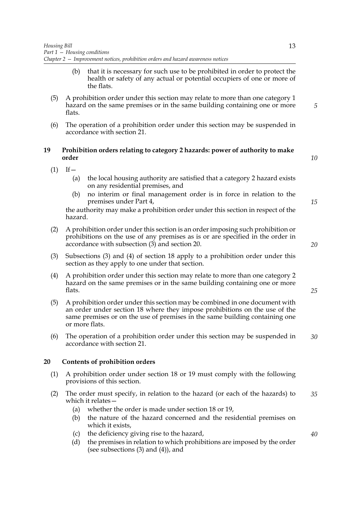- (b) that it is necessary for such use to be prohibited in order to protect the health or safety of any actual or potential occupiers of one or more of the flats.
- (5) A prohibition order under this section may relate to more than one category 1 hazard on the same premises or in the same building containing one or more flats.
- (6) The operation of a prohibition order under this section may be suspended in accordance with section 21.

## **19 Prohibition orders relating to category 2 hazards: power of authority to make order**

*10*

*5*

- $(1)$  If
	- (a) the local housing authority are satisfied that a category 2 hazard exists on any residential premises, and
	- (b) no interim or final management order is in force in relation to the premises under Part 4,

the authority may make a prohibition order under this section in respect of the hazard.

- (2) A prohibition order under this section is an order imposing such prohibition or prohibitions on the use of any premises as is or are specified in the order in accordance with subsection (3) and section 20.
- (3) Subsections (3) and (4) of section 18 apply to a prohibition order under this section as they apply to one under that section.
- (4) A prohibition order under this section may relate to more than one category 2 hazard on the same premises or in the same building containing one or more flats.
- (5) A prohibition order under this section may be combined in one document with an order under section 18 where they impose prohibitions on the use of the same premises or on the use of premises in the same building containing one or more flats.
- (6) The operation of a prohibition order under this section may be suspended in accordance with section 21. *30*

## **20 Contents of prohibition orders**

- (1) A prohibition order under section 18 or 19 must comply with the following provisions of this section.
- (2) The order must specify, in relation to the hazard (or each of the hazards) to which it relates— *35*
	- (a) whether the order is made under section 18 or 19,
	- (b) the nature of the hazard concerned and the residential premises on which it exists,
	- (c) the deficiency giving rise to the hazard,
	- (d) the premises in relation to which prohibitions are imposed by the order (see subsections (3) and (4)), and

*20*

*25*

*15*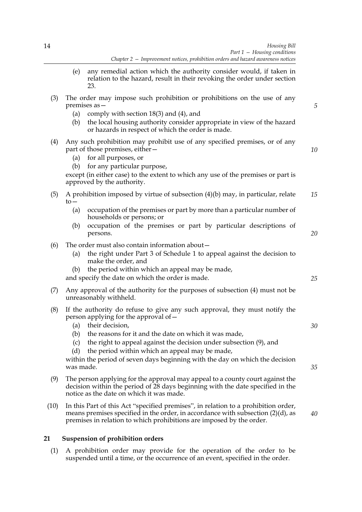- (e) any remedial action which the authority consider would, if taken in relation to the hazard, result in their revoking the order under section 23.
- (3) The order may impose such prohibition or prohibitions on the use of any premises as—
	- (a) comply with section 18(3) and (4), and
	- (b) the local housing authority consider appropriate in view of the hazard or hazards in respect of which the order is made.
- (4) Any such prohibition may prohibit use of any specified premises, or of any part of those premises, either—
	- (a) for all purposes, or
	- (b) for any particular purpose,

except (in either case) to the extent to which any use of the premises or part is approved by the authority.

- (5) A prohibition imposed by virtue of subsection  $(4)(b)$  may, in particular, relate to— *15*
	- (a) occupation of the premises or part by more than a particular number of households or persons; or
	- (b) occupation of the premises or part by particular descriptions of persons.
- (6) The order must also contain information about—
	- (a) the right under Part 3 of Schedule 1 to appeal against the decision to make the order, and
	- (b) the period within which an appeal may be made,

and specify the date on which the order is made.

(7) Any approval of the authority for the purposes of subsection (4) must not be unreasonably withheld.

## (8) If the authority do refuse to give any such approval, they must notify the person applying for the approval of—

- (a) their decision,
- (b) the reasons for it and the date on which it was made,
- (c) the right to appeal against the decision under subsection (9), and
- (d) the period within which an appeal may be made,

within the period of seven days beginning with the day on which the decision was made.

- (9) The person applying for the approval may appeal to a county court against the decision within the period of 28 days beginning with the date specified in the notice as the date on which it was made.
- (10) In this Part of this Act "specified premises", in relation to a prohibition order, means premises specified in the order, in accordance with subsection  $(2)(d)$ , as premises in relation to which prohibitions are imposed by the order.

## **21 Suspension of prohibition orders**

(1) A prohibition order may provide for the operation of the order to be suspended until a time, or the occurrence of an event, specified in the order.

*35*

*40*

*30*

*5*

*10*

*20*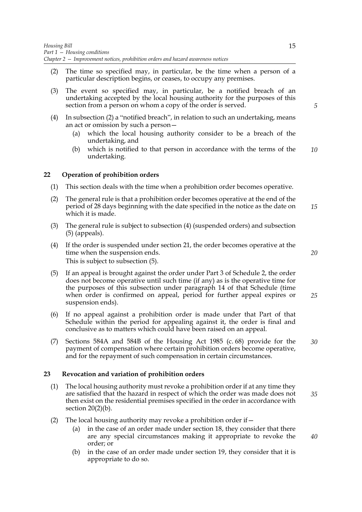- (2) The time so specified may, in particular, be the time when a person of a particular description begins, or ceases, to occupy any premises.
- (3) The event so specified may, in particular, be a notified breach of an undertaking accepted by the local housing authority for the purposes of this section from a person on whom a copy of the order is served.
- (4) In subsection (2) a "notified breach", in relation to such an undertaking, means an act or omission by such a person—
	- (a) which the local housing authority consider to be a breach of the undertaking, and
	- (b) which is notified to that person in accordance with the terms of the undertaking. *10*

## **22 Operation of prohibition orders**

- (1) This section deals with the time when a prohibition order becomes operative.
- (2) The general rule is that a prohibition order becomes operative at the end of the period of 28 days beginning with the date specified in the notice as the date on which it is made. *15*
- (3) The general rule is subject to subsection (4) (suspended orders) and subsection (5) (appeals).
- (4) If the order is suspended under section 21, the order becomes operative at the time when the suspension ends. This is subject to subsection (5).
- (5) If an appeal is brought against the order under Part 3 of Schedule 2, the order does not become operative until such time (if any) as is the operative time for the purposes of this subsection under paragraph 14 of that Schedule (time when order is confirmed on appeal, period for further appeal expires or suspension ends).
- (6) If no appeal against a prohibition order is made under that Part of that Schedule within the period for appealing against it, the order is final and conclusive as to matters which could have been raised on an appeal.
- (7) Sections 584A and 584B of the Housing Act 1985 (c. 68) provide for the payment of compensation where certain prohibition orders become operative, and for the repayment of such compensation in certain circumstances. *30*

## **23 Revocation and variation of prohibition orders**

- (1) The local housing authority must revoke a prohibition order if at any time they are satisfied that the hazard in respect of which the order was made does not then exist on the residential premises specified in the order in accordance with section 20(2)(b). *35*
- (2) The local housing authority may revoke a prohibition order if  $-$ 
	- (a) in the case of an order made under section 18, they consider that there are any special circumstances making it appropriate to revoke the order; or
	- (b) in the case of an order made under section 19, they consider that it is appropriate to do so.

15

*20*

*5*

*25*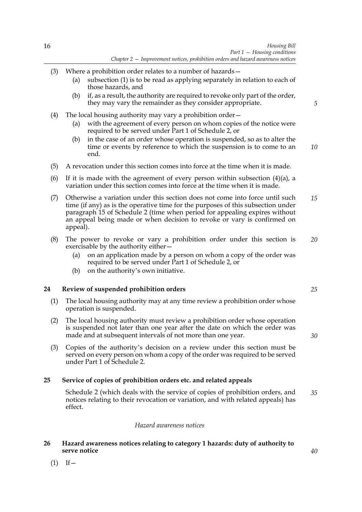- (3) Where a prohibition order relates to a number of hazards—
	- (a) subsection (1) is to be read as applying separately in relation to each of those hazards, and
	- (b) if, as a result, the authority are required to revoke only part of the order, they may vary the remainder as they consider appropriate.
- (4) The local housing authority may vary a prohibition order—
	- (a) with the agreement of every person on whom copies of the notice were required to be served under Part 1 of Schedule 2, or
	- (b) in the case of an order whose operation is suspended, so as to alter the time or events by reference to which the suspension is to come to an end.
- (5) A revocation under this section comes into force at the time when it is made.
- (6) If it is made with the agreement of every person within subsection  $(4)(a)$ , a variation under this section comes into force at the time when it is made.
- (7) Otherwise a variation under this section does not come into force until such time (if any) as is the operative time for the purposes of this subsection under paragraph 15 of Schedule 2 (time when period for appealing expires without an appeal being made or when decision to revoke or vary is confirmed on appeal). *15*
- (8) The power to revoke or vary a prohibition order under this section is exercisable by the authority either— *20*
	- (a) on an application made by a person on whom a copy of the order was required to be served under Part 1 of Schedule 2, or
	- (b) on the authority's own initiative.

## **24 Review of suspended prohibition orders**

- (1) The local housing authority may at any time review a prohibition order whose operation is suspended.
- (2) The local housing authority must review a prohibition order whose operation is suspended not later than one year after the date on which the order was made and at subsequent intervals of not more than one year.
- (3) Copies of the authority's decision on a review under this section must be served on every person on whom a copy of the order was required to be served under Part 1 of Schedule 2.

## **25 Service of copies of prohibition orders etc. and related appeals**

Schedule 2 (which deals with the service of copies of prohibition orders, and notices relating to their revocation or variation, and with related appeals) has effect. *35*

## *Hazard awareness notices*

## **26 Hazard awareness notices relating to category 1 hazards: duty of authority to serve notice**

 $(1)$  If  $-$ 

*25*

*5*

*10*

*30*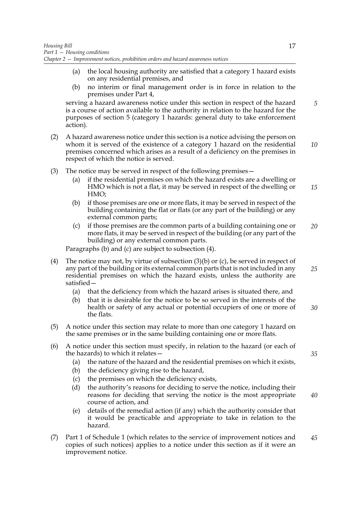- (a) the local housing authority are satisfied that a category 1 hazard exists on any residential premises, and
- (b) no interim or final management order is in force in relation to the premises under Part 4,

serving a hazard awareness notice under this section in respect of the hazard is a course of action available to the authority in relation to the hazard for the purposes of section 5 (category 1 hazards: general duty to take enforcement action). *5*

- (2) A hazard awareness notice under this section is a notice advising the person on whom it is served of the existence of a category 1 hazard on the residential premises concerned which arises as a result of a deficiency on the premises in respect of which the notice is served. *10*
- (3) The notice may be served in respect of the following premises—
	- (a) if the residential premises on which the hazard exists are a dwelling or HMO which is not a flat, it may be served in respect of the dwelling or HMO; *15*
	- (b) if those premises are one or more flats, it may be served in respect of the building containing the flat or flats (or any part of the building) or any external common parts;
	- (c) if those premises are the common parts of a building containing one or more flats, it may be served in respect of the building (or any part of the building) or any external common parts. *20*

Paragraphs (b) and (c) are subject to subsection (4).

- (4) The notice may not, by virtue of subsection (3)(b) or (c), be served in respect of any part of the building or its external common parts that is not included in any residential premises on which the hazard exists, unless the authority are satisfied— *25*
	- (a) that the deficiency from which the hazard arises is situated there, and
	- (b) that it is desirable for the notice to be so served in the interests of the health or safety of any actual or potential occupiers of one or more of the flats. *30*
- (5) A notice under this section may relate to more than one category 1 hazard on the same premises or in the same building containing one or more flats.
- (6) A notice under this section must specify, in relation to the hazard (or each of the hazards) to which it relates—
	- (a) the nature of the hazard and the residential premises on which it exists,
	- (b) the deficiency giving rise to the hazard,
	- (c) the premises on which the deficiency exists,
	- (d) the authority's reasons for deciding to serve the notice, including their reasons for deciding that serving the notice is the most appropriate course of action, and *40*
	- (e) details of the remedial action (if any) which the authority consider that it would be practicable and appropriate to take in relation to the hazard.
- (7) Part 1 of Schedule 1 (which relates to the service of improvement notices and copies of such notices) applies to a notice under this section as if it were an improvement notice. *45*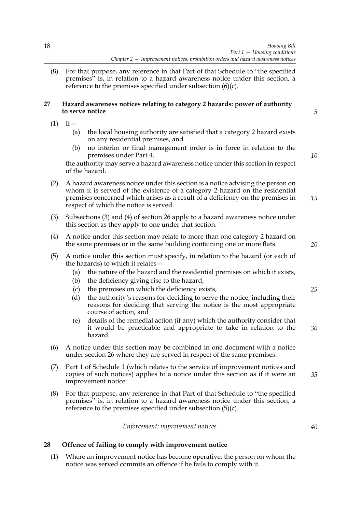(8) For that purpose, any reference in that Part of that Schedule to "the specified premises" is, in relation to a hazard awareness notice under this section, a reference to the premises specified under subsection (6)(c).

## **27 Hazard awareness notices relating to category 2 hazards: power of authority to serve notice**

- $(1)$  If
	- (a) the local housing authority are satisfied that a category 2 hazard exists on any residential premises, and
	- (b) no interim or final management order is in force in relation to the premises under Part 4,

the authority may serve a hazard awareness notice under this section in respect of the hazard.

- (2) A hazard awareness notice under this section is a notice advising the person on whom it is served of the existence of a category 2 hazard on the residential premises concerned which arises as a result of a deficiency on the premises in respect of which the notice is served.
- (3) Subsections (3) and (4) of section 26 apply to a hazard awareness notice under this section as they apply to one under that section.
- (4) A notice under this section may relate to more than one category 2 hazard on the same premises or in the same building containing one or more flats.
- (5) A notice under this section must specify, in relation to the hazard (or each of the hazards) to which it relates—
	- (a) the nature of the hazard and the residential premises on which it exists,
	- (b) the deficiency giving rise to the hazard,
	- (c) the premises on which the deficiency exists,
	- (d) the authority's reasons for deciding to serve the notice, including their reasons for deciding that serving the notice is the most appropriate course of action, and
	- (e) details of the remedial action (if any) which the authority consider that it would be practicable and appropriate to take in relation to the hazard.
- (6) A notice under this section may be combined in one document with a notice under section 26 where they are served in respect of the same premises.
- (7) Part 1 of Schedule 1 (which relates to the service of improvement notices and copies of such notices) applies to a notice under this section as if it were an improvement notice.
- (8) For that purpose, any reference in that Part of that Schedule to "the specified premises" is, in relation to a hazard awareness notice under this section, a reference to the premises specified under subsection (5)(c).

*Enforcement: improvement notices*

## **28 Offence of failing to comply with improvement notice**

(1) Where an improvement notice has become operative, the person on whom the notice was served commits an offence if he fails to comply with it.

*20*

*5*

*10*

*15*

*25*

*30*

*35*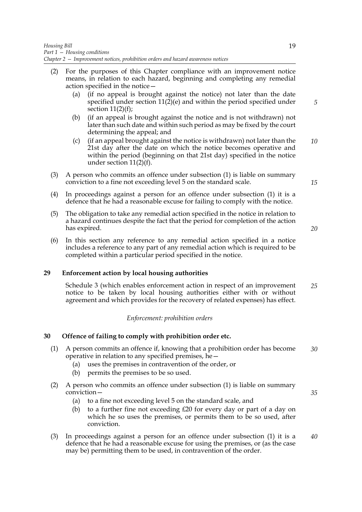- (2) For the purposes of this Chapter compliance with an improvement notice means, in relation to each hazard, beginning and completing any remedial action specified in the notice—
	- (a) (if no appeal is brought against the notice) not later than the date specified under section 11(2)(e) and within the period specified under section  $11(2)(f)$ ;
	- (b) (if an appeal is brought against the notice and is not withdrawn) not later than such date and within such period as may be fixed by the court determining the appeal; and
	- (c) (if an appeal brought against the notice is withdrawn) not later than the 21st day after the date on which the notice becomes operative and within the period (beginning on that 21st day) specified in the notice under section  $11(2)(f)$ . *10*
- (3) A person who commits an offence under subsection (1) is liable on summary conviction to a fine not exceeding level 5 on the standard scale.
- (4) In proceedings against a person for an offence under subsection (1) it is a defence that he had a reasonable excuse for failing to comply with the notice.
- (5) The obligation to take any remedial action specified in the notice in relation to a hazard continues despite the fact that the period for completion of the action has expired.
- (6) In this section any reference to any remedial action specified in a notice includes a reference to any part of any remedial action which is required to be completed within a particular period specified in the notice.

## **29 Enforcement action by local housing authorities**

Schedule 3 (which enables enforcement action in respect of an improvement notice to be taken by local housing authorities either with or without agreement and which provides for the recovery of related expenses) has effect. *25*

## *Enforcement: prohibition orders*

## **30 Offence of failing to comply with prohibition order etc.**

- (1) A person commits an offence if, knowing that a prohibition order has become operative in relation to any specified premises, he— *30*
	- (a) uses the premises in contravention of the order, or
	- (b) permits the premises to be so used.
- (2) A person who commits an offence under subsection (1) is liable on summary conviction—
	- (a) to a fine not exceeding level 5 on the standard scale, and
	- (b) to a further fine not exceeding £20 for every day or part of a day on which he so uses the premises, or permits them to be so used, after conviction.
- (3) In proceedings against a person for an offence under subsection (1) it is a defence that he had a reasonable excuse for using the premises, or (as the case may be) permitting them to be used, in contravention of the order. *40*

*15*

*20*

*5*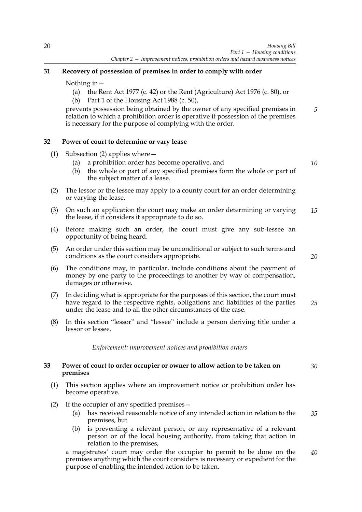## **31 Recovery of possession of premises in order to comply with order**

Nothing in—

- (a) the Rent Act 1977 (c. 42) or the Rent (Agriculture) Act 1976 (c. 80), or
- (b) Part 1 of the Housing Act 1988 (c. 50),

prevents possession being obtained by the owner of any specified premises in relation to which a prohibition order is operative if possession of the premises is necessary for the purpose of complying with the order. *5*

## **32 Power of court to determine or vary lease**

- (1) Subsection (2) applies where—
	- (a) a prohibition order has become operative, and

(b) the whole or part of any specified premises form the whole or part of the subject matter of a lease.

- (2) The lessor or the lessee may apply to a county court for an order determining or varying the lease.
- (3) On such an application the court may make an order determining or varying the lease, if it considers it appropriate to do so. *15*
- (4) Before making such an order, the court must give any sub-lessee an opportunity of being heard.
- (5) An order under this section may be unconditional or subject to such terms and conditions as the court considers appropriate.
- (6) The conditions may, in particular, include conditions about the payment of money by one party to the proceedings to another by way of compensation, damages or otherwise.
- (7) In deciding what is appropriate for the purposes of this section, the court must have regard to the respective rights, obligations and liabilities of the parties under the lease and to all the other circumstances of the case. *25*
- (8) In this section "lessor" and "lessee" include a person deriving title under a lessor or lessee.

*Enforcement: improvement notices and prohibition orders*

## **33 Power of court to order occupier or owner to allow action to be taken on premises**

- (1) This section applies where an improvement notice or prohibition order has become operative.
- (2) If the occupier of any specified premises—
	- (a) has received reasonable notice of any intended action in relation to the premises, but *35*
	- (b) is preventing a relevant person, or any representative of a relevant person or of the local housing authority, from taking that action in relation to the premises,

a magistrates' court may order the occupier to permit to be done on the premises anything which the court considers is necessary or expedient for the purpose of enabling the intended action to be taken. *40*

*10*

*20*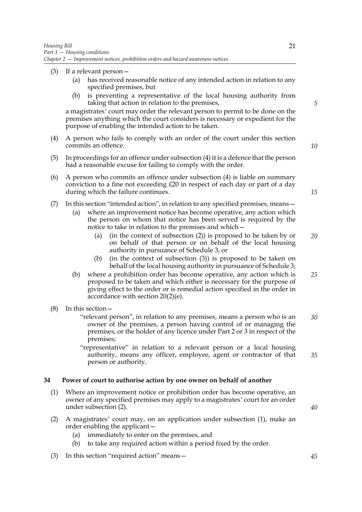- (3) If a relevant person—
	- (a) has received reasonable notice of any intended action in relation to any specified premises, but
	- (b) is preventing a representative of the local housing authority from taking that action in relation to the premises,

a magistrates' court may order the relevant person to permit to be done on the premises anything which the court considers is necessary or expedient for the purpose of enabling the intended action to be taken.

- (4) A person who fails to comply with an order of the court under this section commits an offence.
- (5) In proceedings for an offence under subsection (4) it is a defence that the person had a reasonable excuse for failing to comply with the order.
- (6) A person who commits an offence under subsection (4) is liable on summary conviction to a fine not exceeding £20 in respect of each day or part of a day during which the failure continues.
- (7) In this section "intended action", in relation to any specified premises, means—
	- (a) where an improvement notice has become operative, any action which the person on whom that notice has been served is required by the notice to take in relation to the premises and which—
		- (a) (in the context of subsection (2)) is proposed to be taken by or on behalf of that person or on behalf of the local housing authority in pursuance of Schedule 3, or *20*
		- (b) (in the context of subsection (3)) is proposed to be taken on behalf of the local housing authority in pursuance of Schedule 3;
	- (b) where a prohibition order has become operative, any action which is proposed to be taken and which either is necessary for the purpose of giving effect to the order or is remedial action specified in the order in accordance with section 20(2)(e). *25*
- (8) In this section—
	- "relevant person", in relation to any premises, means a person who is an owner of the premises, a person having control of or managing the premises, or the holder of any licence under Part 2 or 3 in respect of the premises; *30*

"representative" in relation to a relevant person or a local housing authority, means any officer, employee, agent or contractor of that person or authority.

## **34 Power of court to authorise action by one owner on behalf of another**

- (1) Where an improvement notice or prohibition order has become operative, an owner of any specified premises may apply to a magistrates' court for an order under subsection (2).
- (2) A magistrates' court may, on an application under subsection (1), make an order enabling the applicant—
	- (a) immediately to enter on the premises, and
	- (b) to take any required action within a period fixed by the order.
- (3) In this section "required action" means—

*5*

*10*

*15*

*35*

*40*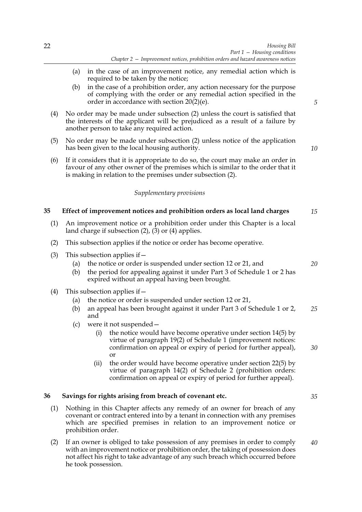- (a) in the case of an improvement notice, any remedial action which is required to be taken by the notice;
- (b) in the case of a prohibition order, any action necessary for the purpose of complying with the order or any remedial action specified in the order in accordance with section 20(2)(e).
- (4) No order may be made under subsection (2) unless the court is satisfied that the interests of the applicant will be prejudiced as a result of a failure by another person to take any required action.
- (5) No order may be made under subsection (2) unless notice of the application has been given to the local housing authority.
- (6) If it considers that it is appropriate to do so, the court may make an order in favour of any other owner of the premises which is similar to the order that it is making in relation to the premises under subsection (2).

## *Supplementary provisions*

#### **35 Effect of improvement notices and prohibition orders as local land charges** *15*

- (1) An improvement notice or a prohibition order under this Chapter is a local land charge if subsection  $(2)$ ,  $(3)$  or  $(4)$  applies.
- (2) This subsection applies if the notice or order has become operative.
- (3) This subsection applies if  $-$ 
	- (a) the notice or order is suspended under section 12 or 21, and
	- (b) the period for appealing against it under Part 3 of Schedule 1 or 2 has expired without an appeal having been brought.
- (4) This subsection applies if  $-$ 
	- (a) the notice or order is suspended under section 12 or 21,
	- (b) an appeal has been brought against it under Part 3 of Schedule 1 or 2, and *25*
	- (c) were it not suspended—
		- (i) the notice would have become operative under section 14(5) by virtue of paragraph 19(2) of Schedule 1 (improvement notices: confirmation on appeal or expiry of period for further appeal), or
		- (ii) the order would have become operative under section 22(5) by virtue of paragraph 14(2) of Schedule 2 (prohibition orders: confirmation on appeal or expiry of period for further appeal).

## **36 Savings for rights arising from breach of covenant etc.**

- (1) Nothing in this Chapter affects any remedy of an owner for breach of any covenant or contract entered into by a tenant in connection with any premises which are specified premises in relation to an improvement notice or prohibition order.
- (2) If an owner is obliged to take possession of any premises in order to comply with an improvement notice or prohibition order, the taking of possession does not affect his right to take advantage of any such breach which occurred before he took possession. *40*

*5*

*10*

*20*

*35*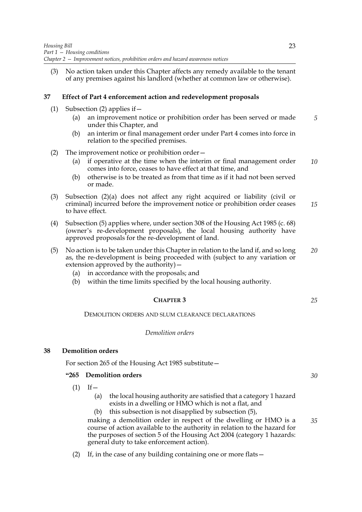(3) No action taken under this Chapter affects any remedy available to the tenant of any premises against his landlord (whether at common law or otherwise).

## **37 Effect of Part 4 enforcement action and redevelopment proposals**

- (1) Subsection (2) applies if—
	- (a) an improvement notice or prohibition order has been served or made under this Chapter, and *5*
	- (b) an interim or final management order under Part 4 comes into force in relation to the specified premises.
- (2) The improvement notice or prohibition order—
	- (a) if operative at the time when the interim or final management order comes into force, ceases to have effect at that time, and *10*
	- (b) otherwise is to be treated as from that time as if it had not been served or made.
- (3) Subsection (2)(a) does not affect any right acquired or liability (civil or criminal) incurred before the improvement notice or prohibition order ceases to have effect. *15*
- (4) Subsection (5) applies where, under section 308 of the Housing Act 1985 (c. 68) (owner's re-development proposals), the local housing authority have approved proposals for the re-development of land.
- (5) No action is to be taken under this Chapter in relation to the land if, and so long as, the re-development is being proceeded with (subject to any variation or extension approved by the authority)— *20*
	- (a) in accordance with the proposals; and
	- (b) within the time limits specified by the local housing authority.

## **CHAPTER 3**

## DEMOLITION ORDERS AND SLUM CLEARANCE DECLARATIONS

## *Demolition orders*

## **38 Demolition orders**

For section 265 of the Housing Act 1985 substitute—

## **"265 Demolition orders**

- $(1)$  If  $-$ 
	- (a) the local housing authority are satisfied that a category 1 hazard exists in a dwelling or HMO which is not a flat, and
	- (b) this subsection is not disapplied by subsection (5),

making a demolition order in respect of the dwelling or HMO is a course of action available to the authority in relation to the hazard for the purposes of section 5 of the Housing Act 2004 (category 1 hazards: general duty to take enforcement action). *35*

(2) If, in the case of any building containing one or more flats—

*30*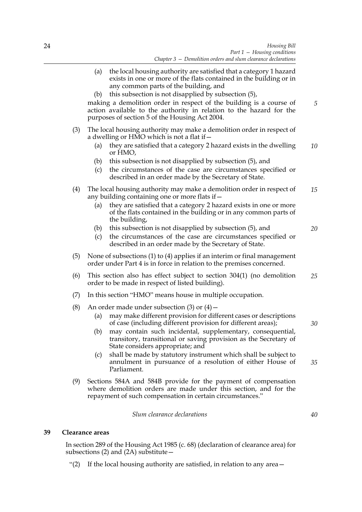- (a) the local housing authority are satisfied that a category 1 hazard exists in one or more of the flats contained in the building or in any common parts of the building, and
- (b) this subsection is not disapplied by subsection (5),

making a demolition order in respect of the building is a course of action available to the authority in relation to the hazard for the purposes of section 5 of the Housing Act 2004.

- (3) The local housing authority may make a demolition order in respect of a dwelling or HMO which is not a flat if  $-$ 
	- (a) they are satisfied that a category 2 hazard exists in the dwelling or HMO, *10*
	- (b) this subsection is not disapplied by subsection (5), and
	- (c) the circumstances of the case are circumstances specified or described in an order made by the Secretary of State.
- (4) The local housing authority may make a demolition order in respect of any building containing one or more flats if— *15*
	- (a) they are satisfied that a category 2 hazard exists in one or more of the flats contained in the building or in any common parts of the building,
	- (b) this subsection is not disapplied by subsection (5), and
	- (c) the circumstances of the case are circumstances specified or described in an order made by the Secretary of State.
- (5) None of subsections (1) to (4) applies if an interim or final management order under Part 4 is in force in relation to the premises concerned.
- (6) This section also has effect subject to section 304(1) (no demolition order to be made in respect of listed building). *25*
- (7) In this section "HMO" means house in multiple occupation.
- (8) An order made under subsection  $(3)$  or  $(4)$ 
	- (a) may make different provision for different cases or descriptions of case (including different provision for different areas);
	- (b) may contain such incidental, supplementary, consequential, transitory, transitional or saving provision as the Secretary of State considers appropriate; and
	- (c) shall be made by statutory instrument which shall be subject to annulment in pursuance of a resolution of either House of Parliament.
- (9) Sections 584A and 584B provide for the payment of compensation where demolition orders are made under this section, and for the repayment of such compensation in certain circumstances."

In section 289 of the Housing Act 1985 (c. 68) (declaration of clearance area) for subsections (2) and (2A) substitute $-$ 

"(2) If the local housing authority are satisfied, in relation to any area $-$ 

*30*

*35*

*20*

*5*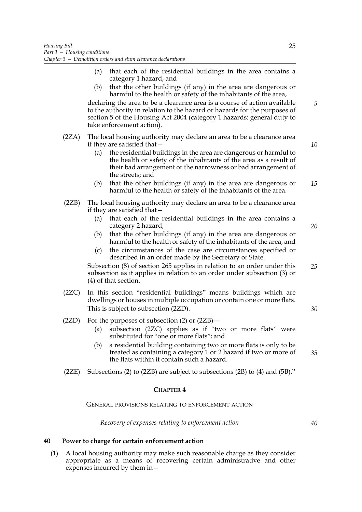- (a) that each of the residential buildings in the area contains a category 1 hazard, and
- (b) that the other buildings (if any) in the area are dangerous or harmful to the health or safety of the inhabitants of the area,

declaring the area to be a clearance area is a course of action available to the authority in relation to the hazard or hazards for the purposes of section 5 of the Housing Act 2004 (category 1 hazards: general duty to take enforcement action).

#### (2ZA) The local housing authority may declare an area to be a clearance area if they are satisfied that—

- (a) the residential buildings in the area are dangerous or harmful to the health or safety of the inhabitants of the area as a result of their bad arrangement or the narrowness or bad arrangement of the streets; and
- (b) that the other buildings (if any) in the area are dangerous or harmful to the health or safety of the inhabitants of the area. *15*
- (2ZB) The local housing authority may declare an area to be a clearance area if they are satisfied that—
	- (a) that each of the residential buildings in the area contains a category 2 hazard,
	- (b) that the other buildings (if any) in the area are dangerous or harmful to the health or safety of the inhabitants of the area, and
	- (c) the circumstances of the case are circumstances specified or described in an order made by the Secretary of State.

Subsection (8) of section 265 applies in relation to an order under this subsection as it applies in relation to an order under subsection (3) or (4) of that section.

- (2ZC) In this section "residential buildings" means buildings which are dwellings or houses in multiple occupation or contain one or more flats. This is subject to subsection (2ZD).
- (2ZD) For the purposes of subsection  $(2)$  or  $(2ZB)$ 
	- (a) subsection (2ZC) applies as if "two or more flats" were substituted for "one or more flats"; and
	- (b) a residential building containing two or more flats is only to be treated as containing a category 1 or 2 hazard if two or more of the flats within it contain such a hazard.
- (2ZE) Subsections (2) to (2ZB) are subject to subsections (2B) to (4) and (5B)."

#### **CHAPTER 4**

GENERAL PROVISIONS RELATING TO ENFORCEMENT ACTION

*Recovery of expenses relating to enforcement action*

*40*

### **40 Power to charge for certain enforcement action**

(1) A local housing authority may make such reasonable charge as they consider appropriate as a means of recovering certain administrative and other expenses incurred by them in*5*

*10*

*20*

*25*

*30*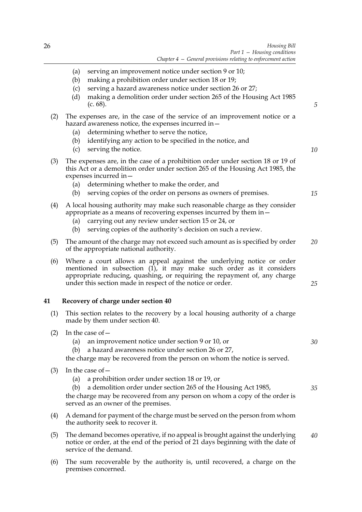- (a) serving an improvement notice under section 9 or 10;
- (b) making a prohibition order under section 18 or 19;
- (c) serving a hazard awareness notice under section 26 or 27;
- (d) making a demolition order under section 265 of the Housing Act 1985 (c. 68).
- (2) The expenses are, in the case of the service of an improvement notice or a hazard awareness notice, the expenses incurred in—
	- (a) determining whether to serve the notice,
	- (b) identifying any action to be specified in the notice, and
	- (c) serving the notice.
- (3) The expenses are, in the case of a prohibition order under section 18 or 19 of this Act or a demolition order under section 265 of the Housing Act 1985, the expenses incurred in—
	- (a) determining whether to make the order, and
	- (b) serving copies of the order on persons as owners of premises.
- (4) A local housing authority may make such reasonable charge as they consider appropriate as a means of recovering expenses incurred by them in—
	- (a) carrying out any review under section 15 or 24, or
	- (b) serving copies of the authority's decision on such a review.
- (5) The amount of the charge may not exceed such amount as is specified by order of the appropriate national authority. *20*
- (6) Where a court allows an appeal against the underlying notice or order mentioned in subsection (1), it may make such order as it considers appropriate reducing, quashing, or requiring the repayment of, any charge under this section made in respect of the notice or order.

### **41 Recovery of charge under section 40**

- (1) This section relates to the recovery by a local housing authority of a charge made by them under section 40.
- (2) In the case of  $-$ 
	- (a) an improvement notice under section 9 or 10, or
	- (b) a hazard awareness notice under section 26 or 27,

the charge may be recovered from the person on whom the notice is served.

- $(3)$  In the case of  $-$ 
	- (a) a prohibition order under section 18 or 19, or
	- (b) a demolition order under section 265 of the Housing Act 1985,

the charge may be recovered from any person on whom a copy of the order is served as an owner of the premises.

- (4) A demand for payment of the charge must be served on the person from whom the authority seek to recover it.
- (5) The demand becomes operative, if no appeal is brought against the underlying notice or order, at the end of the period of 21 days beginning with the date of service of the demand. *40*
- (6) The sum recoverable by the authority is, until recovered, a charge on the premises concerned.

*25*

*30*

*35*

*5*

*10*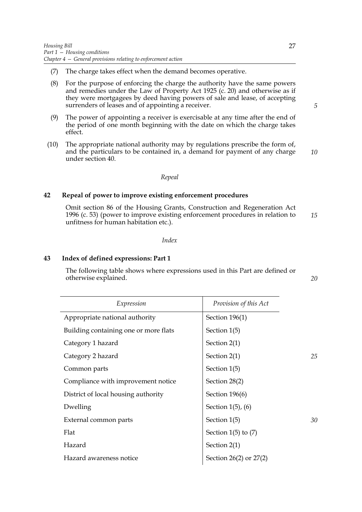- (7) The charge takes effect when the demand becomes operative.
- (8) For the purpose of enforcing the charge the authority have the same powers and remedies under the Law of Property Act 1925 (c. 20) and otherwise as if they were mortgagees by deed having powers of sale and lease, of accepting surrenders of leases and of appointing a receiver.
- (9) The power of appointing a receiver is exercisable at any time after the end of the period of one month beginning with the date on which the charge takes effect.
- (10) The appropriate national authority may by regulations prescribe the form of, and the particulars to be contained in, a demand for payment of any charge under section 40.

*10*

*20*

*5*

#### *Repeal*

### **42 Repeal of power to improve existing enforcement procedures**

Omit section 86 of the Housing Grants, Construction and Regeneration Act 1996 (c. 53) (power to improve existing enforcement procedures in relation to unfitness for human habitation etc.). *15*

*Index*

### **43 Index of defined expressions: Part 1**

The following table shows where expressions used in this Part are defined or otherwise explained.

| Expression                            | Provision of this Act   |    |
|---------------------------------------|-------------------------|----|
| Appropriate national authority        | Section $196(1)$        |    |
| Building containing one or more flats | Section $1(5)$          |    |
| Category 1 hazard                     | Section 2(1)            |    |
| Category 2 hazard                     | Section 2(1)            | 25 |
| Common parts                          | Section 1(5)            |    |
| Compliance with improvement notice    | Section 28(2)           |    |
| District of local housing authority   | Section $196(6)$        |    |
| Dwelling                              | Section $1(5)$ , $(6)$  |    |
| External common parts                 | Section $1(5)$          | 30 |
| Flat                                  | Section $1(5)$ to $(7)$ |    |
| Hazard                                | Section $2(1)$          |    |
| Hazard awareness notice               | Section 26(2) or 27(2)  |    |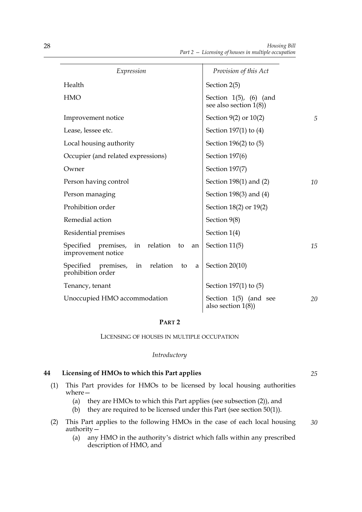| Expression                                                              | Provision of this Act                                    |
|-------------------------------------------------------------------------|----------------------------------------------------------|
| Health                                                                  | Section 2(5)                                             |
| <b>HMO</b>                                                              | Section $1(5)$ , $(6)$ (and<br>see also section $1(8)$ ) |
| Improvement notice                                                      | Section $9(2)$ or $10(2)$<br>5                           |
| Lease, lessee etc.                                                      | Section $197(1)$ to $(4)$                                |
| Local housing authority                                                 | Section $196(2)$ to $(5)$                                |
| Occupier (and related expressions)                                      | Section 197(6)                                           |
| Owner                                                                   | Section 197(7)                                           |
| Person having control                                                   | Section $198(1)$ and $(2)$<br>10                         |
| Person managing                                                         | Section $198(3)$ and $(4)$                               |
| Prohibition order                                                       | Section 18(2) or 19(2)                                   |
| Remedial action                                                         | Section 9(8)                                             |
| Residential premises                                                    | Section $1(4)$                                           |
| relation<br>Specified premises,<br>in<br>to<br>an<br>improvement notice | Section 11(5)<br>15                                      |
| in relation<br>Specified premises,<br>to<br>a<br>prohibition order      | Section $20(10)$                                         |
| Tenancy, tenant                                                         | Section $197(1)$ to $(5)$                                |
| Unoccupied HMO accommodation                                            | Section 1(5) (and see<br>20<br>also section $1(8)$ )     |

### **PART 2**

LICENSING OF HOUSES IN MULTIPLE OCCUPATION

#### *Introductory*

# **44 Licensing of HMOs to which this Part applies**

- (1) This Part provides for HMOs to be licensed by local housing authorities where—
	- (a) they are HMOs to which this Part applies (see subsection (2)), and
	- (b) they are required to be licensed under this Part (see section 50(1)).
- (2) This Part applies to the following HMOs in the case of each local housing authority— *30*
	- (a) any HMO in the authority's district which falls within any prescribed description of HMO, and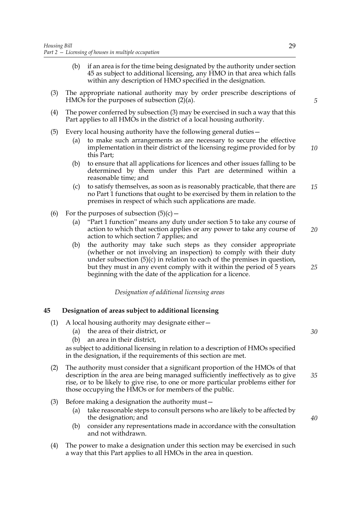- (b) if an area is for the time being designated by the authority under section 45 as subject to additional licensing, any HMO in that area which falls within any description of HMO specified in the designation.
- (3) The appropriate national authority may by order prescribe descriptions of HMOs for the purposes of subsection (2)(a).
- (4) The power conferred by subsection (3) may be exercised in such a way that this Part applies to all HMOs in the district of a local housing authority.
- (5) Every local housing authority have the following general duties—
	- (a) to make such arrangements as are necessary to secure the effective implementation in their district of the licensing regime provided for by this Part;
	- (b) to ensure that all applications for licences and other issues falling to be determined by them under this Part are determined within a reasonable time; and
	- (c) to satisfy themselves, as soon as is reasonably practicable, that there are no Part 1 functions that ought to be exercised by them in relation to the premises in respect of which such applications are made. *15*
- (6) For the purposes of subsection  $(5)(c)$ 
	- (a) "Part 1 function" means any duty under section 5 to take any course of action to which that section applies or any power to take any course of action to which section 7 applies; and *20*
	- (b) the authority may take such steps as they consider appropriate (whether or not involving an inspection) to comply with their duty under subsection (5)(c) in relation to each of the premises in question, but they must in any event comply with it within the period of 5 years beginning with the date of the application for a licence.

*Designation of additional licensing areas*

### **45 Designation of areas subject to additional licensing**

- (1) A local housing authority may designate either—
	- (a) the area of their district, or
	- (b) an area in their district,

as subject to additional licensing in relation to a description of HMOs specified in the designation, if the requirements of this section are met.

- (2) The authority must consider that a significant proportion of the HMOs of that description in the area are being managed sufficiently ineffectively as to give rise, or to be likely to give rise, to one or more particular problems either for those occupying the HMOs or for members of the public. *35*
- (3) Before making a designation the authority must—
	- (a) take reasonable steps to consult persons who are likely to be affected by the designation; and
	- (b) consider any representations made in accordance with the consultation and not withdrawn.
- (4) The power to make a designation under this section may be exercised in such a way that this Part applies to all HMOs in the area in question.

*5*

*10*

*40*

*30*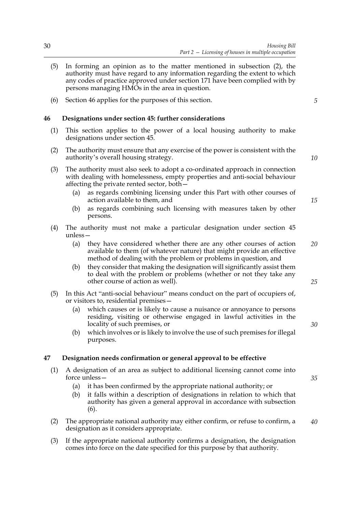- (5) In forming an opinion as to the matter mentioned in subsection (2), the authority must have regard to any information regarding the extent to which any codes of practice approved under section 171 have been complied with by persons managing HMOs in the area in question.
- (6) Section 46 applies for the purposes of this section.

### **46 Designations under section 45: further considerations**

- (1) This section applies to the power of a local housing authority to make designations under section 45.
- (2) The authority must ensure that any exercise of the power is consistent with the authority's overall housing strategy.
- (3) The authority must also seek to adopt a co-ordinated approach in connection with dealing with homelessness, empty properties and anti-social behaviour affecting the private rented sector, both—
	- (a) as regards combining licensing under this Part with other courses of action available to them, and
	- (b) as regards combining such licensing with measures taken by other persons.
- (4) The authority must not make a particular designation under section 45 unless—
	- (a) they have considered whether there are any other courses of action available to them (of whatever nature) that might provide an effective method of dealing with the problem or problems in question, and *20*
	- (b) they consider that making the designation will significantly assist them to deal with the problem or problems (whether or not they take any other course of action as well).
- (5) In this Act "anti-social behaviour" means conduct on the part of occupiers of, or visitors to, residential premises—
	- (a) which causes or is likely to cause a nuisance or annoyance to persons residing, visiting or otherwise engaged in lawful activities in the locality of such premises, or
	- (b) which involves or is likely to involve the use of such premises for illegal purposes.

### **47 Designation needs confirmation or general approval to be effective**

- (1) A designation of an area as subject to additional licensing cannot come into force unless—
	- (a) it has been confirmed by the appropriate national authority; or
	- (b) it falls within a description of designations in relation to which that authority has given a general approval in accordance with subsection (6).
- (2) The appropriate national authority may either confirm, or refuse to confirm, a designation as it considers appropriate. *40*
- (3) If the appropriate national authority confirms a designation, the designation comes into force on the date specified for this purpose by that authority.

*10*

*5*

*15*

*30*

*25*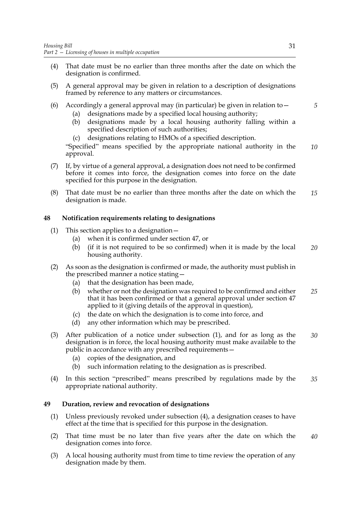- (4) That date must be no earlier than three months after the date on which the designation is confirmed.
- (5) A general approval may be given in relation to a description of designations framed by reference to any matters or circumstances.
- (6) Accordingly a general approval may (in particular) be given in relation to  $-$ 
	- (a) designations made by a specified local housing authority;
	- (b) designations made by a local housing authority falling within a specified description of such authorities;
	- (c) designations relating to HMOs of a specified description.

"Specified" means specified by the appropriate national authority in the approval. *10*

- (7) If, by virtue of a general approval, a designation does not need to be confirmed before it comes into force, the designation comes into force on the date specified for this purpose in the designation.
- (8) That date must be no earlier than three months after the date on which the designation is made. *15*

# **48 Notification requirements relating to designations**

- (1) This section applies to a designation—
	- (a) when it is confirmed under section 47, or
	- (b) (if it is not required to be so confirmed) when it is made by the local housing authority. *20*
- (2) As soon as the designation is confirmed or made, the authority must publish in the prescribed manner a notice stating—
	- (a) that the designation has been made,
	- (b) whether or not the designation was required to be confirmed and either that it has been confirmed or that a general approval under section 47 applied to it (giving details of the approval in question), *25*
	- (c) the date on which the designation is to come into force, and
	- (d) any other information which may be prescribed.
- (3) After publication of a notice under subsection (1), and for as long as the designation is in force, the local housing authority must make available to the public in accordance with any prescribed requirements— *30*
	- (a) copies of the designation, and
	- (b) such information relating to the designation as is prescribed.
- (4) In this section "prescribed" means prescribed by regulations made by the appropriate national authority. *35*

# **49 Duration, review and revocation of designations**

- (1) Unless previously revoked under subsection (4), a designation ceases to have effect at the time that is specified for this purpose in the designation.
- (2) That time must be no later than five years after the date on which the designation comes into force. *40*
- (3) A local housing authority must from time to time review the operation of any designation made by them.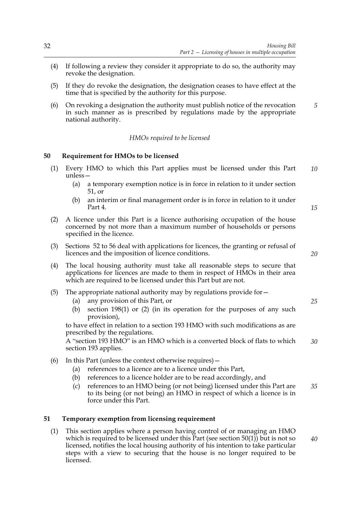- (4) If following a review they consider it appropriate to do so, the authority may revoke the designation.
- (5) If they do revoke the designation, the designation ceases to have effect at the time that is specified by the authority for this purpose.
- (6) On revoking a designation the authority must publish notice of the revocation in such manner as is prescribed by regulations made by the appropriate national authority. *5*

### *HMOs required to be licensed*

### **50 Requirement for HMOs to be licensed**

- (1) Every HMO to which this Part applies must be licensed under this Part unless— *10*
	- (a) a temporary exemption notice is in force in relation to it under section 51, or
	- (b) an interim or final management order is in force in relation to it under Part 4.
- (2) A licence under this Part is a licence authorising occupation of the house concerned by not more than a maximum number of households or persons specified in the licence.
- (3) Sections 52 to 56 deal with applications for licences, the granting or refusal of licences and the imposition of licence conditions.
- (4) The local housing authority must take all reasonable steps to secure that applications for licences are made to them in respect of HMOs in their area which are required to be licensed under this Part but are not.
- (5) The appropriate national authority may by regulations provide for  $-$ 
	- (a) any provision of this Part, or
	- (b) section 198(1) or (2) (in its operation for the purposes of any such provision),

to have effect in relation to a section 193 HMO with such modifications as are prescribed by the regulations.

A "section 193 HMO" is an HMO which is a converted block of flats to which section 193 applies. *30*

- (6) In this Part (unless the context otherwise requires)—
	- (a) references to a licence are to a licence under this Part,
	- (b) references to a licence holder are to be read accordingly, and
	- (c) references to an HMO being (or not being) licensed under this Part are to its being (or not being) an HMO in respect of which a licence is in force under this Part. *35*

### **51 Temporary exemption from licensing requirement**

(1) This section applies where a person having control of or managing an HMO which is required to be licensed under this Part (see section  $50(1)$ ) but is not so licensed, notifies the local housing authority of his intention to take particular steps with a view to securing that the house is no longer required to be licensed. *40*

*15*

*20*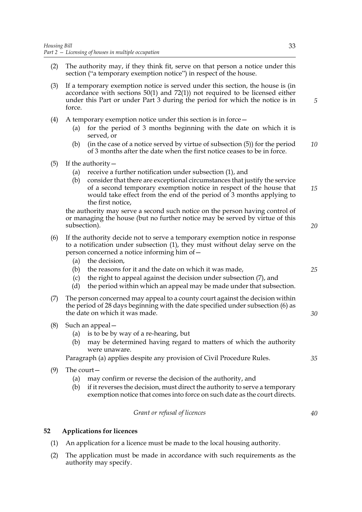- (2) The authority may, if they think fit, serve on that person a notice under this section ("a temporary exemption notice") in respect of the house.
- (3) If a temporary exemption notice is served under this section, the house is (in accordance with sections 50(1) and 72(1)) not required to be licensed either under this Part or under Part 3 during the period for which the notice is in force.
- (4) A temporary exemption notice under this section is in force—
	- (a) for the period of 3 months beginning with the date on which it is served, or
	- (b) (in the case of a notice served by virtue of subsection (5)) for the period of 3 months after the date when the first notice ceases to be in force. *10*
- (5) If the authority—
	- (a) receive a further notification under subsection (1), and
	- (b) consider that there are exceptional circumstances that justify the service of a second temporary exemption notice in respect of the house that would take effect from the end of the period of 3 months applying to the first notice, *15*

the authority may serve a second such notice on the person having control of or managing the house (but no further notice may be served by virtue of this subsection).

- (6) If the authority decide not to serve a temporary exemption notice in response to a notification under subsection (1), they must without delay serve on the person concerned a notice informing him of—
	- (a) the decision,
	- (b) the reasons for it and the date on which it was made,
	- (c) the right to appeal against the decision under subsection (7), and
	- (d) the period within which an appeal may be made under that subsection.
- (7) The person concerned may appeal to a county court against the decision within the period of 28 days beginning with the date specified under subsection (6) as the date on which it was made.
- (8) Such an appeal—
	- (a) is to be by way of a re-hearing, but
	- (b) may be determined having regard to matters of which the authority were unaware.

Paragraph (a) applies despite any provision of Civil Procedure Rules.

- (9) The court—
	- (a) may confirm or reverse the decision of the authority, and
	- (b) if it reverses the decision, must direct the authority to serve a temporary exemption notice that comes into force on such date as the court directs.

*Grant or refusal of licences*

*40*

### **52 Applications for licences**

- (1) An application for a licence must be made to the local housing authority.
- (2) The application must be made in accordance with such requirements as the authority may specify.

*5*

*20*

*25*

*30*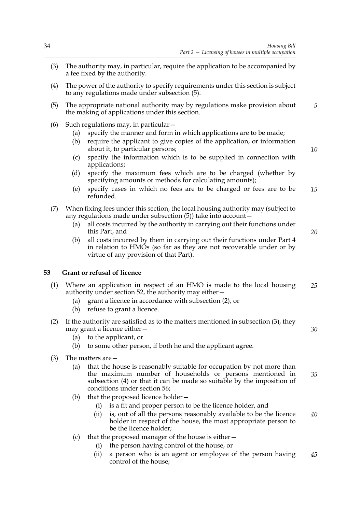- (3) The authority may, in particular, require the application to be accompanied by a fee fixed by the authority.
- (4) The power of the authority to specify requirements under this section is subject to any regulations made under subsection (5).
- (5) The appropriate national authority may by regulations make provision about the making of applications under this section. *5*
- (6) Such regulations may, in particular—
	- (a) specify the manner and form in which applications are to be made;
	- (b) require the applicant to give copies of the application, or information about it, to particular persons;
	- (c) specify the information which is to be supplied in connection with applications;
	- (d) specify the maximum fees which are to be charged (whether by specifying amounts or methods for calculating amounts);
	- (e) specify cases in which no fees are to be charged or fees are to be refunded. *15*
- (7) When fixing fees under this section, the local housing authority may (subject to any regulations made under subsection (5)) take into account—
	- (a) all costs incurred by the authority in carrying out their functions under this Part, and
	- (b) all costs incurred by them in carrying out their functions under Part 4 in relation to HMOs (so far as they are not recoverable under or by virtue of any provision of that Part).

### **53 Grant or refusal of licence**

- (1) Where an application in respect of an HMO is made to the local housing authority under section 52, the authority may either— *25*
	- (a) grant a licence in accordance with subsection (2), or
	- (b) refuse to grant a licence.
- (2) If the authority are satisfied as to the matters mentioned in subsection (3), they may grant a licence either—
	- (a) to the applicant, or
	- (b) to some other person, if both he and the applicant agree.
- (3) The matters are—
	- (a) that the house is reasonably suitable for occupation by not more than the maximum number of households or persons mentioned in subsection (4) or that it can be made so suitable by the imposition of conditions under section 56; *35*
	- (b) that the proposed licence holder—
		- (i) is a fit and proper person to be the licence holder, and
		- (ii) is, out of all the persons reasonably available to be the licence holder in respect of the house, the most appropriate person to be the licence holder; *40*
	- (c) that the proposed manager of the house is either—
		- (i) the person having control of the house, or
		- (ii) a person who is an agent or employee of the person having control of the house; *45*

*20*

*30*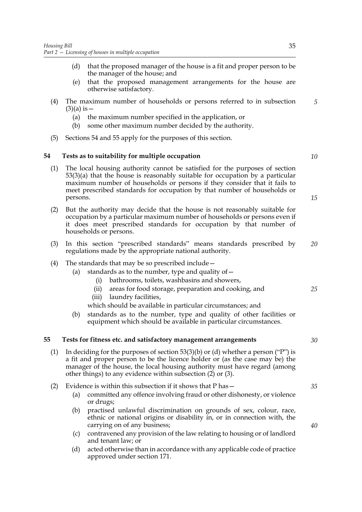- (d) that the proposed manager of the house is a fit and proper person to be the manager of the house; and
- (e) that the proposed management arrangements for the house are otherwise satisfactory.
- (4) The maximum number of households or persons referred to in subsection  $(3)(a)$  is  $-$ 
	- (a) the maximum number specified in the application, or
	- (b) some other maximum number decided by the authority.
- (5) Sections 54 and 55 apply for the purposes of this section.

### **54 Tests as to suitability for multiple occupation**

- (1) The local housing authority cannot be satisfied for the purposes of section 53(3)(a) that the house is reasonably suitable for occupation by a particular maximum number of households or persons if they consider that it fails to meet prescribed standards for occupation by that number of households or persons.
- (2) But the authority may decide that the house is not reasonably suitable for occupation by a particular maximum number of households or persons even if it does meet prescribed standards for occupation by that number of households or persons.
- (3) In this section "prescribed standards" means standards prescribed by regulations made by the appropriate national authority. *20*
- (4) The standards that may be so prescribed include—
	- (a) standards as to the number, type and quality of  $-$ 
		- (i) bathrooms, toilets, washbasins and showers,
		- (ii) areas for food storage, preparation and cooking, and
		- (iii) laundry facilities,
		- which should be available in particular circumstances; and
	- (b) standards as to the number, type and quality of other facilities or equipment which should be available in particular circumstances.

### **55 Tests for fitness etc. and satisfactory management arrangements**

- (1) In deciding for the purposes of section 53(3)(b) or (d) whether a person ("P") is a fit and proper person to be the licence holder or (as the case may be) the manager of the house, the local housing authority must have regard (among other things) to any evidence within subsection (2) or (3).
- (2) Evidence is within this subsection if it shows that  $P$  has  $-$ 
	- (a) committed any offence involving fraud or other dishonesty, or violence or drugs;
	- (b) practised unlawful discrimination on grounds of sex, colour, race, ethnic or national origins or disability in, or in connection with, the carrying on of any business;
	- (c) contravened any provision of the law relating to housing or of landlord and tenant law; or
	- (d) acted otherwise than in accordance with any applicable code of practice approved under section 171.

*5*

*10*

*15*

*30*

*25*

*35*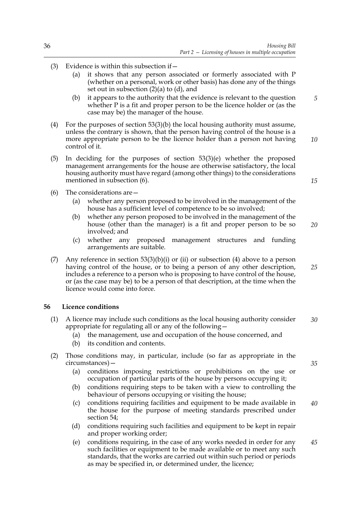- (3) Evidence is within this subsection if—
	- (a) it shows that any person associated or formerly associated with P (whether on a personal, work or other basis) has done any of the things set out in subsection (2)(a) to (d), and
	- (b) it appears to the authority that the evidence is relevant to the question whether P is a fit and proper person to be the licence holder or (as the case may be) the manager of the house. *5*
- (4) For the purposes of section 53(3)(b) the local housing authority must assume, unless the contrary is shown, that the person having control of the house is a more appropriate person to be the licence holder than a person not having control of it. *10*
- (5) In deciding for the purposes of section 53(3)(e) whether the proposed management arrangements for the house are otherwise satisfactory, the local housing authority must have regard (among other things) to the considerations mentioned in subsection (6).
- (6) The considerations are—
	- (a) whether any person proposed to be involved in the management of the house has a sufficient level of competence to be so involved;
	- (b) whether any person proposed to be involved in the management of the house (other than the manager) is a fit and proper person to be so involved; and *20*
	- (c) whether any proposed management structures and funding arrangements are suitable.
- (7) Any reference in section  $53(3)(b)(i)$  or (ii) or subsection (4) above to a person having control of the house, or to being a person of any other description, includes a reference to a person who is proposing to have control of the house, or (as the case may be) to be a person of that description, at the time when the licence would come into force.

### **56 Licence conditions**

- (1) A licence may include such conditions as the local housing authority consider appropriate for regulating all or any of the following— *30*
	- (a) the management, use and occupation of the house concerned, and
	- (b) its condition and contents.
- (2) Those conditions may, in particular, include (so far as appropriate in the circumstances)—
	- (a) conditions imposing restrictions or prohibitions on the use or occupation of particular parts of the house by persons occupying it;
	- (b) conditions requiring steps to be taken with a view to controlling the behaviour of persons occupying or visiting the house;
	- (c) conditions requiring facilities and equipment to be made available in the house for the purpose of meeting standards prescribed under section 54; *40*
	- (d) conditions requiring such facilities and equipment to be kept in repair and proper working order;
	- (e) conditions requiring, in the case of any works needed in order for any such facilities or equipment to be made available or to meet any such standards, that the works are carried out within such period or periods as may be specified in, or determined under, the licence; *45*

*15*

*25*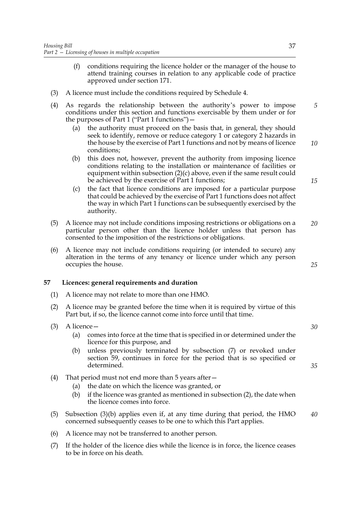- (f) conditions requiring the licence holder or the manager of the house to attend training courses in relation to any applicable code of practice approved under section 171.
- (3) A licence must include the conditions required by Schedule 4.
- (4) As regards the relationship between the authority's power to impose conditions under this section and functions exercisable by them under or for the purposes of Part 1 ("Part 1 functions")— *5*
	- (a) the authority must proceed on the basis that, in general, they should seek to identify, remove or reduce category 1 or category 2 hazards in the house by the exercise of Part 1 functions and not by means of licence conditions; *10*
	- (b) this does not, however, prevent the authority from imposing licence conditions relating to the installation or maintenance of facilities or equipment within subsection (2)(c) above, even if the same result could be achieved by the exercise of Part 1 functions;
	- (c) the fact that licence conditions are imposed for a particular purpose that could be achieved by the exercise of Part 1 functions does not affect the way in which Part 1 functions can be subsequently exercised by the authority.
- (5) A licence may not include conditions imposing restrictions or obligations on a particular person other than the licence holder unless that person has consented to the imposition of the restrictions or obligations. *20*
- (6) A licence may not include conditions requiring (or intended to secure) any alteration in the terms of any tenancy or licence under which any person occupies the house.

### **57 Licences: general requirements and duration**

- (1) A licence may not relate to more than one HMO.
- (2) A licence may be granted before the time when it is required by virtue of this Part but, if so, the licence cannot come into force until that time.
- (3) A licence—
	- (a) comes into force at the time that is specified in or determined under the licence for this purpose, and
	- (b) unless previously terminated by subsection (7) or revoked under section 59, continues in force for the period that is so specified or determined.
- (4) That period must not end more than 5 years after—
	- (a) the date on which the licence was granted, or
	- (b) if the licence was granted as mentioned in subsection (2), the date when the licence comes into force.
- (5) Subsection (3)(b) applies even if, at any time during that period, the HMO concerned subsequently ceases to be one to which this Part applies. *40*
- (6) A licence may not be transferred to another person.
- (7) If the holder of the licence dies while the licence is in force, the licence ceases to be in force on his death.

*30*

*25*

*15*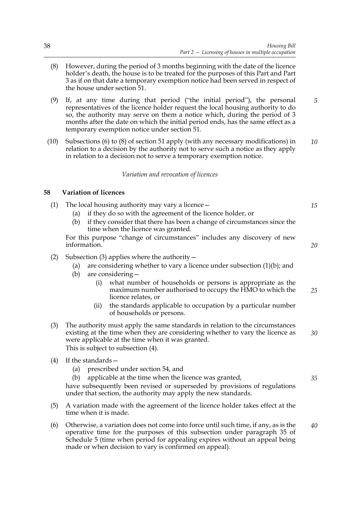- (8) However, during the period of 3 months beginning with the date of the licence holder's death, the house is to be treated for the purposes of this Part and Part 3 as if on that date a temporary exemption notice had been served in respect of the house under section 51.
- (9) If, at any time during that period ("the initial period"), the personal representatives of the licence holder request the local housing authority to do so, the authority may serve on them a notice which, during the period of 3 months after the date on which the initial period ends, has the same effect as a temporary exemption notice under section 51. *5*
- (10) Subsections (6) to (8) of section 51 apply (with any necessary modifications) in relation to a decision by the authority not to serve such a notice as they apply in relation to a decision not to serve a temporary exemption notice. *10*

### *Variation and revocation of licences*

### **58 Variation of licences**

| (1) | The local housing authority may vary a licence –<br>if they do so with the agreement of the licence holder, or<br>(a)<br>if they consider that there has been a change of circumstances since the<br>(b)<br>time when the licence was granted.<br>For this purpose "change of circumstances" includes any discovery of new<br>information.                                                                                    | 15<br>20 |
|-----|-------------------------------------------------------------------------------------------------------------------------------------------------------------------------------------------------------------------------------------------------------------------------------------------------------------------------------------------------------------------------------------------------------------------------------|----------|
| (2) | Subsection $(3)$ applies where the authority $-$<br>are considering whether to vary a licence under subsection $(1)(b)$ ; and<br>(a)<br>(b)<br>are considering-<br>what number of households or persons is appropriate as the<br>(i)<br>maximum number authorised to occupy the HMO to which the<br>licence relates, or<br>the standards applicable to occupation by a particular number<br>(ii)<br>of households or persons. | 25       |
| (3) | The authority must apply the same standards in relation to the circumstances<br>existing at the time when they are considering whether to vary the licence as<br>were applicable at the time when it was granted.<br>This is subject to subsection (4).                                                                                                                                                                       | 30       |
| (4) | If the standards -<br>prescribed under section 54, and<br>(a)<br>applicable at the time when the licence was granted,<br>(b)<br>have subsequently been revised or superseded by provisions of regulations<br>under that section, the authority may apply the new standards.                                                                                                                                                   | 35       |
| (5) | A variation made with the agreement of the licence holder takes effect at the<br>time when it is made.                                                                                                                                                                                                                                                                                                                        |          |
| (6) | Otherwise, a variation does not come into force until such time, if any, as is the<br>operative time for the purposes of this subsection under paragraph 35 of<br>Schedule 5 (time when period for appealing expires without an appeal being<br>made or when decision to vary is confirmed on appeal).                                                                                                                        | 40       |
|     |                                                                                                                                                                                                                                                                                                                                                                                                                               |          |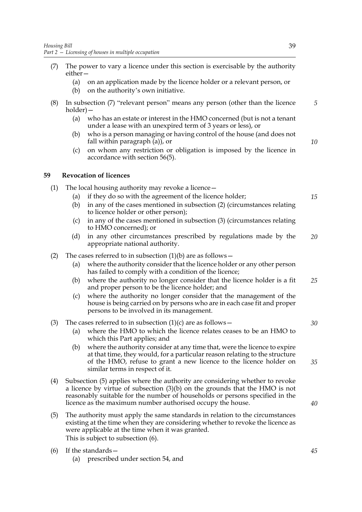- (7) The power to vary a licence under this section is exercisable by the authority either—
	- (a) on an application made by the licence holder or a relevant person, or
	- (b) on the authority's own initiative.
- (8) In subsection (7) "relevant person" means any person (other than the licence holder)—
	- (a) who has an estate or interest in the HMO concerned (but is not a tenant under a lease with an unexpired term of 3 years or less), or
	- (b) who is a person managing or having control of the house (and does not fall within paragraph (a)), or
	- (c) on whom any restriction or obligation is imposed by the licence in accordance with section 56(5).

# **59 Revocation of licences**

- (1) The local housing authority may revoke a licence  $-$ 
	- (a) if they do so with the agreement of the licence holder;
	- (b) in any of the cases mentioned in subsection (2) (circumstances relating to licence holder or other person);
	- (c) in any of the cases mentioned in subsection (3) (circumstances relating to HMO concerned); or
	- (d) in any other circumstances prescribed by regulations made by the appropriate national authority. *20*
- (2) The cases referred to in subsection  $(1)(b)$  are as follows
	- (a) where the authority consider that the licence holder or any other person has failed to comply with a condition of the licence;
	- (b) where the authority no longer consider that the licence holder is a fit and proper person to be the licence holder; and *25*
	- (c) where the authority no longer consider that the management of the house is being carried on by persons who are in each case fit and proper persons to be involved in its management.
- (3) The cases referred to in subsection  $(1)(c)$  are as follows
	- (a) where the HMO to which the licence relates ceases to be an HMO to which this Part applies; and
	- (b) where the authority consider at any time that, were the licence to expire at that time, they would, for a particular reason relating to the structure of the HMO, refuse to grant a new licence to the licence holder on similar terms in respect of it.
- (4) Subsection (5) applies where the authority are considering whether to revoke a licence by virtue of subsection (3)(b) on the grounds that the HMO is not reasonably suitable for the number of households or persons specified in the licence as the maximum number authorised occupy the house.
- (5) The authority must apply the same standards in relation to the circumstances existing at the time when they are considering whether to revoke the licence as were applicable at the time when it was granted. This is subject to subsection (6).
- (6) If the standards—
	- (a) prescribed under section 54, and

*35*

*30*

*40*

*5*

*10*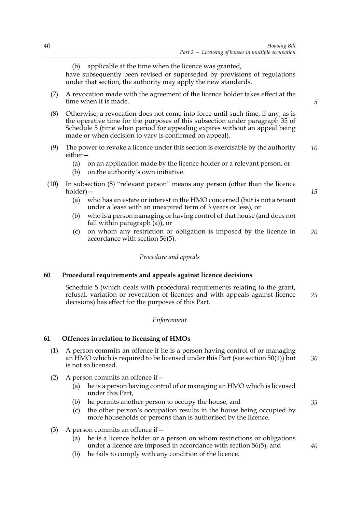(b) applicable at the time when the licence was granted,

have subsequently been revised or superseded by provisions of regulations under that section, the authority may apply the new standards.

- (7) A revocation made with the agreement of the licence holder takes effect at the time when it is made.
- (8) Otherwise, a revocation does not come into force until such time, if any, as is the operative time for the purposes of this subsection under paragraph 35 of Schedule 5 (time when period for appealing expires without an appeal being made or when decision to vary is confirmed on appeal).
- (9) The power to revoke a licence under this section is exercisable by the authority either— *10*
	- (a) on an application made by the licence holder or a relevant person, or
	- (b) on the authority's own initiative.
- (10) In subsection (8) "relevant person" means any person (other than the licence holder)—
	- (a) who has an estate or interest in the HMO concerned (but is not a tenant under a lease with an unexpired term of 3 years or less), or
	- (b) who is a person managing or having control of that house (and does not fall within paragraph (a)), or
	- (c) on whom any restriction or obligation is imposed by the licence in accordance with section 56(5). *20*

*Procedure and appeals*

### **60 Procedural requirements and appeals against licence decisions**

Schedule 5 (which deals with procedural requirements relating to the grant, refusal, variation or revocation of licences and with appeals against licence decisions) has effect for the purposes of this Part. *25*

#### *Enforcement*

### **61 Offences in relation to licensing of HMOs**

- (1) A person commits an offence if he is a person having control of or managing an HMO which is required to be licensed under this Part (see section 50(1)) but is not so licensed. *30*
- (2) A person commits an offence if—
	- (a) he is a person having control of or managing an HMO which is licensed under this Part,
	- (b) he permits another person to occupy the house, and
	- (c) the other person's occupation results in the house being occupied by more households or persons than is authorised by the licence.
- (3) A person commits an offence if—
	- (a) he is a licence holder or a person on whom restrictions or obligations under a licence are imposed in accordance with section 56(5), and
	- (b) he fails to comply with any condition of the licence.

*15*

*5*

*40*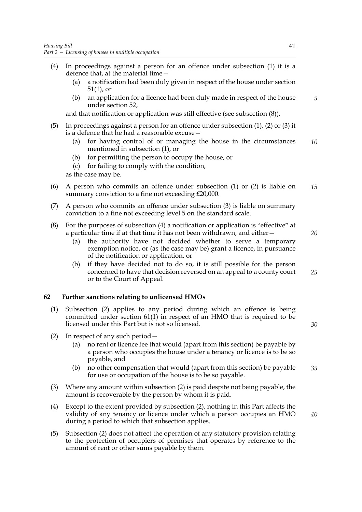- (4) In proceedings against a person for an offence under subsection (1) it is a defence that, at the material time—
	- (a) a notification had been duly given in respect of the house under section 51(1), or
	- (b) an application for a licence had been duly made in respect of the house under section 52,

and that notification or application was still effective (see subsection (8)).

- (5) In proceedings against a person for an offence under subsection (1), (2) or (3) it is a defence that he had a reasonable excuse—
	- (a) for having control of or managing the house in the circumstances mentioned in subsection (1), or *10*
	- (b) for permitting the person to occupy the house, or
	- (c) for failing to comply with the condition,

as the case may be.

- (6) A person who commits an offence under subsection (1) or (2) is liable on summary conviction to a fine not exceeding £20,000. *15*
- (7) A person who commits an offence under subsection (3) is liable on summary conviction to a fine not exceeding level 5 on the standard scale.
- (8) For the purposes of subsection (4) a notification or application is "effective" at a particular time if at that time it has not been withdrawn, and either—
	- (a) the authority have not decided whether to serve a temporary exemption notice, or (as the case may be) grant a licence, in pursuance of the notification or application, or
	- (b) if they have decided not to do so, it is still possible for the person concerned to have that decision reversed on an appeal to a county court or to the Court of Appeal.

### **62 Further sanctions relating to unlicensed HMOs**

- (1) Subsection (2) applies to any period during which an offence is being committed under section 61(1) in respect of an HMO that is required to be licensed under this Part but is not so licensed.
- (2) In respect of any such period—
	- (a) no rent or licence fee that would (apart from this section) be payable by a person who occupies the house under a tenancy or licence is to be so payable, and
	- (b) no other compensation that would (apart from this section) be payable for use or occupation of the house is to be so payable. *35*
- (3) Where any amount within subsection (2) is paid despite not being payable, the amount is recoverable by the person by whom it is paid.
- (4) Except to the extent provided by subsection (2), nothing in this Part affects the validity of any tenancy or licence under which a person occupies an HMO during a period to which that subsection applies.
- (5) Subsection (2) does not affect the operation of any statutory provision relating to the protection of occupiers of premises that operates by reference to the amount of rent or other sums payable by them.

*5*

*30*

*20*

*25*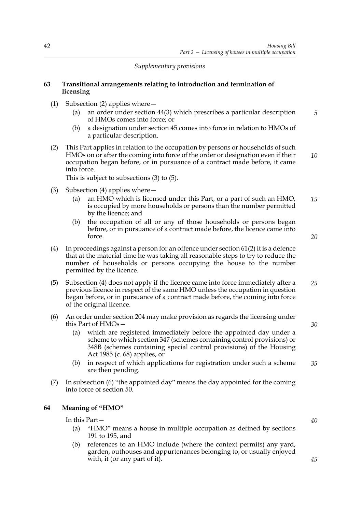### *Supplementary provisions*

# **63 Transitional arrangements relating to introduction and termination of licensing**

- (1) Subsection (2) applies where
	- an order under section 44(3) which prescribes a particular description of HMOs comes into force; or *5*
	- (b) a designation under section 45 comes into force in relation to HMOs of a particular description.
- (2) This Part applies in relation to the occupation by persons or households of such HMOs on or after the coming into force of the order or designation even if their occupation began before, or in pursuance of a contract made before, it came into force. *10*

This is subject to subsections (3) to (5).

- (3) Subsection (4) applies where—
	- (a) an HMO which is licensed under this Part, or a part of such an HMO, is occupied by more households or persons than the number permitted by the licence; and *15*
	- (b) the occupation of all or any of those households or persons began before, or in pursuance of a contract made before, the licence came into force.
- (4) In proceedings against a person for an offence under section 61(2) it is a defence that at the material time he was taking all reasonable steps to try to reduce the number of households or persons occupying the house to the number permitted by the licence.
- (5) Subsection (4) does not apply if the licence came into force immediately after a previous licence in respect of the same HMO unless the occupation in question began before, or in pursuance of a contract made before, the coming into force of the original licence. *25*
- (6) An order under section 204 may make provision as regards the licensing under this Part of HMOs—
	- (a) which are registered immediately before the appointed day under a scheme to which section 347 (schemes containing control provisions) or 348B (schemes containing special control provisions) of the Housing Act 1985 (c. 68) applies, or
	- (b) in respect of which applications for registration under such a scheme are then pending.
- (7) In subsection (6) "the appointed day" means the day appointed for the coming into force of section 50.

### **64 Meaning of "HMO"**

In this Part—

- (a) "HMO" means a house in multiple occupation as defined by sections 191 to 195, and
- (b) references to an HMO include (where the context permits) any yard, garden, outhouses and appurtenances belonging to, or usually enjoyed with, it (or any part of it).

*30*

*35*

*40*

*45*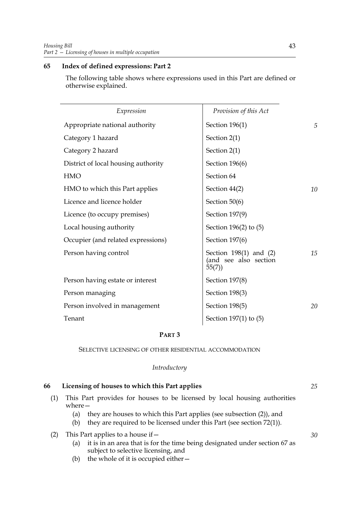# **65 Index of defined expressions: Part 2**

The following table shows where expressions used in this Part are defined or otherwise explained.

| Expression                          | Provision of this Act                                              |
|-------------------------------------|--------------------------------------------------------------------|
| Appropriate national authority      | Section $196(1)$<br>5                                              |
| Category 1 hazard                   | Section 2(1)                                                       |
| Category 2 hazard                   | Section 2(1)                                                       |
| District of local housing authority | Section 196(6)                                                     |
| <b>HMO</b>                          | Section 64                                                         |
| HMO to which this Part applies      | Section 44(2)<br>10                                                |
| Licence and licence holder          | Section 50(6)                                                      |
| Licence (to occupy premises)        | Section 197(9)                                                     |
| Local housing authority             | Section $196(2)$ to $(5)$                                          |
| Occupier (and related expressions)  | Section 197(6)                                                     |
| Person having control               | Section $198(1)$ and $(2)$<br>15<br>(and see also section<br>55(7) |
| Person having estate or interest    | Section 197(8)                                                     |
| Person managing                     | Section $198(3)$                                                   |
| Person involved in management       | Section 198(5)<br>20                                               |
| Tenant                              | Section $197(1)$ to $(5)$                                          |

### **PART 3**

SELECTIVE LICENSING OF OTHER RESIDENTIAL ACCOMMODATION

#### *Introductory*

# **66 Licensing of houses to which this Part applies**

- (1) This Part provides for houses to be licensed by local housing authorities where—
	- (a) they are houses to which this Part applies (see subsection (2)), and
	- (b) they are required to be licensed under this Part (see section 72(1)).
- (2) This Part applies to a house if  $-$ 
	- (a) it is in an area that is for the time being designated under section 67 as subject to selective licensing, and
	- (b) the whole of it is occupied either—

*30*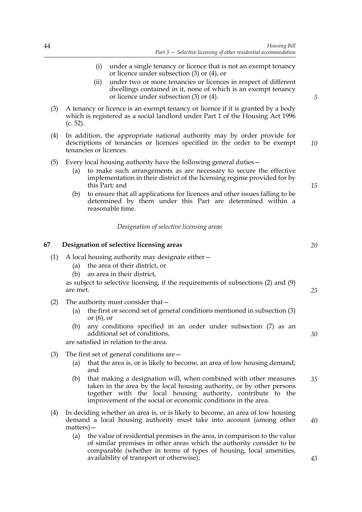- (i) under a single tenancy or licence that is not an exempt tenancy or licence under subsection (3) or (4), or
- (ii) under two or more tenancies or licences in respect of different dwellings contained in it, none of which is an exempt tenancy or licence under subsection (3) or (4).
- (3) A tenancy or licence is an exempt tenancy or licence if it is granted by a body which is registered as a social landlord under Part 1 of the Housing Act 1996 (c. 52).
- (4) In addition, the appropriate national authority may by order provide for descriptions of tenancies or licences specified in the order to be exempt tenancies or licences. *10*
- (5) Every local housing authority have the following general duties—
	- (a) to make such arrangements as are necessary to secure the effective implementation in their district of the licensing regime provided for by this Part; and
	- (b) to ensure that all applications for licences and other issues falling to be determined by them under this Part are determined within a reasonable time.

*Designation of selective licensing areas*

### **67 Designation of selective licensing areas** (1) A local housing authority may designate either— (a) the area of their district, or (b) an area in their district, as subject to selective licensing, if the requirements of subsections (2) and (9) are met. (2) The authority must consider that— (a) the first or second set of general conditions mentioned in subsection (3) or (6), or (b) any conditions specified in an order under subsection (7) as an additional set of conditions, are satisfied in relation to the area. (3) The first set of general conditions are— (a) that the area is, or is likely to become, an area of low housing demand; and (b) that making a designation will, when combined with other measures taken in the area by the local housing authority, or by other persons together with the local housing authority, contribute to the improvement of the social or economic conditions in the area. (4) In deciding whether an area is, or is likely to become, an area of low housing demand a local housing authority must take into account (among other matters)— (a) the value of residential premises in the area, in comparison to the value of similar premises in other areas which the authority consider to be comparable (whether in terms of types of housing, local amenities, *20 25 30 35 40*

availability of transport or otherwise);

*45*

*5*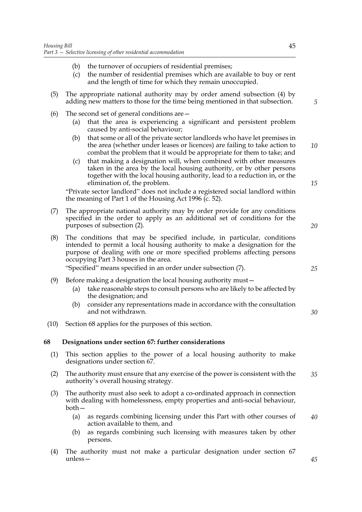- (b) the turnover of occupiers of residential premises;
- (c) the number of residential premises which are available to buy or rent and the length of time for which they remain unoccupied.
- (5) The appropriate national authority may by order amend subsection (4) by adding new matters to those for the time being mentioned in that subsection.
- (6) The second set of general conditions are  $-$ 
	- (a) that the area is experiencing a significant and persistent problem caused by anti-social behaviour;
	- (b) that some or all of the private sector landlords who have let premises in the area (whether under leases or licences) are failing to take action to combat the problem that it would be appropriate for them to take; and *10*
	- (c) that making a designation will, when combined with other measures taken in the area by the local housing authority, or by other persons together with the local housing authority, lead to a reduction in, or the elimination of, the problem.

"Private sector landlord" does not include a registered social landlord within the meaning of Part 1 of the Housing Act 1996 (c. 52).

- (7) The appropriate national authority may by order provide for any conditions specified in the order to apply as an additional set of conditions for the purposes of subsection (2).
- (8) The conditions that may be specified include, in particular, conditions intended to permit a local housing authority to make a designation for the purpose of dealing with one or more specified problems affecting persons occupying Part 3 houses in the area.

"Specified" means specified in an order under subsection (7).

- (9) Before making a designation the local housing authority must—
	- (a) take reasonable steps to consult persons who are likely to be affected by the designation; and
	- (b) consider any representations made in accordance with the consultation and not withdrawn.
- (10) Section 68 applies for the purposes of this section.

### **68 Designations under section 67: further considerations**

- (1) This section applies to the power of a local housing authority to make designations under section 67.
- (2) The authority must ensure that any exercise of the power is consistent with the authority's overall housing strategy. *35*
- (3) The authority must also seek to adopt a co-ordinated approach in connection with dealing with homelessness, empty properties and anti-social behaviour, both—
	- (a) as regards combining licensing under this Part with other courses of action available to them, and *40*
	- (b) as regards combining such licensing with measures taken by other persons.
- (4) The authority must not make a particular designation under section 67 unless—

*20*

*15*

*5*

*30*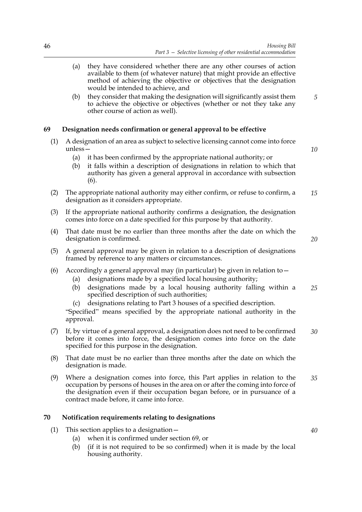- (a) they have considered whether there are any other courses of action available to them (of whatever nature) that might provide an effective method of achieving the objective or objectives that the designation would be intended to achieve, and
- (b) they consider that making the designation will significantly assist them to achieve the objective or objectives (whether or not they take any other course of action as well).

# **69 Designation needs confirmation or general approval to be effective**

- (1) A designation of an area as subject to selective licensing cannot come into force unless—
	- (a) it has been confirmed by the appropriate national authority; or
	- (b) it falls within a description of designations in relation to which that authority has given a general approval in accordance with subsection (6).
- (2) The appropriate national authority may either confirm, or refuse to confirm, a designation as it considers appropriate. *15*
- (3) If the appropriate national authority confirms a designation, the designation comes into force on a date specified for this purpose by that authority.
- (4) That date must be no earlier than three months after the date on which the designation is confirmed.
- (5) A general approval may be given in relation to a description of designations framed by reference to any matters or circumstances.
- (6) Accordingly a general approval may (in particular) be given in relation to  $-$ 
	- (a) designations made by a specified local housing authority;
	- (b) designations made by a local housing authority falling within a specified description of such authorities; *25*
	- (c) designations relating to Part 3 houses of a specified description.

"Specified" means specified by the appropriate national authority in the approval.

- (7) If, by virtue of a general approval, a designation does not need to be confirmed before it comes into force, the designation comes into force on the date specified for this purpose in the designation. *30*
- (8) That date must be no earlier than three months after the date on which the designation is made.
- (9) Where a designation comes into force, this Part applies in relation to the occupation by persons of houses in the area on or after the coming into force of the designation even if their occupation began before, or in pursuance of a contract made before, it came into force. *35*

### **70 Notification requirements relating to designations**

- (1) This section applies to a designation—
	- (a) when it is confirmed under section 69, or
	- (b) (if it is not required to be so confirmed) when it is made by the local housing authority.

*40*

*5*

*10*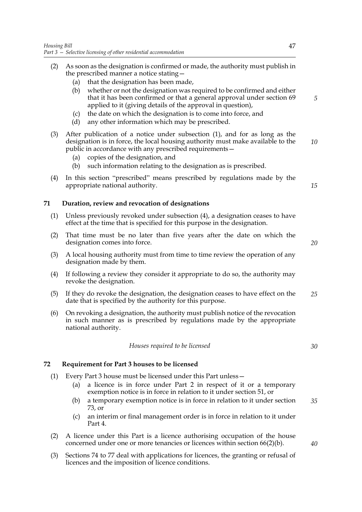- (2) As soon as the designation is confirmed or made, the authority must publish in the prescribed manner a notice stating—
	- (a) that the designation has been made,
	- (b) whether or not the designation was required to be confirmed and either that it has been confirmed or that a general approval under section 69 applied to it (giving details of the approval in question),
	- (c) the date on which the designation is to come into force, and
	- (d) any other information which may be prescribed.
- (3) After publication of a notice under subsection (1), and for as long as the designation is in force, the local housing authority must make available to the public in accordance with any prescribed requirements— *10*
	- (a) copies of the designation, and
	- (b) such information relating to the designation as is prescribed.
- (4) In this section "prescribed" means prescribed by regulations made by the appropriate national authority.

# **71 Duration, review and revocation of designations**

- (1) Unless previously revoked under subsection (4), a designation ceases to have effect at the time that is specified for this purpose in the designation.
- (2) That time must be no later than five years after the date on which the designation comes into force.
- (3) A local housing authority must from time to time review the operation of any designation made by them.
- (4) If following a review they consider it appropriate to do so, the authority may revoke the designation.
- (5) If they do revoke the designation, the designation ceases to have effect on the date that is specified by the authority for this purpose. *25*
- (6) On revoking a designation, the authority must publish notice of the revocation in such manner as is prescribed by regulations made by the appropriate national authority.

#### *Houses required to be licensed*

### **72 Requirement for Part 3 houses to be licensed**

- (1) Every Part 3 house must be licensed under this Part unless—
	- (a) a licence is in force under Part 2 in respect of it or a temporary exemption notice is in force in relation to it under section 51, or
	- (b) a temporary exemption notice is in force in relation to it under section 73, or *35*
	- (c) an interim or final management order is in force in relation to it under Part 4.
- (2) A licence under this Part is a licence authorising occupation of the house concerned under one or more tenancies or licences within section 66(2)(b).
- (3) Sections 74 to 77 deal with applications for licences, the granting or refusal of licences and the imposition of licence conditions.

*30*

*40*

*20*

*15*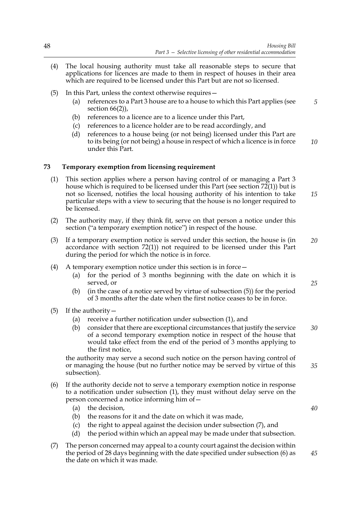- (4) The local housing authority must take all reasonable steps to secure that applications for licences are made to them in respect of houses in their area which are required to be licensed under this Part but are not so licensed.
- (5) In this Part, unless the context otherwise requires—
	- (a) references to a Part 3 house are to a house to which this Part applies (see section  $66(2)$ ),
	- (b) references to a licence are to a licence under this Part,
	- (c) references to a licence holder are to be read accordingly, and
	- (d) references to a house being (or not being) licensed under this Part are to its being (or not being) a house in respect of which a licence is in force under this Part. *10*

### **73 Temporary exemption from licensing requirement**

- (1) This section applies where a person having control of or managing a Part 3 house which is required to be licensed under this Part (see section 72(1)) but is not so licensed, notifies the local housing authority of his intention to take particular steps with a view to securing that the house is no longer required to be licensed. *15*
- (2) The authority may, if they think fit, serve on that person a notice under this section ("a temporary exemption notice") in respect of the house.
- (3) If a temporary exemption notice is served under this section, the house is (in accordance with section 72(1)) not required to be licensed under this Part during the period for which the notice is in force. *20*
- (4) A temporary exemption notice under this section is in force—
	- (a) for the period of 3 months beginning with the date on which it is served, or
	- (b) (in the case of a notice served by virtue of subsection (5)) for the period of 3 months after the date when the first notice ceases to be in force.
- (5) If the authority—
	- (a) receive a further notification under subsection (1), and
	- (b) consider that there are exceptional circumstances that justify the service of a second temporary exemption notice in respect of the house that would take effect from the end of the period of 3 months applying to the first notice, *30*

the authority may serve a second such notice on the person having control of or managing the house (but no further notice may be served by virtue of this subsection).

- (6) If the authority decide not to serve a temporary exemption notice in response to a notification under subsection (1), they must without delay serve on the person concerned a notice informing him of—
	- (a) the decision,
	- (b) the reasons for it and the date on which it was made,
	- (c) the right to appeal against the decision under subsection (7), and
	- (d) the period within which an appeal may be made under that subsection.
- (7) The person concerned may appeal to a county court against the decision within the period of 28 days beginning with the date specified under subsection (6) as the date on which it was made. *45*

*25*

*5*

*40*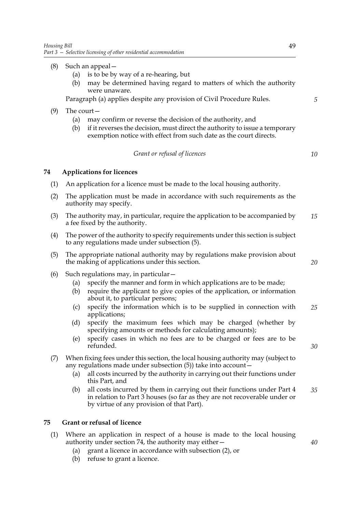### (8) Such an appeal—

- (a) is to be by way of a re-hearing, but
- (b) may be determined having regard to matters of which the authority were unaware.

Paragraph (a) applies despite any provision of Civil Procedure Rules.

# (9) The court—

- (a) may confirm or reverse the decision of the authority, and
- (b) if it reverses the decision, must direct the authority to issue a temporary exemption notice with effect from such date as the court directs.

### *Grant or refusal of licences*

*10*

*20*

*30*

*40*

*5*

# **74 Applications for licences**

- (1) An application for a licence must be made to the local housing authority.
- (2) The application must be made in accordance with such requirements as the authority may specify.
- (3) The authority may, in particular, require the application to be accompanied by a fee fixed by the authority. *15*
- (4) The power of the authority to specify requirements under this section is subject to any regulations made under subsection (5).
- (5) The appropriate national authority may by regulations make provision about the making of applications under this section.
- (6) Such regulations may, in particular—
	- (a) specify the manner and form in which applications are to be made;
	- (b) require the applicant to give copies of the application, or information about it, to particular persons;
	- (c) specify the information which is to be supplied in connection with applications; *25*
	- (d) specify the maximum fees which may be charged (whether by specifying amounts or methods for calculating amounts);
	- (e) specify cases in which no fees are to be charged or fees are to be refunded.
- (7) When fixing fees under this section, the local housing authority may (subject to any regulations made under subsection (5)) take into account—
	- (a) all costs incurred by the authority in carrying out their functions under this Part, and
	- (b) all costs incurred by them in carrying out their functions under Part 4 in relation to Part 3 houses (so far as they are not recoverable under or by virtue of any provision of that Part). *35*

# **75 Grant or refusal of licence**

- (1) Where an application in respect of a house is made to the local housing authority under section 74, the authority may either—
	- (a) grant a licence in accordance with subsection (2), or
	- (b) refuse to grant a licence.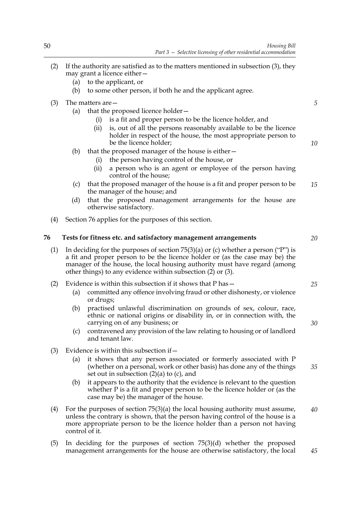- (2) If the authority are satisfied as to the matters mentioned in subsection (3), they may grant a licence either— (a) to the applicant, or (b) to some other person, if both he and the applicant agree. (3) The matters are— (a) that the proposed licence holder— (i) is a fit and proper person to be the licence holder, and (ii) is, out of all the persons reasonably available to be the licence holder in respect of the house, the most appropriate person to be the licence holder; (b) that the proposed manager of the house is either— (i) the person having control of the house, or (ii) a person who is an agent or employee of the person having control of the house; (c) that the proposed manager of the house is a fit and proper person to be the manager of the house; and (d) that the proposed management arrangements for the house are otherwise satisfactory. (4) Section 76 applies for the purposes of this section. **76 Tests for fitness etc. and satisfactory management arrangements** (1) In deciding for the purposes of section 75(3)(a) or (c) whether a person ("P") is a fit and proper person to be the licence holder or (as the case may be) the manager of the house, the local housing authority must have regard (among other things) to any evidence within subsection (2) or (3). (2) Evidence is within this subsection if it shows that  $P$  has  $-$ (a) committed any offence involving fraud or other dishonesty, or violence or drugs; (b) practised unlawful discrimination on grounds of sex, colour, race, *5 10 15 20 25*
	- ethnic or national origins or disability in, or in connection with, the carrying on of any business; or (c) contravened any provision of the law relating to housing or of landlord and tenant law.
	- (3) Evidence is within this subsection if  $-$ 
		- (a) it shows that any person associated or formerly associated with P (whether on a personal, work or other basis) has done any of the things set out in subsection  $(2)(a)$  to  $(c)$ , and
		- (b) it appears to the authority that the evidence is relevant to the question whether P is a fit and proper person to be the licence holder or (as the case may be) the manager of the house.
	- (4) For the purposes of section 75(3)(a) the local housing authority must assume, unless the contrary is shown, that the person having control of the house is a more appropriate person to be the licence holder than a person not having control of it. *40*
	- (5) In deciding for the purposes of section 75(3)(d) whether the proposed management arrangements for the house are otherwise satisfactory, the local

*30*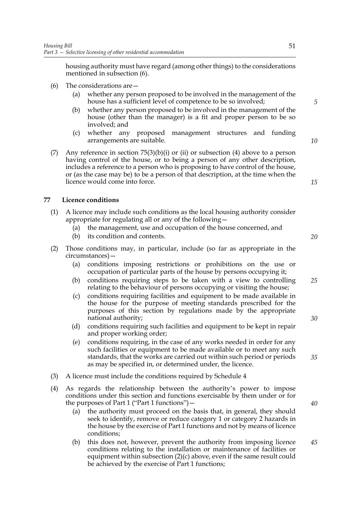housing authority must have regard (among other things) to the considerations mentioned in subsection (6).

- (6) The considerations are—
	- (a) whether any person proposed to be involved in the management of the house has a sufficient level of competence to be so involved;
	- (b) whether any person proposed to be involved in the management of the house (other than the manager) is a fit and proper person to be so involved; and
	- (c) whether any proposed management structures and funding arrangements are suitable.
- (7) Any reference in section  $75(3)(b)(i)$  or (ii) or subsection (4) above to a person having control of the house, or to being a person of any other description, includes a reference to a person who is proposing to have control of the house, or (as the case may be) to be a person of that description, at the time when the licence would come into force.

### **77 Licence conditions**

- (1) A licence may include such conditions as the local housing authority consider appropriate for regulating all or any of the following—
	- (a) the management, use and occupation of the house concerned, and
	- (b) its condition and contents.
- (2) Those conditions may, in particular, include (so far as appropriate in the circumstances)—
	- (a) conditions imposing restrictions or prohibitions on the use or occupation of particular parts of the house by persons occupying it;
	- (b) conditions requiring steps to be taken with a view to controlling relating to the behaviour of persons occupying or visiting the house;
	- (c) conditions requiring facilities and equipment to be made available in the house for the purpose of meeting standards prescribed for the purposes of this section by regulations made by the appropriate national authority;
	- (d) conditions requiring such facilities and equipment to be kept in repair and proper working order;
	- (e) conditions requiring, in the case of any works needed in order for any such facilities or equipment to be made available or to meet any such standards, that the works are carried out within such period or periods as may be specified in, or determined under, the licence.
- (3) A licence must include the conditions required by Schedule 4
- (4) As regards the relationship between the authority's power to impose conditions under this section and functions exercisable by them under or for the purposes of Part 1 ("Part 1 functions")—
	- (a) the authority must proceed on the basis that, in general, they should seek to identify, remove or reduce category 1 or category 2 hazards in the house by the exercise of Part 1 functions and not by means of licence conditions;
	- (b) this does not, however, prevent the authority from imposing licence conditions relating to the installation or maintenance of facilities or equipment within subsection (2)(c) above, even if the same result could be achieved by the exercise of Part 1 functions; *45*

*5*

*10*

*20*

*15*

*30*

*35*

*25*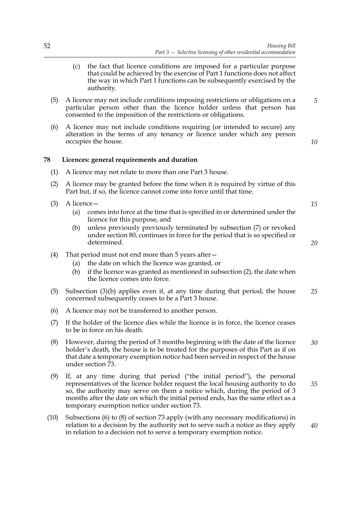- (c) the fact that licence conditions are imposed for a particular purpose that could be achieved by the exercise of Part 1 functions does not affect the way in which Part 1 functions can be subsequently exercised by the authority.
- (5) A licence may not include conditions imposing restrictions or obligations on a particular person other than the licence holder unless that person has consented to the imposition of the restrictions or obligations. *5*
- (6) A licence may not include conditions requiring (or intended to secure) any alteration in the terms of any tenancy or licence under which any person occupies the house.

### **78 Licences: general requirements and duration**

- (1) A licence may not relate to more than one Part 3 house.
- (2) A licence may be granted before the time when it is required by virtue of this Part but, if so, the licence cannot come into force until that time.
- (3) A licence—
	- (a) comes into force at the time that is specified in or determined under the licence for this purpose, and
	- (b) unless previously previously terminated by subsection (7) or revoked under section 80, continues in force for the period that is so specified or determined.
- (4) That period must not end more than 5 years after—
	- (a) the date on which the licence was granted, or
	- (b) if the licence was granted as mentioned in subsection (2), the date when the licence comes into force.
- (5) Subsection (3)(b) applies even if, at any time during that period, the house concerned subsequently ceases to be a Part 3 house. *25*
- (6) A licence may not be transferred to another person.
- (7) If the holder of the licence dies while the licence is in force, the licence ceases to be in force on his death.
- (8) However, during the period of 3 months beginning with the date of the licence holder's death, the house is to be treated for the purposes of this Part as if on that date a temporary exemption notice had been served in respect of the house under section 73. *30*
- (9) If, at any time during that period ("the initial period"), the personal representatives of the licence holder request the local housing authority to do so, the authority may serve on them a notice which, during the period of 3 months after the date on which the initial period ends, has the same effect as a temporary exemption notice under section 73. *35*
- (10) Subsections (6) to (8) of section 73 apply (with any necessary modifications) in relation to a decision by the authority not to serve such a notice as they apply in relation to a decision not to serve a temporary exemption notice. *40*

*15*

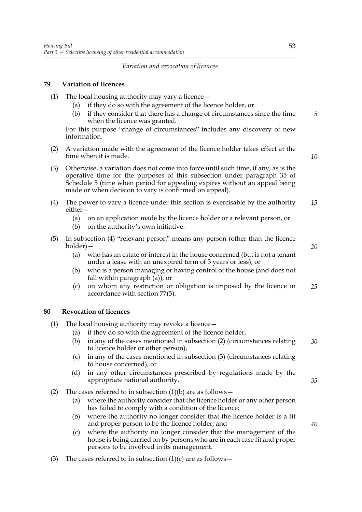### *Variation and revocation of licences*

### **79 Variation of licences**

- (1) The local housing authority may vary a licence—
	- (a) if they do so with the agreement of the licence holder, or
	- (b) if they consider that there has a change of circumstances since the time when the licence was granted.

For this purpose "change of circumstances" includes any discovery of new information.

(2) A variation made with the agreement of the licence holder takes effect at the time when it is made.

*10*

*20*

*5*

- (3) Otherwise, a variation does not come into force until such time, if any, as is the operative time for the purposes of this subsection under paragraph 35 of Schedule 5 (time when period for appealing expires without an appeal being made or when decision to vary is confirmed on appeal).
- (4) The power to vary a licence under this section is exercisable by the authority either— *15*
	- (a) on an application made by the licence holder or a relevant person, or
	- (b) on the authority's own initiative.
- (5) In subsection (4) "relevant person" means any person (other than the licence holder)—
	- (a) who has an estate or interest in the house concerned (but is not a tenant under a lease with an unexpired term of 3 years or less), or
	- (b) who is a person managing or having control of the house (and does not fall within paragraph (a)), or
	- (c) on whom any restriction or obligation is imposed by the licence in accordance with section 77(5). *25*

### **80 Revocation of licences**

- (1) The local housing authority may revoke a licence—
	- (a) if they do so with the agreement of the licence holder,
	- (b) in any of the cases mentioned in subsection (2) (circumstances relating to licence holder or other person), *30*
	- (c) in any of the cases mentioned in subsection (3) (circumstances relating to house concerned), or
	- (d) in any other circumstances prescribed by regulations made by the appropriate national authority.
- (2) The cases referred to in subsection  $(1)(b)$  are as follows
	- (a) where the authority consider that the licence holder or any other person has failed to comply with a condition of the licence;
	- (b) where the authority no longer consider that the licence holder is a fit and proper person to be the licence holder; and
	- (c) where the authority no longer consider that the management of the house is being carried on by persons who are in each case fit and proper persons to be involved in its management.
- (3) The cases referred to in subsection  $(1)(c)$  are as follows –

*40*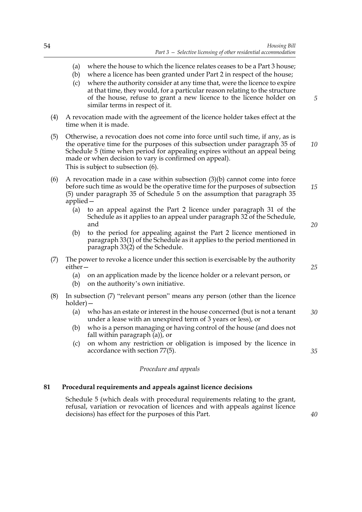- (a) where the house to which the licence relates ceases to be a Part 3 house;
- (b) where a licence has been granted under Part 2 in respect of the house;
	- (c) where the authority consider at any time that, were the licence to expire at that time, they would, for a particular reason relating to the structure of the house, refuse to grant a new licence to the licence holder on similar terms in respect of it.
- (4) A revocation made with the agreement of the licence holder takes effect at the time when it is made.
- (5) Otherwise, a revocation does not come into force until such time, if any, as is the operative time for the purposes of this subsection under paragraph 35 of Schedule 5 (time when period for appealing expires without an appeal being made or when decision to vary is confirmed on appeal). This is subject to subsection (6). *10*
- (6) A revocation made in a case within subsection (3)(b) cannot come into force before such time as would be the operative time for the purposes of subsection (5) under paragraph 35 of Schedule 5 on the assumption that paragraph 35 applied— *15*
	- (a) to an appeal against the Part 2 licence under paragraph 31 of the Schedule as it applies to an appeal under paragraph 32 of the Schedule, and
	- (b) to the period for appealing against the Part 2 licence mentioned in paragraph 33(1) of the Schedule as it applies to the period mentioned in paragraph 33(2) of the Schedule.
- (7) The power to revoke a licence under this section is exercisable by the authority either—
	- (a) on an application made by the licence holder or a relevant person, or
	- (b) on the authority's own initiative.
- (8) In subsection (7) "relevant person" means any person (other than the licence holder)—
	- (a) who has an estate or interest in the house concerned (but is not a tenant under a lease with an unexpired term of 3 years or less), or *30*
	- (b) who is a person managing or having control of the house (and does not fall within paragraph (a)), or
	- (c) on whom any restriction or obligation is imposed by the licence in accordance with section 77(5).

### *Procedure and appeals*

### **81 Procedural requirements and appeals against licence decisions**

Schedule 5 (which deals with procedural requirements relating to the grant, refusal, variation or revocation of licences and with appeals against licence decisions) has effect for the purposes of this Part.

*20*

*5*

*25*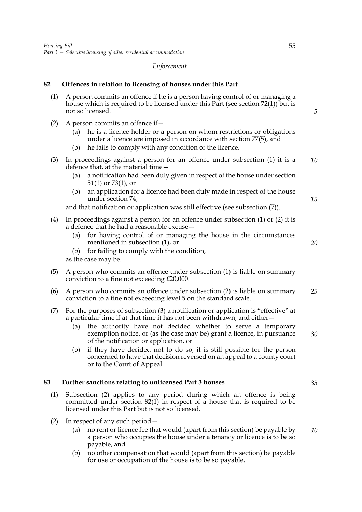# *Enforcement*

### **82 Offences in relation to licensing of houses under this Part**

- (1) A person commits an offence if he is a person having control of or managing a house which is required to be licensed under this Part (see section 72(1)) but is not so licensed.
- (2) A person commits an offence if  $-$ 
	- (a) he is a licence holder or a person on whom restrictions or obligations under a licence are imposed in accordance with section 77(5), and
	- (b) he fails to comply with any condition of the licence.
- (3) In proceedings against a person for an offence under subsection (1) it is a defence that, at the material time— *10*
	- (a) a notification had been duly given in respect of the house under section 51(1) or 73(1), or
	- (b) an application for a licence had been duly made in respect of the house under section 74,

and that notification or application was still effective (see subsection (7)).

- (4) In proceedings against a person for an offence under subsection (1) or (2) it is a defence that he had a reasonable excuse—
	- (a) for having control of or managing the house in the circumstances mentioned in subsection (1), or
	- (b) for failing to comply with the condition,

as the case may be.

- (5) A person who commits an offence under subsection (1) is liable on summary conviction to a fine not exceeding £20,000.
- (6) A person who commits an offence under subsection (2) is liable on summary conviction to a fine not exceeding level 5 on the standard scale. *25*
- (7) For the purposes of subsection (3) a notification or application is "effective" at a particular time if at that time it has not been withdrawn, and either—
	- (a) the authority have not decided whether to serve a temporary exemption notice, or (as the case may be) grant a licence, in pursuance of the notification or application, or *30*
	- (b) if they have decided not to do so, it is still possible for the person concerned to have that decision reversed on an appeal to a county court or to the Court of Appeal.

#### **83 Further sanctions relating to unlicensed Part 3 houses**

- (1) Subsection (2) applies to any period during which an offence is being committed under section 82(1) in respect of a house that is required to be licensed under this Part but is not so licensed.
- (2) In respect of any such period—
	- (a) no rent or licence fee that would (apart from this section) be payable by a person who occupies the house under a tenancy or licence is to be so payable, and
	- (b) no other compensation that would (apart from this section) be payable for use or occupation of the house is to be so payable.

*5*

*15*

*20*

*35*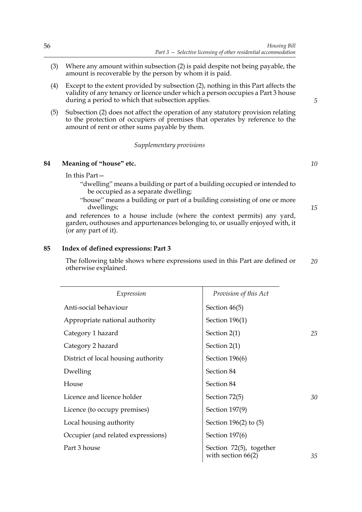- (3) Where any amount within subsection (2) is paid despite not being payable, the amount is recoverable by the person by whom it is paid.
- (4) Except to the extent provided by subsection (2), nothing in this Part affects the validity of any tenancy or licence under which a person occupies a Part 3 house during a period to which that subsection applies.
- (5) Subsection (2) does not affect the operation of any statutory provision relating to the protection of occupiers of premises that operates by reference to the amount of rent or other sums payable by them.

#### *Supplementary provisions*

### **84 Meaning of "house" etc.**

In this Part—

- "dwelling" means a building or part of a building occupied or intended to be occupied as a separate dwelling;
- "house" means a building or part of a building consisting of one or more dwellings;

and references to a house include (where the context permits) any yard, garden, outhouses and appurtenances belonging to, or usually enjoyed with, it (or any part of it).

#### **85 Index of defined expressions: Part 3**

The following table shows where expressions used in this Part are defined or otherwise explained. *20*

| Expression                          | Provision of this Act                           |    |
|-------------------------------------|-------------------------------------------------|----|
| Anti-social behaviour               | Section 46(5)                                   |    |
| Appropriate national authority      | Section $196(1)$                                |    |
| Category 1 hazard                   | Section $2(1)$                                  | 25 |
| Category 2 hazard                   | Section $2(1)$                                  |    |
| District of local housing authority | Section $196(6)$                                |    |
| Dwelling                            | Section 84                                      |    |
| House                               | Section 84                                      |    |
| Licence and licence holder          | Section 72(5)                                   | 30 |
| Licence (to occupy premises)        | Section 197(9)                                  |    |
| Local housing authority             | Section $196(2)$ to $(5)$                       |    |
| Occupier (and related expressions)  | Section 197(6)                                  |    |
| Part 3 house                        | Section 72(5), together<br>with section $66(2)$ | 35 |

*5*

*15*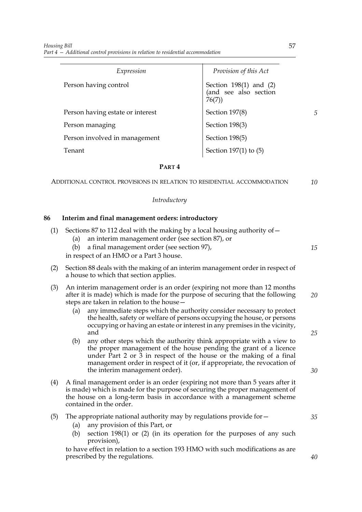| Expression                       | Provision of this Act                                    |
|----------------------------------|----------------------------------------------------------|
| Person having control            | Section 198(1) and (2)<br>(and see also section<br>76(7) |
| Person having estate or interest | Section 197(8)                                           |
| Person managing                  | Section 198(3)                                           |
| Person involved in management    | Section 198(5)                                           |
| Tenant                           | Section $197(1)$ to $(5)$                                |

# **PART 4**

ADDITIONAL CONTROL PROVISIONS IN RELATION TO RESIDENTIAL ACCOMMODATION *10*

# *Introductory*

# **86 Interim and final management orders: introductory**

| (1) | Sections 87 to 112 deal with the making by a local housing authority of $-$<br>an interim management order (see section 87), or<br>(a)<br>a final management order (see section 97),<br>(b)<br>in respect of an HMO or a Part 3 house.                                                                                                                               | 15 |
|-----|----------------------------------------------------------------------------------------------------------------------------------------------------------------------------------------------------------------------------------------------------------------------------------------------------------------------------------------------------------------------|----|
| (2) | Section 88 deals with the making of an interim management order in respect of<br>a house to which that section applies.                                                                                                                                                                                                                                              |    |
| (3) | An interim management order is an order (expiring not more than 12 months<br>after it is made) which is made for the purpose of securing that the following<br>steps are taken in relation to the house-<br>any immediate steps which the authority consider necessary to protect<br>(a)<br>the health, safety or welfare of persons occupying the house, or persons | 20 |
|     | occupying or having an estate or interest in any premises in the vicinity,<br>and                                                                                                                                                                                                                                                                                    | 25 |
|     | any other steps which the authority think appropriate with a view to<br>(b)<br>the proper management of the house pending the grant of a licence<br>under Part $2$ or $3$ in respect of the house or the making of a final<br>management order in respect of it (or, if appropriate, the revocation of<br>the interim management order).                             | 30 |
| (4) | A final management order is an order (expiring not more than 5 years after it<br>is made) which is made for the purpose of securing the proper management of<br>the house on a long-term basis in accordance with a management scheme<br>contained in the order.                                                                                                     |    |
| (5) | The appropriate national authority may by regulations provide for $-$<br>any provision of this Part, or<br>(a)<br>section $198(1)$ or (2) (in its operation for the purposes of any such<br>(b)<br>provision),                                                                                                                                                       | 35 |
|     | to have effect in relation to a section 193 HMO with such modifications as are<br>prescribed by the regulations.                                                                                                                                                                                                                                                     | 40 |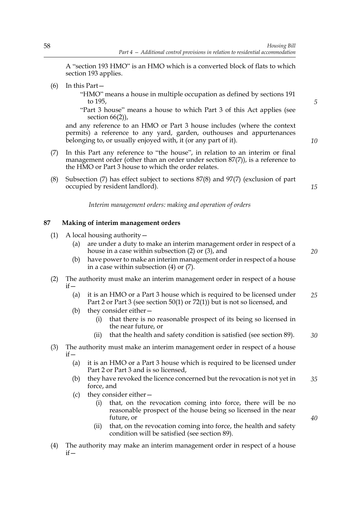A "section 193 HMO" is an HMO which is a converted block of flats to which section 193 applies.

- (6) In this Part—
	- "HMO" means a house in multiple occupation as defined by sections 191 to 195,

"Part 3 house" means a house to which Part 3 of this Act applies (see section 66(2)),

and any reference to an HMO or Part 3 house includes (where the context permits) a reference to any yard, garden, outhouses and appurtenances belonging to, or usually enjoyed with, it (or any part of it).

- (7) In this Part any reference to "the house", in relation to an interim or final management order (other than an order under section 87(7)), is a reference to the HMO or Part 3 house to which the order relates.
- (8) Subsection (7) has effect subject to sections 87(8) and 97(7) (exclusion of part occupied by resident landlord).

*Interim management orders: making and operation of orders*

# **87 Making of interim management orders**

- (1) A local housing authority—
	- (a) are under a duty to make an interim management order in respect of a house in a case within subsection (2) or (3), and
	- (b) have power to make an interim management order in respect of a house in a case within subsection (4) or (7).
- (2) The authority must make an interim management order in respect of a house  $if -$ 
	- (a) it is an HMO or a Part 3 house which is required to be licensed under Part 2 or Part 3 (see section 50(1) or 72(1)) but is not so licensed, and *25*
	- (b) they consider either—
		- (i) that there is no reasonable prospect of its being so licensed in the near future, or
		- (ii) that the health and safety condition is satisfied (see section 89). *30*
- (3) The authority must make an interim management order in respect of a house  $if -$ 
	- (a) it is an HMO or a Part 3 house which is required to be licensed under Part 2 or Part 3 and is so licensed,
	- (b) they have revoked the licence concerned but the revocation is not yet in force, and *35*
	- (c) they consider either—
		- (i) that, on the revocation coming into force, there will be no reasonable prospect of the house being so licensed in the near future, or
		- (ii) that, on the revocation coming into force, the health and safety condition will be satisfied (see section 89).
- (4) The authority may make an interim management order in respect of a house  $if -$

*5*

*15*

*10*

*20*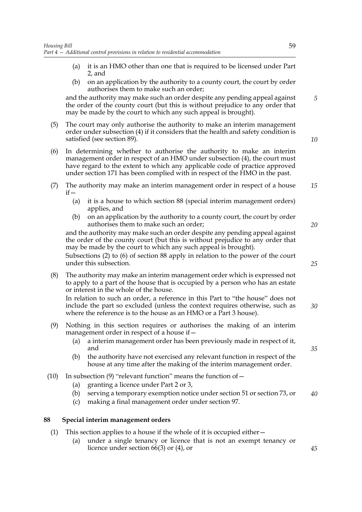- (a) it is an HMO other than one that is required to be licensed under Part 2, and
- (b) on an application by the authority to a county court, the court by order authorises them to make such an order;

and the authority may make such an order despite any pending appeal against the order of the county court (but this is without prejudice to any order that may be made by the court to which any such appeal is brought).

- (5) The court may only authorise the authority to make an interim management order under subsection (4) if it considers that the health and safety condition is satisfied (see section 89).
- (6) In determining whether to authorise the authority to make an interim management order in respect of an HMO under subsection (4), the court must have regard to the extent to which any applicable code of practice approved under section 171 has been complied with in respect of the HMO in the past.
- (7) The authority may make an interim management order in respect of a house  $if -$ *15*
	- (a) it is a house to which section 88 (special interim management orders) applies, and
	- (b) on an application by the authority to a county court, the court by order authorises them to make such an order;

and the authority may make such an order despite any pending appeal against the order of the county court (but this is without prejudice to any order that may be made by the court to which any such appeal is brought).

Subsections (2) to (6) of section 88 apply in relation to the power of the court under this subsection.

(8) The authority may make an interim management order which is expressed not to apply to a part of the house that is occupied by a person who has an estate or interest in the whole of the house.

In relation to such an order, a reference in this Part to "the house" does not include the part so excluded (unless the context requires otherwise, such as where the reference is to the house as an HMO or a Part 3 house). *30*

- (9) Nothing in this section requires or authorises the making of an interim management order in respect of a house if—
	- (a) a interim management order has been previously made in respect of it, and
	- (b) the authority have not exercised any relevant function in respect of the house at any time after the making of the interim management order.
- (10) In subsection (9) "relevant function" means the function of  $-$ 
	- (a) granting a licence under Part 2 or 3,
	- (b) serving a temporary exemption notice under section 51 or section 73, or *40*
	- (c) making a final management order under section 97.

### **88 Special interim management orders**

- (1) This section applies to a house if the whole of it is occupied either—
	- (a) under a single tenancy or licence that is not an exempt tenancy or licence under section 66(3) or (4), or

*5*

*10*

*20*

*35*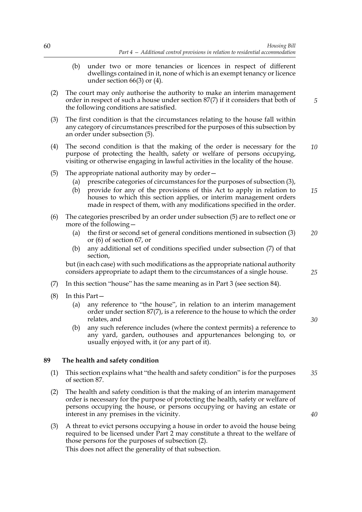- (b) under two or more tenancies or licences in respect of different dwellings contained in it, none of which is an exempt tenancy or licence under section 66(3) or (4).
- (2) The court may only authorise the authority to make an interim management order in respect of such a house under section 87(7) if it considers that both of the following conditions are satisfied.
- (3) The first condition is that the circumstances relating to the house fall within any category of circumstances prescribed for the purposes of this subsection by an order under subsection (5).
- (4) The second condition is that the making of the order is necessary for the purpose of protecting the health, safety or welfare of persons occupying, visiting or otherwise engaging in lawful activities in the locality of the house. *10*
- (5) The appropriate national authority may by order—
	- (a) prescribe categories of circumstances for the purposes of subsection (3),
	- (b) provide for any of the provisions of this Act to apply in relation to houses to which this section applies, or interim management orders made in respect of them, with any modifications specified in the order. *15*
- (6) The categories prescribed by an order under subsection (5) are to reflect one or more of the following—
	- (a) the first or second set of general conditions mentioned in subsection (3) or (6) of section 67, or *20*
	- (b) any additional set of conditions specified under subsection (7) of that section,

but (in each case) with such modifications as the appropriate national authority considers appropriate to adapt them to the circumstances of a single house.

- (7) In this section "house" has the same meaning as in Part 3 (see section 84).
- (8) In this Part—
	- (a) any reference to "the house", in relation to an interim management order under section 87(7), is a reference to the house to which the order relates, and
	- (b) any such reference includes (where the context permits) a reference to any yard, garden, outhouses and appurtenances belonging to, or usually enjoyed with, it (or any part of it).

### **89 The health and safety condition**

- (1) This section explains what "the health and safety condition" is for the purposes of section 87. *35*
- (2) The health and safety condition is that the making of an interim management order is necessary for the purpose of protecting the health, safety or welfare of persons occupying the house, or persons occupying or having an estate or interest in any premises in the vicinity.
- (3) A threat to evict persons occupying a house in order to avoid the house being required to be licensed under Part 2 may constitute a threat to the welfare of those persons for the purposes of subsection (2). This does not affect the generality of that subsection.

*25*

*5*

*30*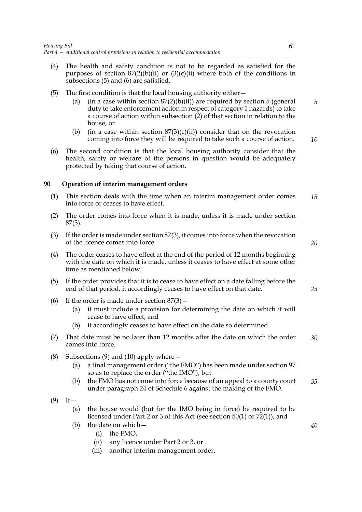- (4) The health and safety condition is not to be regarded as satisfied for the purposes of section  $87(2)(b)(ii)$  or  $(3)(c)(ii)$  where both of the conditions in subsections (5) and (6) are satisfied.
- (5) The first condition is that the local housing authority either—
	- (a) (in a case within section  $87(2)(b)(ii)$ ) are required by section 5 (general duty to take enforcement action in respect of category 1 hazards) to take a course of action within subsection (2) of that section in relation to the house, or
	- (b) (in a case within section  $87(3)(c)(ii)$ ) consider that on the revocation coming into force they will be required to take such a course of action.
- (6) The second condition is that the local housing authority consider that the health, safety or welfare of the persons in question would be adequately protected by taking that course of action.

## **90 Operation of interim management orders**

- (1) This section deals with the time when an interim management order comes into force or ceases to have effect. *15*
- (2) The order comes into force when it is made, unless it is made under section 87(3).
- (3) If the order is made under section 87(3), it comes into force when the revocation of the licence comes into force.

*20*

*25*

*40*

*5*

- (4) The order ceases to have effect at the end of the period of 12 months beginning with the date on which it is made, unless it ceases to have effect at some other time as mentioned below.
- (5) If the order provides that it is to cease to have effect on a date falling before the end of that period, it accordingly ceases to have effect on that date.
- (6) If the order is made under section  $87(3)$ 
	- (a) it must include a provision for determining the date on which it will cease to have effect, and
	- (b) it accordingly ceases to have effect on the date so determined.
- (7) That date must be no later than 12 months after the date on which the order comes into force. *30*
- (8) Subsections (9) and (10) apply where  $-$ 
	- (a) a final management order ("the FMO") has been made under section 97 so as to replace the order ("the IMO"), but
	- (b) the FMO has not come into force because of an appeal to a county court under paragraph 24 of Schedule 6 against the making of the FMO. *35*
- $(9)$  If
	- (a) the house would (but for the IMO being in force) be required to be licensed under Part 2 or 3 of this Act (see section 50(1) or 72(1)), and
	- (b) the date on which—
		- (i) the FMO,
		- (ii) any licence under Part 2 or 3, or
		- (iii) another interim management order,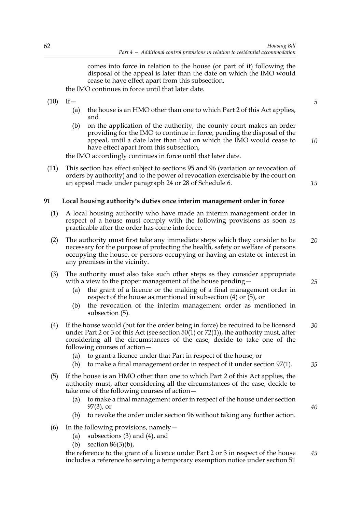comes into force in relation to the house (or part of it) following the disposal of the appeal is later than the date on which the IMO would cease to have effect apart from this subsection,

the IMO continues in force until that later date.

- $(10)$  If
	- (a) the house is an HMO other than one to which Part 2 of this Act applies, and
	- (b) on the application of the authority, the county court makes an order providing for the IMO to continue in force, pending the disposal of the appeal, until a date later than that on which the IMO would cease to have effect apart from this subsection,

the IMO accordingly continues in force until that later date.

(11) This section has effect subject to sections 95 and 96 (variation or revocation of orders by authority) and to the power of revocation exercisable by the court on an appeal made under paragraph 24 or 28 of Schedule 6.

# **91 Local housing authority's duties once interim management order in force**

- (1) A local housing authority who have made an interim management order in respect of a house must comply with the following provisions as soon as practicable after the order has come into force.
- (2) The authority must first take any immediate steps which they consider to be necessary for the purpose of protecting the health, safety or welfare of persons occupying the house, or persons occupying or having an estate or interest in any premises in the vicinity. *20*
- (3) The authority must also take such other steps as they consider appropriate with a view to the proper management of the house pending -
	- (a) the grant of a licence or the making of a final management order in respect of the house as mentioned in subsection (4) or (5), or
	- (b) the revocation of the interim management order as mentioned in subsection (5).
- (4) If the house would (but for the order being in force) be required to be licensed under Part 2 or 3 of this Act (see section 50(1) or  $72(1)$ ), the authority must, after considering all the circumstances of the case, decide to take one of the following courses of action— *30*
	- (a) to grant a licence under that Part in respect of the house, or
	- (b) to make a final management order in respect of it under section 97(1). *35*
- (5) If the house is an HMO other than one to which Part 2 of this Act applies, the authority must, after considering all the circumstances of the case, decide to take one of the following courses of action—
	- (a) to make a final management order in respect of the house under section 97(3), or
	- (b) to revoke the order under section 96 without taking any further action.
- (6) In the following provisions, namely  $-$ 
	- (a) subsections (3) and (4), and
	- (b) section 86(3)(b),

the reference to the grant of a licence under Part 2 or 3 in respect of the house includes a reference to serving a temporary exemption notice under section 51 *45*

*5*

*10*

*15*

*25*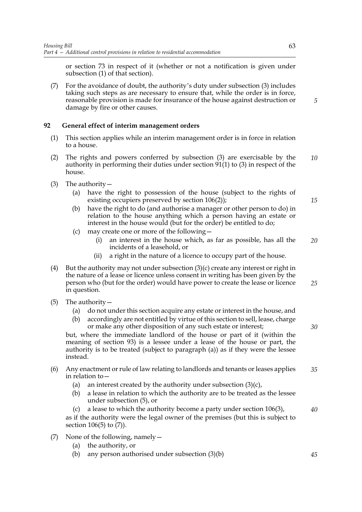or section 73 in respect of it (whether or not a notification is given under subsection (1) of that section).

(7) For the avoidance of doubt, the authority's duty under subsection (3) includes taking such steps as are necessary to ensure that, while the order is in force, reasonable provision is made for insurance of the house against destruction or damage by fire or other causes.

# **92 General effect of interim management orders**

- (1) This section applies while an interim management order is in force in relation to a house.
- (2) The rights and powers conferred by subsection (3) are exercisable by the authority in performing their duties under section 91(1) to (3) in respect of the house. *10*
- (3) The authority—
	- (a) have the right to possession of the house (subject to the rights of existing occupiers preserved by section 106(2));
	- (b) have the right to do (and authorise a manager or other person to do) in relation to the house anything which a person having an estate or interest in the house would (but for the order) be entitled to do;
	- (c) may create one or more of the following—
		- (i) an interest in the house which, as far as possible, has all the incidents of a leasehold, or *20*
		- (ii) a right in the nature of a licence to occupy part of the house.
- (4) But the authority may not under subsection  $(3)(c)$  create any interest or right in the nature of a lease or licence unless consent in writing has been given by the person who (but for the order) would have power to create the lease or licence in question. *25*
- (5) The authority—
	- (a) do not under this section acquire any estate or interest in the house, and
	- (b) accordingly are not entitled by virtue of this section to sell, lease, charge or make any other disposition of any such estate or interest;

but, where the immediate landlord of the house or part of it (within the meaning of section 93) is a lessee under a lease of the house or part, the authority is to be treated (subject to paragraph (a)) as if they were the lessee instead.

- (6) Any enactment or rule of law relating to landlords and tenants or leases applies in relation to— *35*
	- (a) an interest created by the authority under subsection  $(3)(c)$ ,
	- (b) a lease in relation to which the authority are to be treated as the lessee under subsection (5), or
	- a lease to which the authority become a party under section 106(3),

as if the authority were the legal owner of the premises (but this is subject to section 106(5) to (7)).

- (7) None of the following, namely—
	- (a) the authority, or
	- (b) any person authorised under subsection (3)(b)

*45*

*40*

*15*

*5*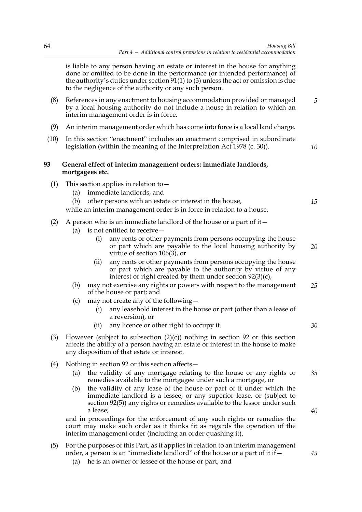is liable to any person having an estate or interest in the house for anything done or omitted to be done in the performance (or intended performance) of the authority's duties under section 91(1) to (3) unless the act or omission is due to the negligence of the authority or any such person.

- (8) References in any enactment to housing accommodation provided or managed by a local housing authority do not include a house in relation to which an interim management order is in force. *5*
- (9) An interim management order which has come into force is a local land charge.
- (10) In this section "enactment" includes an enactment comprised in subordinate legislation (within the meaning of the Interpretation Act 1978 (c. 30)). *10*

## **93 General effect of interim management orders: immediate landlords, mortgagees etc.**

- (1) This section applies in relation to—
	- (a) immediate landlords, and
	- (b) other persons with an estate or interest in the house,

while an interim management order is in force in relation to a house.

- (2) A person who is an immediate landlord of the house or a part of it  $-$ 
	- (a) is not entitled to receive—
		- (i) any rents or other payments from persons occupying the house or part which are payable to the local housing authority by virtue of section 106(3), or *20*
		- (ii) any rents or other payments from persons occupying the house or part which are payable to the authority by virtue of any interest or right created by them under section 92(3)(c),
	- (b) may not exercise any rights or powers with respect to the management of the house or part; and *25*
	- (c) may not create any of the following—
		- (i) any leasehold interest in the house or part (other than a lease of a reversion), or
		- (ii) any licence or other right to occupy it.
- (3) However (subject to subsection  $(2)(c)$ ) nothing in section 92 or this section affects the ability of a person having an estate or interest in the house to make any disposition of that estate or interest.
- (4) Nothing in section 92 or this section affects—
	- (a) the validity of any mortgage relating to the house or any rights or remedies available to the mortgagee under such a mortgage, or *35*
	- (b) the validity of any lease of the house or part of it under which the immediate landlord is a lessee, or any superior lease, or (subject to section 92(5)) any rights or remedies available to the lessor under such a lease;

and in proceedings for the enforcement of any such rights or remedies the court may make such order as it thinks fit as regards the operation of the interim management order (including an order quashing it).

- (5) For the purposes of this Part, as it applies in relation to an interim management order, a person is an "immediate landlord" of the house or a part of it if  $-$ 
	- (a) he is an owner or lessee of the house or part, and

*40*

*45*

*30*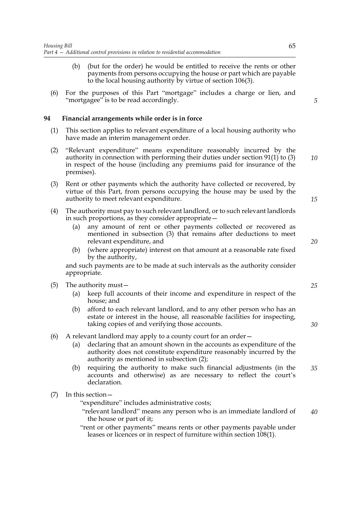- (b) (but for the order) he would be entitled to receive the rents or other payments from persons occupying the house or part which are payable to the local housing authority by virtue of section 106(3).
- (6) For the purposes of this Part "mortgage" includes a charge or lien, and "mortgagee" is to be read accordingly.

## **94 Financial arrangements while order is in force**

- (1) This section applies to relevant expenditure of a local housing authority who have made an interim management order.
- (2) "Relevant expenditure" means expenditure reasonably incurred by the authority in connection with performing their duties under section 91(1) to (3) in respect of the house (including any premiums paid for insurance of the premises).
- (3) Rent or other payments which the authority have collected or recovered, by virtue of this Part, from persons occupying the house may be used by the authority to meet relevant expenditure.
- (4) The authority must pay to such relevant landlord, or to such relevant landlords in such proportions, as they consider appropriate—
	- (a) any amount of rent or other payments collected or recovered as mentioned in subsection (3) that remains after deductions to meet relevant expenditure, and
	- (b) (where appropriate) interest on that amount at a reasonable rate fixed by the authority,

and such payments are to be made at such intervals as the authority consider appropriate.

- (5) The authority must—
	- (a) keep full accounts of their income and expenditure in respect of the house; and
	- (b) afford to each relevant landlord, and to any other person who has an estate or interest in the house, all reasonable facilities for inspecting, taking copies of and verifying those accounts.
- (6) A relevant landlord may apply to a county court for an order—
	- (a) declaring that an amount shown in the accounts as expenditure of the authority does not constitute expenditure reasonably incurred by the authority as mentioned in subsection (2);
	- (b) requiring the authority to make such financial adjustments (in the accounts and otherwise) as are necessary to reflect the court's declaration. *35*
- (7) In this section—

"expenditure" includes administrative costs;

- "relevant landlord" means any person who is an immediate landlord of the house or part of it; *40*
- "rent or other payments" means rents or other payments payable under leases or licences or in respect of furniture within section 108(1).

*15*

*20*

*10*

*5*

*25*

*30*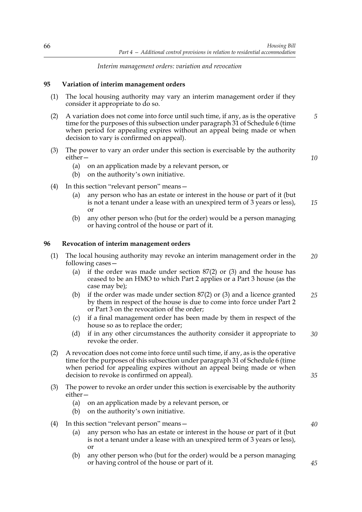*Interim management orders: variation and revocation*

# **95 Variation of interim management orders**

- (1) The local housing authority may vary an interim management order if they consider it appropriate to do so.
- (2) A variation does not come into force until such time, if any, as is the operative time for the purposes of this subsection under paragraph 31 of Schedule 6 (time when period for appealing expires without an appeal being made or when decision to vary is confirmed on appeal). *5*
- (3) The power to vary an order under this section is exercisable by the authority either—

*10*

- (a) on an application made by a relevant person, or
- (b) on the authority's own initiative.
- (4) In this section "relevant person" means—
	- (a) any person who has an estate or interest in the house or part of it (but is not a tenant under a lease with an unexpired term of 3 years or less), or *15*
	- (b) any other person who (but for the order) would be a person managing or having control of the house or part of it.

# **96 Revocation of interim management orders**

- (1) The local housing authority may revoke an interim management order in the following cases— *20*
	- (a) if the order was made under section 87(2) or (3) and the house has ceased to be an HMO to which Part 2 applies or a Part 3 house (as the case may be);
	- (b) if the order was made under section 87(2) or (3) and a licence granted by them in respect of the house is due to come into force under Part 2 or Part 3 on the revocation of the order; *25*
	- (c) if a final management order has been made by them in respect of the house so as to replace the order;
	- (d) if in any other circumstances the authority consider it appropriate to revoke the order. *30*
- (2) A revocation does not come into force until such time, if any, as is the operative time for the purposes of this subsection under paragraph 31 of Schedule 6 (time when period for appealing expires without an appeal being made or when decision to revoke is confirmed on appeal).
- (3) The power to revoke an order under this section is exercisable by the authority either—
	- (a) on an application made by a relevant person, or
	- (b) on the authority's own initiative.
- (4) In this section "relevant person" means—
	- (a) any person who has an estate or interest in the house or part of it (but is not a tenant under a lease with an unexpired term of 3 years or less), or
	- (b) any other person who (but for the order) would be a person managing or having control of the house or part of it.

*35*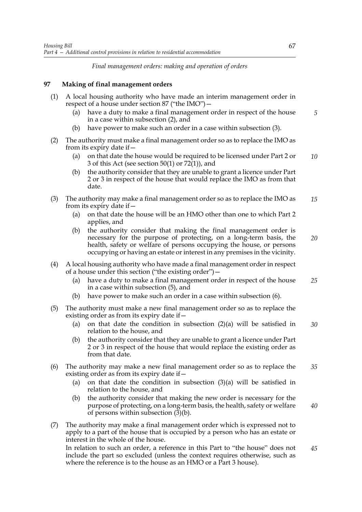# **97 Making of final management orders**

- (1) A local housing authority who have made an interim management order in respect of a house under section 87 ("the IMO")—
	- (a) have a duty to make a final management order in respect of the house in a case within subsection (2), and *5*
	- (b) have power to make such an order in a case within subsection (3).
- (2) The authority must make a final management order so as to replace the IMO as from its expiry date if—
	- (a) on that date the house would be required to be licensed under Part 2 or 3 of this Act (see section 50(1) or  $72(1)$ ), and *10*
	- (b) the authority consider that they are unable to grant a licence under Part 2 or 3 in respect of the house that would replace the IMO as from that date.
- (3) The authority may make a final management order so as to replace the IMO as from its expiry date if— *15*
	- (a) on that date the house will be an HMO other than one to which Part 2 applies, and
	- (b) the authority consider that making the final management order is necessary for the purpose of protecting, on a long-term basis, the health, safety or welfare of persons occupying the house, or persons occupying or having an estate or interest in any premises in the vicinity. *20*
- (4) A local housing authority who have made a final management order in respect of a house under this section ("the existing order")—
	- (a) have a duty to make a final management order in respect of the house in a case within subsection (5), and *25*
	- (b) have power to make such an order in a case within subsection (6).
- (5) The authority must make a new final management order so as to replace the existing order as from its expiry date if—
	- (a) on that date the condition in subsection  $(2)(a)$  will be satisfied in relation to the house, and *30*
	- (b) the authority consider that they are unable to grant a licence under Part 2 or 3 in respect of the house that would replace the existing order as from that date.
- (6) The authority may make a new final management order so as to replace the existing order as from its expiry date if— *35*
	- (a) on that date the condition in subsection (3)(a) will be satisfied in relation to the house, and
	- (b) the authority consider that making the new order is necessary for the purpose of protecting, on a long-term basis, the health, safety or welfare of persons within subsection (3)(b).
- (7) The authority may make a final management order which is expressed not to apply to a part of the house that is occupied by a person who has an estate or interest in the whole of the house.

In relation to such an order, a reference in this Part to "the house" does not include the part so excluded (unless the context requires otherwise, such as where the reference is to the house as an HMO or a Part 3 house).

*45*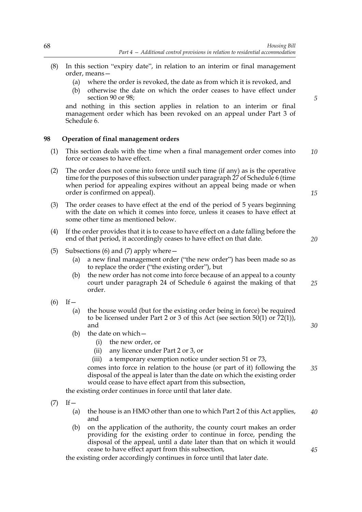- (8) In this section "expiry date", in relation to an interim or final management order, means—
	- (a) where the order is revoked, the date as from which it is revoked, and
	- (b) otherwise the date on which the order ceases to have effect under section 90 or 98;

and nothing in this section applies in relation to an interim or final management order which has been revoked on an appeal under Part 3 of Schedule 6.

## **98 Operation of final management orders**

- (1) This section deals with the time when a final management order comes into force or ceases to have effect. *10*
- (2) The order does not come into force until such time (if any) as is the operative time for the purposes of this subsection under paragraph 27 of Schedule 6 (time when period for appealing expires without an appeal being made or when order is confirmed on appeal).
- (3) The order ceases to have effect at the end of the period of 5 years beginning with the date on which it comes into force, unless it ceases to have effect at some other time as mentioned below.
- (4) If the order provides that it is to cease to have effect on a date falling before the end of that period, it accordingly ceases to have effect on that date.
- (5) Subsections (6) and (7) apply where—
	- (a) a new final management order ("the new order") has been made so as to replace the order ("the existing order"), but
	- (b) the new order has not come into force because of an appeal to a county court under paragraph 24 of Schedule 6 against the making of that order. *25*

68

- (a) the house would (but for the existing order being in force) be required to be licensed under Part 2 or 3 of this Act (see section 50(1) or 72(1)), and
- (b) the date on which—
	- (i) the new order, or
	- (ii) any licence under Part 2 or 3, or
	- (iii) a temporary exemption notice under section 51 or 73,

comes into force in relation to the house (or part of it) following the disposal of the appeal is later than the date on which the existing order would cease to have effect apart from this subsection, *35*

the existing order continues in force until that later date.

 $(7)$  If —

- (a) the house is an HMO other than one to which Part 2 of this Act applies, and *40*
- (b) on the application of the authority, the county court makes an order providing for the existing order to continue in force, pending the disposal of the appeal, until a date later than that on which it would cease to have effect apart from this subsection,

the existing order accordingly continues in force until that later date.

*5*

*15*

*20*

*30*

 $(6)$  If —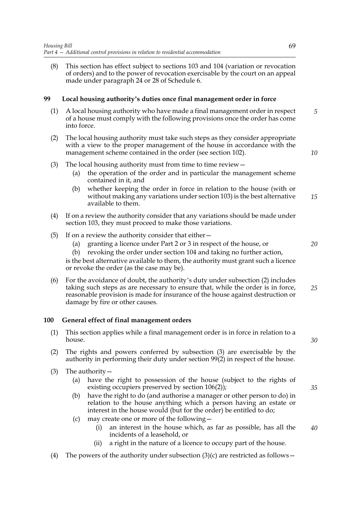(8) This section has effect subject to sections 103 and 104 (variation or revocation of orders) and to the power of revocation exercisable by the court on an appeal made under paragraph 24 or 28 of Schedule 6.

# **99 Local housing authority's duties once final management order in force**

- (1) A local housing authority who have made a final management order in respect of a house must comply with the following provisions once the order has come into force. *5*
- (2) The local housing authority must take such steps as they consider appropriate with a view to the proper management of the house in accordance with the management scheme contained in the order (see section 102).

# (3) The local housing authority must from time to time review—

- (a) the operation of the order and in particular the management scheme contained in it, and
- (b) whether keeping the order in force in relation to the house (with or without making any variations under section 103) is the best alternative available to them. *15*
- (4) If on a review the authority consider that any variations should be made under section 103, they must proceed to make those variations.
- (5) If on a review the authority consider that either—
	- (a) granting a licence under Part 2 or 3 in respect of the house, or
	- (b) revoking the order under section 104 and taking no further action,

is the best alternative available to them, the authority must grant such a licence or revoke the order (as the case may be).

(6) For the avoidance of doubt, the authority's duty under subsection (2) includes taking such steps as are necessary to ensure that, while the order is in force, reasonable provision is made for insurance of the house against destruction or damage by fire or other causes. *25*

# **100 General effect of final management orders**

- (1) This section applies while a final management order is in force in relation to a house.
- (2) The rights and powers conferred by subsection (3) are exercisable by the authority in performing their duty under section 99(2) in respect of the house.
- (3) The authority—
	- (a) have the right to possession of the house (subject to the rights of existing occupiers preserved by section 106(2));
	- (b) have the right to do (and authorise a manager or other person to do) in relation to the house anything which a person having an estate or interest in the house would (but for the order) be entitled to do;
	- (c) may create one or more of the following—
		- (i) an interest in the house which, as far as possible, has all the incidents of a leasehold, or *40*
		- (ii) a right in the nature of a licence to occupy part of the house.
- (4) The powers of the authority under subsection  $(3)(c)$  are restricted as follows –

*10*

*20*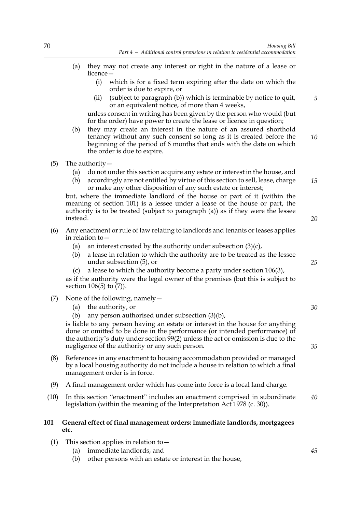- (a) they may not create any interest or right in the nature of a lease or licence—
	- (i) which is for a fixed term expiring after the date on which the order is due to expire, or
	- (ii) (subject to paragraph (b)) which is terminable by notice to quit, or an equivalent notice, of more than 4 weeks,

unless consent in writing has been given by the person who would (but for the order) have power to create the lease or licence in question;

- (b) they may create an interest in the nature of an assured shorthold tenancy without any such consent so long as it is created before the beginning of the period of 6 months that ends with the date on which the order is due to expire. *10*
- (5) The authority—
	- (a) do not under this section acquire any estate or interest in the house, and
	- (b) accordingly are not entitled by virtue of this section to sell, lease, charge or make any other disposition of any such estate or interest;

but, where the immediate landlord of the house or part of it (within the meaning of section 101) is a lessee under a lease of the house or part, the authority is to be treated (subject to paragraph (a)) as if they were the lessee instead.

- (6) Any enactment or rule of law relating to landlords and tenants or leases applies in relation to—
	- (a) an interest created by the authority under subsection  $(3)(c)$ ,
	- (b) a lease in relation to which the authority are to be treated as the lessee under subsection (5), or
	- (c) a lease to which the authority become a party under section 106(3),

as if the authority were the legal owner of the premises (but this is subject to section 106(5) to (7)).

- (7) None of the following, namely—
	- (a) the authority, or
	- (b) any person authorised under subsection (3)(b),

is liable to any person having an estate or interest in the house for anything done or omitted to be done in the performance (or intended performance) of the authority's duty under section 99(2) unless the act or omission is due to the negligence of the authority or any such person.

- (8) References in any enactment to housing accommodation provided or managed by a local housing authority do not include a house in relation to which a final management order is in force.
- (9) A final management order which has come into force is a local land charge.
- (10) In this section "enactment" includes an enactment comprised in subordinate legislation (within the meaning of the Interpretation Act 1978 (c. 30)). *40*

# **101 General effect of final management orders: immediate landlords, mortgagees etc.**

- (1) This section applies in relation to—
	- (a) immediate landlords, and
	- (b) other persons with an estate or interest in the house,

*20*

*15*

*5*

*25*

*30*

*35*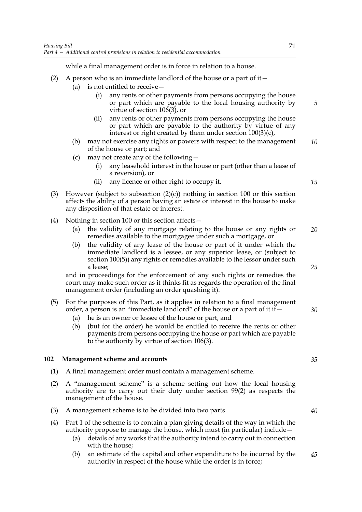while a final management order is in force in relation to a house.

- (2) A person who is an immediate landlord of the house or a part of it  $-$ 
	- (a) is not entitled to receive  $-$ 
		- (i) any rents or other payments from persons occupying the house or part which are payable to the local housing authority by virtue of section 106(3), or
		- (ii) any rents or other payments from persons occupying the house or part which are payable to the authority by virtue of any interest or right created by them under section 100(3)(c),
	- (b) may not exercise any rights or powers with respect to the management of the house or part; and *10*
	- (c) may not create any of the following—
		- (i) any leasehold interest in the house or part (other than a lease of a reversion), or
		- (ii) any licence or other right to occupy it.
- (3) However (subject to subsection  $(2)(c)$ ) nothing in section 100 or this section affects the ability of a person having an estate or interest in the house to make any disposition of that estate or interest.
- (4) Nothing in section 100 or this section affects—
	- (a) the validity of any mortgage relating to the house or any rights or remedies available to the mortgagee under such a mortgage, or *20*
	- (b) the validity of any lease of the house or part of it under which the immediate landlord is a lessee, or any superior lease, or (subject to section 100(5)) any rights or remedies available to the lessor under such a lease;

and in proceedings for the enforcement of any such rights or remedies the court may make such order as it thinks fit as regards the operation of the final management order (including an order quashing it).

## (5) For the purposes of this Part, as it applies in relation to a final management order, a person is an "immediate landlord" of the house or a part of it if  $-$

- (a) he is an owner or lessee of the house or part, and
- (b) (but for the order) he would be entitled to receive the rents or other payments from persons occupying the house or part which are payable to the authority by virtue of section 106(3).

#### **102 Management scheme and accounts**

- (1) A final management order must contain a management scheme.
- (2) A "management scheme" is a scheme setting out how the local housing authority are to carry out their duty under section 99(2) as respects the management of the house.
- (3) A management scheme is to be divided into two parts.
- (4) Part 1 of the scheme is to contain a plan giving details of the way in which the authority propose to manage the house, which must (in particular) include—
	- (a) details of any works that the authority intend to carry out in connection with the house;
	- (b) an estimate of the capital and other expenditure to be incurred by the authority in respect of the house while the order is in force; *45*

*5*

*15*

*25*

*30*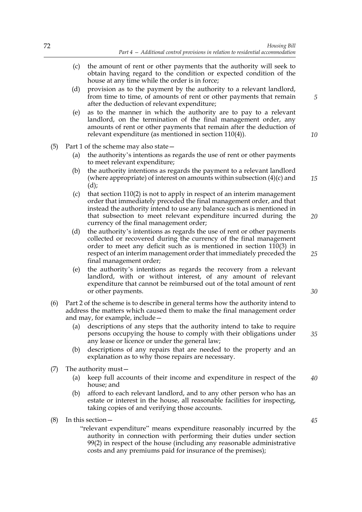- (c) the amount of rent or other payments that the authority will seek to obtain having regard to the condition or expected condition of the house at any time while the order is in force;
- (d) provision as to the payment by the authority to a relevant landlord, from time to time, of amounts of rent or other payments that remain after the deduction of relevant expenditure;
- (e) as to the manner in which the authority are to pay to a relevant landlord, on the termination of the final management order, any amounts of rent or other payments that remain after the deduction of relevant expenditure (as mentioned in section 110(4)).
- (5) Part 1 of the scheme may also state—
	- (a) the authority's intentions as regards the use of rent or other payments to meet relevant expenditure;
	- (b) the authority intentions as regards the payment to a relevant landlord (where appropriate) of interest on amounts within subsection (4)(c) and (d); *15*
	- (c) that section 110(2) is not to apply in respect of an interim management order that immediately preceded the final management order, and that instead the authority intend to use any balance such as is mentioned in that subsection to meet relevant expenditure incurred during the currency of the final management order; *20*
	- (d) the authority's intentions as regards the use of rent or other payments collected or recovered during the currency of the final management order to meet any deficit such as is mentioned in section 110(3) in respect of an interim management order that immediately preceded the final management order;
	- (e) the authority's intentions as regards the recovery from a relevant landlord, with or without interest, of any amount of relevant expenditure that cannot be reimbursed out of the total amount of rent or other payments.
- (6) Part 2 of the scheme is to describe in general terms how the authority intend to address the matters which caused them to make the final management order and may, for example, include—
	- (a) descriptions of any steps that the authority intend to take to require persons occupying the house to comply with their obligations under any lease or licence or under the general law;
	- (b) descriptions of any repairs that are needed to the property and an explanation as to why those repairs are necessary.
- (7) The authority must—
	- (a) keep full accounts of their income and expenditure in respect of the house; and *40*
	- (b) afford to each relevant landlord, and to any other person who has an estate or interest in the house, all reasonable facilities for inspecting, taking copies of and verifying those accounts.
- (8) In this section—

"relevant expenditure" means expenditure reasonably incurred by the authority in connection with performing their duties under section 99(2) in respect of the house (including any reasonable administrative costs and any premiums paid for insurance of the premises);

*45*

*5*

*10*

*25*

*30*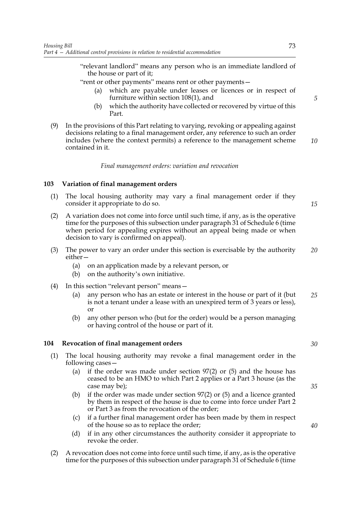"relevant landlord" means any person who is an immediate landlord of the house or part of it;

"rent or other payments" means rent or other payments—

- (a) which are payable under leases or licences or in respect of furniture within section 108(1), and
- (b) which the authority have collected or recovered by virtue of this Part.
- (9) In the provisions of this Part relating to varying, revoking or appealing against decisions relating to a final management order, any reference to such an order includes (where the context permits) a reference to the management scheme contained in it. *10*

## *Final management orders: variation and revocation*

### **103 Variation of final management orders**

- (1) The local housing authority may vary a final management order if they consider it appropriate to do so.
- (2) A variation does not come into force until such time, if any, as is the operative time for the purposes of this subsection under paragraph 31 of Schedule 6 (time when period for appealing expires without an appeal being made or when decision to vary is confirmed on appeal).
- (3) The power to vary an order under this section is exercisable by the authority either— *20*
	- (a) on an application made by a relevant person, or
	- (b) on the authority's own initiative.
- (4) In this section "relevant person" means—
	- (a) any person who has an estate or interest in the house or part of it (but is not a tenant under a lease with an unexpired term of 3 years or less), or *25*
	- (b) any other person who (but for the order) would be a person managing or having control of the house or part of it.

# **104 Revocation of final management orders**

- (1) The local housing authority may revoke a final management order in the following cases—
	- (a) if the order was made under section 97(2) or (5) and the house has ceased to be an HMO to which Part 2 applies or a Part 3 house (as the case may be);
	- (b) if the order was made under section 97(2) or (5) and a licence granted by them in respect of the house is due to come into force under Part 2 or Part 3 as from the revocation of the order;
	- (c) if a further final management order has been made by them in respect of the house so as to replace the order;
	- (d) if in any other circumstances the authority consider it appropriate to revoke the order.
- (2) A revocation does not come into force until such time, if any, as is the operative time for the purposes of this subsection under paragraph 31 of Schedule 6 (time

*5*

*15*

*30*

*35*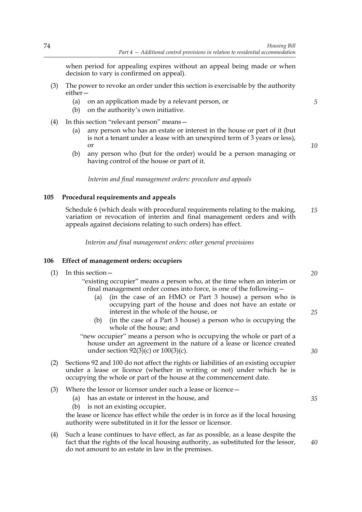when period for appealing expires without an appeal being made or when decision to vary is confirmed on appeal).

- (3) The power to revoke an order under this section is exercisable by the authority either—
	- (a) on an application made by a relevant person, or
	- (b) on the authority's own initiative.
- (4) In this section "relevant person" means—
	- (a) any person who has an estate or interest in the house or part of it (but is not a tenant under a lease with an unexpired term of 3 years or less), or
	- (b) any person who (but for the order) would be a person managing or having control of the house or part of it.

*Interim and final management orders: procedure and appeals*

# **105 Procedural requirements and appeals**

Schedule 6 (which deals with procedural requirements relating to the making, variation or revocation of interim and final management orders and with appeals against decisions relating to such orders) has effect. *15*

*Interim and final management orders: other general provisions*

#### **106 Effect of management orders: occupiers**

| $\left( 1\right)$ | In this section -                                                                                                                                                                                                                                                                                                      | 20 |
|-------------------|------------------------------------------------------------------------------------------------------------------------------------------------------------------------------------------------------------------------------------------------------------------------------------------------------------------------|----|
|                   | "existing occupier" means a person who, at the time when an interim or<br>final management order comes into force, is one of the following -<br>(in the case of an HMO or Part 3 house) a person who is<br>(a)<br>occupying part of the house and does not have an estate or<br>interest in the whole of the house, or | 25 |
|                   | (in the case of a Part 3 house) a person who is occupying the<br>(b)<br>whole of the house; and                                                                                                                                                                                                                        |    |
|                   | "new occupier" means a person who is occupying the whole or part of a<br>house under an agreement in the nature of a lease or licence created<br>under section $92(3)(c)$ or $100(3)(c)$ .                                                                                                                             | 30 |
| (2)               | Sections 92 and 100 do not affect the rights or liabilities of an existing occupier<br>under a lease or licence (whether in writing or not) under which he is<br>occupying the whole or part of the house at the commencement date.                                                                                    |    |
| (3)               | Where the lessor or licensor under such a lease or licence -<br>has an estate or interest in the house, and<br>(a)<br>is not an existing occupier,<br>(b)<br>the lease or licence has effect while the order is in force as if the local housing<br>authority were substituted in it for the lessor or licensor.       | 35 |

(4) Such a lease continues to have effect, as far as possible, as a lease despite the fact that the rights of the local housing authority, as substituted for the lessor, do not amount to an estate in law in the premises.

*5*

*10*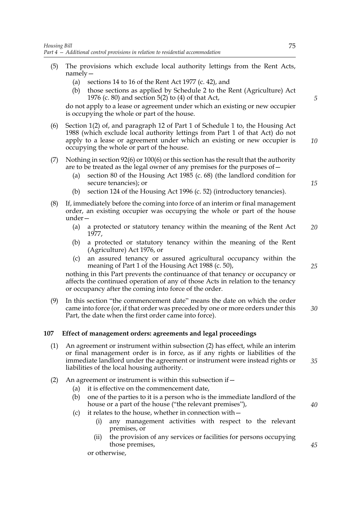- (5) The provisions which exclude local authority lettings from the Rent Acts, namely—
	- (a) sections 14 to 16 of the Rent Act 1977 (c. 42), and
	- (b) those sections as applied by Schedule 2 to the Rent (Agriculture) Act 1976 (c. 80) and section  $5(2)$  to (4) of that Act,

do not apply to a lease or agreement under which an existing or new occupier is occupying the whole or part of the house.

- (6) Section 1(2) of, and paragraph 12 of Part 1 of Schedule 1 to, the Housing Act 1988 (which exclude local authority lettings from Part 1 of that Act) do not apply to a lease or agreement under which an existing or new occupier is occupying the whole or part of the house.
- (7) Nothing in section 92(6) or 100(6) or this section has the result that the authority are to be treated as the legal owner of any premises for the purposes of—
	- (a) section 80 of the Housing Act 1985 (c. 68) (the landlord condition for secure tenancies); or
	- (b) section 124 of the Housing Act 1996 (c. 52) (introductory tenancies).
- (8) If, immediately before the coming into force of an interim or final management order, an existing occupier was occupying the whole or part of the house under—
	- (a) a protected or statutory tenancy within the meaning of the Rent Act 1977, *20*
	- (b) a protected or statutory tenancy within the meaning of the Rent (Agriculture) Act 1976, or
	- (c) an assured tenancy or assured agricultural occupancy within the meaning of Part 1 of the Housing Act 1988 (c. 50),

nothing in this Part prevents the continuance of that tenancy or occupancy or affects the continued operation of any of those Acts in relation to the tenancy or occupancy after the coming into force of the order.

(9) In this section "the commencement date" means the date on which the order came into force (or, if that order was preceded by one or more orders under this Part, the date when the first order came into force). *30*

# **107 Effect of management orders: agreements and legal proceedings**

- (1) An agreement or instrument within subsection (2) has effect, while an interim or final management order is in force, as if any rights or liabilities of the immediate landlord under the agreement or instrument were instead rights or liabilities of the local housing authority.
- (2) An agreement or instrument is within this subsection if  $-$ 
	- (a) it is effective on the commencement date,
	- (b) one of the parties to it is a person who is the immediate landlord of the house or a part of the house ("the relevant premises"),
	- (c) it relates to the house, whether in connection with—
		- (i) any management activities with respect to the relevant premises, or
		- (ii) the provision of any services or facilities for persons occupying those premises,

or otherwise,

*5*

*10*

*15*

*25*

*35*

*40*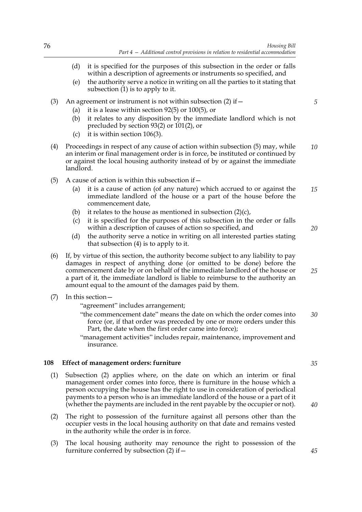- (d) it is specified for the purposes of this subsection in the order or falls within a description of agreements or instruments so specified, and
- (e) the authority serve a notice in writing on all the parties to it stating that subsection  $(1)$  is to apply to it.
- (3) An agreement or instrument is not within subsection (2) if  $-$ 
	- (a) it is a lease within section 92(5) or 100(5), or
	- (b) it relates to any disposition by the immediate landlord which is not precluded by section 93(2) or 101(2), or
	- (c) it is within section 106(3).
- (4) Proceedings in respect of any cause of action within subsection (5) may, while an interim or final management order is in force, be instituted or continued by or against the local housing authority instead of by or against the immediate landlord. *10*
- (5) A cause of action is within this subsection if  $-$ 
	- (a) it is a cause of action (of any nature) which accrued to or against the immediate landlord of the house or a part of the house before the commencement date, *15*
	- (b) it relates to the house as mentioned in subsection  $(2)(c)$ ,
	- (c) it is specified for the purposes of this subsection in the order or falls within a description of causes of action so specified, and
	- (d) the authority serve a notice in writing on all interested parties stating that subsection (4) is to apply to it.
- (6) If, by virtue of this section, the authority become subject to any liability to pay damages in respect of anything done (or omitted to be done) before the commencement date by or on behalf of the immediate landlord of the house or a part of it, the immediate landlord is liable to reimburse to the authority an amount equal to the amount of the damages paid by them.
- (7) In this section—

"agreement" includes arrangement;

- "the commencement date" means the date on which the order comes into force (or, if that order was preceded by one or more orders under this Part, the date when the first order came into force);
- "management activities" includes repair, maintenance, improvement and insurance.

# **108 Effect of management orders: furniture**

- (1) Subsection (2) applies where, on the date on which an interim or final management order comes into force, there is furniture in the house which a person occupying the house has the right to use in consideration of periodical payments to a person who is an immediate landlord of the house or a part of it (whether the payments are included in the rent payable by the occupier or not).
- (2) The right to possession of the furniture against all persons other than the occupier vests in the local housing authority on that date and remains vested in the authority while the order is in force.
- (3) The local housing authority may renounce the right to possession of the furniture conferred by subsection  $(2)$  if  $-$

*5*

*20*

# *25*

*30*

*35*

*40*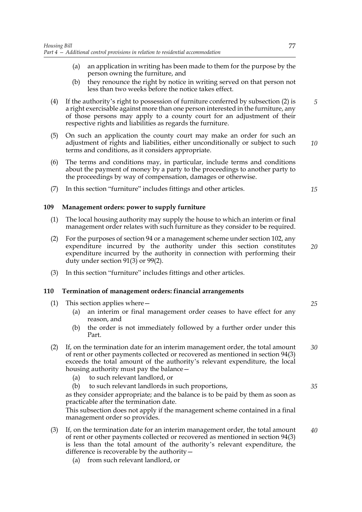- (a) an application in writing has been made to them for the purpose by the person owning the furniture, and
- (b) they renounce the right by notice in writing served on that person not less than two weeks before the notice takes effect.
- (4) If the authority's right to possession of furniture conferred by subsection (2) is a right exercisable against more than one person interested in the furniture, any of those persons may apply to a county court for an adjustment of their respective rights and liabilities as regards the furniture. *5*
- (5) On such an application the county court may make an order for such an adjustment of rights and liabilities, either unconditionally or subject to such terms and conditions, as it considers appropriate. *10*
- (6) The terms and conditions may, in particular, include terms and conditions about the payment of money by a party to the proceedings to another party to the proceedings by way of compensation, damages or otherwise.
- (7) In this section "furniture" includes fittings and other articles.

# **109 Management orders: power to supply furniture**

- (1) The local housing authority may supply the house to which an interim or final management order relates with such furniture as they consider to be required.
- (2) For the purposes of section 94 or a management scheme under section 102, any expenditure incurred by the authority under this section constitutes expenditure incurred by the authority in connection with performing their duty under section 91(3) or 99(2).
- (3) In this section "furniture" includes fittings and other articles.

# **110 Termination of management orders: financial arrangements**

- (1) This section applies where—
	- (a) an interim or final management order ceases to have effect for any reason, and
	- (b) the order is not immediately followed by a further order under this Part.
- (2) If, on the termination date for an interim management order, the total amount of rent or other payments collected or recovered as mentioned in section 94(3) exceeds the total amount of the authority's relevant expenditure, the local housing authority must pay the balance— *30*
	- (a) to such relevant landlord, or
	- (b) to such relevant landlords in such proportions,

as they consider appropriate; and the balance is to be paid by them as soon as practicable after the termination date.

This subsection does not apply if the management scheme contained in a final management order so provides.

- (3) If, on the termination date for an interim management order, the total amount of rent or other payments collected or recovered as mentioned in section 94(3) is less than the total amount of the authority's relevant expenditure, the difference is recoverable by the authority— *40*
	- (a) from such relevant landlord, or

*25*

*20*

*15*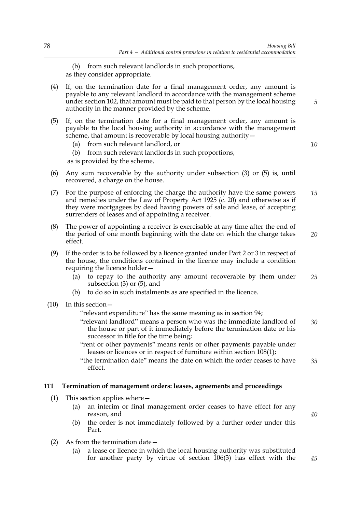(b) from such relevant landlords in such proportions, as they consider appropriate.

- (4) If, on the termination date for a final management order, any amount is payable to any relevant landlord in accordance with the management scheme under section 102, that amount must be paid to that person by the local housing authority in the manner provided by the scheme.
- (5) If, on the termination date for a final management order, any amount is payable to the local housing authority in accordance with the management scheme, that amount is recoverable by local housing authority—
	- (a) from such relevant landlord, or
	- (b) from such relevant landlords in such proportions,

as is provided by the scheme.

- (6) Any sum recoverable by the authority under subsection (3) or (5) is, until recovered, a charge on the house.
- (7) For the purpose of enforcing the charge the authority have the same powers and remedies under the Law of Property Act 1925 (c. 20) and otherwise as if they were mortgagees by deed having powers of sale and lease, of accepting surrenders of leases and of appointing a receiver. *15*
- (8) The power of appointing a receiver is exercisable at any time after the end of the period of one month beginning with the date on which the charge takes effect.
- (9) If the order is to be followed by a licence granted under Part 2 or 3 in respect of the house, the conditions contained in the licence may include a condition requiring the licence holder—
	- (a) to repay to the authority any amount recoverable by them under subsection (3) or (5), and *25*
	- (b) to do so in such instalments as are specified in the licence.
- (10) In this section—

"relevant expenditure" has the same meaning as in section 94;

- "relevant landlord" means a person who was the immediate landlord of the house or part of it immediately before the termination date or his successor in title for the time being; *30*
- "rent or other payments" means rents or other payments payable under leases or licences or in respect of furniture within section 108(1);

"the termination date" means the date on which the order ceases to have effect. *35*

# **111 Termination of management orders: leases, agreements and proceedings**

- (1) This section applies where—
	- (a) an interim or final management order ceases to have effect for any reason, and
	- (b) the order is not immediately followed by a further order under this Part.
- (2) As from the termination date—
	- (a) a lease or licence in which the local housing authority was substituted for another party by virtue of section 106(3) has effect with the

*5*

*10*

*20*

*40*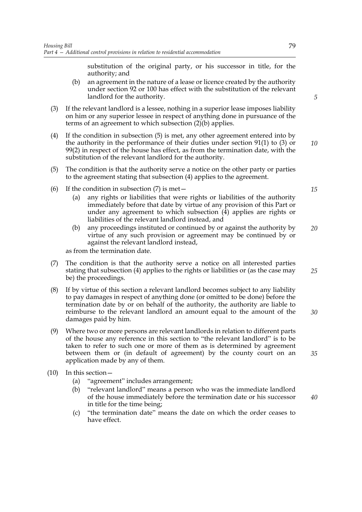substitution of the original party, or his successor in title, for the authority; and

- (b) an agreement in the nature of a lease or licence created by the authority under section 92 or 100 has effect with the substitution of the relevant landlord for the authority.
- (3) If the relevant landlord is a lessee, nothing in a superior lease imposes liability on him or any superior lessee in respect of anything done in pursuance of the terms of an agreement to which subsection (2)(b) applies.
- (4) If the condition in subsection (5) is met, any other agreement entered into by the authority in the performance of their duties under section 91(1) to (3) or 99(2) in respect of the house has effect, as from the termination date, with the substitution of the relevant landlord for the authority. *10*
- (5) The condition is that the authority serve a notice on the other party or parties to the agreement stating that subsection (4) applies to the agreement.
- (6) If the condition in subsection  $(7)$  is met -
	- (a) any rights or liabilities that were rights or liabilities of the authority immediately before that date by virtue of any provision of this Part or under any agreement to which subsection  $(\overline{4})$  applies are rights or liabilities of the relevant landlord instead, and
	- (b) any proceedings instituted or continued by or against the authority by virtue of any such provision or agreement may be continued by or against the relevant landlord instead, *20*

as from the termination date.

- (7) The condition is that the authority serve a notice on all interested parties stating that subsection (4) applies to the rights or liabilities or (as the case may be) the proceedings.
- (8) If by virtue of this section a relevant landlord becomes subject to any liability to pay damages in respect of anything done (or omitted to be done) before the termination date by or on behalf of the authority, the authority are liable to reimburse to the relevant landlord an amount equal to the amount of the damages paid by him.
- (9) Where two or more persons are relevant landlords in relation to different parts of the house any reference in this section to "the relevant landlord" is to be taken to refer to such one or more of them as is determined by agreement between them or (in default of agreement) by the county court on an application made by any of them.
- (10) In this section—
	- (a) "agreement" includes arrangement;
	- (b) "relevant landlord" means a person who was the immediate landlord of the house immediately before the termination date or his successor in title for the time being;
	- (c) "the termination date" means the date on which the order ceases to have effect.

*15*

*5*

*30*

*25*

*40*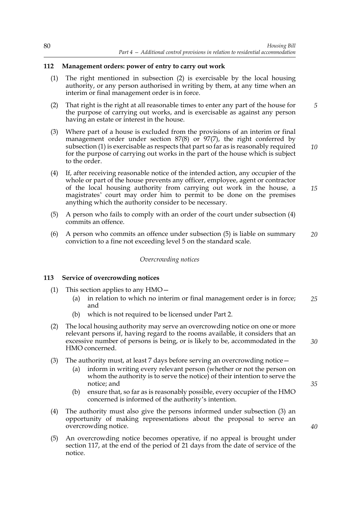# **112 Management orders: power of entry to carry out work**

- (1) The right mentioned in subsection (2) is exercisable by the local housing authority, or any person authorised in writing by them, at any time when an interim or final management order is in force.
- (2) That right is the right at all reasonable times to enter any part of the house for the purpose of carrying out works, and is exercisable as against any person having an estate or interest in the house. *5*
- (3) Where part of a house is excluded from the provisions of an interim or final management order under section 87(8) or 97(7), the right conferred by subsection (1) is exercisable as respects that part so far as is reasonably required for the purpose of carrying out works in the part of the house which is subject to the order. *10*
- (4) If, after receiving reasonable notice of the intended action, any occupier of the whole or part of the house prevents any officer, employee, agent or contractor of the local housing authority from carrying out work in the house, a magistrates' court may order him to permit to be done on the premises anything which the authority consider to be necessary. *15*
- (5) A person who fails to comply with an order of the court under subsection (4) commits an offence.
- (6) A person who commits an offence under subsection (5) is liable on summary conviction to a fine not exceeding level 5 on the standard scale. *20*

# *Overcrowding notices*

# **113 Service of overcrowding notices**

- (1) This section applies to any HMO—
	- (a) in relation to which no interim or final management order is in force; and *25*
	- (b) which is not required to be licensed under Part 2.
- (2) The local housing authority may serve an overcrowding notice on one or more relevant persons if, having regard to the rooms available, it considers that an excessive number of persons is being, or is likely to be, accommodated in the HMO concerned.
- (3) The authority must, at least 7 days before serving an overcrowding notice—
	- (a) inform in writing every relevant person (whether or not the person on whom the authority is to serve the notice) of their intention to serve the notice; and
	- (b) ensure that, so far as is reasonably possible, every occupier of the HMO concerned is informed of the authority's intention.
- (4) The authority must also give the persons informed under subsection (3) an opportunity of making representations about the proposal to serve an overcrowding notice.
- (5) An overcrowding notice becomes operative, if no appeal is brought under section 117, at the end of the period of 21 days from the date of service of the notice.

*30*

*35*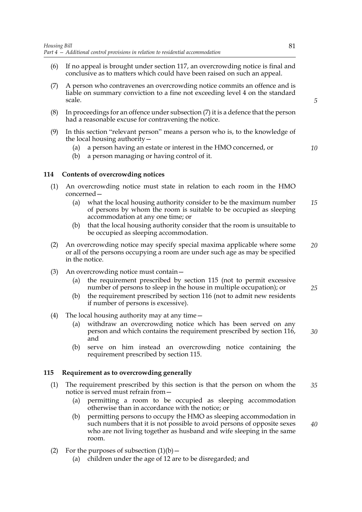- (6) If no appeal is brought under section 117, an overcrowding notice is final and conclusive as to matters which could have been raised on such an appeal.
- (7) A person who contravenes an overcrowding notice commits an offence and is liable on summary conviction to a fine not exceeding level 4 on the standard scale.
- (8) In proceedings for an offence under subsection (7) it is a defence that the person had a reasonable excuse for contravening the notice.
- (9) In this section "relevant person" means a person who is, to the knowledge of the local housing authority—
	- (a) a person having an estate or interest in the HMO concerned, or
	- (b) a person managing or having control of it.

# **114 Contents of overcrowding notices**

- (1) An overcrowding notice must state in relation to each room in the HMO concerned—
	- (a) what the local housing authority consider to be the maximum number of persons by whom the room is suitable to be occupied as sleeping accommodation at any one time; or *15*
	- (b) that the local housing authority consider that the room is unsuitable to be occupied as sleeping accommodation.
- (2) An overcrowding notice may specify special maxima applicable where some or all of the persons occupying a room are under such age as may be specified in the notice. *20*
- (3) An overcrowding notice must contain—
	- (a) the requirement prescribed by section 115 (not to permit excessive number of persons to sleep in the house in multiple occupation); or
	- (b) the requirement prescribed by section 116 (not to admit new residents if number of persons is excessive).
- (4) The local housing authority may at any time—
	- (a) withdraw an overcrowding notice which has been served on any person and which contains the requirement prescribed by section 116, and *30*
	- (b) serve on him instead an overcrowding notice containing the requirement prescribed by section 115.

# **115 Requirement as to overcrowding generally**

- (1) The requirement prescribed by this section is that the person on whom the notice is served must refrain from— *35*
	- (a) permitting a room to be occupied as sleeping accommodation otherwise than in accordance with the notice; or
	- (b) permitting persons to occupy the HMO as sleeping accommodation in such numbers that it is not possible to avoid persons of opposite sexes who are not living together as husband and wife sleeping in the same room.
- (2) For the purposes of subsection  $(1)(b)$ 
	- (a) children under the age of 12 are to be disregarded; and

*5*

*10*

*25*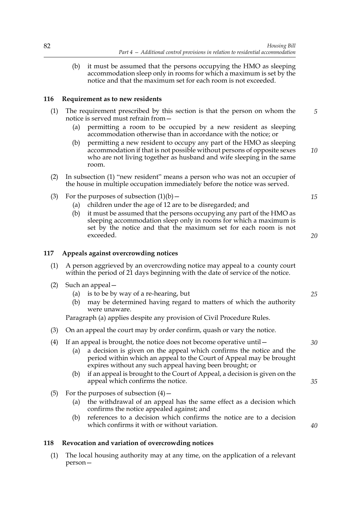(b) it must be assumed that the persons occupying the HMO as sleeping accommodation sleep only in rooms for which a maximum is set by the notice and that the maximum set for each room is not exceeded.

# **116 Requirement as to new residents**

- (1) The requirement prescribed by this section is that the person on whom the notice is served must refrain from—
	- (a) permitting a room to be occupied by a new resident as sleeping accommodation otherwise than in accordance with the notice; or
	- (b) permitting a new resident to occupy any part of the HMO as sleeping accommodation if that is not possible without persons of opposite sexes who are not living together as husband and wife sleeping in the same room. *10*
- (2) In subsection (1) "new resident" means a person who was not an occupier of the house in multiple occupation immediately before the notice was served.
- (3) For the purposes of subsection  $(1)(b)$ 
	- (a) children under the age of 12 are to be disregarded; and
	- (b) it must be assumed that the persons occupying any part of the HMO as sleeping accommodation sleep only in rooms for which a maximum is set by the notice and that the maximum set for each room is not exceeded.

# **117 Appeals against overcrowding notices**

- (1) A person aggrieved by an overcrowding notice may appeal to a county court within the period of 21 days beginning with the date of service of the notice.
- (2) Such an appeal—
	- (a) is to be by way of a re-hearing, but
	- (b) may be determined having regard to matters of which the authority were unaware.

Paragraph (a) applies despite any provision of Civil Procedure Rules.

- (3) On an appeal the court may by order confirm, quash or vary the notice.
- (4) If an appeal is brought, the notice does not become operative until—
	- (a) a decision is given on the appeal which confirms the notice and the period within which an appeal to the Court of Appeal may be brought expires without any such appeal having been brought; or
	- (b) if an appeal is brought to the Court of Appeal, a decision is given on the appeal which confirms the notice.
- (5) For the purposes of subsection  $(4)$ 
	- (a) the withdrawal of an appeal has the same effect as a decision which confirms the notice appealed against; and
	- (b) references to a decision which confirms the notice are to a decision which confirms it with or without variation.

# **118 Revocation and variation of overcrowding notices**

(1) The local housing authority may at any time, on the application of a relevant person*15*

*20*

*25*

*30*

*35*

*40*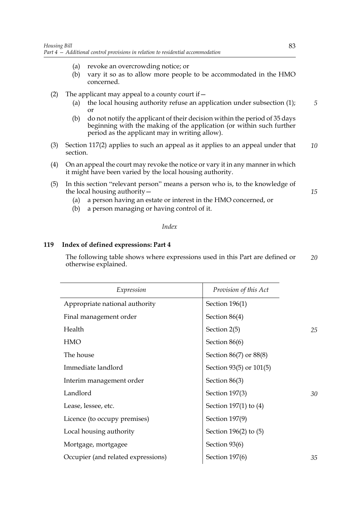| Housing Bill      |            | 83<br>Part $4$ – Additional control provisions in relation to residential accommodation                                                                                                              |  |
|-------------------|------------|------------------------------------------------------------------------------------------------------------------------------------------------------------------------------------------------------|--|
|                   | (a)<br>(b) | revoke an overcrowding notice; or<br>vary it so as to allow more people to be accommodated in the HMO<br>concerned.                                                                                  |  |
| $\left( 2\right)$ |            | The applicant may appeal to a county court if $-$                                                                                                                                                    |  |
|                   | (a)        | the local housing authority refuse an application under subsection (1);<br><sub>or</sub>                                                                                                             |  |
|                   | (b)        | do not notify the applicant of their decision within the period of 35 days<br>beginning with the making of the application (or within such further<br>period as the applicant may in writing allow). |  |
| (3)               | section.   | Section 117(2) applies to such an appeal as it applies to an appeal under that                                                                                                                       |  |
|                   |            |                                                                                                                                                                                                      |  |

- (4) On an appeal the court may revoke the notice or vary it in any manner in which it might have been varied by the local housing authority.
- (5) In this section "relevant person" means a person who is, to the knowledge of the local housing authority—
	- (a) a person having an estate or interest in the HMO concerned, or
	- (b) a person managing or having control of it.

### *Index*

# **119 Index of defined expressions: Part 4**

The following table shows where expressions used in this Part are defined or otherwise explained. *20*

| Expression                         | Provision of this Act      |    |
|------------------------------------|----------------------------|----|
| Appropriate national authority     | Section $196(1)$           |    |
| Final management order             | Section 86(4)              |    |
| Health                             | Section 2(5)               | 25 |
| <b>HMO</b>                         | Section 86(6)              |    |
| The house                          | Section $86(7)$ or $88(8)$ |    |
| Immediate landlord                 | Section 93(5) or 101(5)    |    |
| Interim management order           | Section 86(3)              |    |
| Landlord                           | Section $197(3)$           | 30 |
| Lease, lessee, etc.                | Section 197(1) to (4)      |    |
| Licence (to occupy premises)       | Section 197(9)             |    |
| Local housing authority            | Section $196(2)$ to $(5)$  |    |
| Mortgage, mortgagee                | Section 93(6)              |    |
| Occupier (and related expressions) | Section $197(6)$           | 35 |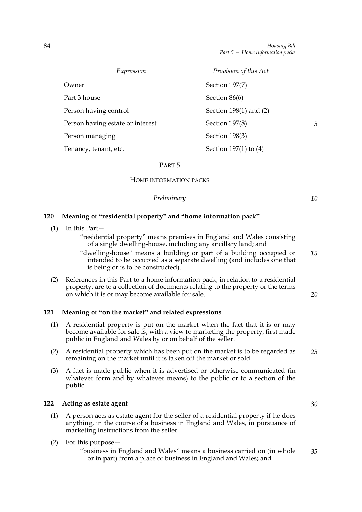| Expression                       | Provision of this Act  |
|----------------------------------|------------------------|
| Owner                            | Section 197(7)         |
| Part 3 house                     | Section 86(6)          |
| Person having control            | Section 198(1) and (2) |
| Person having estate or interest | Section 197(8)         |
| Person managing                  | Section 198(3)         |
| Tenancy, tenant, etc.            | Section 197(1) to (4)  |

# **PART 5**

# HOME INFORMATION PACKS

## *Preliminary*

# **120 Meaning of "residential property" and "home information pack"**

(1) In this Part—

"residential property" means premises in England and Wales consisting of a single dwelling-house, including any ancillary land; and

"dwelling-house" means a building or part of a building occupied or intended to be occupied as a separate dwelling (and includes one that is being or is to be constructed). *15*

(2) References in this Part to a home information pack, in relation to a residential property, are to a collection of documents relating to the property or the terms on which it is or may become available for sale.

# **121 Meaning of "on the market" and related expressions**

- (1) A residential property is put on the market when the fact that it is or may become available for sale is, with a view to marketing the property, first made public in England and Wales by or on behalf of the seller.
- (2) A residential property which has been put on the market is to be regarded as remaining on the market until it is taken off the market or sold. *25*
- (3) A fact is made public when it is advertised or otherwise communicated (in whatever form and by whatever means) to the public or to a section of the public.

# **122 Acting as estate agent**

- (1) A person acts as estate agent for the seller of a residential property if he does anything, in the course of a business in England and Wales, in pursuance of marketing instructions from the seller.
- (2) For this purpose—
	- "business in England and Wales" means a business carried on (in whole or in part) from a place of business in England and Wales; and *35*

*20*

*10*

*5*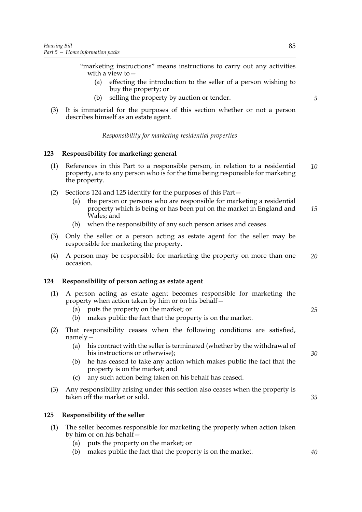"marketing instructions" means instructions to carry out any activities with a view to—

- (a) effecting the introduction to the seller of a person wishing to buy the property; or
- (b) selling the property by auction or tender.
- (3) It is immaterial for the purposes of this section whether or not a person describes himself as an estate agent.

# *Responsibility for marketing residential properties*

# **123 Responsibility for marketing: general**

- (1) References in this Part to a responsible person, in relation to a residential property, are to any person who is for the time being responsible for marketing the property. *10*
- (2) Sections 124 and 125 identify for the purposes of this Part—
	- (a) the person or persons who are responsible for marketing a residential property which is being or has been put on the market in England and Wales; and *15*
	- (b) when the responsibility of any such person arises and ceases.
- (3) Only the seller or a person acting as estate agent for the seller may be responsible for marketing the property.
- (4) A person may be responsible for marketing the property on more than one occasion. *20*

# **124 Responsibility of person acting as estate agent**

- (1) A person acting as estate agent becomes responsible for marketing the property when action taken by him or on his behalf—
	- (a) puts the property on the market; or
	- (b) makes public the fact that the property is on the market.
- (2) That responsibility ceases when the following conditions are satisfied, namely—
	- (a) his contract with the seller is terminated (whether by the withdrawal of his instructions or otherwise);
	- (b) he has ceased to take any action which makes public the fact that the property is on the market; and
	- (c) any such action being taken on his behalf has ceased.
- (3) Any responsibility arising under this section also ceases when the property is taken off the market or sold.

# **125 Responsibility of the seller**

- (1) The seller becomes responsible for marketing the property when action taken by him or on his behalf  $-$ 
	- (a) puts the property on the market; or
	- (b) makes public the fact that the property is on the market.

*5*

*25*

*35*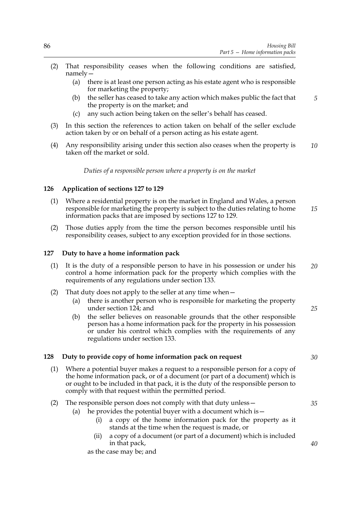- (2) That responsibility ceases when the following conditions are satisfied, namely—
	- (a) there is at least one person acting as his estate agent who is responsible for marketing the property;
	- (b) the seller has ceased to take any action which makes public the fact that the property is on the market; and *5*
	- (c) any such action being taken on the seller's behalf has ceased.
- (3) In this section the references to action taken on behalf of the seller exclude action taken by or on behalf of a person acting as his estate agent.
- (4) Any responsibility arising under this section also ceases when the property is taken off the market or sold. *10*

*Duties of a responsible person where a property is on the market*

### **126 Application of sections 127 to 129**

- (1) Where a residential property is on the market in England and Wales, a person responsible for marketing the property is subject to the duties relating to home information packs that are imposed by sections 127 to 129. *15*
- (2) Those duties apply from the time the person becomes responsible until his responsibility ceases, subject to any exception provided for in those sections.

#### **127 Duty to have a home information pack**

- (1) It is the duty of a responsible person to have in his possession or under his control a home information pack for the property which complies with the requirements of any regulations under section 133. *20*
- (2) That duty does not apply to the seller at any time when—
	- (a) there is another person who is responsible for marketing the property under section 124; and
	- (b) the seller believes on reasonable grounds that the other responsible person has a home information pack for the property in his possession or under his control which complies with the requirements of any regulations under section 133.

#### **128 Duty to provide copy of home information pack on request**

(1) Where a potential buyer makes a request to a responsible person for a copy of the home information pack, or of a document (or part of a document) which is or ought to be included in that pack, it is the duty of the responsible person to comply with that request within the permitted period.

### (2) The responsible person does not comply with that duty unless—

- (a) he provides the potential buyer with a document which is  $-$ 
	- (i) a copy of the home information pack for the property as it stands at the time when the request is made, or
	- (ii) a copy of a document (or part of a document) which is included in that pack,

as the case may be; and

*30*

*25*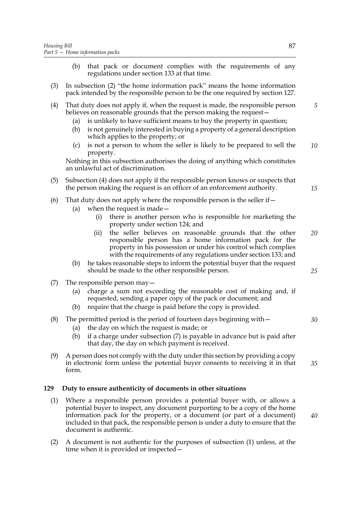- (b) that pack or document complies with the requirements of any regulations under section 133 at that time.
- (3) In subsection (2) "the home information pack" means the home information pack intended by the responsible person to be the one required by section 127.
- (4) That duty does not apply if, when the request is made, the responsible person believes on reasonable grounds that the person making the request—
	- (a) is unlikely to have sufficient means to buy the property in question;
	- (b) is not genuinely interested in buying a property of a general description which applies to the property; or
	- (c) is not a person to whom the seller is likely to be prepared to sell the property. *10*

Nothing in this subsection authorises the doing of anything which constitutes an unlawful act of discrimination.

- (5) Subsection (4) does not apply if the responsible person knows or suspects that the person making the request is an officer of an enforcement authority.
- (6) That duty does not apply where the responsible person is the seller if  $-$ 
	- (a) when the request is made—
		- (i) there is another person who is responsible for marketing the property under section 124; and
		- (ii) the seller believes on reasonable grounds that the other responsible person has a home information pack for the property in his possession or under his control which complies with the requirements of any regulations under section 133; and *20*
	- (b) he takes reasonable steps to inform the potential buyer that the request should be made to the other responsible person.
- (7) The responsible person may—
	- (a) charge a sum not exceeding the reasonable cost of making and, if requested, sending a paper copy of the pack or document; and
	- (b) require that the charge is paid before the copy is provided.
- (8) The permitted period is the period of fourteen days beginning with— (a) the day on which the request is made; or
	- (b) if a charge under subsection (7) is payable in advance but is paid after that day, the day on which payment is received.
- (9) A person does not comply with the duty under this section by providing a copy in electronic form unless the potential buyer consents to receiving it in that form. *35*

### **129 Duty to ensure authenticity of documents in other situations**

- (1) Where a responsible person provides a potential buyer with, or allows a potential buyer to inspect, any document purporting to be a copy of the home information pack for the property, or a document (or part of a document) included in that pack, the responsible person is under a duty to ensure that the document is authentic.
- (2) A document is not authentic for the purposes of subsection (1) unless, at the time when it is provided or inspected—

*15*

*5*

*25*

*30*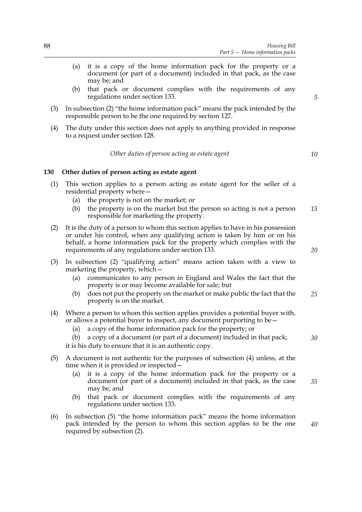- (a) it is a copy of the home information pack for the property or a document (or part of a document) included in that pack, as the case may be; and
- (b) that pack or document complies with the requirements of any regulations under section 133.
- (3) In subsection (2) "the home information pack" means the pack intended by the responsible person to be the one required by section 127.
- (4) The duty under this section does not apply to anything provided in response to a request under section 128.

*Other duties of person acting as estate agent*

## **130 Other duties of person acting as estate agent**

- (1) This section applies to a person acting as estate agent for the seller of a residential property where—
	- (a) the property is not on the market; or
	- (b) the property is on the market but the person so acting is not a person responsible for marketing the property. *15*
- (2) It is the duty of a person to whom this section applies to have in his possession or under his control, when any qualifying action is taken by him or on his behalf, a home information pack for the property which complies with the requirements of any regulations under section 133.
- (3) In subsection (2) "qualifying action" means action taken with a view to marketing the property, which—
	- (a) communicates to any person in England and Wales the fact that the property is or may become available for sale; but
	- (b) does not put the property on the market or make public the fact that the property is on the market. *25*
- (4) Where a person to whom this section applies provides a potential buyer with, or allows a potential buyer to inspect, any document purporting to be—
	- (a) a copy of the home information pack for the property; or

(b) a copy of a document (or part of a document) included in that pack; it is his duty to ensure that it is an authentic copy.

- (5) A document is not authentic for the purposes of subsection (4) unless, at the time when it is provided or inspected—
	- (a) it is a copy of the home information pack for the property or a document (or part of a document) included in that pack, as the case may be; and *35*
	- (b) that pack or document complies with the requirements of any regulations under section 133.
- (6) In subsection (5) "the home information pack" means the home information pack intended by the person to whom this section applies to be the one required by subsection  $(2)$ .

*5*

*10*

*20*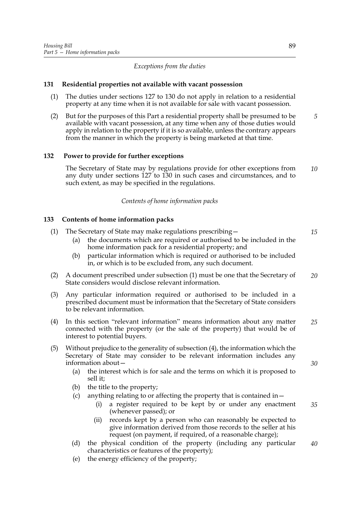*Exceptions from the duties*

# **131 Residential properties not available with vacant possession**

(1) The Secretary of State may make regulations prescribing—

- (1) The duties under sections 127 to 130 do not apply in relation to a residential property at any time when it is not available for sale with vacant possession.
- (2) But for the purposes of this Part a residential property shall be presumed to be available with vacant possession, at any time when any of those duties would apply in relation to the property if it is so available, unless the contrary appears from the manner in which the property is being marketed at that time. *5*

# **132 Power to provide for further exceptions**

The Secretary of State may by regulations provide for other exceptions from any duty under sections 127 to 130 in such cases and circumstances, and to such extent, as may be specified in the regulations. *10*

*Contents of home information packs*

# **133 Contents of home information packs**

|                                                                                                                                                                                           | (a)<br>(b) | the documents which are required or authorised to be included in the<br>home information pack for a residential property; and<br>particular information which is required or authorised to be included |    |
|-------------------------------------------------------------------------------------------------------------------------------------------------------------------------------------------|------------|--------------------------------------------------------------------------------------------------------------------------------------------------------------------------------------------------------|----|
|                                                                                                                                                                                           |            | in, or which is to be excluded from, any such document.                                                                                                                                                |    |
| (2)                                                                                                                                                                                       |            | A document prescribed under subsection (1) must be one that the Secretary of<br>State considers would disclose relevant information.                                                                   | 20 |
| (3)                                                                                                                                                                                       |            | Any particular information required or authorised to be included in a<br>prescribed document must be information that the Secretary of State considers<br>to be relevant information.                  |    |
| (4)                                                                                                                                                                                       |            | In this section "relevant information" means information about any matter<br>connected with the property (or the sale of the property) that would be of<br>interest to potential buyers.               | 25 |
| Without prejudice to the generality of subsection (4), the information which the<br>(5)<br>Secretary of State may consider to be relevant information includes any<br>information about - |            |                                                                                                                                                                                                        | 30 |
|                                                                                                                                                                                           | (a)        | the interest which is for sale and the terms on which it is proposed to<br>sell it;                                                                                                                    |    |
|                                                                                                                                                                                           | (b)        | the title to the property;                                                                                                                                                                             |    |
|                                                                                                                                                                                           | (c)        | anything relating to or affecting the property that is contained in $-$                                                                                                                                |    |
|                                                                                                                                                                                           |            | a register required to be kept by or under any enactment<br>(i)<br>(whenever passed); or                                                                                                               | 35 |

- (ii) records kept by a person who can reasonably be expected to give information derived from those records to the seller at his request (on payment, if required, of a reasonable charge);
- (d) the physical condition of the property (including any particular characteristics or features of the property); *40*
- (e) the energy efficiency of the property;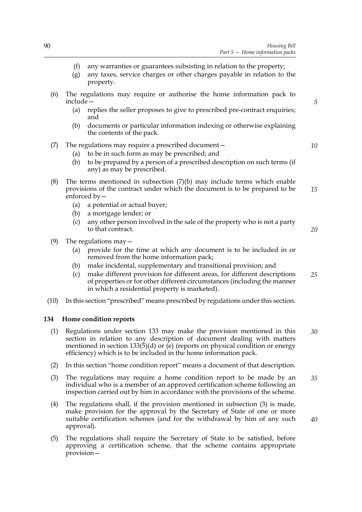(f) any warranties or guarantees subsisting in relation to the property;

(g) any taxes, service charges or other charges payable in relation to the property.

- (6) The regulations may require or authorise the home information pack to include—
	- (a) replies the seller proposes to give to prescribed pre-contract enquiries; and
	- (b) documents or particular information indexing or otherwise explaining the contents of the pack.

# (7) The regulations may require a prescribed document—

- (a) to be in such form as may be prescribed; and
- (b) to be prepared by a person of a prescribed description on such terms (if any) as may be prescribed.
- (8) The terms mentioned in subsection (7)(b) may include terms which enable provisions of the contract under which the document is to be prepared to be enforced by— *15*
	- (a) a potential or actual buyer;
	- (b) a mortgage lender; or
	- (c) any other person involved in the sale of the property who is not a party to that contract.
- (9) The regulations may—
	- (a) provide for the time at which any document is to be included in or removed from the home information pack;
	- (b) make incidental, supplementary and transitional provision; and
	- (c) make different provision for different areas, for different descriptions of properties or for other different circumstances (including the manner in which a residential property is marketed). *25*
- (10) In this section "prescribed" means prescribed by regulations under this section.

# **134 Home condition reports**

- (1) Regulations under section 133 may make the provision mentioned in this section in relation to any description of document dealing with matters mentioned in section  $133(5)(d)$  or (e) (reports on physical condition or energy efficiency) which is to be included in the home information pack. *30*
- (2) In this section "home condition report" means a document of that description.
- (3) The regulations may require a home condition report to be made by an individual who is a member of an approved certification scheme following an inspection carried out by him in accordance with the provisions of the scheme. *35*
- (4) The regulations shall, if the provision mentioned in subsection (3) is made, make provision for the approval by the Secretary of State of one or more suitable certification schemes (and for the withdrawal by him of any such approval).
- (5) The regulations shall require the Secretary of State to be satisfied, before approving a certification scheme, that the scheme contains appropriate provision—

90

*10*

*5*

*20*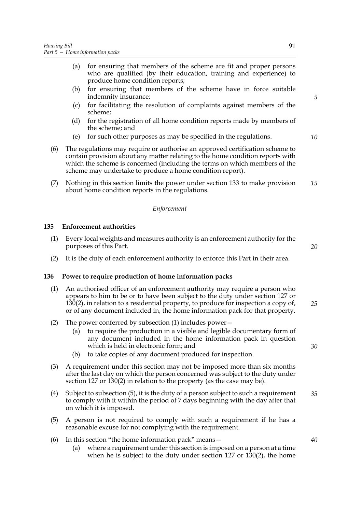- (a) for ensuring that members of the scheme are fit and proper persons who are qualified (by their education, training and experience) to produce home condition reports;
- (b) for ensuring that members of the scheme have in force suitable indemnity insurance;
- (c) for facilitating the resolution of complaints against members of the scheme;
- (d) for the registration of all home condition reports made by members of the scheme; and
- (e) for such other purposes as may be specified in the regulations.
- (6) The regulations may require or authorise an approved certification scheme to contain provision about any matter relating to the home condition reports with which the scheme is concerned (including the terms on which members of the scheme may undertake to produce a home condition report).
- (7) Nothing in this section limits the power under section 133 to make provision about home condition reports in the regulations. *15*

# *Enforcement*

# **135 Enforcement authorities**

- (1) Every local weights and measures authority is an enforcement authority for the purposes of this Part.
- (2) It is the duty of each enforcement authority to enforce this Part in their area.

# **136 Power to require production of home information packs**

- (1) An authorised officer of an enforcement authority may require a person who appears to him to be or to have been subject to the duty under section 127 or 130(2), in relation to a residential property, to produce for inspection a copy of, or of any document included in, the home information pack for that property. *25*
- (2) The power conferred by subsection (1) includes power—
	- (a) to require the production in a visible and legible documentary form of any document included in the home information pack in question which is held in electronic form; and
	- (b) to take copies of any document produced for inspection.
- (3) A requirement under this section may not be imposed more than six months after the last day on which the person concerned was subject to the duty under section 127 or 130(2) in relation to the property (as the case may be).
- (4) Subject to subsection (5), it is the duty of a person subject to such a requirement to comply with it within the period of 7 days beginning with the day after that on which it is imposed. *35*
- (5) A person is not required to comply with such a requirement if he has a reasonable excuse for not complying with the requirement.
- (6) In this section "the home information pack" means—
	- (a) where a requirement under this section is imposed on a person at a time when he is subject to the duty under section 127 or 130(2), the home

*30*

*40*

*20*

*5*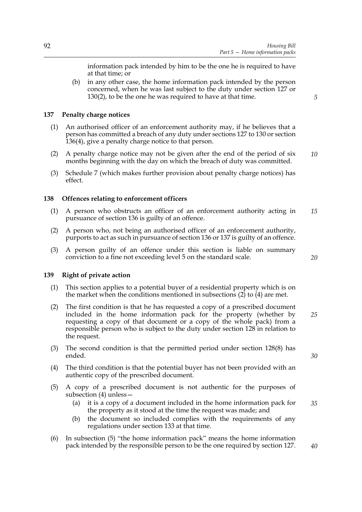information pack intended by him to be the one he is required to have at that time; or

(b) in any other case, the home information pack intended by the person concerned, when he was last subject to the duty under section 127 or  $130(2)$ , to be the one he was required to have at that time.

## **137 Penalty charge notices**

- (1) An authorised officer of an enforcement authority may, if he believes that a person has committed a breach of any duty under sections 127 to 130 or section 136(4), give a penalty charge notice to that person.
- (2) A penalty charge notice may not be given after the end of the period of six months beginning with the day on which the breach of duty was committed. *10*
- (3) Schedule 7 (which makes further provision about penalty charge notices) has effect.

## **138 Offences relating to enforcement officers**

- (1) A person who obstructs an officer of an enforcement authority acting in pursuance of section 136 is guilty of an offence. *15*
- (2) A person who, not being an authorised officer of an enforcement authority, purports to act as such in pursuance of section 136 or 137 is guilty of an offence.
- (3) A person guilty of an offence under this section is liable on summary conviction to a fine not exceeding level 5 on the standard scale.

## **139 Right of private action**

- (1) This section applies to a potential buyer of a residential property which is on the market when the conditions mentioned in subsections (2) to (4) are met.
- (2) The first condition is that he has requested a copy of a prescribed document included in the home information pack for the property (whether by requesting a copy of that document or a copy of the whole pack) from a responsible person who is subject to the duty under section 128 in relation to the request. *25*
- (3) The second condition is that the permitted period under section 128(8) has ended.
- (4) The third condition is that the potential buyer has not been provided with an authentic copy of the prescribed document.
- (5) A copy of a prescribed document is not authentic for the purposes of subsection (4) unless—
	- (a) it is a copy of a document included in the home information pack for the property as it stood at the time the request was made; and *35*
	- (b) the document so included complies with the requirements of any regulations under section 133 at that time.
- (6) In subsection (5) "the home information pack" means the home information pack intended by the responsible person to be the one required by section 127.

*30*

*20*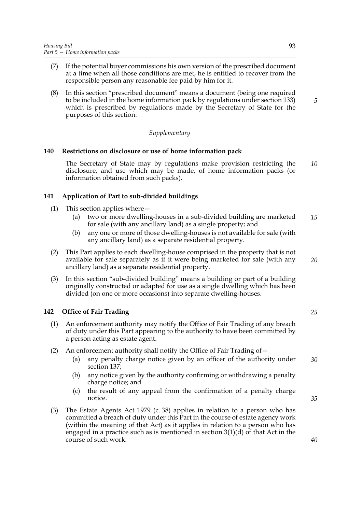- (7) If the potential buyer commissions his own version of the prescribed document at a time when all those conditions are met, he is entitled to recover from the responsible person any reasonable fee paid by him for it.
- (8) In this section "prescribed document" means a document (being one required to be included in the home information pack by regulations under section 133) which is prescribed by regulations made by the Secretary of State for the purposes of this section.

## *Supplementary*

## **140 Restrictions on disclosure or use of home information pack**

The Secretary of State may by regulations make provision restricting the disclosure, and use which may be made, of home information packs (or information obtained from such packs). *10*

## **141 Application of Part to sub-divided buildings**

- (1) This section applies where—
	- (a) two or more dwelling-houses in a sub-divided building are marketed for sale (with any ancillary land) as a single property; and *15*
	- (b) any one or more of those dwelling-houses is not available for sale (with any ancillary land) as a separate residential property.
- (2) This Part applies to each dwelling-house comprised in the property that is not available for sale separately as if it were being marketed for sale (with any ancillary land) as a separate residential property.
- (3) In this section "sub-divided building" means a building or part of a building originally constructed or adapted for use as a single dwelling which has been divided (on one or more occasions) into separate dwelling-houses.

# **142 Office of Fair Trading**

- (1) An enforcement authority may notify the Office of Fair Trading of any breach of duty under this Part appearing to the authority to have been committed by a person acting as estate agent.
- (2) An enforcement authority shall notify the Office of Fair Trading of  $-$ 
	- (a) any penalty charge notice given by an officer of the authority under section 137; *30*
	- (b) any notice given by the authority confirming or withdrawing a penalty charge notice; and
	- (c) the result of any appeal from the confirmation of a penalty charge notice.
- (3) The Estate Agents Act 1979 (c. 38) applies in relation to a person who has committed a breach of duty under this Part in the course of estate agency work (within the meaning of that Act) as it applies in relation to a person who has engaged in a practice such as is mentioned in section 3(1)(d) of that Act in the course of such work.

*5*

*25*

*20*

*35*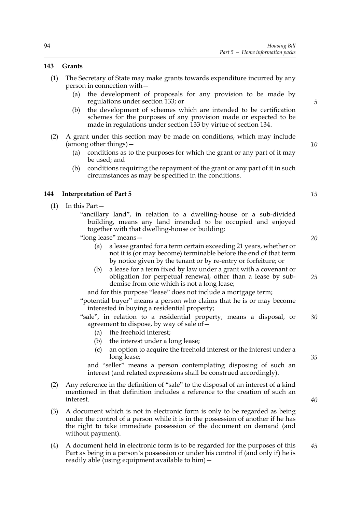## **143 Grants**

- (1) The Secretary of State may make grants towards expenditure incurred by any person in connection with—
	- (a) the development of proposals for any provision to be made by regulations under section 133; or
	- (b) the development of schemes which are intended to be certification schemes for the purposes of any provision made or expected to be made in regulations under section 133 by virtue of section 134.
- (2) A grant under this section may be made on conditions, which may include (among other things)—
	- (a) conditions as to the purposes for which the grant or any part of it may be used; and
	- (b) conditions requiring the repayment of the grant or any part of it in such circumstances as may be specified in the conditions.

### **144 Interpretation of Part 5**

- (1) In this Part—
	- "ancillary land", in relation to a dwelling-house or a sub-divided building, means any land intended to be occupied and enjoyed together with that dwelling-house or building;

"long lease" means—

- (a) a lease granted for a term certain exceeding 21 years, whether or not it is (or may become) terminable before the end of that term by notice given by the tenant or by re-entry or forfeiture; or
- (b) a lease for a term fixed by law under a grant with a covenant or obligation for perpetual renewal, other than a lease by subdemise from one which is not a long lease;

and for this purpose "lease" does not include a mortgage term;

"potential buyer" means a person who claims that he is or may become interested in buying a residential property;

"sale", in relation to a residential property, means a disposal, or agreement to dispose, by way of sale of— *30*

- (a) the freehold interest;
- (b) the interest under a long lease;
- (c) an option to acquire the freehold interest or the interest under a long lease;

and "seller" means a person contemplating disposing of such an interest (and related expressions shall be construed accordingly).

- (2) Any reference in the definition of "sale" to the disposal of an interest of a kind mentioned in that definition includes a reference to the creation of such an interest.
- (3) A document which is not in electronic form is only to be regarded as being under the control of a person while it is in the possession of another if he has the right to take immediate possession of the document on demand (and without payment).
- (4) A document held in electronic form is to be regarded for the purposes of this Part as being in a person's possession or under his control if (and only if) he is readily able (using equipment available to him)—

*10*

*5*

*20*

*25*

*15*

*35*

*40*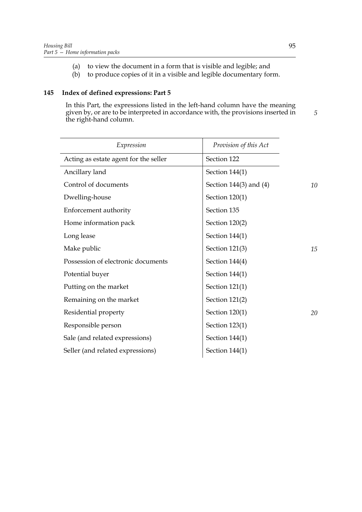- (a) to view the document in a form that is visible and legible; and
- (b) to produce copies of it in a visible and legible documentary form.

# **145 Index of defined expressions: Part 5**

In this Part, the expressions listed in the left-hand column have the meaning given by, or are to be interpreted in accordance with, the provisions inserted in the right-hand column.

| Expression                            | Provision of this Act      |    |
|---------------------------------------|----------------------------|----|
| Acting as estate agent for the seller | Section 122                |    |
| Ancillary land                        | Section $144(1)$           |    |
| Control of documents                  | Section $144(3)$ and $(4)$ | 10 |
| Dwelling-house                        | Section 120(1)             |    |
| Enforcement authority                 | Section 135                |    |
| Home information pack                 | Section $120(2)$           |    |
| Long lease                            | Section 144(1)             |    |
| Make public                           | Section 121(3)             | 15 |
| Possession of electronic documents    | Section $144(4)$           |    |
| Potential buyer                       | Section 144(1)             |    |
| Putting on the market                 | Section 121(1)             |    |
| Remaining on the market               | Section $121(2)$           |    |
| Residential property                  | Section $120(1)$           | 20 |
| Responsible person                    | Section 123(1)             |    |
| Sale (and related expressions)        | Section $144(1)$           |    |
| Seller (and related expressions)      | Section $144(1)$           |    |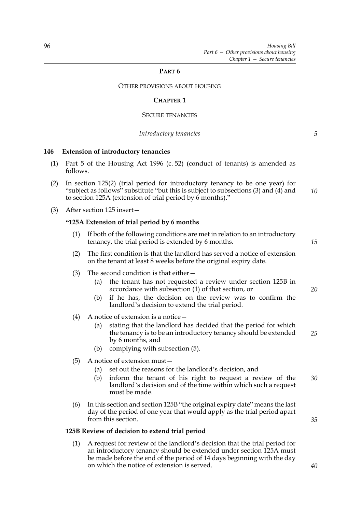#### **PART 6**

OTHER PROVISIONS ABOUT HOUSING

#### **CHAPTER 1**

#### SECURE TENANCIES

#### *Introductory tenancies*

#### **146 Extension of introductory tenancies**

- (1) Part 5 of the Housing Act 1996 (c. 52) (conduct of tenants) is amended as follows.
- (2) In section 125(2) (trial period for introductory tenancy to be one year) for "subject as follows" substitute "but this is subject to subsections (3) and (4) and to section 125A (extension of trial period by 6 months)." *10*
- (3) After section 125 insert—

#### **"125A Extension of trial period by 6 months**

- (1) If both of the following conditions are met in relation to an introductory tenancy, the trial period is extended by 6 months.
- (2) The first condition is that the landlord has served a notice of extension on the tenant at least 8 weeks before the original expiry date.

#### (3) The second condition is that either—

- (a) the tenant has not requested a review under section 125B in accordance with subsection (1) of that section, or
- (b) if he has, the decision on the review was to confirm the landlord's decision to extend the trial period.
- (4) A notice of extension is a notice—
	- (a) stating that the landlord has decided that the period for which the tenancy is to be an introductory tenancy should be extended by 6 months, and *25*
	- (b) complying with subsection (5).
- (5) A notice of extension must—
	- (a) set out the reasons for the landlord's decision, and
	- (b) inform the tenant of his right to request a review of the landlord's decision and of the time within which such a request must be made. *30*
- (6) In this section and section 125B "the original expiry date" means the last day of the period of one year that would apply as the trial period apart from this section.

### **125B Review of decision to extend trial period**

(1) A request for review of the landlord's decision that the trial period for an introductory tenancy should be extended under section 125A must be made before the end of the period of 14 days beginning with the day on which the notice of extension is served.

*5*

*15*

*20*

*35*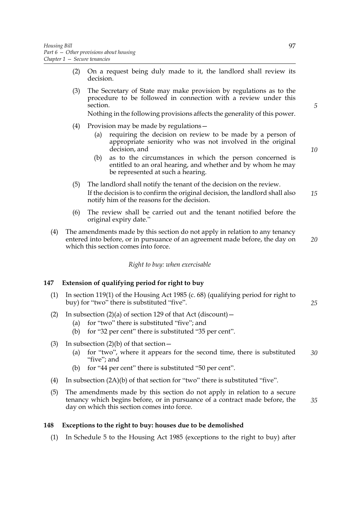- (2) On a request being duly made to it, the landlord shall review its decision.
- (3) The Secretary of State may make provision by regulations as to the procedure to be followed in connection with a review under this section.

Nothing in the following provisions affects the generality of this power.

- (4) Provision may be made by regulations—
	- (a) requiring the decision on review to be made by a person of appropriate seniority who was not involved in the original decision, and
	- (b) as to the circumstances in which the person concerned is entitled to an oral hearing, and whether and by whom he may be represented at such a hearing.
- (5) The landlord shall notify the tenant of the decision on the review. If the decision is to confirm the original decision, the landlord shall also notify him of the reasons for the decision. *15*
- (6) The review shall be carried out and the tenant notified before the original expiry date."
- (4) The amendments made by this section do not apply in relation to any tenancy entered into before, or in pursuance of an agreement made before, the day on which this section comes into force. *20*

*Right to buy: when exercisable*

### **147 Extension of qualifying period for right to buy**

- (1) In section 119(1) of the Housing Act 1985 (c. 68) (qualifying period for right to buy) for "two" there is substituted "five".
- *25*

- (2) In subsection  $(2)(a)$  of section 129 of that Act (discount)
	- (a) for "two" there is substituted "five"; and
	- (b) for "32 per cent" there is substituted "35 per cent".
- (3) In subsection  $(2)(b)$  of that section  $-$ 
	- (a) for "two", where it appears for the second time, there is substituted "five"; and *30*
	- (b) for "44 per cent" there is substituted "50 per cent".
- (4) In subsection (2A)(b) of that section for "two" there is substituted "five".
- (5) The amendments made by this section do not apply in relation to a secure tenancy which begins before, or in pursuance of a contract made before, the day on which this section comes into force. *35*

#### **148 Exceptions to the right to buy: houses due to be demolished**

(1) In Schedule 5 to the Housing Act 1985 (exceptions to the right to buy) after

*5*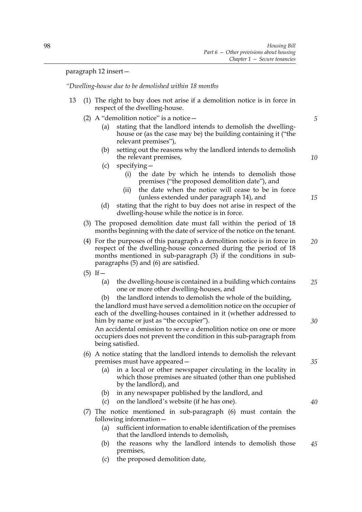paragraph 12 insert—

*"Dwelling-house due to be demolished within 18 months*

- 13 (1) The right to buy does not arise if a demolition notice is in force in respect of the dwelling-house.
	- (2) A "demolition notice" is a notice  $-$ 
		- (a) stating that the landlord intends to demolish the dwellinghouse or (as the case may be) the building containing it ("the relevant premises"),
		- (b) setting out the reasons why the landlord intends to demolish the relevant premises,
		- (c) specifying—
			- (i) the date by which he intends to demolish those premises ("the proposed demolition date"), and
			- (ii) the date when the notice will cease to be in force (unless extended under paragraph 14), and
		- (d) stating that the right to buy does not arise in respect of the dwelling-house while the notice is in force.
	- (3) The proposed demolition date must fall within the period of 18 months beginning with the date of service of the notice on the tenant.
	- (4) For the purposes of this paragraph a demolition notice is in force in respect of the dwelling-house concerned during the period of 18 months mentioned in sub-paragraph (3) if the conditions in subparagraphs (5) and (6) are satisfied. *20*
	- $(5)$  If  $-$ 
		- (a) the dwelling-house is contained in a building which contains one or more other dwelling-houses, and *25*

(b) the landlord intends to demolish the whole of the building, the landlord must have served a demolition notice on the occupier of each of the dwelling-houses contained in it (whether addressed to him by name or just as "the occupier").

An accidental omission to serve a demolition notice on one or more occupiers does not prevent the condition in this sub-paragraph from being satisfied.

- (6) A notice stating that the landlord intends to demolish the relevant premises must have appeared
	- in a local or other newspaper circulating in the locality in which those premises are situated (other than one published by the landlord), and
	- (b) in any newspaper published by the landlord, and
	- (c) on the landlord's website (if he has one).
- (7) The notice mentioned in sub-paragraph (6) must contain the following information—
	- (a) sufficient information to enable identification of the premises that the landlord intends to demolish,
	- (b) the reasons why the landlord intends to demolish those premises, *45*
	- (c) the proposed demolition date,

*15*

*5*

*10*

*30*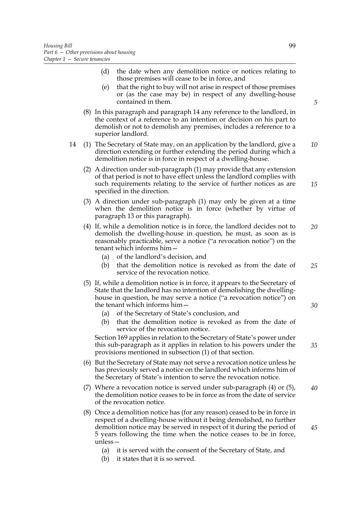- (d) the date when any demolition notice or notices relating to those premises will cease to be in force, and (e) that the right to buy will not arise in respect of those premises or (as the case may be) in respect of any dwelling-house contained in them. (8) In this paragraph and paragraph 14 any reference to the landlord, in the context of a reference to an intention or decision on his part to demolish or not to demolish any premises, includes a reference to a superior landlord. 14 (1) The Secretary of State may, on an application by the landlord, give a direction extending or further extending the period during which a demolition notice is in force in respect of a dwelling-house. (2) A direction under sub-paragraph (1) may provide that any extension of that period is not to have effect unless the landlord complies with such requirements relating to the service of further notices as are specified in the direction. (3) A direction under sub-paragraph (1) may only be given at a time when the demolition notice is in force (whether by virtue of paragraph 13 or this paragraph). (4) If, while a demolition notice is in force, the landlord decides not to demolish the dwelling-house in question, he must, as soon as is reasonably practicable, serve a notice ("a revocation notice") on the tenant which informs him— (a) of the landlord's decision, and (b) that the demolition notice is revoked as from the date of service of the revocation notice. (5) If, while a demolition notice is in force, it appears to the Secretary of State that the landlord has no intention of demolishing the dwellinghouse in question, he may serve a notice ("a revocation notice") on the tenant which informs him— (a) of the Secretary of State's conclusion, and (b) that the demolition notice is revoked as from the date of service of the revocation notice. Section 169 applies in relation to the Secretary of State's power under this sub-paragraph as it applies in relation to his powers under the provisions mentioned in subsection (1) of that section. (6) But the Secretary of State may not serve a revocation notice unless he has previously served a notice on the landlord which informs him of the Secretary of State's intention to serve the revocation notice. (7) Where a revocation notice is served under sub-paragraph (4) or (5), the demolition notice ceases to be in force as from the date of service of the revocation notice. (8) Once a demolition notice has (for any reason) ceased to be in force in respect of a dwelling-house without it being demolished, no further demolition notice may be served in respect of it during the period of 5 years following the time when the notice ceases to be in force, unless— (a) it is served with the consent of the Secretary of State, and *5 10 15 20 25 30 35 40 45*
	- (b) it states that it is so served.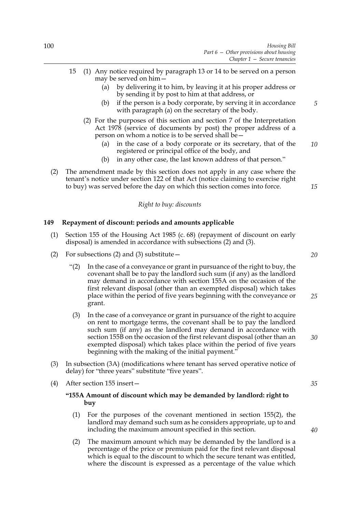- 15 (1) Any notice required by paragraph 13 or 14 to be served on a person may be served on him—
	- (a) by delivering it to him, by leaving it at his proper address or by sending it by post to him at that address, or
	- (b) if the person is a body corporate, by serving it in accordance with paragraph (a) on the secretary of the body. *5*
	- (2) For the purposes of this section and section 7 of the Interpretation Act 1978 (service of documents by post) the proper address of a person on whom a notice is to be served shall be—
		- (a) in the case of a body corporate or its secretary, that of the registered or principal office of the body, and *10*
		- (b) in any other case, the last known address of that person."
- (2) The amendment made by this section does not apply in any case where the tenant's notice under section 122 of that Act (notice claiming to exercise right to buy) was served before the day on which this section comes into force.

*15*

# *Right to buy: discounts*

### **149 Repayment of discount: periods and amounts applicable**

- (1) Section 155 of the Housing Act 1985 (c. 68) (repayment of discount on early disposal) is amended in accordance with subsections (2) and (3).
- (2) For subsections (2) and (3) substitute—
	- "(2) In the case of a conveyance or grant in pursuance of the right to buy, the covenant shall be to pay the landlord such sum (if any) as the landlord may demand in accordance with section 155A on the occasion of the first relevant disposal (other than an exempted disposal) which takes place within the period of five years beginning with the conveyance or grant.
	- (3) In the case of a conveyance or grant in pursuance of the right to acquire on rent to mortgage terms, the covenant shall be to pay the landlord such sum (if any) as the landlord may demand in accordance with section 155B on the occasion of the first relevant disposal (other than an exempted disposal) which takes place within the period of five years beginning with the making of the initial payment."
- (3) In subsection (3A) (modifications where tenant has served operative notice of delay) for "three years" substitute "five years".
- (4) After section 155 insert—

# **"155A Amount of discount which may be demanded by landlord: right to buy**

- (1) For the purposes of the covenant mentioned in section 155(2), the landlord may demand such sum as he considers appropriate, up to and including the maximum amount specified in this section.
- (2) The maximum amount which may be demanded by the landlord is a percentage of the price or premium paid for the first relevant disposal which is equal to the discount to which the secure tenant was entitled, where the discount is expressed as a percentage of the value which

*20*

*25*

*30*

*35*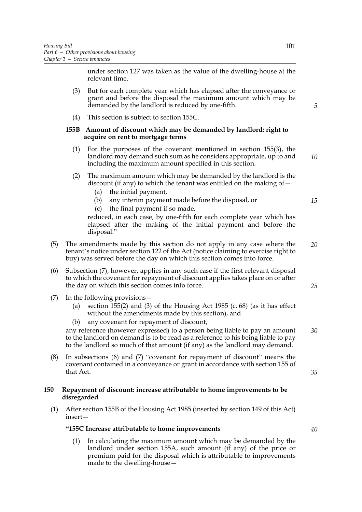under section 127 was taken as the value of the dwelling-house at the relevant time.

- (3) But for each complete year which has elapsed after the conveyance or grant and before the disposal the maximum amount which may be demanded by the landlord is reduced by one-fifth.
- (4) This section is subject to section 155C.

### **155B Amount of discount which may be demanded by landlord: right to acquire on rent to mortgage terms**

- (1) For the purposes of the covenant mentioned in section 155(3), the landlord may demand such sum as he considers appropriate, up to and including the maximum amount specified in this section. *10*
- (2) The maximum amount which may be demanded by the landlord is the discount (if any) to which the tenant was entitled on the making of—
	- (a) the initial payment,
	- (b) any interim payment made before the disposal, or
	- (c) the final payment if so made,

reduced, in each case, by one-fifth for each complete year which has elapsed after the making of the initial payment and before the disposal."

- (5) The amendments made by this section do not apply in any case where the tenant's notice under section 122 of the Act (notice claiming to exercise right to buy) was served before the day on which this section comes into force. *20*
- (6) Subsection (7), however, applies in any such case if the first relevant disposal to which the covenant for repayment of discount applies takes place on or after the day on which this section comes into force.
- (7) In the following provisions—
	- (a) section 155(2) and (3) of the Housing Act 1985 (c. 68) (as it has effect without the amendments made by this section), and
	- any covenant for repayment of discount,

any reference (however expressed) to a person being liable to pay an amount to the landlord on demand is to be read as a reference to his being liable to pay to the landlord so much of that amount (if any) as the landlord may demand. *30*

(8) In subsections (6) and (7) "covenant for repayment of discount" means the covenant contained in a conveyance or grant in accordance with section 155 of that Act.

# **150 Repayment of discount: increase attributable to home improvements to be disregarded**

(1) After section 155B of the Housing Act 1985 (inserted by section 149 of this Act) insert—

# **"155C Increase attributable to home improvements**

(1) In calculating the maximum amount which may be demanded by the landlord under section 155A, such amount (if any) of the price or premium paid for the disposal which is attributable to improvements made to the dwelling-house*5*

*15*

*25*

*35*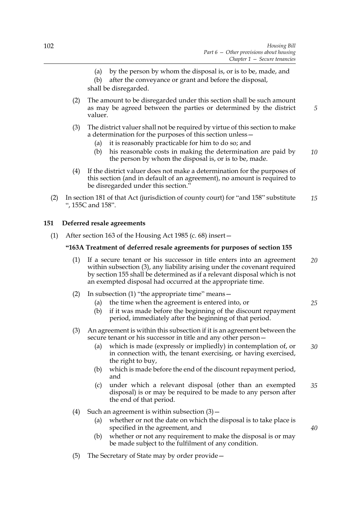*5*

*40*

- (a) by the person by whom the disposal is, or is to be, made, and
- (b) after the conveyance or grant and before the disposal,

shall be disregarded.

- (2) The amount to be disregarded under this section shall be such amount as may be agreed between the parties or determined by the district valuer.
- (3) The district valuer shall not be required by virtue of this section to make a determination for the purposes of this section unless—
	- (a) it is reasonably practicable for him to do so; and
	- (b) his reasonable costs in making the determination are paid by the person by whom the disposal is, or is to be, made. *10*
- (4) If the district valuer does not make a determination for the purposes of this section (and in default of an agreement), no amount is required to be disregarded under this section."
- (2) In section 181 of that Act (jurisdiction of county court) for "and 158" substitute ", 155C and 158". *15*

# **151 Deferred resale agreements**

(1) After section 163 of the Housing Act 1985 (c. 68) insert—

# **"163A Treatment of deferred resale agreements for purposes of section 155**

- (1) If a secure tenant or his successor in title enters into an agreement within subsection (3), any liability arising under the covenant required by section 155 shall be determined as if a relevant disposal which is not an exempted disposal had occurred at the appropriate time. *20*
- (2) In subsection (1) "the appropriate time" means—
	- (a) the time when the agreement is entered into, or *25*
	- (b) if it was made before the beginning of the discount repayment period, immediately after the beginning of that period.
- (3) An agreement is within this subsection if it is an agreement between the secure tenant or his successor in title and any other person—
	- (a) which is made (expressly or impliedly) in contemplation of, or in connection with, the tenant exercising, or having exercised, the right to buy, *30*
	- (b) which is made before the end of the discount repayment period, and
	- (c) under which a relevant disposal (other than an exempted disposal) is or may be required to be made to any person after the end of that period. *35*
- (4) Such an agreement is within subsection  $(3)$  -
	- (a) whether or not the date on which the disposal is to take place is specified in the agreement, and
	- (b) whether or not any requirement to make the disposal is or may be made subject to the fulfilment of any condition.
- (5) The Secretary of State may by order provide—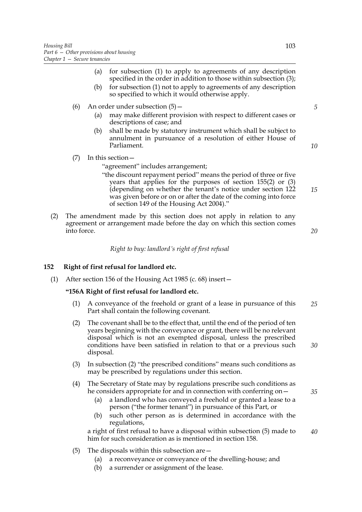- (a) for subsection (1) to apply to agreements of any description specified in the order in addition to those within subsection (3);
- (b) for subsection (1) not to apply to agreements of any description so specified to which it would otherwise apply.
- (6) An order under subsection  $(5)$ 
	- (a) may make different provision with respect to different cases or descriptions of case; and
	- (b) shall be made by statutory instrument which shall be subject to annulment in pursuance of a resolution of either House of Parliament.
- (7) In this section—
	- "agreement" includes arrangement;
	- "the discount repayment period" means the period of three or five years that applies for the purposes of section 155(2) or (3) (depending on whether the tenant's notice under section 122 was given before or on or after the date of the coming into force of section 149 of the Housing Act 2004)."
- (2) The amendment made by this section does not apply in relation to any agreement or arrangement made before the day on which this section comes into force.

*Right to buy: landlord's right of first refusal*

### **152 Right of first refusal for landlord etc.**

(1) After section 156 of the Housing Act 1985 (c. 68) insert—

# **"156A Right of first refusal for landlord etc.**

- (1) A conveyance of the freehold or grant of a lease in pursuance of this Part shall contain the following covenant. *25*
- (2) The covenant shall be to the effect that, until the end of the period of ten years beginning with the conveyance or grant, there will be no relevant disposal which is not an exempted disposal, unless the prescribed conditions have been satisfied in relation to that or a previous such disposal.
- (3) In subsection (2) "the prescribed conditions" means such conditions as may be prescribed by regulations under this section.
- (4) The Secretary of State may by regulations prescribe such conditions as he considers appropriate for and in connection with conferring on—
	- (a) a landlord who has conveyed a freehold or granted a lease to a person ("the former tenant") in pursuance of this Part, or
	- (b) such other person as is determined in accordance with the regulations,

a right of first refusal to have a disposal within subsection (5) made to him for such consideration as is mentioned in section 158. *40*

- (5) The disposals within this subsection are—
	- (a) a reconveyance or conveyance of the dwelling-house; and
	- (b) a surrender or assignment of the lease.

*35*

*30*

*10*

*5*

*15*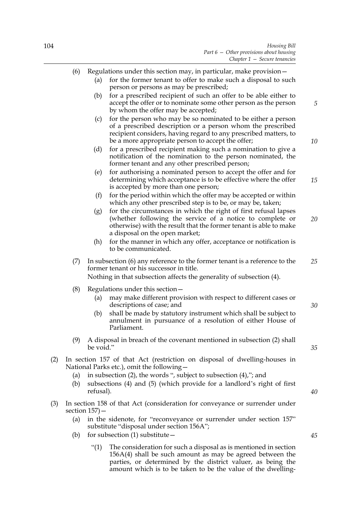|     | (6)        | Regulations under this section may, in particular, make provision-                                                                                                                                                                                          |    |
|-----|------------|-------------------------------------------------------------------------------------------------------------------------------------------------------------------------------------------------------------------------------------------------------------|----|
|     |            | for the former tenant to offer to make such a disposal to such<br>(a)<br>person or persons as may be prescribed;                                                                                                                                            |    |
|     |            | for a prescribed recipient of such an offer to be able either to<br>(b)<br>accept the offer or to nominate some other person as the person<br>by whom the offer may be accepted;                                                                            | 5  |
|     |            | for the person who may be so nominated to be either a person<br>(c)<br>of a prescribed description or a person whom the prescribed<br>recipient considers, having regard to any prescribed matters, to<br>be a more appropriate person to accept the offer; | 10 |
|     |            | for a prescribed recipient making such a nomination to give a<br>(d)<br>notification of the nomination to the person nominated, the<br>former tenant and any other prescribed person;                                                                       |    |
|     |            | for authorising a nominated person to accept the offer and for<br>(e)<br>determining which acceptance is to be effective where the offer<br>is accepted by more than one person;                                                                            | 15 |
|     |            | for the period within which the offer may be accepted or within<br>(f)<br>which any other prescribed step is to be, or may be, taken;                                                                                                                       |    |
|     |            | for the circumstances in which the right of first refusal lapses<br>(g)<br>(whether following the service of a notice to complete or<br>otherwise) with the result that the former tenant is able to make<br>a disposal on the open market;                 | 20 |
|     |            | for the manner in which any offer, acceptance or notification is<br>(h)<br>to be communicated.                                                                                                                                                              |    |
|     | (7)        | In subsection $(6)$ any reference to the former tenant is a reference to the<br>former tenant or his successor in title.                                                                                                                                    | 25 |
|     |            | Nothing in that subsection affects the generality of subsection (4).                                                                                                                                                                                        |    |
|     | (8)        | Regulations under this section $-$<br>may make different provision with respect to different cases or<br>(a)                                                                                                                                                |    |
|     |            | descriptions of case; and                                                                                                                                                                                                                                   | 30 |
|     |            | shall be made by statutory instrument which shall be subject to<br>(b)<br>annulment in pursuance of a resolution of either House of<br>Parliament.                                                                                                          |    |
|     | (9)        | A disposal in breach of the covenant mentioned in subsection (2) shall<br>be void."                                                                                                                                                                         | 35 |
| (2) |            | In section 157 of that Act (restriction on disposal of dwelling-houses in<br>National Parks etc.), omit the following-                                                                                                                                      |    |
|     | (a)<br>(b) | in subsection $(2)$ , the words ", subject to subsection $(4)$ ,"; and<br>subsections (4) and (5) (which provide for a landlord's right of first<br>refusal).                                                                                               | 40 |
| (3) |            | In section 158 of that Act (consideration for conveyance or surrender under<br>section $157$ ) –                                                                                                                                                            |    |
|     | (a)        | in the sidenote, for "reconveyance or surrender under section 157"<br>substitute "disposal under section 156A";                                                                                                                                             |    |
|     | (b)        | for subsection $(1)$ substitute –                                                                                                                                                                                                                           | 45 |
|     |            | The consideration for such a disposal as is mentioned in section<br>$\degree(1)$<br>$156A(4)$ shall be such amount as may be agreed between the                                                                                                             |    |

parties, or determined by the district valuer, as being the amount which is to be taken to be the value of the dwelling-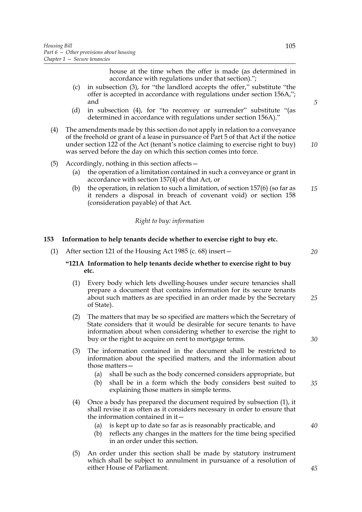house at the time when the offer is made (as determined in accordance with regulations under that section).";

- (c) in subsection (3), for "the landlord accepts the offer," substitute "the offer is accepted in accordance with regulations under section 156A,"; and
- (d) in subsection (4), for "to reconvey or surrender" substitute "(as determined in accordance with regulations under section 156A)."
- (4) The amendments made by this section do not apply in relation to a conveyance of the freehold or grant of a lease in pursuance of Part 5 of that Act if the notice under section 122 of the Act (tenant's notice claiming to exercise right to buy) was served before the day on which this section comes into force.
- (5) Accordingly, nothing in this section affects—
	- (a) the operation of a limitation contained in such a conveyance or grant in accordance with section 157(4) of that Act, or
	- (b) the operation, in relation to such a limitation, of section  $157(6)$  (so far as it renders a disposal in breach of covenant void) or section 158 (consideration payable) of that Act. *15*

### *Right to buy: information*

### **153 Information to help tenants decide whether to exercise right to buy etc.**

(1) After section 121 of the Housing Act 1985 (c. 68) insert—

# **"121A Information to help tenants decide whether to exercise right to buy etc.**

- (1) Every body which lets dwelling-houses under secure tenancies shall prepare a document that contains information for its secure tenants about such matters as are specified in an order made by the Secretary of State).
- (2) The matters that may be so specified are matters which the Secretary of State considers that it would be desirable for secure tenants to have information about when considering whether to exercise the right to buy or the right to acquire on rent to mortgage terms.
- (3) The information contained in the document shall be restricted to information about the specified matters, and the information about those matters—
	- (a) shall be such as the body concerned considers appropriate, but
	- (b) shall be in a form which the body considers best suited to explaining those matters in simple terms.
- (4) Once a body has prepared the document required by subsection (1), it shall revise it as often as it considers necessary in order to ensure that the information contained in it—
	- (a) is kept up to date so far as is reasonably practicable, and
	- (b) reflects any changes in the matters for the time being specified in an order under this section.
- (5) An order under this section shall be made by statutory instrument which shall be subject to annulment in pursuance of a resolution of either House of Parliament.

*5*

*10*

*20*

*30*

*25*

*40*

*35*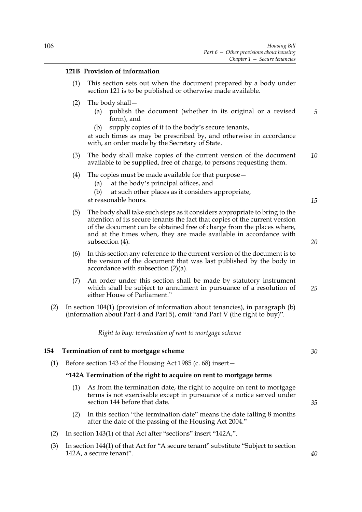# **121B Provision of information**

- (1) This section sets out when the document prepared by a body under section 121 is to be published or otherwise made available.
- (2) The body shall—
	- (a) publish the document (whether in its original or a revised form), and *5*
	- (b) supply copies of it to the body's secure tenants,

at such times as may be prescribed by, and otherwise in accordance with, an order made by the Secretary of State.

- (3) The body shall make copies of the current version of the document available to be supplied, free of charge, to persons requesting them. *10*
- (4) The copies must be made available for that purpose—
	- (a) at the body's principal offices, and
	- (b) at such other places as it considers appropriate,
	- at reasonable hours.
- (5) The body shall take such steps as it considers appropriate to bring to the attention of its secure tenants the fact that copies of the current version of the document can be obtained free of charge from the places where, and at the times when, they are made available in accordance with subsection (4).
- (6) In this section any reference to the current version of the document is to the version of the document that was last published by the body in accordance with subsection (2)(a).
- (7) An order under this section shall be made by statutory instrument which shall be subject to annulment in pursuance of a resolution of either House of Parliament."
- (2) In section 104(1) (provision of information about tenancies), in paragraph (b) (information about Part 4 and Part 5), omit "and Part V (the right to buy)".

*Right to buy: termination of rent to mortgage scheme*

### **154 Termination of rent to mortgage scheme**

(1) Before section 143 of the Housing Act 1985 (c. 68) insert—

# **"142A Termination of the right to acquire on rent to mortgage terms**

- (1) As from the termination date, the right to acquire on rent to mortgage terms is not exercisable except in pursuance of a notice served under section 144 before that date.
- (2) In this section "the termination date" means the date falling 8 months after the date of the passing of the Housing Act 2004."
- (2) In section 143(1) of that Act after "sections" insert "142A,".
- (3) In section 144(1) of that Act for "A secure tenant" substitute "Subject to section 142A, a secure tenant".

*20*

*25*

*15*

*35*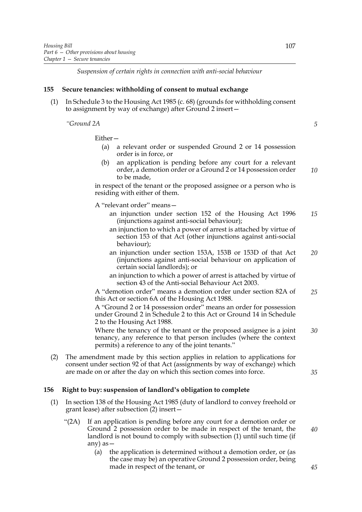*Suspension of certain rights in connection with anti-social behaviour*

# **155 Secure tenancies: withholding of consent to mutual exchange**

(1) In Schedule 3 to the Housing Act 1985 (c. 68) (grounds for withholding consent to assignment by way of exchange) after Ground 2 insert—

*"Ground 2A*

*5*

# Either—

- (a) a relevant order or suspended Ground 2 or 14 possession order is in force, or
- (b) an application is pending before any court for a relevant order, a demotion order or a Ground 2 or 14 possession order to be made, *10*

in respect of the tenant or the proposed assignee or a person who is residing with either of them.

A "relevant order" means—

- an injunction under section 152 of the Housing Act 1996 (injunctions against anti-social behaviour); *15*
- an injunction to which a power of arrest is attached by virtue of section 153 of that Act (other injunctions against anti-social behaviour);
- an injunction under section 153A, 153B or 153D of that Act (injunctions against anti-social behaviour on application of certain social landlords); or *20*
- an injunction to which a power of arrest is attached by virtue of section 43 of the Anti-social Behaviour Act 2003.

A "demotion order" means a demotion order under section 82A of this Act or section 6A of the Housing Act 1988. *25*

A "Ground 2 or 14 possession order" means an order for possession under Ground 2 in Schedule 2 to this Act or Ground 14 in Schedule 2 to the Housing Act 1988.

Where the tenancy of the tenant or the proposed assignee is a joint tenancy, any reference to that person includes (where the context permits) a reference to any of the joint tenants." *30*

(2) The amendment made by this section applies in relation to applications for consent under section 92 of that Act (assignments by way of exchange) which are made on or after the day on which this section comes into force.

### **156 Right to buy: suspension of landlord's obligation to complete**

- (1) In section 138 of the Housing Act 1985 (duty of landlord to convey freehold or grant lease) after subsection (2) insert—
	- "(2A) If an application is pending before any court for a demotion order or Ground 2 possession order to be made in respect of the tenant, the landlord is not bound to comply with subsection (1) until such time (if any) as—
		- (a) the application is determined without a demotion order, or (as the case may be) an operative Ground 2 possession order, being made in respect of the tenant, or

*40*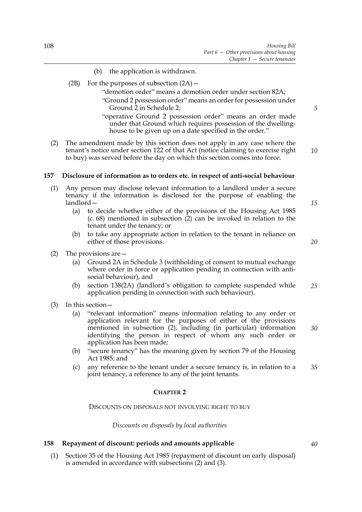- (b) the application is withdrawn.
- (2B) For the purposes of subsection  $(2A)$ 
	- "demotion order" means a demotion order under section 82A; "Ground 2 possession order" means an order for possession under Ground 2 in Schedule 2;
	- "operative Ground 2 possession order" means an order made under that Ground which requires possession of the dwellinghouse to be given up on a date specified in the order."
- (2) The amendment made by this section does not apply in any case where the tenant's notice under section 122 of that Act (notice claiming to exercise right to buy) was served before the day on which this section comes into force.

# **157 Disclosure of information as to orders etc. in respect of anti-social behaviour**

- (1) Any person may disclose relevant information to a landlord under a secure tenancy if the information is disclosed for the purpose of enabling the landlord—
	- (a) to decide whether either of the provisions of the Housing Act 1985 (c. 68) mentioned in subsection (2) can be invoked in relation to the tenant under the tenancy; or
	- (b) to take any appropriate action in relation to the tenant in reliance on either of those provisions.
- (2) The provisions are—
	- (a) Ground 2A in Schedule 3 (withholding of consent to mutual exchange where order in force or application pending in connection with antisocial behaviour), and
	- (b) section 138(2A) (landlord's obligation to complete suspended while application pending in connection with such behaviour). *25*
- (3) In this section—
	- (a) "relevant information" means information relating to any order or application relevant for the purposes of either of the provisions mentioned in subsection (2), including (in particular) information identifying the person in respect of whom any such order or application has been made;
	- (b) "secure tenancy" has the meaning given by section 79 of the Housing Act 1985; and
	- (c) any reference to the tenant under a secure tenancy is, in relation to a joint tenancy, a reference to any of the joint tenants. *35*

#### **CHAPTER 2**

#### DISCOUNTS ON DISPOSALS NOT INVOLVING RIGHT TO BUY

*Discounts on disposals by local authorities*

# **158 Repayment of discount: periods and amounts applicable**

(1) Section 35 of the Housing Act 1985 (repayment of discount on early disposal) is amended in accordance with subsections (2) and (3).

*15*

*10*

*5*

*20*

*30*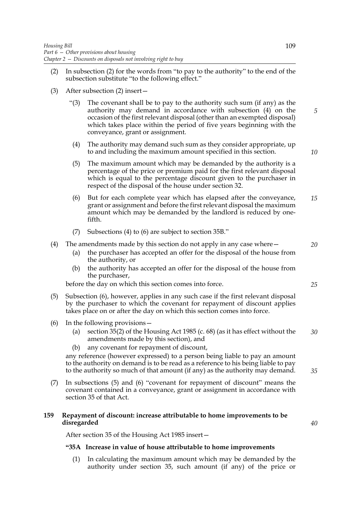- (2) In subsection (2) for the words from "to pay to the authority" to the end of the subsection substitute "to the following effect."
- (3) After subsection (2) insert—
	- "(3) The covenant shall be to pay to the authority such sum (if any) as the authority may demand in accordance with subsection (4) on the occasion of the first relevant disposal (other than an exempted disposal) which takes place within the period of five years beginning with the conveyance, grant or assignment.
	- (4) The authority may demand such sum as they consider appropriate, up to and including the maximum amount specified in this section.
	- (5) The maximum amount which may be demanded by the authority is a percentage of the price or premium paid for the first relevant disposal which is equal to the percentage discount given to the purchaser in respect of the disposal of the house under section 32.
	- (6) But for each complete year which has elapsed after the conveyance, grant or assignment and before the first relevant disposal the maximum amount which may be demanded by the landlord is reduced by onefifth. *15*
	- (7) Subsections (4) to (6) are subject to section 35B."

# (4) The amendments made by this section do not apply in any case where—

- (a) the purchaser has accepted an offer for the disposal of the house from the authority, or
- (b) the authority has accepted an offer for the disposal of the house from the purchaser,

before the day on which this section comes into force.

- (5) Subsection (6), however, applies in any such case if the first relevant disposal by the purchaser to which the covenant for repayment of discount applies takes place on or after the day on which this section comes into force.
- (6) In the following provisions—
	- (a) section 35(2) of the Housing Act 1985 (c. 68) (as it has effect without the amendments made by this section), and *30*
	- (b) any covenant for repayment of discount,

any reference (however expressed) to a person being liable to pay an amount to the authority on demand is to be read as a reference to his being liable to pay to the authority so much of that amount (if any) as the authority may demand.

(7) In subsections (5) and (6) "covenant for repayment of discount" means the covenant contained in a conveyance, grant or assignment in accordance with section 35 of that Act.

# **159 Repayment of discount: increase attributable to home improvements to be disregarded**

*40*

*35*

After section 35 of the Housing Act 1985 insert—

# **"35A Increase in value of house attributable to home improvements**

(1) In calculating the maximum amount which may be demanded by the authority under section 35, such amount (if any) of the price or *5*

*10*

*20*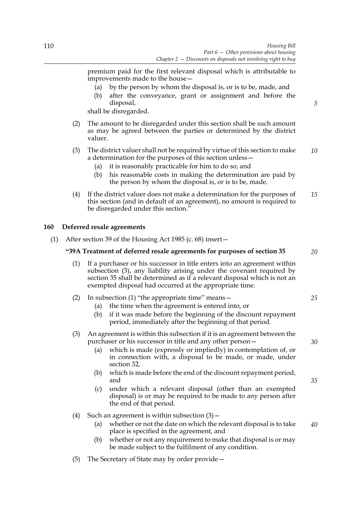premium paid for the first relevant disposal which is attributable to improvements made to the house—

- (a) by the person by whom the disposal is, or is to be, made, and
- (b) after the conveyance, grant or assignment and before the disposal,

shall be disregarded.

- (2) The amount to be disregarded under this section shall be such amount as may be agreed between the parties or determined by the district valuer.
- (3) The district valuer shall not be required by virtue of this section to make a determination for the purposes of this section unless— *10*
	- (a) it is reasonably practicable for him to do so; and
	- (b) his reasonable costs in making the determination are paid by the person by whom the disposal is, or is to be, made.
- (4) If the district valuer does not make a determination for the purposes of this section (and in default of an agreement), no amount is required to be disregarded under this section." *15*

# **160 Deferred resale agreements**

(1) After section 39 of the Housing Act 1985 (c. 68) insert—

#### **"39A Treatment of deferred resale agreements for purposes of section 35** *20*

- (1) If a purchaser or his successor in title enters into an agreement within subsection (3), any liability arising under the covenant required by section 35 shall be determined as if a relevant disposal which is not an exempted disposal had occurred at the appropriate time.
- (2) In subsection (1) "the appropriate time" means—
	- (a) the time when the agreement is entered into, or
	- (b) if it was made before the beginning of the discount repayment period, immediately after the beginning of that period.

# (3) An agreement is within this subsection if it is an agreement between the purchaser or his successor in title and any other person—

- (a) which is made (expressly or impliedly) in contemplation of, or in connection with, a disposal to be made, or made, under section 32,
- (b) which is made before the end of the discount repayment period, and
- (c) under which a relevant disposal (other than an exempted disposal) is or may be required to be made to any person after the end of that period.
- (4) Such an agreement is within subsection  $(3)$  -
	- (a) whether or not the date on which the relevant disposal is to take place is specified in the agreement, and *40*
	- (b) whether or not any requirement to make that disposal is or may be made subject to the fulfilment of any condition.
- (5) The Secretary of State may by order provide—

*25*

*5*

*30*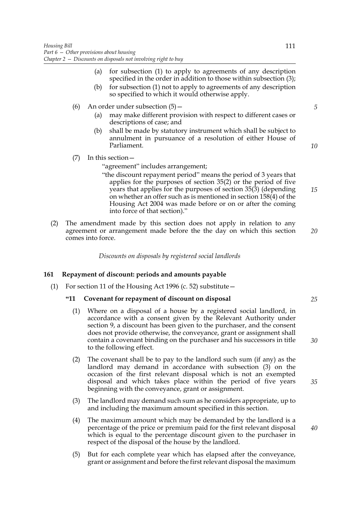- (a) for subsection (1) to apply to agreements of any description specified in the order in addition to those within subsection (3);
- (b) for subsection (1) not to apply to agreements of any description so specified to which it would otherwise apply.
- (6) An order under subsection  $(5)$ 
	- (a) may make different provision with respect to different cases or descriptions of case; and
	- (b) shall be made by statutory instrument which shall be subject to annulment in pursuance of a resolution of either House of Parliament.
- (7) In this section—

"agreement" includes arrangement;

- "the discount repayment period" means the period of 3 years that applies for the purposes of section 35(2) or the period of five years that applies for the purposes of section 35(3) (depending on whether an offer such as is mentioned in section 158(4) of the Housing Act 2004 was made before or on or after the coming into force of that section)."
- (2) The amendment made by this section does not apply in relation to any agreement or arrangement made before the the day on which this section comes into force. *20*

*Discounts on disposals by registered social landlords*

# **161 Repayment of discount: periods and amounts payable**

(1) For section 11 of the Housing Act 1996 (c. 52) substitute—

## **"11 Covenant for repayment of discount on disposal**

- (1) Where on a disposal of a house by a registered social landlord, in accordance with a consent given by the Relevant Authority under section 9, a discount has been given to the purchaser, and the consent does not provide otherwise, the conveyance, grant or assignment shall contain a covenant binding on the purchaser and his successors in title to the following effect.
- (2) The covenant shall be to pay to the landlord such sum (if any) as the landlord may demand in accordance with subsection (3) on the occasion of the first relevant disposal which is not an exempted disposal and which takes place within the period of five years beginning with the conveyance, grant or assignment.
- (3) The landlord may demand such sum as he considers appropriate, up to and including the maximum amount specified in this section.
- (4) The maximum amount which may be demanded by the landlord is a percentage of the price or premium paid for the first relevant disposal which is equal to the percentage discount given to the purchaser in respect of the disposal of the house by the landlord.
- (5) But for each complete year which has elapsed after the conveyance, grant or assignment and before the first relevant disposal the maximum

*25*

*30*

*40*

*35*

*15*

*5*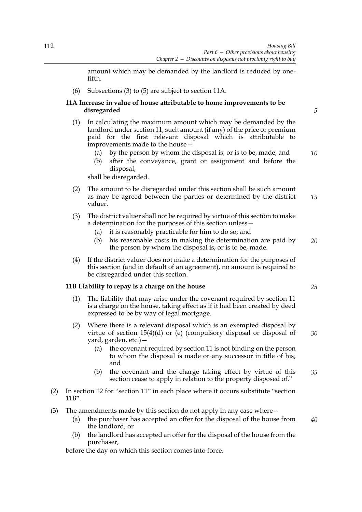amount which may be demanded by the landlord is reduced by onefifth.

(6) Subsections (3) to (5) are subject to section 11A.

# **11A Increase in value of house attributable to home improvements to be disregarded**

- (1) In calculating the maximum amount which may be demanded by the landlord under section 11, such amount (if any) of the price or premium paid for the first relevant disposal which is attributable to improvements made to the house—
	- (a) by the person by whom the disposal is, or is to be, made, and *10*
	- (b) after the conveyance, grant or assignment and before the disposal,

shall be disregarded.

(2) The amount to be disregarded under this section shall be such amount as may be agreed between the parties or determined by the district valuer. *15*

# (3) The district valuer shall not be required by virtue of this section to make a determination for the purposes of this section unless—

- (a) it is reasonably practicable for him to do so; and
- (b) his reasonable costs in making the determination are paid by the person by whom the disposal is, or is to be, made. *20*
- (4) If the district valuer does not make a determination for the purposes of this section (and in default of an agreement), no amount is required to be disregarded under this section.

# **11B Liability to repay is a charge on the house**

- (1) The liability that may arise under the covenant required by section 11 is a charge on the house, taking effect as if it had been created by deed expressed to be by way of legal mortgage.
- (2) Where there is a relevant disposal which is an exempted disposal by virtue of section 15(4)(d) or (e) (compulsory disposal or disposal of yard, garden, etc.)— *30*
	- (a) the covenant required by section 11 is not binding on the person to whom the disposal is made or any successor in title of his, and
	- (b) the covenant and the charge taking effect by virtue of this section cease to apply in relation to the property disposed of." *35*
- (2) In section 12 for "section 11" in each place where it occurs substitute "section 11B".
- (3) The amendments made by this section do not apply in any case where—
	- (a) the purchaser has accepted an offer for the disposal of the house from the landlord, or *40*
	- (b) the landlord has accepted an offer for the disposal of the house from the purchaser,

before the day on which this section comes into force.

*25*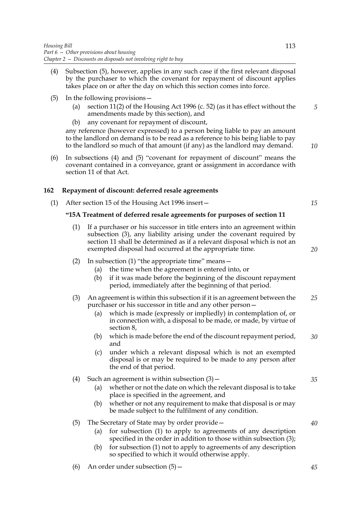- (4) Subsection (5), however, applies in any such case if the first relevant disposal by the purchaser to which the covenant for repayment of discount applies takes place on or after the day on which this section comes into force.
- (5) In the following provisions—
	- (a) section 11(2) of the Housing Act 1996 (c. 52) (as it has effect without the amendments made by this section), and
	- (b) any covenant for repayment of discount,

any reference (however expressed) to a person being liable to pay an amount to the landlord on demand is to be read as a reference to his being liable to pay to the landlord so much of that amount (if any) as the landlord may demand.

(6) In subsections (4) and (5) "covenant for repayment of discount" means the covenant contained in a conveyance, grant or assignment in accordance with section 11 of that Act.

# **162 Repayment of discount: deferred resale agreements**

(1) After section 15 of the Housing Act 1996 insert—

# **"15A Treatment of deferred resale agreements for purposes of section 11**

- (1) If a purchaser or his successor in title enters into an agreement within subsection (3), any liability arising under the covenant required by section 11 shall be determined as if a relevant disposal which is not an exempted disposal had occurred at the appropriate time.
- (2) In subsection (1) "the appropriate time" means  $-$ 
	- (a) the time when the agreement is entered into, or
	- (b) if it was made before the beginning of the discount repayment period, immediately after the beginning of that period.
- (3) An agreement is within this subsection if it is an agreement between the purchaser or his successor in title and any other person— *25*
	- (a) which is made (expressly or impliedly) in contemplation of, or in connection with, a disposal to be made, or made, by virtue of section 8,
	- (b) which is made before the end of the discount repayment period, and *30*
	- (c) under which a relevant disposal which is not an exempted disposal is or may be required to be made to any person after the end of that period.

| (4) Such an agreement is within subsection $(3)$ - |                                                                   |  |
|----------------------------------------------------|-------------------------------------------------------------------|--|
|                                                    | whether or not the date on which the relevant disposal is to take |  |

- place is specified in the agreement, and
- (b) whether or not any requirement to make that disposal is or may be made subject to the fulfilment of any condition.

(5) The Secretary of State may by order provide—

- (a) for subsection (1) to apply to agreements of any description specified in the order in addition to those within subsection (3);
- (b) for subsection (1) not to apply to agreements of any description so specified to which it would otherwise apply.

(6) An order under subsection (5)—

*5*

*10*

*15*

*20*

*40*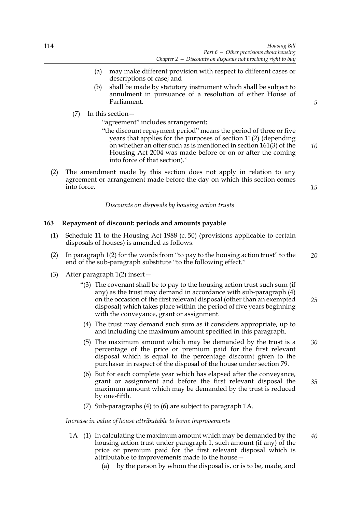- (a) may make different provision with respect to different cases or descriptions of case; and
- (b) shall be made by statutory instrument which shall be subject to annulment in pursuance of a resolution of either House of Parliament.
- (7) In this section—

"agreement" includes arrangement;

- "the discount repayment period" means the period of three or five years that applies for the purposes of section 11(2) (depending on whether an offer such as is mentioned in section 161(3) of the Housing Act 2004 was made before or on or after the coming into force of that section)."
- (2) The amendment made by this section does not apply in relation to any agreement or arrangement made before the day on which this section comes into force.

*Discounts on disposals by housing action trusts*

# **163 Repayment of discount: periods and amounts payable**

- (1) Schedule 11 to the Housing Act 1988 (c. 50) (provisions applicable to certain disposals of houses) is amended as follows.
- (2) In paragraph 1(2) for the words from "to pay to the housing action trust" to the end of the sub-paragraph substitute "to the following effect." *20*
- (3) After paragraph 1(2) insert—
	- "(3) The covenant shall be to pay to the housing action trust such sum (if any) as the trust may demand in accordance with sub-paragraph (4) on the occasion of the first relevant disposal (other than an exempted disposal) which takes place within the period of five years beginning with the conveyance, grant or assignment. *25*
	- (4) The trust may demand such sum as it considers appropriate, up to and including the maximum amount specified in this paragraph.
	- (5) The maximum amount which may be demanded by the trust is a percentage of the price or premium paid for the first relevant disposal which is equal to the percentage discount given to the purchaser in respect of the disposal of the house under section 79. *30*
	- (6) But for each complete year which has elapsed after the conveyance, grant or assignment and before the first relevant disposal the maximum amount which may be demanded by the trust is reduced by one-fifth.
	- (7) Sub-paragraphs (4) to (6) are subject to paragraph 1A.

*Increase in value of house attributable to home improvements*

- 1A (1) In calculating the maximum amount which may be demanded by the housing action trust under paragraph 1, such amount (if any) of the price or premium paid for the first relevant disposal which is attributable to improvements made to the house— *40*
	- (a) by the person by whom the disposal is, or is to be, made, and

*5*

*10*

*15*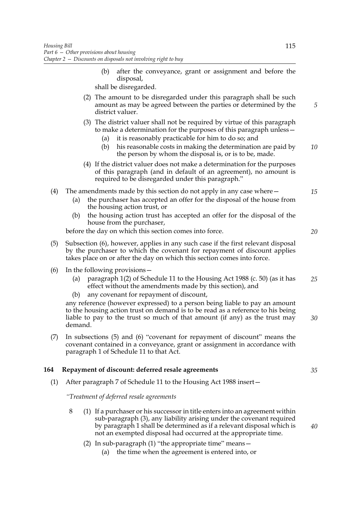(b) after the conveyance, grant or assignment and before the disposal,

shall be disregarded.

- (2) The amount to be disregarded under this paragraph shall be such amount as may be agreed between the parties or determined by the district valuer.
- (3) The district valuer shall not be required by virtue of this paragraph to make a determination for the purposes of this paragraph unless -
	- (a) it is reasonably practicable for him to do so; and
	- (b) his reasonable costs in making the determination are paid by the person by whom the disposal is, or is to be, made. *10*
- (4) If the district valuer does not make a determination for the purposes of this paragraph (and in default of an agreement), no amount is required to be disregarded under this paragraph."

# (4) The amendments made by this section do not apply in any case where—

- (a) the purchaser has accepted an offer for the disposal of the house from the housing action trust, or
- (b) the housing action trust has accepted an offer for the disposal of the house from the purchaser,

before the day on which this section comes into force.

(5) Subsection (6), however, applies in any such case if the first relevant disposal by the purchaser to which the covenant for repayment of discount applies takes place on or after the day on which this section comes into force.

- (6) In the following provisions—
	- (a) paragraph 1(2) of Schedule 11 to the Housing Act 1988 (c. 50) (as it has effect without the amendments made by this section), and *25*
	- (b) any covenant for repayment of discount,

any reference (however expressed) to a person being liable to pay an amount to the housing action trust on demand is to be read as a reference to his being liable to pay to the trust so much of that amount (if any) as the trust may demand.

(7) In subsections (5) and (6) "covenant for repayment of discount" means the covenant contained in a conveyance, grant or assignment in accordance with paragraph 1 of Schedule 11 to that Act.

# **164 Repayment of discount: deferred resale agreements**

(1) After paragraph 7 of Schedule 11 to the Housing Act 1988 insert—

*"Treatment of deferred resale agreements*

- 8 (1) If a purchaser or his successor in title enters into an agreement within sub-paragraph (3), any liability arising under the covenant required by paragraph 1 shall be determined as if a relevant disposal which is not an exempted disposal had occurred at the appropriate time.
	- (2) In sub-paragraph (1) "the appropriate time" means—
		- (a) the time when the agreement is entered into, or

*5*

*15*

*20*

*35*

*40*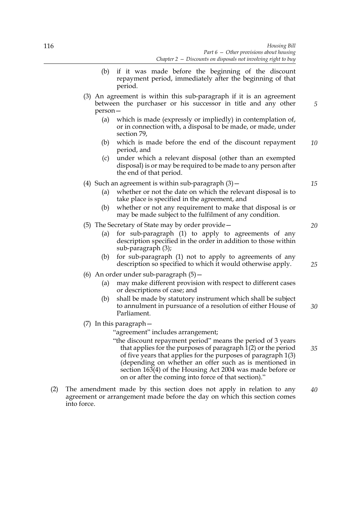*5*

*15*

*20*

*25*

- (b) if it was made before the beginning of the discount repayment period, immediately after the beginning of that period.
- (3) An agreement is within this sub-paragraph if it is an agreement between the purchaser or his successor in title and any other person—
	- (a) which is made (expressly or impliedly) in contemplation of, or in connection with, a disposal to be made, or made, under section 79,
	- (b) which is made before the end of the discount repayment period, and *10*
	- (c) under which a relevant disposal (other than an exempted disposal) is or may be required to be made to any person after the end of that period.

(4) Such an agreement is within sub-paragraph  $(3)$  -

- (a) whether or not the date on which the relevant disposal is to take place is specified in the agreement, and
- (b) whether or not any requirement to make that disposal is or may be made subject to the fulfilment of any condition.
- (5) The Secretary of State may by order provide—
	- (a) for sub-paragraph (1) to apply to agreements of any description specified in the order in addition to those within sub-paragraph (3);
	- (b) for sub-paragraph (1) not to apply to agreements of any description so specified to which it would otherwise apply.
- (6) An order under sub-paragraph (5)—
	- (a) may make different provision with respect to different cases or descriptions of case; and
	- (b) shall be made by statutory instrument which shall be subject to annulment in pursuance of a resolution of either House of Parliament. *30*
- (7) In this paragraph—

"agreement" includes arrangement;

- "the discount repayment period" means the period of 3 years that applies for the purposes of paragraph  $\bar{1}(2)$  or the period of five years that applies for the purposes of paragraph 1(3) (depending on whether an offer such as is mentioned in section 163(4) of the Housing Act 2004 was made before or on or after the coming into force of that section)." *35*
- (2) The amendment made by this section does not apply in relation to any agreement or arrangement made before the day on which this section comes into force. *40*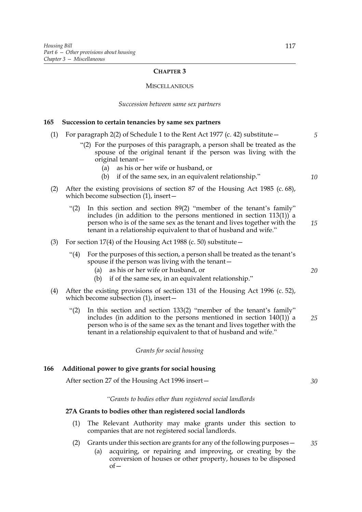# **CHAPTER 3**

#### **MISCELLANEOUS**

#### *Succession between same sex partners*

### **165 Succession to certain tenancies by same sex partners**

- (1) For paragraph 2(2) of Schedule 1 to the Rent Act 1977 (c. 42) substitute—
	- "(2) For the purposes of this paragraph, a person shall be treated as the spouse of the original tenant if the person was living with the original tenant—
		- (a) as his or her wife or husband, or
		- (b) if of the same sex, in an equivalent relationship."
- (2) After the existing provisions of section 87 of the Housing Act 1985 (c. 68), which become subsection (1), insert—
	- "(2) In this section and section 89(2) "member of the tenant's family" includes (in addition to the persons mentioned in section 113(1)) a person who is of the same sex as the tenant and lives together with the tenant in a relationship equivalent to that of husband and wife."
- (3) For section 17(4) of the Housing Act 1988 (c. 50) substitute  $-$ 
	- "(4) For the purposes of this section, a person shall be treated as the tenant's spouse if the person was living with the tenant—
		- (a) as his or her wife or husband, or
		- (b) if of the same sex, in an equivalent relationship."
- (4) After the existing provisions of section 131 of the Housing Act 1996 (c. 52), which become subsection (1), insert—
	- "(2) In this section and section 133(2) "member of the tenant's family" includes (in addition to the persons mentioned in section 140(1)) a person who is of the same sex as the tenant and lives together with the tenant in a relationship equivalent to that of husband and wife." *25*

*Grants for social housing*

#### **166 Additional power to give grants for social housing**

After section 27 of the Housing Act 1996 insert—

*"Grants to bodies other than registered social landlords*

#### **27A Grants to bodies other than registered social landlords**

- (1) The Relevant Authority may make grants under this section to companies that are not registered social landlords.
- (2) Grants under this section are grants for any of the following purposes—
	- (a) acquiring, or repairing and improving, or creating by the conversion of houses or other property, houses to be disposed  $of$

*5*

*10*

*15*

*20*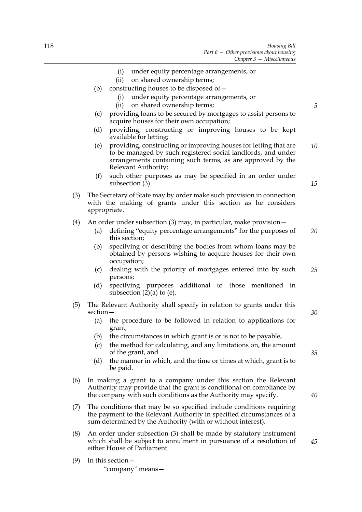- (i) under equity percentage arrangements, or
- (ii) on shared ownership terms;
- (b) constructing houses to be disposed of—
	- (i) under equity percentage arrangements, or
	- (ii) on shared ownership terms;
- (c) providing loans to be secured by mortgages to assist persons to acquire houses for their own occupation;
- (d) providing, constructing or improving houses to be kept available for letting;
- (e) providing, constructing or improving houses for letting that are to be managed by such registered social landlords, and under arrangements containing such terms, as are approved by the Relevant Authority; *10*
- (f) such other purposes as may be specified in an order under subsection (3).
- (3) The Secretary of State may by order make such provision in connection with the making of grants under this section as he considers appropriate.
- (4) An order under subsection (3) may, in particular, make provision—
	- (a) defining "equity percentage arrangements" for the purposes of this section; *20*
	- (b) specifying or describing the bodies from whom loans may be obtained by persons wishing to acquire houses for their own occupation;
	- (c) dealing with the priority of mortgages entered into by such persons; *25*
	- (d) specifying purposes additional to those mentioned in subsection  $(2)(a)$  to (e).
- (5) The Relevant Authority shall specify in relation to grants under this section—
	- (a) the procedure to be followed in relation to applications for grant,
	- (b) the circumstances in which grant is or is not to be payable,
	- (c) the method for calculating, and any limitations on, the amount of the grant, and
	- (d) the manner in which, and the time or times at which, grant is to be paid.
- (6) In making a grant to a company under this section the Relevant Authority may provide that the grant is conditional on compliance by the company with such conditions as the Authority may specify.
- (7) The conditions that may be so specified include conditions requiring the payment to the Relevant Authority in specified circumstances of a sum determined by the Authority (with or without interest).
- (8) An order under subsection (3) shall be made by statutory instrument which shall be subject to annulment in pursuance of a resolution of either House of Parliament.
- (9) In this section—

"company" means—

*30*

*35*

*40*

*5*

*15*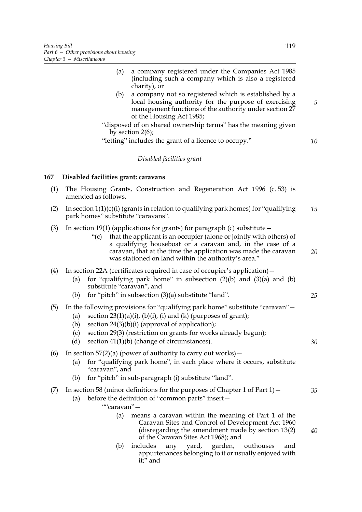- (a) a company registered under the Companies Act 1985 (including such a company which is also a registered charity), or
- (b) a company not so registered which is established by a local housing authority for the purpose of exercising management functions of the authority under section 27 of the Housing Act 1985;
- "disposed of on shared ownership terms" has the meaning given by section 2(6);
- "letting" includes the grant of a licence to occupy."

#### *10*

*5*

# *Disabled facilities grant*

# **167 Disabled facilities grant: caravans**

| (1) | The Housing Grants, Construction and Regeneration Act 1996 (c. 53) is<br>amended as follows.                                                                                                                                                                                                                                                        |    |  |
|-----|-----------------------------------------------------------------------------------------------------------------------------------------------------------------------------------------------------------------------------------------------------------------------------------------------------------------------------------------------------|----|--|
| (2) | In section $1(1)(c)(i)$ (grants in relation to qualifying park homes) for "qualifying<br>park homes" substitute "caravans".                                                                                                                                                                                                                         |    |  |
| (3) | In section 19(1) (applications for grants) for paragraph (c) substitute $-$<br>that the applicant is an occupier (alone or jointly with others) of<br>" $(c)$<br>a qualifying houseboat or a caravan and, in the case of a<br>caravan, that at the time the application was made the caravan<br>was stationed on land within the authority's area." | 20 |  |
| (4) | In section 22A (certificates required in case of occupier's application) –<br>for "qualifying park home" in subsection $(2)(b)$ and $(3)(a)$ and $(b)$<br>(a)<br>substitute "caravan", and                                                                                                                                                          |    |  |
|     | for "pitch" in subsection (3)(a) substitute "land".<br>(b)                                                                                                                                                                                                                                                                                          | 25 |  |
| (5) | In the following provisions for "qualifying park home" substitute "caravan" -<br>section $23(1)(a)(i)$ , (b)(i), (i) and (k) (purposes of grant);<br>(a)<br>section $24(3)(b)(i)$ (approval of application);<br>(b)<br>section 29(3) (restriction on grants for works already begun);<br>(c)<br>section 41(1)(b) (change of circumstances).<br>(d)  | 30 |  |
| (6) | In section $57(2)(a)$ (power of authority to carry out works) –<br>for "qualifying park home", in each place where it occurs, substitute<br>(a)<br>"caravan", and<br>for "pitch" in sub-paragraph (i) substitute "land".<br>(b)                                                                                                                     |    |  |
| (7) | In section 58 (minor definitions for the purposes of Chapter 1 of Part $1$ ) –<br>before the definition of "common parts" insert-<br>(a)<br>""caravan"-                                                                                                                                                                                             | 35 |  |
|     | means a caravan within the meaning of Part 1 of the<br>(a)<br>Caravan Sites and Control of Development Act 1960<br>(disregarding the amendment made by section 13(2)<br>of the Caravan Sites Act 1968); and                                                                                                                                         | 40 |  |
|     | includes<br>yard, garden, outhouses<br>(b)<br>any<br>and<br>appurtenances belonging to it or usually enjoyed with<br>it;" and                                                                                                                                                                                                                       |    |  |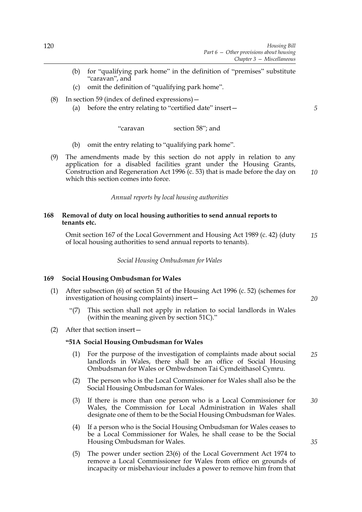- (b) for "qualifying park home" in the definition of "premises" substitute "caravan", and
- (c) omit the definition of "qualifying park home".
- (8) In section 59 (index of defined expressions)—
	- (a) before the entry relating to "certified date" insert—

*5*

"caravan section 58"; and

- (b) omit the entry relating to "qualifying park home".
- (9) The amendments made by this section do not apply in relation to any application for a disabled facilities grant under the Housing Grants, Construction and Regeneration Act 1996 (c. 53) that is made before the day on which this section comes into force. *10*

*Annual reports by local housing authorities*

# **168 Removal of duty on local housing authorities to send annual reports to tenants etc.**

Omit section 167 of the Local Government and Housing Act 1989 (c. 42) (duty of local housing authorities to send annual reports to tenants). *15*

### *Social Housing Ombudsman for Wales*

### **169 Social Housing Ombudsman for Wales**

- (1) After subsection (6) of section 51 of the Housing Act 1996 (c. 52) (schemes for investigation of housing complaints) insert—
- *20*
- This section shall not apply in relation to social landlords in Wales (within the meaning given by section 51C)."
- (2) After that section insert—

# **"51A Social Housing Ombudsman for Wales**

- (1) For the purpose of the investigation of complaints made about social landlords in Wales, there shall be an office of Social Housing Ombudsman for Wales or Ombwdsmon Tai Cymdeithasol Cymru. *25*
- (2) The person who is the Local Commissioner for Wales shall also be the Social Housing Ombudsman for Wales.
- (3) If there is more than one person who is a Local Commissioner for Wales, the Commission for Local Administration in Wales shall designate one of them to be the Social Housing Ombudsman for Wales. *30*
- (4) If a person who is the Social Housing Ombudsman for Wales ceases to be a Local Commissioner for Wales, he shall cease to be the Social Housing Ombudsman for Wales.
- (5) The power under section 23(6) of the Local Government Act 1974 to remove a Local Commissioner for Wales from office on grounds of incapacity or misbehaviour includes a power to remove him from that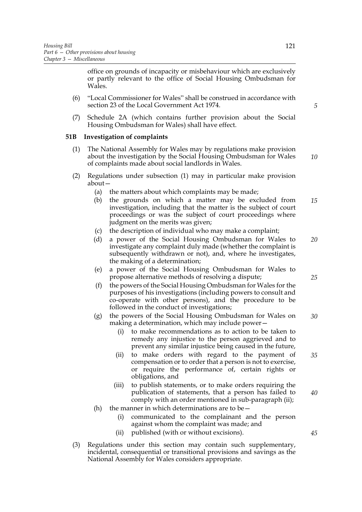office on grounds of incapacity or misbehaviour which are exclusively or partly relevant to the office of Social Housing Ombudsman for Wales.

- (6) "Local Commissioner for Wales" shall be construed in accordance with section 23 of the Local Government Act 1974.
- (7) Schedule 2A (which contains further provision about the Social Housing Ombudsman for Wales) shall have effect.

# **51B Investigation of complaints**

- (1) The National Assembly for Wales may by regulations make provision about the investigation by the Social Housing Ombudsman for Wales of complaints made about social landlords in Wales.
- (2) Regulations under subsection (1) may in particular make provision about—
	- (a) the matters about which complaints may be made;
	- (b) the grounds on which a matter may be excluded from investigation, including that the matter is the subject of court proceedings or was the subject of court proceedings where judgment on the merits was given; *15*
	- (c) the description of individual who may make a complaint;
	- (d) a power of the Social Housing Ombudsman for Wales to investigate any complaint duly made (whether the complaint is subsequently withdrawn or not), and, where he investigates, the making of a determination; *20*
	- (e) a power of the Social Housing Ombudsman for Wales to propose alternative methods of resolving a dispute;
	- (f) the powers of the Social Housing Ombudsman for Wales for the purposes of his investigations (including powers to consult and co-operate with other persons), and the procedure to be followed in the conduct of investigations;
	- (g) the powers of the Social Housing Ombudsman for Wales on making a determination, which may include power— *30*
		- (i) to make recommendations as to action to be taken to remedy any injustice to the person aggrieved and to prevent any similar injustice being caused in the future,
		- (ii) to make orders with regard to the payment of compensation or to order that a person is not to exercise, or require the performance of, certain rights or obligations, and
		- (iii) to publish statements, or to make orders requiring the publication of statements, that a person has failed to comply with an order mentioned in sub-paragraph (ii);
	- (h) the manner in which determinations are to be  $-$ 
		- (i) communicated to the complainant and the person against whom the complaint was made; and
		- (ii) published (with or without excisions).
- (3) Regulations under this section may contain such supplementary, incidental, consequential or transitional provisions and savings as the National Assembly for Wales considers appropriate.

*10*

*5*

*25*

*35*

*40*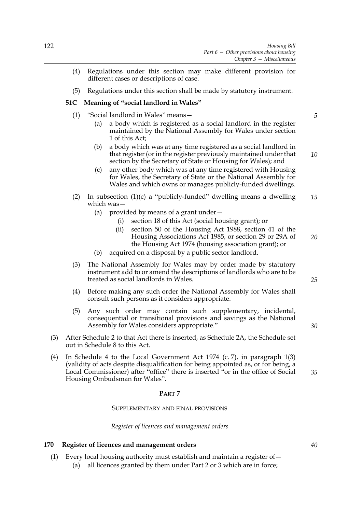- (4) Regulations under this section may make different provision for different cases or descriptions of case.
- (5) Regulations under this section shall be made by statutory instrument.

# **51C Meaning of "social landlord in Wales"**

- (1) "Social landlord in Wales" means—
	- (a) a body which is registered as a social landlord in the register maintained by the National Assembly for Wales under section 1 of this Act;
	- (b) a body which was at any time registered as a social landlord in that register (or in the register previously maintained under that section by the Secretary of State or Housing for Wales); and *10*
	- (c) any other body which was at any time registered with Housing for Wales, the Secretary of State or the National Assembly for Wales and which owns or manages publicly-funded dwellings.
- (2) In subsection  $(1)(c)$  a "publicly-funded" dwelling means a dwelling which was— *15*
	- (a) provided by means of a grant under—
		- (i) section 18 of this Act (social housing grant); or
		- (ii) section 50 of the Housing Act 1988, section 41 of the Housing Associations Act 1985, or section 29 or 29A of the Housing Act 1974 (housing association grant); or
	- (b) acquired on a disposal by a public sector landlord.
- (3) The National Assembly for Wales may by order made by statutory instrument add to or amend the descriptions of landlords who are to be treated as social landlords in Wales.
- (4) Before making any such order the National Assembly for Wales shall consult such persons as it considers appropriate.
- (5) Any such order may contain such supplementary, incidental, consequential or transitional provisions and savings as the National Assembly for Wales considers appropriate."
- (3) After Schedule 2 to that Act there is inserted, as Schedule 2A, the Schedule set out in Schedule 8 to this Act.
- (4) In Schedule 4 to the Local Government Act 1974 (c. 7), in paragraph 1(3) (validity of acts despite disqualification for being appointed as, or for being, a Local Commissioner) after "office" there is inserted "or in the office of Social Housing Ombudsman for Wales". *35*

### **PART 7**

# SUPPLEMENTARY AND FINAL PROVISIONS

*Register of licences and management orders*

# **170 Register of licences and management orders**

(1) Every local housing authority must establish and maintain a register of— (a) all licences granted by them under Part 2 or 3 which are in force;

*25*

*20*

*5*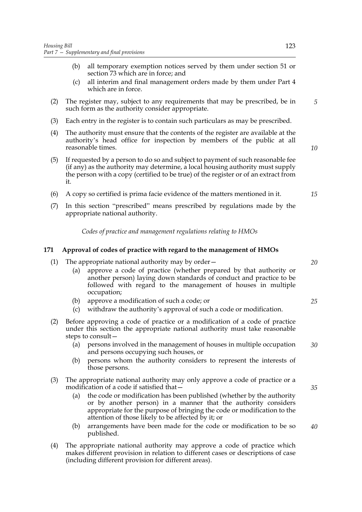- (b) all temporary exemption notices served by them under section 51 or section 73 which are in force; and
- (c) all interim and final management orders made by them under Part 4 which are in force.
- (2) The register may, subject to any requirements that may be prescribed, be in such form as the authority consider appropriate.
- (3) Each entry in the register is to contain such particulars as may be prescribed.
- (4) The authority must ensure that the contents of the register are available at the authority's head office for inspection by members of the public at all reasonable times.
- (5) If requested by a person to do so and subject to payment of such reasonable fee (if any) as the authority may determine, a local housing authority must supply the person with a copy (certified to be true) of the register or of an extract from it.
- (6) A copy so certified is prima facie evidence of the matters mentioned in it.
- (7) In this section "prescribed" means prescribed by regulations made by the appropriate national authority.

*Codes of practice and management regulations relating to HMOs*

# **171 Approval of codes of practice with regard to the management of HMOs**

- (1) The appropriate national authority may by order—
	- (a) approve a code of practice (whether prepared by that authority or another person) laying down standards of conduct and practice to be followed with regard to the management of houses in multiple occupation;
	- (b) approve a modification of such a code; or
	- (c) withdraw the authority's approval of such a code or modification.
- (2) Before approving a code of practice or a modification of a code of practice under this section the appropriate national authority must take reasonable steps to consult—
	- (a) persons involved in the management of houses in multiple occupation and persons occupying such houses, or
	- (b) persons whom the authority considers to represent the interests of those persons.
- (3) The appropriate national authority may only approve a code of practice or a modification of a code if satisfied that—
	- (a) the code or modification has been published (whether by the authority or by another person) in a manner that the authority considers appropriate for the purpose of bringing the code or modification to the attention of those likely to be affected by it; or
	- (b) arrangements have been made for the code or modification to be so published.
- (4) The appropriate national authority may approve a code of practice which makes different provision in relation to different cases or descriptions of case (including different provision for different areas).

*20*

*5*

*10*

*15*

*25*

*30*

*35*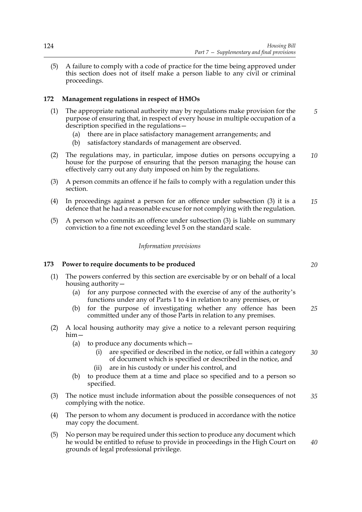(5) A failure to comply with a code of practice for the time being approved under this section does not of itself make a person liable to any civil or criminal proceedings.

# **172 Management regulations in respect of HMOs**

- (1) The appropriate national authority may by regulations make provision for the purpose of ensuring that, in respect of every house in multiple occupation of a description specified in the regulations— *5*
	- (a) there are in place satisfactory management arrangements; and
	- (b) satisfactory standards of management are observed.
- (2) The regulations may, in particular, impose duties on persons occupying a house for the purpose of ensuring that the person managing the house can effectively carry out any duty imposed on him by the regulations. *10*
- (3) A person commits an offence if he fails to comply with a regulation under this section.
- (4) In proceedings against a person for an offence under subsection (3) it is a defence that he had a reasonable excuse for not complying with the regulation. *15*
- (5) A person who commits an offence under subsection (3) is liable on summary conviction to a fine not exceeding level 5 on the standard scale.

# *Information provisions*

### **173 Power to require documents to be produced**

- (1) The powers conferred by this section are exercisable by or on behalf of a local housing authority—
	- (a) for any purpose connected with the exercise of any of the authority's functions under any of Parts 1 to 4 in relation to any premises, or
	- (b) for the purpose of investigating whether any offence has been committed under any of those Parts in relation to any premises. *25*
- (2) A local housing authority may give a notice to a relevant person requiring him—
	- (a) to produce any documents which—
		- (i) are specified or described in the notice, or fall within a category of document which is specified or described in the notice, and *30*
		- are in his custody or under his control, and
	- (b) to produce them at a time and place so specified and to a person so specified.
- (3) The notice must include information about the possible consequences of not complying with the notice. *35*
- (4) The person to whom any document is produced in accordance with the notice may copy the document.
- (5) No person may be required under this section to produce any document which he would be entitled to refuse to provide in proceedings in the High Court on grounds of legal professional privilege.

*20*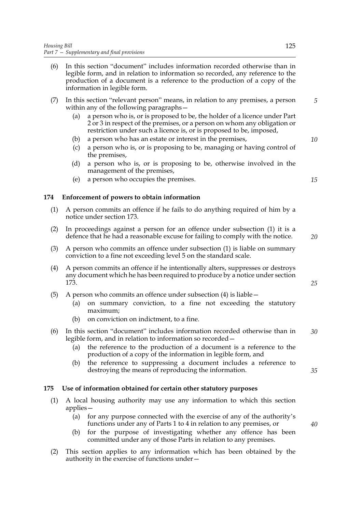- (6) In this section "document" includes information recorded otherwise than in legible form, and in relation to information so recorded, any reference to the production of a document is a reference to the production of a copy of the information in legible form.
- (7) In this section "relevant person" means, in relation to any premises, a person within any of the following paragraphs—
	- (a) a person who is, or is proposed to be, the holder of a licence under Part 2 or 3 in respect of the premises, or a person on whom any obligation or restriction under such a licence is, or is proposed to be, imposed,
	- (b) a person who has an estate or interest in the premises,
	- (c) a person who is, or is proposing to be, managing or having control of the premises,
	- (d) a person who is, or is proposing to be, otherwise involved in the management of the premises,
	- (e) a person who occupies the premises.

# **174 Enforcement of powers to obtain information**

- (1) A person commits an offence if he fails to do anything required of him by a notice under section 173.
- (2) In proceedings against a person for an offence under subsection (1) it is a defence that he had a reasonable excuse for failing to comply with the notice.
- (3) A person who commits an offence under subsection (1) is liable on summary conviction to a fine not exceeding level 5 on the standard scale.
- (4) A person commits an offence if he intentionally alters, suppresses or destroys any document which he has been required to produce by a notice under section 173.
- (5) A person who commits an offence under subsection (4) is liable—
	- (a) on summary conviction, to a fine not exceeding the statutory maximum;
	- (b) on conviction on indictment, to a fine.
- (6) In this section "document" includes information recorded otherwise than in legible form, and in relation to information so recorded— *30*
	- (a) the reference to the production of a document is a reference to the production of a copy of the information in legible form, and
	- (b) the reference to suppressing a document includes a reference to destroying the means of reproducing the information.

#### **175 Use of information obtained for certain other statutory purposes**

- (1) A local housing authority may use any information to which this section applies—
	- (a) for any purpose connected with the exercise of any of the authority's functions under any of Parts 1 to 4 in relation to any premises, or
	- (b) for the purpose of investigating whether any offence has been committed under any of those Parts in relation to any premises.
- (2) This section applies to any information which has been obtained by the authority in the exercise of functions under—

*40*

*35*

*15*

*5*

*10*

*25*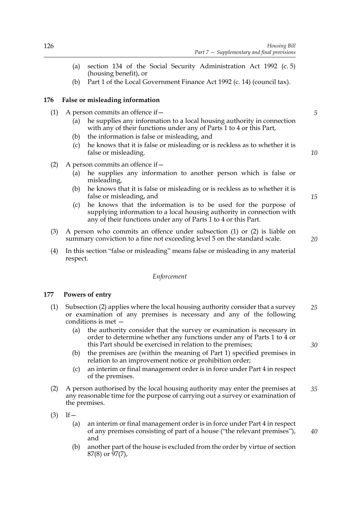- (a) section 134 of the Social Security Administration Act 1992 (c. 5) (housing benefit), or
- (b) Part 1 of the Local Government Finance Act 1992 (c. 14) (council tax).

# **176 False or misleading information**

- (1) A person commits an offence if  $-$ 
	- (a) he supplies any information to a local housing authority in connection with any of their functions under any of Parts 1 to 4 or this Part,
	- (b) the information is false or misleading, and
	- (c) he knows that it is false or misleading or is reckless as to whether it is false or misleading.

*10*

*5*

- (2) A person commits an offence if  $-$ 
	- (a) he supplies any information to another person which is false or misleading,
	- (b) he knows that it is false or misleading or is reckless as to whether it is false or misleading, and
	- (c) he knows that the information is to be used for the purpose of supplying information to a local housing authority in connection with any of their functions under any of Parts 1 to 4 or this Part.
- (3) A person who commits an offence under subsection (1) or (2) is liable on summary conviction to a fine not exceeding level 5 on the standard scale.
- (4) In this section "false or misleading" means false or misleading in any material respect.

# *Enforcement*

### **177 Powers of entry**

- (1) Subsection (2) applies where the local housing authority consider that a survey or examination of any premises is necessary and any of the following conditions is met — *25*
	- (a) the authority consider that the survey or examination is necessary in order to determine whether any functions under any of Parts 1 to 4 or this Part should be exercised in relation to the premises;
	- (b) the premises are (within the meaning of Part 1) specified premises in relation to an improvement notice or prohibition order;
	- (c) an interim or final management order is in force under Part 4 in respect of the premises.
- (2) A person authorised by the local housing authority may enter the premises at any reasonable time for the purpose of carrying out a survey or examination of the premises. *35*
- $(3)$  If
	- (a) an interim or final management order is in force under Part 4 in respect of any premises consisting of part of a house ("the relevant premises"), and
	- (b) another part of the house is excluded from the order by virtue of section 87(8) or 97(7),

*20*

*15*

*30*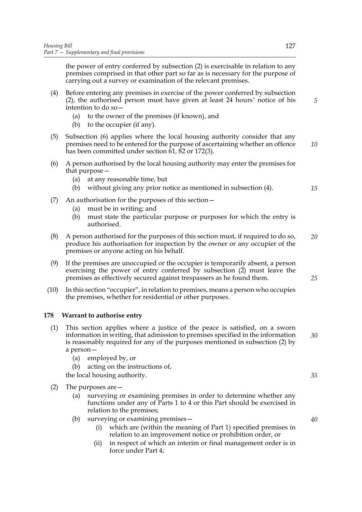the power of entry conferred by subsection (2) is exercisable in relation to any premises comprised in that other part so far as is necessary for the purpose of carrying out a survey or examination of the relevant premises.

- (4) Before entering any premises in exercise of the power conferred by subsection (2), the authorised person must have given at least 24 hours' notice of his intention to do so—
	- (a) to the owner of the premises (if known), and
	- (b) to the occupier (if any).
- (5) Subsection (6) applies where the local housing authority consider that any premises need to be entered for the purpose of ascertaining whether an offence has been committed under section  $\hat{6}1$ ,  $\hat{8}2$  or 172(3). *10*
- (6) A person authorised by the local housing authority may enter the premises for that purpose—
	- (a) at any reasonable time, but
	- (b) without giving any prior notice as mentioned in subsection (4).
- (7) An authorisation for the purposes of this section—
	- (a) must be in writing; and
	- (b) must state the particular purpose or purposes for which the entry is authorised.
- (8) A person authorised for the purposes of this section must, if required to do so, produce his authorisation for inspection by the owner or any occupier of the premises or anyone acting on his behalf. *20*
- (9) If the premises are unoccupied or the occupier is temporarily absent, a person exercising the power of entry conferred by subsection (2) must leave the premises as effectively secured against trespassers as he found them.
- (10) In this section "occupier", in relation to premises, means a person who occupies the premises, whether for residential or other purposes.

# **178 Warrant to authorise entry**

- (1) This section applies where a justice of the peace is satisfied, on a sworn information in writing, that admission to premises specified in the information is reasonably required for any of the purposes mentioned in subsection (2) by a person— *30*
	- (a) employed by, or
	- (b) acting on the instructions of,

the local housing authority.

- (2) The purposes are—
	- (a) surveying or examining premises in order to determine whether any functions under any of Parts 1 to 4 or this Part should be exercised in relation to the premises;
	- (b) surveying or examining premises—
		- (i) which are (within the meaning of Part 1) specified premises in relation to an improvement notice or prohibition order, or
		- (ii) in respect of which an interim or final management order is in force under Part 4;

*5*

*15*

*25*

*35*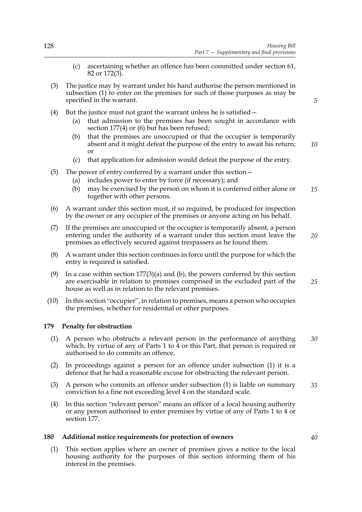- (c) ascertaining whether an offence has been committed under section 61, 82 or 172(3).
- (3) The justice may by warrant under his hand authorise the person mentioned in subsection (1) to enter on the premises for such of those purposes as may be specified in the warrant.
- (4) But the justice must not grant the warrant unless he is satisfied—
	- (a) that admission to the premises has been sought in accordance with section 177(4) or (6) but has been refused;
	- (b) that the premises are unoccupied or that the occupier is temporarily absent and it might defeat the purpose of the entry to await his return; or *10*
	- (c) that application for admission would defeat the purpose of the entry.
- (5) The power of entry conferred by a warrant under this section—
	- (a) includes power to enter by force (if necessary); and
	- (b) may be exercised by the person on whom it is conferred either alone or together with other persons. *15*
- (6) A warrant under this section must, if so required, be produced for inspection by the owner or any occupier of the premises or anyone acting on his behalf.
- (7) If the premises are unoccupied or the occupier is temporarily absent, a person entering under the authority of a warrant under this section must leave the premises as effectively secured against trespassers as he found them.
- (8) A warrant under this section continues in force until the purpose for which the entry is required is satisfied.
- (9) In a case within section  $177(3)$ (a) and (b), the powers conferred by this section are exercisable in relation to premises comprised in the excluded part of the house as well as in relation to the relevant premises. *25*
- (10) In this section "occupier", in relation to premises, means a person who occupies the premises, whether for residential or other purposes.

### **179 Penalty for obstruction**

- (1) A person who obstructs a relevant person in the performance of anything which, by virtue of any of Parts  $1$  to  $\overline{4}$  or this Part, that person is required or authorised to do commits an offence. *30*
- (2) In proceedings against a person for an offence under subsection (1) it is a defence that he had a reasonable excuse for obstructing the relevant person.
- (3) A person who commits an offence under subsection (1) is liable on summary conviction to a fine not exceeding level 4 on the standard scale. *35*
- (4) In this section "relevant person" means an officer of a local housing authority or any person authorised to enter premises by virtue of any of Parts 1 to 4 or section 177.

### **180 Additional notice requirements for protection of owners**

*40*

*5*

*20*

(1) This section applies where an owner of premises gives a notice to the local housing authority for the purposes of this section informing them of his interest in the premises.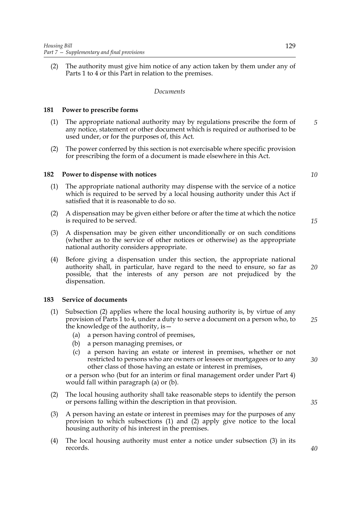(2) The authority must give him notice of any action taken by them under any of Parts 1 to 4 or this Part in relation to the premises.

# *Documents*

# **181 Power to prescribe forms**

- (1) The appropriate national authority may by regulations prescribe the form of any notice, statement or other document which is required or authorised to be used under, or for the purposes of, this Act.
- (2) The power conferred by this section is not exercisable where specific provision for prescribing the form of a document is made elsewhere in this Act.

# **182 Power to dispense with notices**

- (1) The appropriate national authority may dispense with the service of a notice which is required to be served by a local housing authority under this Act if satisfied that it is reasonable to do so.
- (2) A dispensation may be given either before or after the time at which the notice is required to be served.
- (3) A dispensation may be given either unconditionally or on such conditions (whether as to the service of other notices or otherwise) as the appropriate national authority considers appropriate.
- (4) Before giving a dispensation under this section, the appropriate national authority shall, in particular, have regard to the need to ensure, so far as possible, that the interests of any person are not prejudiced by the dispensation.

# **183 Service of documents**

- (1) Subsection (2) applies where the local housing authority is, by virtue of any provision of Parts 1 to 4, under a duty to serve a document on a person who, to the knowledge of the authority, is—
	- (a) a person having control of premises,
	- (b) a person managing premises, or
	- (c) a person having an estate or interest in premises, whether or not restricted to persons who are owners or lessees or mortgagees or to any other class of those having an estate or interest in premises,

or a person who (but for an interim or final management order under Part 4) would fall within paragraph (a) or (b).

- (2) The local housing authority shall take reasonable steps to identify the person or persons falling within the description in that provision.
- (3) A person having an estate or interest in premises may for the purposes of any provision to which subsections (1) and (2) apply give notice to the local housing authority of his interest in the premises.
- (4) The local housing authority must enter a notice under subsection (3) in its records.

*35*

*40*

*10*

*5*

*20*

*25*

*30*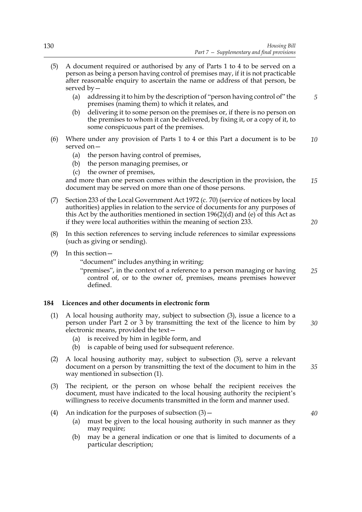- (5) A document required or authorised by any of Parts 1 to 4 to be served on a person as being a person having control of premises may, if it is not practicable after reasonable enquiry to ascertain the name or address of that person, be served by—
	- (a) addressing it to him by the description of "person having control of" the premises (naming them) to which it relates, and *5*
	- (b) delivering it to some person on the premises or, if there is no person on the premises to whom it can be delivered, by fixing it, or a copy of it, to some conspicuous part of the premises.
- (6) Where under any provision of Parts 1 to 4 or this Part a document is to be served on— *10*
	- (a) the person having control of premises,
	- (b) the person managing premises, or
	- (c) the owner of premises,

and more than one person comes within the description in the provision, the document may be served on more than one of those persons. *15*

- (7) Section 233 of the Local Government Act 1972 (c. 70) (service of notices by local authorities) applies in relation to the service of documents for any purposes of this Act by the authorities mentioned in section  $196(2)(d)$  and (e) of this Act as if they were local authorities within the meaning of section 233.
- (8) In this section references to serving include references to similar expressions (such as giving or sending).
- (9) In this section—

"document" includes anything in writing;

"premises", in the context of a reference to a person managing or having control of, or to the owner of, premises, means premises however defined. *25*

# **184 Licences and other documents in electronic form**

- (1) A local housing authority may, subject to subsection (3), issue a licence to a person under Part 2 or 3 by transmitting the text of the licence to him by electronic means, provided the text— *30*
	- (a) is received by him in legible form, and
	- (b) is capable of being used for subsequent reference.
- (2) A local housing authority may, subject to subsection (3), serve a relevant document on a person by transmitting the text of the document to him in the way mentioned in subsection (1). *35*
- (3) The recipient, or the person on whose behalf the recipient receives the document, must have indicated to the local housing authority the recipient's willingness to receive documents transmitted in the form and manner used.
- (4) An indication for the purposes of subsection  $(3)$ 
	- (a) must be given to the local housing authority in such manner as they may require;
	- (b) may be a general indication or one that is limited to documents of a particular description;

*40*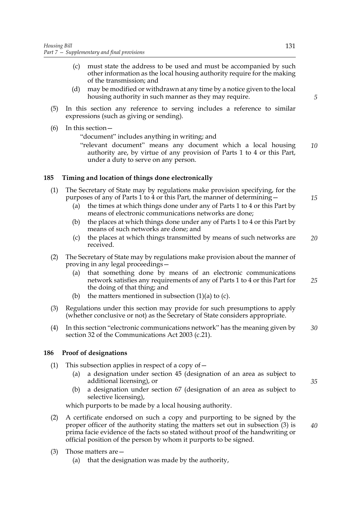- (c) must state the address to be used and must be accompanied by such other information as the local housing authority require for the making of the transmission; and
- (d) may be modified or withdrawn at any time by a notice given to the local housing authority in such manner as they may require.
- (5) In this section any reference to serving includes a reference to similar expressions (such as giving or sending).
- (6) In this section—

"document" includes anything in writing; and

"relevant document" means any document which a local housing authority are, by virtue of any provision of Parts 1 to 4 or this Part, under a duty to serve on any person. *10*

# **185 Timing and location of things done electronically**

- (1) The Secretary of State may by regulations make provision specifying, for the purposes of any of Parts 1 to 4 or this Part, the manner of determining—
	- (a) the times at which things done under any of Parts 1 to 4 or this Part by means of electronic communications networks are done;
	- (b) the places at which things done under any of Parts 1 to 4 or this Part by means of such networks are done; and
	- (c) the places at which things transmitted by means of such networks are received. *20*
- (2) The Secretary of State may by regulations make provision about the manner of proving in any legal proceedings—
	- (a) that something done by means of an electronic communications network satisfies any requirements of any of Parts 1 to 4 or this Part for the doing of that thing; and *25*
	- (b) the matters mentioned in subsection  $(1)(a)$  to  $(c)$ .
- (3) Regulations under this section may provide for such presumptions to apply (whether conclusive or not) as the Secretary of State considers appropriate.
- (4) In this section "electronic communications network" has the meaning given by section 32 of the Communications Act 2003 (c.21). *30*

# **186 Proof of designations**

- (1) This subsection applies in respect of a copy of  $-$ 
	- (a) a designation under section 45 (designation of an area as subject to additional licensing), or
	- (b) a designation under section 67 (designation of an area as subject to selective licensing),

which purports to be made by a local housing authority.

- (2) A certificate endorsed on such a copy and purporting to be signed by the proper officer of the authority stating the matters set out in subsection (3) is prima facie evidence of the facts so stated without proof of the handwriting or official position of the person by whom it purports to be signed.
- (3) Those matters are—
	- (a) that the designation was made by the authority,

*5*

*15*

*35*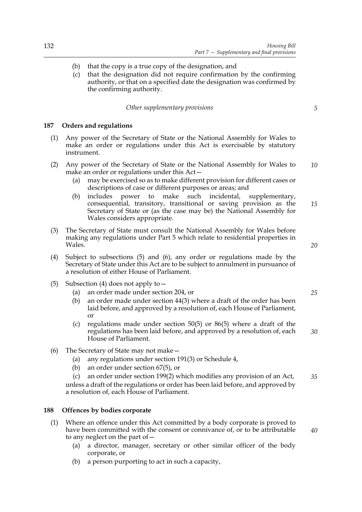- (b) that the copy is a true copy of the designation, and
- (c) that the designation did not require confirmation by the confirming authority, or that on a specified date the designation was confirmed by the confirming authority.

*Other supplementary provisions*

### **187 Orders and regulations**

- (1) Any power of the Secretary of State or the National Assembly for Wales to make an order or regulations under this Act is exercisable by statutory instrument.
- (2) Any power of the Secretary of State or the National Assembly for Wales to make an order or regulations under this Act— *10*
	- (a) may be exercised so as to make different provision for different cases or descriptions of case or different purposes or areas; and
	- (b) includes power to make such incidental, supplementary, consequential, transitory, transitional or saving provision as the Secretary of State or (as the case may be) the National Assembly for Wales considers appropriate. *15*
- (3) The Secretary of State must consult the National Assembly for Wales before making any regulations under Part 5 which relate to residential properties in Wales.
- (4) Subject to subsections (5) and (6), any order or regulations made by the Secretary of State under this Act are to be subject to annulment in pursuance of a resolution of either House of Parliament.
- (5) Subsection (4) does not apply to—
	- (a) an order made under section 204, or
	- (b) an order made under section 44(3) where a draft of the order has been laid before, and approved by a resolution of, each House of Parliament, or
	- (c) regulations made under section 50(5) or 86(5) where a draft of the regulations has been laid before, and approved by a resolution of, each House of Parliament. *30*
- (6) The Secretary of State may not make—
	- (a) any regulations under section 191(3) or Schedule 4,
	- (b) an order under section 67(5), or

(c) an order under section 199(2) which modifies any provision of an Act, unless a draft of the regulations or order has been laid before, and approved by a resolution of, each House of Parliament.

# **188 Offences by bodies corporate**

- (1) Where an offence under this Act committed by a body corporate is proved to have been committed with the consent or connivance of, or to be attributable to any neglect on the part of—
	- (a) a director, manager, secretary or other similar officer of the body corporate, or
	- (b) a person purporting to act in such a capacity,

*5*

*20*

*25*

*35*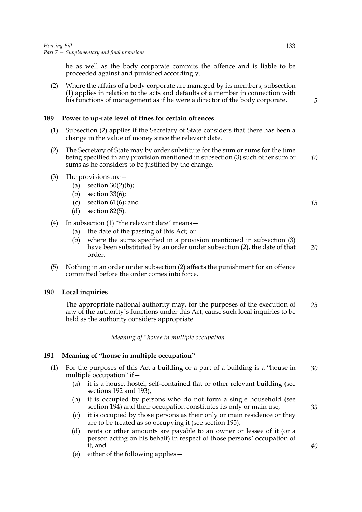he as well as the body corporate commits the offence and is liable to be proceeded against and punished accordingly.

(2) Where the affairs of a body corporate are managed by its members, subsection (1) applies in relation to the acts and defaults of a member in connection with his functions of management as if he were a director of the body corporate.

### **189 Power to up-rate level of fines for certain offences**

- (1) Subsection (2) applies if the Secretary of State considers that there has been a change in the value of money since the relevant date.
- (2) The Secretary of State may by order substitute for the sum or sums for the time being specified in any provision mentioned in subsection (3) such other sum or sums as he considers to be justified by the change. *10*
- (3) The provisions are—
	- (a) section  $30(2)(b)$ ;
	- (b) section 33(6);
	- (c) section  $61(6)$ ; and
	- (d) section 82(5).
- (4) In subsection (1) "the relevant date" means—
	- (a) the date of the passing of this Act; or
	- (b) where the sums specified in a provision mentioned in subsection (3) have been substituted by an order under subsection (2), the date of that order.
- (5) Nothing in an order under subsection (2) affects the punishment for an offence committed before the order comes into force.

### **190 Local inquiries**

The appropriate national authority may, for the purposes of the execution of any of the authority's functions under this Act, cause such local inquiries to be held as the authority considers appropriate. *25*

*Meaning of "house in multiple occupation"*

### **191 Meaning of "house in multiple occupation"**

- (1) For the purposes of this Act a building or a part of a building is a "house in multiple occupation" if— *30*
	- (a) it is a house, hostel, self-contained flat or other relevant building (see sections 192 and 193),
	- (b) it is occupied by persons who do not form a single household (see section 194) and their occupation constitutes its only or main use,
	- (c) it is occupied by those persons as their only or main residence or they are to be treated as so occupying it (see section 195),
	- (d) rents or other amounts are payable to an owner or lessee of it (or a person acting on his behalf) in respect of those persons' occupation of it, and
	- (e) either of the following applies—

*5*

*15*

*20*

*35*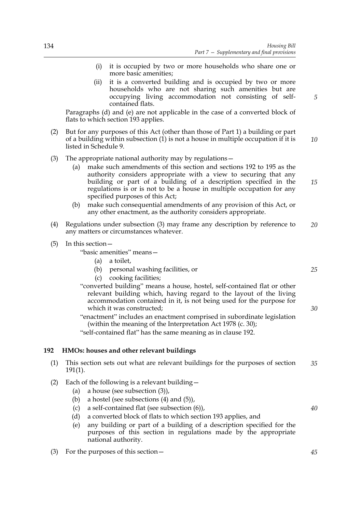- (i) it is occupied by two or more households who share one or more basic amenities;
- (ii) it is a converted building and is occupied by two or more households who are not sharing such amenities but are occupying living accommodation not consisting of selfcontained flats.

Paragraphs (d) and (e) are not applicable in the case of a converted block of flats to which section 193 applies.

- (2) But for any purposes of this Act (other than those of Part 1) a building or part of a building within subsection (1) is not a house in multiple occupation if it is listed in Schedule 9. *10*
- (3) The appropriate national authority may by regulations
	- make such amendments of this section and sections 192 to 195 as the authority considers appropriate with a view to securing that any building or part of a building of a description specified in the regulations is or is not to be a house in multiple occupation for any specified purposes of this Act;
	- (b) make such consequential amendments of any provision of this Act, or any other enactment, as the authority considers appropriate.
- (4) Regulations under subsection (3) may frame any description by reference to any matters or circumstances whatever. *20*
- (5) In this section—

"basic amenities" means—

- (a) a toilet,
- (b) personal washing facilities, or
- (c) cooking facilities;
- "converted building" means a house, hostel, self-contained flat or other relevant building which, having regard to the layout of the living accommodation contained in it, is not being used for the purpose for which it was constructed;
- "enactment" includes an enactment comprised in subordinate legislation (within the meaning of the Interpretation Act 1978 (c. 30);

"self-contained flat" has the same meaning as in clause 192.

#### **192 HMOs: houses and other relevant buildings**

- (1) This section sets out what are relevant buildings for the purposes of section 191(1). *35*
- (2) Each of the following is a relevant building—
	- (a) a house (see subsection (3)),
	- (b) a hostel (see subsections  $(4)$  and  $(5)$ ),
	- (c) a self-contained flat (see subsection (6)),
	- (d) a converted block of flats to which section 193 applies, and
	- (e) any building or part of a building of a description specified for the purposes of this section in regulations made by the appropriate national authority.
- (3) For the purposes of this section—

*45*

*40*

*25*

*5*

*15*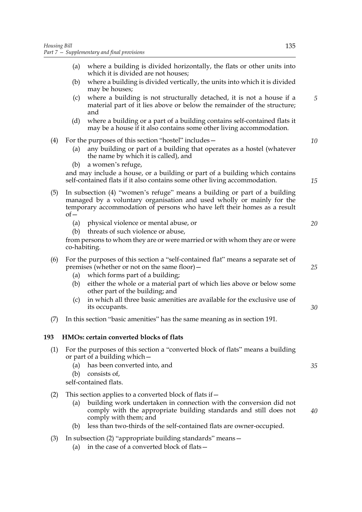- (a) where a building is divided horizontally, the flats or other units into which it is divided are not houses;
- (b) where a building is divided vertically, the units into which it is divided may be houses;
- (c) where a building is not structurally detached, it is not a house if a material part of it lies above or below the remainder of the structure; and
- (d) where a building or a part of a building contains self-contained flats it may be a house if it also contains some other living accommodation.
- (4) For the purposes of this section "hostel" includes—
	- (a) any building or part of a building that operates as a hostel (whatever the name by which it is called), and
	- (b) a women's refuge,

and may include a house, or a building or part of a building which contains self-contained flats if it also contains some other living accommodation.

*15*

*25*

*30*

*10*

*5*

- (5) In subsection (4) "women's refuge" means a building or part of a building managed by a voluntary organisation and used wholly or mainly for the temporary accommodation of persons who have left their homes as a result  $of$ 
	- (a) physical violence or mental abuse, or *20*
	- (b) threats of such violence or abuse,

from persons to whom they are or were married or with whom they are or were co-habiting.

- (6) For the purposes of this section a "self-contained flat" means a separate set of premises (whether or not on the same floor)—
	- (a) which forms part of a building;
	- (b) either the whole or a material part of which lies above or below some other part of the building; and
	- (c) in which all three basic amenities are available for the exclusive use of its occupants.
- (7) In this section "basic amenities" has the same meaning as in section 191.

### **193 HMOs: certain converted blocks of flats**

- (1) For the purposes of this section a "converted block of flats" means a building or part of a building which—
	- (a) has been converted into, and
	- (b) consists of,
	- self-contained flats.
- (2) This section applies to a converted block of flats if—
	- (a) building work undertaken in connection with the conversion did not comply with the appropriate building standards and still does not comply with them; and
	- (b) less than two-thirds of the self-contained flats are owner-occupied.
- (3) In subsection (2) "appropriate building standards" means—
	- (a) in the case of a converted block of flats—

*35*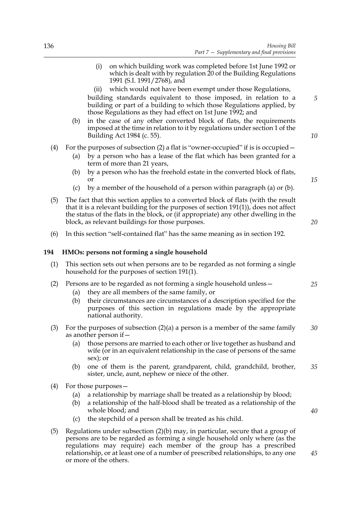(i) on which building work was completed before 1st June 1992 or which is dealt with by regulation 20 of the Building Regulations 1991 (S.I. 1991/2768), and

(ii) which would not have been exempt under those Regulations, building standards equivalent to those imposed, in relation to a building or part of a building to which those Regulations applied, by those Regulations as they had effect on 1st June 1992; and

(b) in the case of any other converted block of flats, the requirements imposed at the time in relation to it by regulations under section 1 of the Building Act 1984 (c. 55).

### (4) For the purposes of subsection (2) a flat is "owner-occupied" if is is occupied  $-$

- (a) by a person who has a lease of the flat which has been granted for a term of more than 21 years,
- (b) by a person who has the freehold estate in the converted block of flats, or
- (c) by a member of the household of a person within paragraph (a) or (b).
- (5) The fact that this section applies to a converted block of flats (with the result that it is a relevant building for the purposes of section 191(1)), does not affect the status of the flats in the block, or (if appropriate) any other dwelling in the block, as relevant buildings for those purposes.
- (6) In this section "self-contained flat" has the same meaning as in section 192.

### **194 HMOs: persons not forming a single household**

- (1) This section sets out when persons are to be regarded as not forming a single household for the purposes of section 191(1).
- (2) Persons are to be regarded as not forming a single household unless—
	- (a) they are all members of the same family, or
	- (b) their circumstances are circumstances of a description specified for the purposes of this section in regulations made by the appropriate national authority.
- (3) For the purposes of subsection  $(2)(a)$  a person is a member of the same family as another person if— *30*
	- (a) those persons are married to each other or live together as husband and wife (or in an equivalent relationship in the case of persons of the same sex); or
	- (b) one of them is the parent, grandparent, child, grandchild, brother, sister, uncle, aunt, nephew or niece of the other.
- (4) For those purposes—
	- (a) a relationship by marriage shall be treated as a relationship by blood;
	- (b) a relationship of the half-blood shall be treated as a relationship of the whole blood; and
	- (c) the stepchild of a person shall be treated as his child.
- (5) Regulations under subsection (2)(b) may, in particular, secure that a group of persons are to be regarded as forming a single household only where (as the regulations may require) each member of the group has a prescribed relationship, or at least one of a number of prescribed relationships, to any one or more of the others.

*10*

*5*

*20*

*15*

*25*

*35*

*40*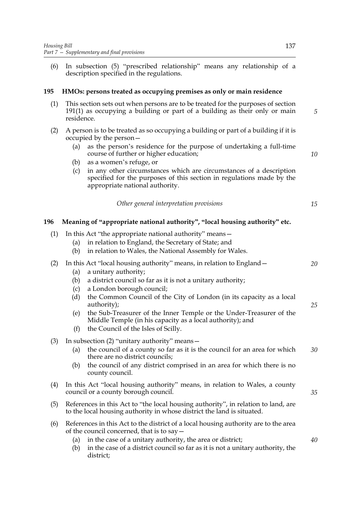(6) In subsection (5) "prescribed relationship" means any relationship of a description specified in the regulations.

# **195 HMOs: persons treated as occupying premises as only or main residence**

- (1) This section sets out when persons are to be treated for the purposes of section 191(1) as occupying a building or part of a building as their only or main residence.
- (2) A person is to be treated as so occupying a building or part of a building if it is occupied by the person—
	- (a) as the person's residence for the purpose of undertaking a full-time course of further or higher education;
- *10*

*5*

- (b) as a women's refuge, or
- (c) in any other circumstances which are circumstances of a description specified for the purposes of this section in regulations made by the appropriate national authority.

| Other general interpretation provisions |  |  |
|-----------------------------------------|--|--|
|                                         |  |  |

#### *15*

*20*

*25*

# **196 Meaning of "appropriate national authority", "local housing authority" etc.**

- (1) In this Act "the appropriate national authority" means—
	- (a) in relation to England, the Secretary of State; and
	- (b) in relation to Wales, the National Assembly for Wales.

# (2) In this Act "local housing authority" means, in relation to England—

- (a) a unitary authority;
- (b) a district council so far as it is not a unitary authority;
- (c) a London borough council;
- (d) the Common Council of the City of London (in its capacity as a local authority);
- (e) the Sub-Treasurer of the Inner Temple or the Under-Treasurer of the Middle Temple (in his capacity as a local authority); and
- (f) the Council of the Isles of Scilly.
- (3) In subsection (2) "unitary authority" means—
	- (a) the council of a county so far as it is the council for an area for which there are no district councils; *30*
	- (b) the council of any district comprised in an area for which there is no county council.
- (4) In this Act "local housing authority" means, in relation to Wales, a county council or a county borough council.
- (5) References in this Act to "the local housing authority", in relation to land, are to the local housing authority in whose district the land is situated.
- (6) References in this Act to the district of a local housing authority are to the area of the council concerned, that is to say—
	- (a) in the case of a unitary authority, the area or district;
	- (b) in the case of a district council so far as it is not a unitary authority, the district;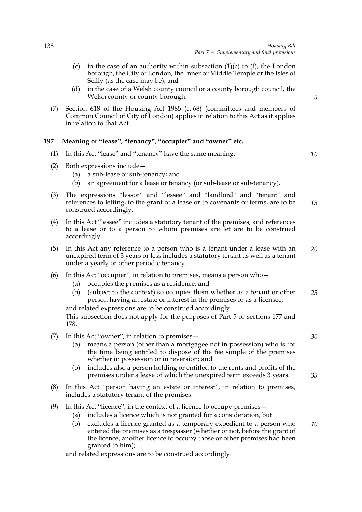- (c) in the case of an authority within subsection  $(1)(c)$  to  $(f)$ , the London borough, the City of London, the Inner or Middle Temple or the Isles of Scilly (as the case may be); and
- (d) in the case of a Welsh county council or a county borough council, the Welsh county or county borough.
- (7) Section 618 of the Housing Act 1985 (c. 68) (committees and members of Common Council of City of London) applies in relation to this Act as it applies in relation to that Act.

### **197 Meaning of "lease", "tenancy", "occupier" and "owner" etc.**

(1) In this Act "lease" and "tenancy" have the same meaning.

*10*

*5*

- (2) Both expressions include—
	- (a) a sub-lease or sub-tenancy; and
	- (b) an agreement for a lease or tenancy (or sub-lease or sub-tenancy).
- (3) The expressions "lessor" and "lessee" and "landlord" and "tenant" and references to letting, to the grant of a lease or to covenants or terms, are to be construed accordingly. *15*
- (4) In this Act "lessee" includes a statutory tenant of the premises; and references to a lease or to a person to whom premises are let are to be construed accordingly.
- (5) In this Act any reference to a person who is a tenant under a lease with an unexpired term of 3 years or less includes a statutory tenant as well as a tenant under a yearly or other periodic tenancy. *20*
- (6) In this Act "occupier", in relation to premises, means a person who—
	- (a) occupies the premises as a residence, and
	- (b) (subject to the context) so occupies them whether as a tenant or other person having an estate or interest in the premises or as a licensee; *25*

and related expressions are to be construed accordingly. This subsection does not apply for the purposes of Part 5 or sections 177 and 178.

- (7) In this Act "owner", in relation to premises—
	- (a) means a person (other than a mortgagee not in possession) who is for the time being entitled to dispose of the fee simple of the premises whether in possession or in reversion; and
	- (b) includes also a person holding or entitled to the rents and profits of the premises under a lease of which the unexpired term exceeds 3 years.
- (8) In this Act "person having an estate or interest", in relation to premises, includes a statutory tenant of the premises.
- (9) In this Act "licence", in the context of a licence to occupy premises—
	- (a) includes a licence which is not granted for a consideration, but
	- (b) excludes a licence granted as a temporary expedient to a person who entered the premises as a trespasser (whether or not, before the grant of the licence, another licence to occupy those or other premises had been granted to him); *40*

and related expressions are to be construed accordingly.

*30*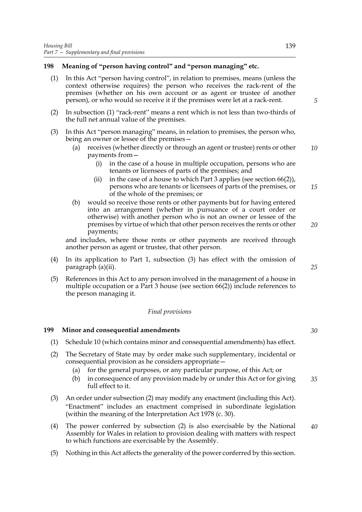# **198 Meaning of "person having control" and "person managing" etc.**

- (1) In this Act "person having control", in relation to premises, means (unless the context otherwise requires) the person who receives the rack-rent of the premises (whether on his own account or as agent or trustee of another person), or who would so receive it if the premises were let at a rack-rent.
- (2) In subsection (1) "rack-rent" means a rent which is not less than two-thirds of the full net annual value of the premises.
- (3) In this Act "person managing" means, in relation to premises, the person who, being an owner or lessee of the premises—
	- (a) receives (whether directly or through an agent or trustee) rents or other payments from— *10*
		- (i) in the case of a house in multiple occupation, persons who are tenants or licensees of parts of the premises; and
		- (ii) in the case of a house to which Part 3 applies (see section  $66(2)$ ), persons who are tenants or licensees of parts of the premises, or of the whole of the premises; or *15*
	- (b) would so receive those rents or other payments but for having entered into an arrangement (whether in pursuance of a court order or otherwise) with another person who is not an owner or lessee of the premises by virtue of which that other person receives the rents or other payments; *20*

and includes, where those rents or other payments are received through another person as agent or trustee, that other person.

- (4) In its application to Part 1, subsection (3) has effect with the omission of paragraph (a)(ii).
- (5) References in this Act to any person involved in the management of a house in multiple occupation or a Part 3 house (see section 66(2)) include references to the person managing it.

#### *Final provisions*

### **199 Minor and consequential amendments**

- (1) Schedule 10 (which contains minor and consequential amendments) has effect.
- (2) The Secretary of State may by order make such supplementary, incidental or consequential provision as he considers appropriate—
	- (a) for the general purposes, or any particular purpose, of this Act; or
	- (b) in consequence of any provision made by or under this Act or for giving full effect to it. *35*
- (3) An order under subsection (2) may modify any enactment (including this Act). "Enactment" includes an enactment comprised in subordinate legislation (within the meaning of the Interpretation Act 1978 (c. 30).
- (4) The power conferred by subsection (2) is also exercisable by the National Assembly for Wales in relation to provision dealing with matters with respect to which functions are exercisable by the Assembly. *40*
- (5) Nothing in this Act affects the generality of the power conferred by this section.

*5*

*25*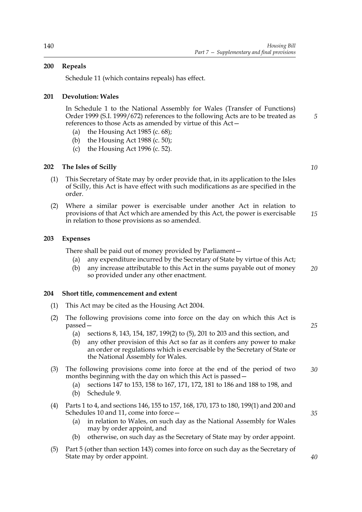# **200 Repeals**

Schedule 11 (which contains repeals) has effect.

# **201 Devolution: Wales**

In Schedule 1 to the National Assembly for Wales (Transfer of Functions) Order 1999 (S.I. 1999/672) references to the following Acts are to be treated as references to those Acts as amended by virtue of this Act—

- (a) the Housing Act 1985 (c. 68);
- (b) the Housing Act 1988 (c. 50);
- (c) the Housing Act 1996 (c. 52).

# **202 The Isles of Scilly**

- (1) This Secretary of State may by order provide that, in its application to the Isles of Scilly, this Act is have effect with such modifications as are specified in the order.
- (2) Where a similar power is exercisable under another Act in relation to provisions of that Act which are amended by this Act, the power is exercisable in relation to those provisions as so amended. *15*

### **203 Expenses**

There shall be paid out of money provided by Parliament—

- (a) any expenditure incurred by the Secretary of State by virtue of this Act;
- (b) any increase attributable to this Act in the sums payable out of money so provided under any other enactment. *20*

### **204 Short title, commencement and extent**

- (1) This Act may be cited as the Housing Act 2004.
- (2) The following provisions come into force on the day on which this Act is passed—
	- (a) sections 8, 143, 154, 187, 199(2) to (5), 201 to 203 and this section, and
	- (b) any other provision of this Act so far as it confers any power to make an order or regulations which is exercisable by the Secretary of State or the National Assembly for Wales.
- (3) The following provisions come into force at the end of the period of two months beginning with the day on which this Act is passed— *30*
	- (a) sections 147 to 153, 158 to 167, 171, 172, 181 to 186 and 188 to 198, and
	- (b) Schedule 9.
- (4) Parts 1 to 4, and sections 146, 155 to 157, 168, 170, 173 to 180, 199(1) and 200 and Schedules 10 and 11, come into force—
	- (a) in relation to Wales, on such day as the National Assembly for Wales may by order appoint, and
	- (b) otherwise, on such day as the Secretary of State may by order appoint.
- (5) Part 5 (other than section 143) comes into force on such day as the Secretary of State may by order appoint.

*10*

*5*

*25*

*35*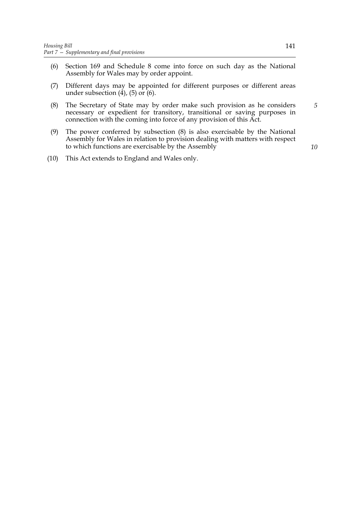- (6) Section 169 and Schedule 8 come into force on such day as the National Assembly for Wales may by order appoint.
- (7) Different days may be appointed for different purposes or different areas under subsection  $(4)$ ,  $(5)$  or  $(6)$ .
- (8) The Secretary of State may by order make such provision as he considers necessary or expedient for transitory, transitional or saving purposes in connection with the coming into force of any provision of this Act.
- (9) The power conferred by subsection (8) is also exercisable by the National Assembly for Wales in relation to provision dealing with matters with respect to which functions are exercisable by the Assembly
- (10) This Act extends to England and Wales only.

*10*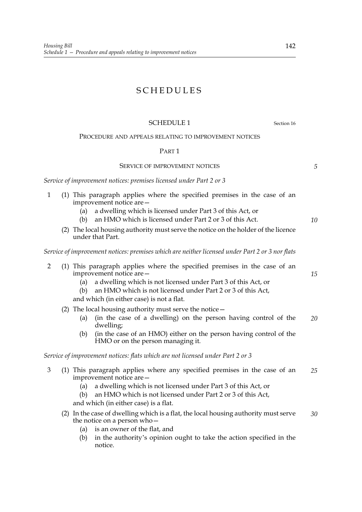# SCHEDULES

# SCHEDULE 1 Section 16

### PROCEDURE AND APPEALS RELATING TO IMPROVEMENT NOTICES

### PART 1

SERVICE OF IMPROVEMENT NOTICES

*Service of improvement notices: premises licensed under Part 2 or 3*

- 1 (1) This paragraph applies where the specified premises in the case of an improvement notice are—
	- (a) a dwelling which is licensed under Part 3 of this Act, or
	- (b) an HMO which is licensed under Part 2 or 3 of this Act.
	- (2) The local housing authority must serve the notice on the holder of the licence under that Part.

*Service of improvement notices: premises which are neither licensed under Part 2 or 3 nor flats*

- 2 (1) This paragraph applies where the specified premises in the case of an improvement notice are—
	- (a) a dwelling which is not licensed under Part 3 of this Act, or
	- (b) an HMO which is not licensed under Part 2 or 3 of this Act,

and which (in either case) is not a flat.

- (2) The local housing authority must serve the notice—
	- (a) (in the case of a dwelling) on the person having control of the dwelling; *20*
	- (b) (in the case of an HMO) either on the person having control of the HMO or on the person managing it.

*Service of improvement notices: flats which are not licensed under Part 2 or 3*

- 3 (1) This paragraph applies where any specified premises in the case of an improvement notice are— *25*
	- (a) a dwelling which is not licensed under Part 3 of this Act, or
	- (b) an HMO which is not licensed under Part 2 or 3 of this Act,

and which (in either case) is a flat.

- (2) In the case of dwelling which is a flat, the local housing authority must serve the notice on a person who— *30*
	- (a) is an owner of the flat, and
	- (b) in the authority's opinion ought to take the action specified in the notice.

*15*

*10*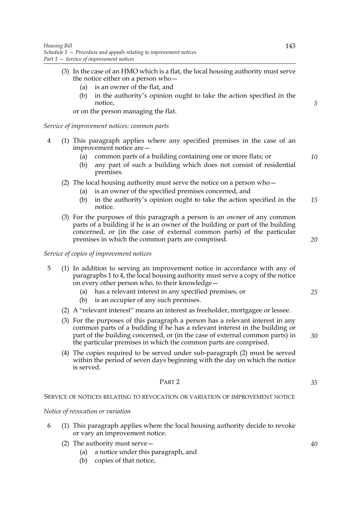- (3) In the case of an HMO which is a flat, the local housing authority must serve the notice either on a person who—
	- (a) is an owner of the flat, and
	- (b) in the authority's opinion ought to take the action specified in the notice,

or on the person managing the flat.

*Service of improvement notices: common parts*

- 4 (1) This paragraph applies where any specified premises in the case of an improvement notice are—
	- (a) common parts of a building containing one or more flats; or
	- (b) any part of such a building which does not consist of residential premises.
	- (2) The local housing authority must serve the notice on a person who $-$ 
		- (a) is an owner of the specified premises concerned, and
		- (b) in the authority's opinion ought to take the action specified in the notice. *15*
	- (3) For the purposes of this paragraph a person is an owner of any common parts of a building if he is an owner of the building or part of the building concerned, or (in the case of external common parts) of the particular premises in which the common parts are comprised.

#### *Service of copies of improvement notices*

- 5 (1) In addition to serving an improvement notice in accordance with any of paragraphs 1 to 4, the local housing authority must serve a copy of the notice on every other person who, to their knowledge—
	- (a) has a relevant interest in any specified premises, or
	- (b) is an occupier of any such premises.
	- (2) A "relevant interest" means an interest as freeholder, mortgagee or lessee.
	- (3) For the purposes of this paragraph a person has a relevant interest in any common parts of a building if he has a relevant interest in the building or part of the building concerned, or (in the case of external common parts) in the particular premises in which the common parts are comprised.
	- (4) The copies required to be served under sub-paragraph (2) must be served within the period of seven days beginning with the day on which the notice is served.

PART 2

SERVICE OF NOTICES RELATING TO REVOCATION OR VARIATION OF IMPROVEMENT NOTICE

*Notice of revocation or variation*

- 6 (1) This paragraph applies where the local housing authority decide to revoke or vary an improvement notice.
	- (2) The authority must serve—
		- (a) a notice under this paragraph, and
		- (b) copies of that notice,

*5*

*10*

*20*

*25*

*30*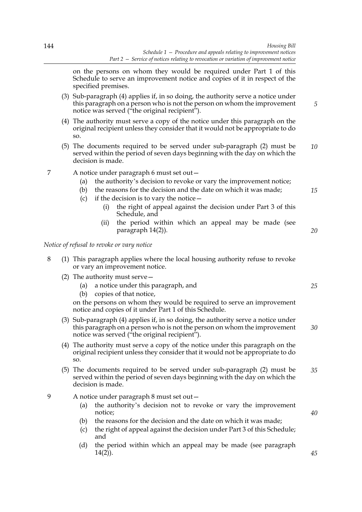on the persons on whom they would be required under Part 1 of this Schedule to serve an improvement notice and copies of it in respect of the specified premises.

- (3) Sub-paragraph (4) applies if, in so doing, the authority serve a notice under this paragraph on a person who is not the person on whom the improvement notice was served ("the original recipient").
- (4) The authority must serve a copy of the notice under this paragraph on the original recipient unless they consider that it would not be appropriate to do so.
- (5) The documents required to be served under sub-paragraph (2) must be served within the period of seven days beginning with the day on which the decision is made. *10*
- 7 A notice under paragraph 6 must set out—
	- (a) the authority's decision to revoke or vary the improvement notice;
	- (b) the reasons for the decision and the date on which it was made;
	- (c) if the decision is to vary the notice—
		- (i) the right of appeal against the decision under Part 3 of this Schedule, and
		- (ii) the period within which an appeal may be made (see paragraph 14(2)).

*Notice of refusal to revoke or vary notice*

- 8 (1) This paragraph applies where the local housing authority refuse to revoke or vary an improvement notice.
	- (2) The authority must serve—
		- (a) a notice under this paragraph, and
		- (b) copies of that notice,

on the persons on whom they would be required to serve an improvement notice and copies of it under Part 1 of this Schedule.

- (3) Sub-paragraph (4) applies if, in so doing, the authority serve a notice under this paragraph on a person who is not the person on whom the improvement notice was served ("the original recipient"). *30*
- (4) The authority must serve a copy of the notice under this paragraph on the original recipient unless they consider that it would not be appropriate to do so.
- (5) The documents required to be served under sub-paragraph (2) must be served within the period of seven days beginning with the day on which the decision is made. *35*
- 9 A notice under paragraph 8 must set out—
	- (a) the authority's decision not to revoke or vary the improvement notice;
	- (b) the reasons for the decision and the date on which it was made;
	- (c) the right of appeal against the decision under Part 3 of this Schedule; and
	- (d) the period within which an appeal may be made (see paragraph  $14(2)$ ).

*25*

*5*

*15*

*20*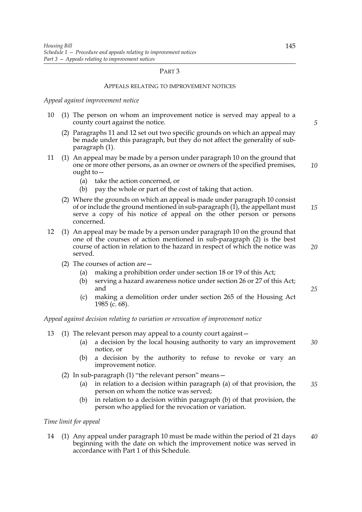#### PART 3

#### APPEALS RELATING TO IMPROVEMENT NOTICES

*Appeal against improvement notice*

- 10 (1) The person on whom an improvement notice is served may appeal to a county court against the notice.
	- (2) Paragraphs 11 and 12 set out two specific grounds on which an appeal may be made under this paragraph, but they do not affect the generality of subparagraph (1).
- 11 (1) An appeal may be made by a person under paragraph 10 on the ground that one or more other persons, as an owner or owners of the specified premises, ought to—
	- (a) take the action concerned, or
	- (b) pay the whole or part of the cost of taking that action.
	- (2) Where the grounds on which an appeal is made under paragraph 10 consist of or include the ground mentioned in sub-paragraph (1), the appellant must serve a copy of his notice of appeal on the other person or persons concerned. *15*
- 12 (1) An appeal may be made by a person under paragraph 10 on the ground that one of the courses of action mentioned in sub-paragraph (2) is the best course of action in relation to the hazard in respect of which the notice was served. *20*
	- (2) The courses of action are—
		- (a) making a prohibition order under section 18 or 19 of this Act;
		- (b) serving a hazard awareness notice under section 26 or 27 of this Act; and
		- (c) making a demolition order under section 265 of the Housing Act 1985 (c. 68).

*Appeal against decision relating to variation or revocation of improvement notice*

- 13 (1) The relevant person may appeal to a county court against—
	- (a) a decision by the local housing authority to vary an improvement notice, or *30*
	- (b) a decision by the authority to refuse to revoke or vary an improvement notice.
	- (2) In sub-paragraph (1) "the relevant person" means—
		- (a) in relation to a decision within paragraph (a) of that provision, the person on whom the notice was served; *35*
		- (b) in relation to a decision within paragraph (b) of that provision, the person who applied for the revocation or variation.

#### *Time limit for appeal*

14 (1) Any appeal under paragraph 10 must be made within the period of 21 days beginning with the date on which the improvement notice was served in accordance with Part 1 of this Schedule. *40*

*5*

*10*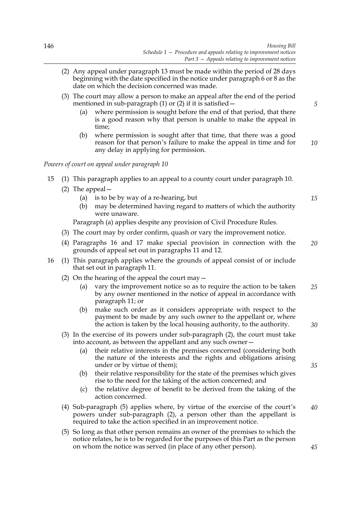*5*

*15*

*30*

*35*

*45*

- (2) Any appeal under paragraph 13 must be made within the period of 28 days beginning with the date specified in the notice under paragraph 6 or 8 as the date on which the decision concerned was made.
- (3) The court may allow a person to make an appeal after the end of the period mentioned in sub-paragraph  $(1)$  or  $(2)$  if it is satisfied  $-$ 
	- (a) where permission is sought before the end of that period, that there is a good reason why that person is unable to make the appeal in time;
	- (b) where permission is sought after that time, that there was a good reason for that person's failure to make the appeal in time and for any delay in applying for permission. *10*

### *Powers of court on appeal under paragraph 10*

- 15 (1) This paragraph applies to an appeal to a county court under paragraph 10.
	- (2) The appeal—
		- (a) is to be by way of a re-hearing, but
		- (b) may be determined having regard to matters of which the authority were unaware.

Paragraph (a) applies despite any provision of Civil Procedure Rules.

- (3) The court may by order confirm, quash or vary the improvement notice.
- (4) Paragraphs 16 and 17 make special provision in connection with the grounds of appeal set out in paragraphs 11 and 12. *20*
- 16 (1) This paragraph applies where the grounds of appeal consist of or include that set out in paragraph 11.
	- (2) On the hearing of the appeal the court may  $-$ 
		- (a) vary the improvement notice so as to require the action to be taken by any owner mentioned in the notice of appeal in accordance with paragraph 11; or *25*
		- (b) make such order as it considers appropriate with respect to the payment to be made by any such owner to the appellant or, where the action is taken by the local housing authority, to the authority.
	- (3) In the exercise of its powers under sub-paragraph (2), the court must take into account, as between the appellant and any such owner—
		- (a) their relative interests in the premises concerned (considering both the nature of the interests and the rights and obligations arising under or by virtue of them);
		- (b) their relative responsibility for the state of the premises which gives rise to the need for the taking of the action concerned; and
		- (c) the relative degree of benefit to be derived from the taking of the action concerned.
	- (4) Sub-paragraph (5) applies where, by virtue of the exercise of the court's powers under sub-paragraph (2), a person other than the appellant is required to take the action specified in an improvement notice. *40*
	- (5) So long as that other person remains an owner of the premises to which the notice relates, he is to be regarded for the purposes of this Part as the person on whom the notice was served (in place of any other person).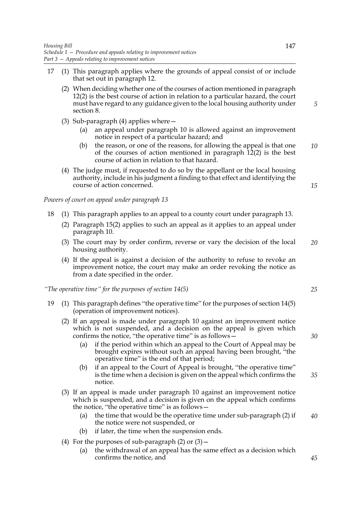- 17 (1) This paragraph applies where the grounds of appeal consist of or include that set out in paragraph 12.
	- (2) When deciding whether one of the courses of action mentioned in paragraph 12(2) is the best course of action in relation to a particular hazard, the court must have regard to any guidance given to the local housing authority under section 8.
	- (3) Sub-paragraph (4) applies where—
		- (a) an appeal under paragraph 10 is allowed against an improvement notice in respect of a particular hazard; and
		- (b) the reason, or one of the reasons, for allowing the appeal is that one of the courses of action mentioned in paragraph 12(2) is the best course of action in relation to that hazard. *10*
	- (4) The judge must, if requested to do so by the appellant or the local housing authority, include in his judgment a finding to that effect and identifying the course of action concerned.

*Powers of court on appeal under paragraph 13*

- 18 (1) This paragraph applies to an appeal to a county court under paragraph 13.
	- (2) Paragraph 15(2) applies to such an appeal as it applies to an appeal under paragraph 10.
	- (3) The court may by order confirm, reverse or vary the decision of the local housing authority. *20*
	- (4) If the appeal is against a decision of the authority to refuse to revoke an improvement notice, the court may make an order revoking the notice as from a date specified in the order.

*"The operative time" for the purposes of section 14(5)*

- 19 (1) This paragraph defines "the operative time" for the purposes of section 14(5) (operation of improvement notices).
	- (2) If an appeal is made under paragraph 10 against an improvement notice which is not suspended, and a decision on the appeal is given which confirms the notice, "the operative time" is as follows—
		- (a) if the period within which an appeal to the Court of Appeal may be brought expires without such an appeal having been brought, "the operative time" is the end of that period;
		- (b) if an appeal to the Court of Appeal is brought, "the operative time" is the time when a decision is given on the appeal which confirms the notice. *35*
	- (3) If an appeal is made under paragraph 10 against an improvement notice which is suspended, and a decision is given on the appeal which confirms the notice, "the operative time" is as follows—
		- (a) the time that would be the operative time under sub-paragraph (2) if the notice were not suspended, or *40*
		- (b) if later, the time when the suspension ends.
	- (4) For the purposes of sub-paragraph  $(2)$  or  $(3)$  -
		- (a) the withdrawal of an appeal has the same effect as a decision which confirms the notice, and

*5*

*15*

*30*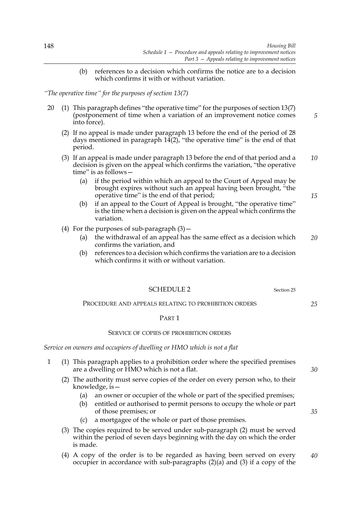(b) references to a decision which confirms the notice are to a decision which confirms it with or without variation.

### *"The operative time" for the purposes of section 13(7)*

- 20 (1) This paragraph defines "the operative time" for the purposes of section 13(7) (postponement of time when a variation of an improvement notice comes into force).
	- (2) If no appeal is made under paragraph 13 before the end of the period of 28 days mentioned in paragraph  $14(2)$ , "the operative time" is the end of that period.
	- (3) If an appeal is made under paragraph 13 before the end of that period and a decision is given on the appeal which confirms the variation, "the operative time" is as follows— *10*
		- (a) if the period within which an appeal to the Court of Appeal may be brought expires without such an appeal having been brought, "the operative time" is the end of that period;
		- (b) if an appeal to the Court of Appeal is brought, "the operative time" is the time when a decision is given on the appeal which confirms the variation.
	- (4) For the purposes of sub-paragraph  $(3)$  -
		- (a) the withdrawal of an appeal has the same effect as a decision which confirms the variation, and *20*
		- (b) references to a decision which confirms the variation are to a decision which confirms it with or without variation.

### SCHEDULE 2 Section 25

PROCEDURE AND APPEALS RELATING TO PROHIBITION ORDERS

### PART 1

#### SERVICE OF COPIES OF PROHIBITION ORDERS

*Service on owners and occupiers of dwelling or HMO which is not a flat*

- 1 (1) This paragraph applies to a prohibition order where the specified premises are a dwelling or HMO which is not a flat.
	- (2) The authority must serve copies of the order on every person who, to their knowledge, is—
		- (a) an owner or occupier of the whole or part of the specified premises;
		- (b) entitled or authorised to permit persons to occupy the whole or part of those premises; or
		- (c) a mortgagee of the whole or part of those premises.
	- (3) The copies required to be served under sub-paragraph (2) must be served within the period of seven days beginning with the day on which the order is made.
	- (4) A copy of the order is to be regarded as having been served on every occupier in accordance with sub-paragraphs (2)(a) and (3) if a copy of the *40*

*30*

*25*

*35*

*15*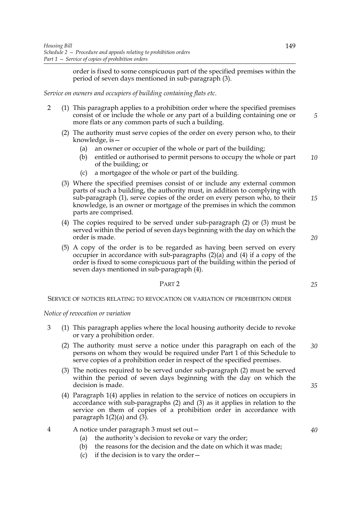order is fixed to some conspicuous part of the specified premises within the period of seven days mentioned in sub-paragraph (3).

*Service on owners and occupiers of building containing flats etc.*

- 2 (1) This paragraph applies to a prohibition order where the specified premises consist of or include the whole or any part of a building containing one or more flats or any common parts of such a building.
	- (2) The authority must serve copies of the order on every person who, to their knowledge, is—
		- (a) an owner or occupier of the whole or part of the building;
		- (b) entitled or authorised to permit persons to occupy the whole or part of the building; or *10*
		- (c) a mortgagee of the whole or part of the building.
	- (3) Where the specified premises consist of or include any external common parts of such a building, the authority must, in addition to complying with sub-paragraph (1), serve copies of the order on every person who, to their knowledge, is an owner or mortgage of the premises in which the common parts are comprised. *15*
	- (4) The copies required to be served under sub-paragraph (2) or (3) must be served within the period of seven days beginning with the day on which the order is made.
	- (5) A copy of the order is to be regarded as having been served on every occupier in accordance with sub-paragraphs  $(2)(a)$  and  $(4)$  if a copy of the order is fixed to some conspicuous part of the building within the period of seven days mentioned in sub-paragraph (4).

#### PART 2

SERVICE OF NOTICES RELATING TO REVOCATION OR VARIATION OF PROHIBITION ORDER

#### *Notice of revocation or variation*

- 3 (1) This paragraph applies where the local housing authority decide to revoke or vary a prohibition order.
	- (2) The authority must serve a notice under this paragraph on each of the persons on whom they would be required under Part 1 of this Schedule to serve copies of a prohibition order in respect of the specified premises. *30*
	- (3) The notices required to be served under sub-paragraph (2) must be served within the period of seven days beginning with the day on which the decision is made.
	- (4) Paragraph 1(4) applies in relation to the service of notices on occupiers in accordance with sub-paragraphs (2) and (3) as it applies in relation to the service on them of copies of a prohibition order in accordance with paragraph  $1(2)(a)$  and  $(3)$ .
- 4 A notice under paragraph 3 must set out—
	- (a) the authority's decision to revoke or vary the order;
	- (b) the reasons for the decision and the date on which it was made;
	- (c) if the decision is to vary the order—

*20*

*5*

*35*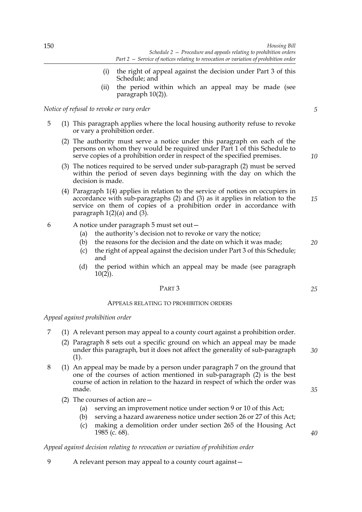- (i) the right of appeal against the decision under Part 3 of this Schedule; and
- (ii) the period within which an appeal may be made (see paragraph 10(2)).

*Notice of refusal to revoke or vary order*

- 5 (1) This paragraph applies where the local housing authority refuse to revoke or vary a prohibition order.
	- (2) The authority must serve a notice under this paragraph on each of the persons on whom they would be required under Part 1 of this Schedule to serve copies of a prohibition order in respect of the specified premises.
	- (3) The notices required to be served under sub-paragraph (2) must be served within the period of seven days beginning with the day on which the decision is made.
	- (4) Paragraph 1(4) applies in relation to the service of notices on occupiers in accordance with sub-paragraphs (2) and (3) as it applies in relation to the service on them of copies of a prohibition order in accordance with paragraph  $1(2)(a)$  and  $(3)$ . *15*
- 6 A notice under paragraph 5 must set out—
	- (a) the authority's decision not to revoke or vary the notice;
	- (b) the reasons for the decision and the date on which it was made;
	- (c) the right of appeal against the decision under Part 3 of this Schedule; and
	- (d) the period within which an appeal may be made (see paragraph  $10(2)$ ).

#### PART 3

### APPEALS RELATING TO PROHIBITION ORDERS

*Appeal against prohibition order*

- 7 (1) A relevant person may appeal to a county court against a prohibition order.
	- (2) Paragraph 8 sets out a specific ground on which an appeal may be made under this paragraph, but it does not affect the generality of sub-paragraph (1). *30*
- 8 (1) An appeal may be made by a person under paragraph 7 on the ground that one of the courses of action mentioned in sub-paragraph (2) is the best course of action in relation to the hazard in respect of which the order was made.
	- (2) The courses of action are—
		- (a) serving an improvement notice under section 9 or 10 of this Act;
		- (b) serving a hazard awareness notice under section 26 or 27 of this Act;
		- (c) making a demolition order under section 265 of the Housing Act 1985 (c. 68).

#### *Appeal against decision relating to revocation or variation of prohibition order*

9 A relevant person may appeal to a county court against—

*5*

*10*

*20*

*25*

*35*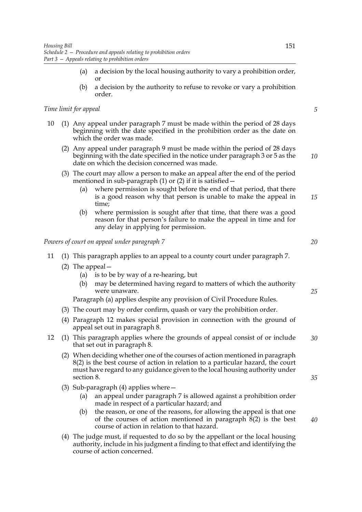- (a) a decision by the local housing authority to vary a prohibition order, or
- (b) a decision by the authority to refuse to revoke or vary a prohibition order.

### *Time limit for appeal*

*5*

*10*

- 10 (1) Any appeal under paragraph 7 must be made within the period of 28 days beginning with the date specified in the prohibition order as the date on which the order was made.
	- (2) Any appeal under paragraph 9 must be made within the period of 28 days beginning with the date specified in the notice under paragraph 3 or 5 as the date on which the decision concerned was made.
	- (3) The court may allow a person to make an appeal after the end of the period mentioned in sub-paragraph  $(1)$  or  $(2)$  if it is satisfied  $-$ 
		- (a) where permission is sought before the end of that period, that there is a good reason why that person is unable to make the appeal in time; *15*
		- (b) where permission is sought after that time, that there was a good reason for that person's failure to make the appeal in time and for any delay in applying for permission.

*Powers of court on appeal under paragraph 7*

- 11 (1) This paragraph applies to an appeal to a county court under paragraph 7.
	- (2) The appeal—
		- (a) is to be by way of a re-hearing, but
		- (b) may be determined having regard to matters of which the authority were unaware.

Paragraph (a) applies despite any provision of Civil Procedure Rules.

- (3) The court may by order confirm, quash or vary the prohibition order.
- (4) Paragraph 12 makes special provision in connection with the ground of appeal set out in paragraph 8.
- 12 (1) This paragraph applies where the grounds of appeal consist of or include that set out in paragraph 8. *30*
	- (2) When deciding whether one of the courses of action mentioned in paragraph 8(2) is the best course of action in relation to a particular hazard, the court must have regard to any guidance given to the local housing authority under section 8.
	- (3) Sub-paragraph (4) applies where—
		- (a) an appeal under paragraph 7 is allowed against a prohibition order made in respect of a particular hazard; and
		- (b) the reason, or one of the reasons, for allowing the appeal is that one of the courses of action mentioned in paragraph  $\frac{8}{2}$  is the best course of action in relation to that hazard.
	- (4) The judge must, if requested to do so by the appellant or the local housing authority, include in his judgment a finding to that effect and identifying the course of action concerned.

*20*

*25*

*35*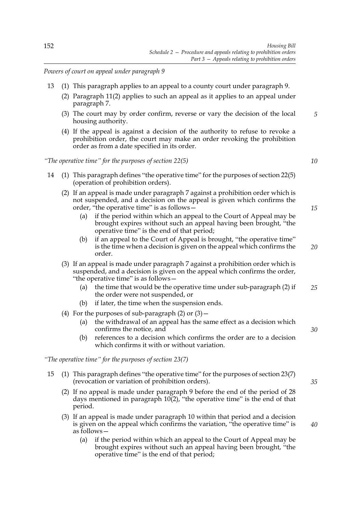*Powers of court on appeal under paragraph 9*

- 13 (1) This paragraph applies to an appeal to a county court under paragraph 9.
	- (2) Paragraph 11(2) applies to such an appeal as it applies to an appeal under paragraph 7.
	- (3) The court may by order confirm, reverse or vary the decision of the local housing authority. *5*
	- (4) If the appeal is against a decision of the authority to refuse to revoke a prohibition order, the court may make an order revoking the prohibition order as from a date specified in its order.

*"The operative time" for the purposes of section 22(5)*

- 14 (1) This paragraph defines "the operative time" for the purposes of section 22(5) (operation of prohibition orders).
	- (2) If an appeal is made under paragraph 7 against a prohibition order which is not suspended, and a decision on the appeal is given which confirms the order, "the operative time" is as follows—
		- (a) if the period within which an appeal to the Court of Appeal may be brought expires without such an appeal having been brought, "the operative time" is the end of that period;
		- (b) if an appeal to the Court of Appeal is brought, "the operative time" is the time when a decision is given on the appeal which confirms the order. *20*
	- (3) If an appeal is made under paragraph 7 against a prohibition order which is suspended, and a decision is given on the appeal which confirms the order, "the operative time" is as follows—
		- (a) the time that would be the operative time under sub-paragraph (2) if the order were not suspended, or *25*
		- (b) if later, the time when the suspension ends.
	- (4) For the purposes of sub-paragraph  $(2)$  or  $(3)$  -
		- (a) the withdrawal of an appeal has the same effect as a decision which confirms the notice, and
		- (b) references to a decision which confirms the order are to a decision which confirms it with or without variation.

*"The operative time" for the purposes of section 23(7)*

- 15 (1) This paragraph defines "the operative time" for the purposes of section 23(7) (revocation or variation of prohibition orders).
	- (2) If no appeal is made under paragraph 9 before the end of the period of 28 days mentioned in paragraph  $10(2)$ , "the operative time" is the end of that period.
	- (3) If an appeal is made under paragraph 10 within that period and a decision is given on the appeal which confirms the variation, "the operative time" is as follows—
		- (a) if the period within which an appeal to the Court of Appeal may be brought expires without such an appeal having been brought, "the operative time" is the end of that period;

*10*

*15*

*30*

*35*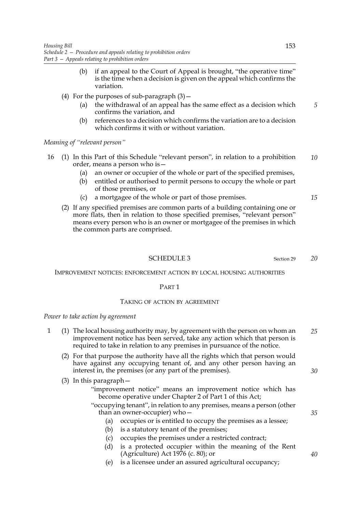- (b) if an appeal to the Court of Appeal is brought, "the operative time" is the time when a decision is given on the appeal which confirms the variation.
- (4) For the purposes of sub-paragraph  $(3)$  -
	- (a) the withdrawal of an appeal has the same effect as a decision which confirms the variation, and
	- (b) references to a decision which confirms the variation are to a decision which confirms it with or without variation.

*Meaning of "relevant person"*

- 16 (1) In this Part of this Schedule "relevant person", in relation to a prohibition order, means a person who is— *10*
	- (a) an owner or occupier of the whole or part of the specified premises,
	- (b) entitled or authorised to permit persons to occupy the whole or part of those premises, or
	- (c) a mortgagee of the whole or part of those premises.
	- (2) If any specified premises are common parts of a building containing one or more flats, then in relation to those specified premises, "relevant person" means every person who is an owner or mortgagee of the premises in which the common parts are comprised.

#### SCHEDULE 3 Section 29

IMPROVEMENT NOTICES: ENFORCEMENT ACTION BY LOCAL HOUSING AUTHORITIES

#### PART 1

#### TAKING OF ACTION BY AGREEMENT

#### *Power to take action by agreement*

| (1) |                             | The local housing authority may, by agreement with the person on whom an<br>improvement notice has been served, take any action which that person is<br>required to take in relation to any premises in pursuance of the notice. | 25 |
|-----|-----------------------------|----------------------------------------------------------------------------------------------------------------------------------------------------------------------------------------------------------------------------------|----|
|     |                             | (2) For that purpose the authority have all the rights which that person would<br>have against any occupying tenant of, and any other person having an<br>interest in, the premises (or any part of the premises).               | 30 |
|     | $(3)$ In this paragraph $-$ |                                                                                                                                                                                                                                  |    |
|     |                             | "improvement notice" means an improvement notice which has<br>become operative under Chapter 2 of Part 1 of this Act;                                                                                                            |    |
|     |                             | "occupying tenant", in relation to any premises, means a person (other<br>than an owner-occupier) who-                                                                                                                           | 35 |
|     | (a)                         | occupies or is entitled to occupy the premises as a lessee;                                                                                                                                                                      |    |
|     | (b)                         | is a statutory tenant of the premises;                                                                                                                                                                                           |    |
|     | (c)                         | occupies the premises under a restricted contract;                                                                                                                                                                               |    |
|     | (d)                         | is a protected occupier within the meaning of the Rent                                                                                                                                                                           |    |
|     |                             | (Agriculture) Act 1976 (c. 80); or                                                                                                                                                                                               | 40 |

(e) is a licensee under an assured agricultural occupancy;

*20*

*25*

*15*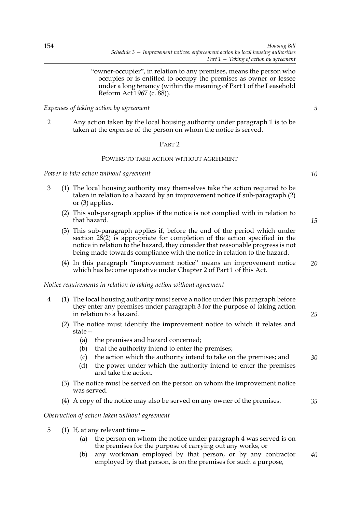"owner-occupier", in relation to any premises, means the person who occupies or is entitled to occupy the premises as owner or lessee under a long tenancy (within the meaning of Part 1 of the Leasehold Reform Act 1967 (c. 88)).

*Expenses of taking action by agreement*

2 Any action taken by the local housing authority under paragraph 1 is to be taken at the expense of the person on whom the notice is served.

### PART 2

### POWERS TO TAKE ACTION WITHOUT AGREEMENT

*Power to take action without agreement*

- 3 (1) The local housing authority may themselves take the action required to be taken in relation to a hazard by an improvement notice if sub-paragraph (2) or (3) applies.
	- (2) This sub-paragraph applies if the notice is not complied with in relation to that hazard.
	- (3) This sub-paragraph applies if, before the end of the period which under section 28(2) is appropriate for completion of the action specified in the notice in relation to the hazard, they consider that reasonable progress is not being made towards compliance with the notice in relation to the hazard.
	- (4) In this paragraph "improvement notice" means an improvement notice which has become operative under Chapter 2 of Part 1 of this Act. *20*

*Notice requirements in relation to taking action without agreement*

- 4 (1) The local housing authority must serve a notice under this paragraph before they enter any premises under paragraph 3 for the purpose of taking action in relation to a hazard.
	- (2) The notice must identify the improvement notice to which it relates and state—
		- (a) the premises and hazard concerned;
		- (b) that the authority intend to enter the premises;
		- (c) the action which the authority intend to take on the premises; and *30*
		- (d) the power under which the authority intend to enter the premises and take the action.
	- (3) The notice must be served on the person on whom the improvement notice was served.
	- (4) A copy of the notice may also be served on any owner of the premises.

### *Obstruction of action taken without agreement*

- 5 (1) If, at any relevant time—
	- (a) the person on whom the notice under paragraph 4 was served is on the premises for the purpose of carrying out any works, or
	- (b) any workman employed by that person, or by any contractor employed by that person, is on the premises for such a purpose, *40*

*5*

*15*

*10*

*25*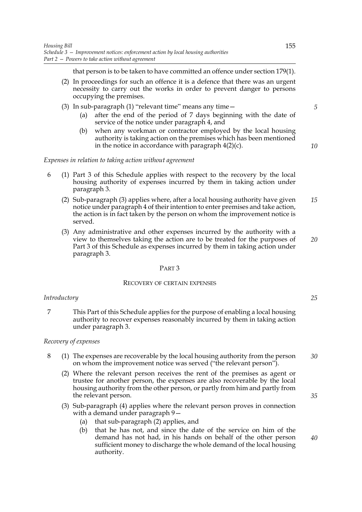that person is to be taken to have committed an offence under section 179(1).

- (2) In proceedings for such an offence it is a defence that there was an urgent necessity to carry out the works in order to prevent danger to persons occupying the premises.
- (3) In sub-paragraph (1) "relevant time" means any time—
	- (a) after the end of the period of 7 days beginning with the date of service of the notice under paragraph 4, and
	- (b) when any workman or contractor employed by the local housing authority is taking action on the premises which has been mentioned in the notice in accordance with paragraph  $4(2)(c)$ .

### *Expenses in relation to taking action without agreement*

- 6 (1) Part 3 of this Schedule applies with respect to the recovery by the local housing authority of expenses incurred by them in taking action under paragraph 3.
	- (2) Sub-paragraph (3) applies where, after a local housing authority have given notice under paragraph 4 of their intention to enter premises and take action, the action is in fact taken by the person on whom the improvement notice is served. *15*
	- (3) Any administrative and other expenses incurred by the authority with a view to themselves taking the action are to be treated for the purposes of Part 3 of this Schedule as expenses incurred by them in taking action under paragraph 3. *20*

#### PART 3

#### RECOVERY OF CERTAIN EXPENSES

#### *Introductory*

7 This Part of this Schedule applies for the purpose of enabling a local housing authority to recover expenses reasonably incurred by them in taking action under paragraph 3.

#### *Recovery of expenses*

- 8 (1) The expenses are recoverable by the local housing authority from the person on whom the improvement notice was served ("the relevant person"). *30*
	- (2) Where the relevant person receives the rent of the premises as agent or trustee for another person, the expenses are also recoverable by the local housing authority from the other person, or partly from him and partly from the relevant person.
	- (3) Sub-paragraph (4) applies where the relevant person proves in connection with a demand under paragraph 9—
		- (a) that sub-paragraph (2) applies, and
		- (b) that he has not, and since the date of the service on him of the demand has not had, in his hands on behalf of the other person sufficient money to discharge the whole demand of the local housing authority.

*5*

*10*

*25*

*35*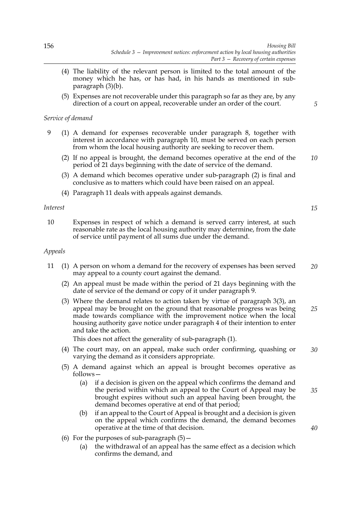- (4) The liability of the relevant person is limited to the total amount of the money which he has, or has had, in his hands as mentioned in subparagraph (3)(b).
- (5) Expenses are not recoverable under this paragraph so far as they are, by any direction of a court on appeal, recoverable under an order of the court.

#### *Service of demand*

- 9 (1) A demand for expenses recoverable under paragraph 8, together with interest in accordance with paragraph 10, must be served on each person from whom the local housing authority are seeking to recover them.
	- (2) If no appeal is brought, the demand becomes operative at the end of the period of 21 days beginning with the date of service of the demand. *10*
	- (3) A demand which becomes operative under sub-paragraph (2) is final and conclusive as to matters which could have been raised on an appeal.
	- (4) Paragraph 11 deals with appeals against demands.

#### *Interest*

10 Expenses in respect of which a demand is served carry interest, at such reasonable rate as the local housing authority may determine, from the date of service until payment of all sums due under the demand.

#### *Appeals*

- 11 (1) A person on whom a demand for the recovery of expenses has been served may appeal to a county court against the demand. *20*
	- (2) An appeal must be made within the period of 21 days beginning with the date of service of the demand or copy of it under paragraph 9.
	- (3) Where the demand relates to action taken by virtue of paragraph 3(3), an appeal may be brought on the ground that reasonable progress was being made towards compliance with the improvement notice when the local housing authority gave notice under paragraph 4 of their intention to enter and take the action.

This does not affect the generality of sub-paragraph (1).

- (4) The court may, on an appeal, make such order confirming, quashing or varying the demand as it considers appropriate. *30*
- (5) A demand against which an appeal is brought becomes operative as follows—
	- (a) if a decision is given on the appeal which confirms the demand and the period within which an appeal to the Court of Appeal may be brought expires without such an appeal having been brought, the demand becomes operative at end of that period; *35*
	- (b) if an appeal to the Court of Appeal is brought and a decision is given on the appeal which confirms the demand, the demand becomes operative at the time of that decision.
- (6) For the purposes of sub-paragraph  $(5)$  -
	- (a) the withdrawal of an appeal has the same effect as a decision which confirms the demand, and

*15*

*5*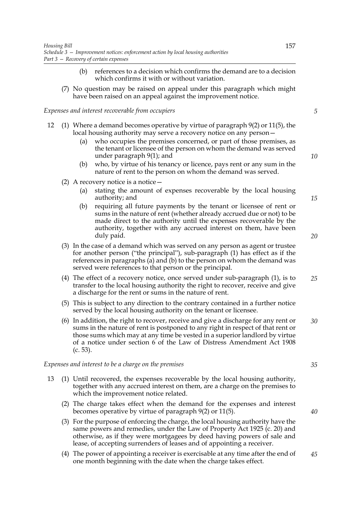- (b) references to a decision which confirms the demand are to a decision which confirms it with or without variation.
- (7) No question may be raised on appeal under this paragraph which might have been raised on an appeal against the improvement notice.

#### *Expenses and interest recoverable from occupiers*

- 12 (1) Where a demand becomes operative by virtue of paragraph 9(2) or 11(5), the local housing authority may serve a recovery notice on any person—
	- (a) who occupies the premises concerned, or part of those premises, as the tenant or licensee of the person on whom the demand was served under paragraph 9(1); and
	- (b) who, by virtue of his tenancy or licence, pays rent or any sum in the nature of rent to the person on whom the demand was served.
	- (2) A recovery notice is a notice  $-$ 
		- (a) stating the amount of expenses recoverable by the local housing authority; and
		- (b) requiring all future payments by the tenant or licensee of rent or sums in the nature of rent (whether already accrued due or not) to be made direct to the authority until the expenses recoverable by the authority, together with any accrued interest on them, have been duly paid.
	- (3) In the case of a demand which was served on any person as agent or trustee for another person ("the principal"), sub-paragraph (1) has effect as if the references in paragraphs (a) and (b) to the person on whom the demand was served were references to that person or the principal.
	- (4) The effect of a recovery notice, once served under sub-paragraph (1), is to transfer to the local housing authority the right to recover, receive and give a discharge for the rent or sums in the nature of rent. *25*
	- (5) This is subject to any direction to the contrary contained in a further notice served by the local housing authority on the tenant or licensee.
	- (6) In addition, the right to recover, receive and give a discharge for any rent or sums in the nature of rent is postponed to any right in respect of that rent or those sums which may at any time be vested in a superior landlord by virtue of a notice under section 6 of the Law of Distress Amendment Act 1908 (c. 53). *30*

#### *Expenses and interest to be a charge on the premises*

- 13 (1) Until recovered, the expenses recoverable by the local housing authority, together with any accrued interest on them, are a charge on the premises to which the improvement notice related.
	- (2) The charge takes effect when the demand for the expenses and interest becomes operative by virtue of paragraph 9(2) or 11(5).
	- (3) For the purpose of enforcing the charge, the local housing authority have the same powers and remedies, under the Law of Property Act 1925 (c. 20) and otherwise, as if they were mortgagees by deed having powers of sale and lease, of accepting surrenders of leases and of appointing a receiver.
	- (4) The power of appointing a receiver is exercisable at any time after the end of one month beginning with the date when the charge takes effect. *45*

*5*

*10*

*15*

- *35*
- *40*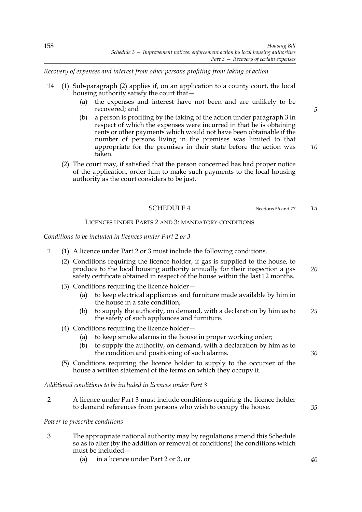*Recovery of expenses and interest from other persons profiting from taking of action*

- 14 (1) Sub-paragraph (2) applies if, on an application to a county court, the local housing authority satisfy the court that—
	- (a) the expenses and interest have not been and are unlikely to be recovered; and
	- (b) a person is profiting by the taking of the action under paragraph 3 in respect of which the expenses were incurred in that he is obtaining rents or other payments which would not have been obtainable if the number of persons living in the premises was limited to that appropriate for the premises in their state before the action was taken.
	- (2) The court may, if satisfied that the person concerned has had proper notice of the application, order him to make such payments to the local housing authority as the court considers to be just.

#### SCHEDULE 4 Sections 56 and 77

*15*

*5*

*10*

#### LICENCES UNDER PARTS 2 AND 3: MANDATORY CONDITIONS

*Conditions to be included in licences under Part 2 or 3*

- 1 (1) A licence under Part 2 or 3 must include the following conditions.
	- (2) Conditions requiring the licence holder, if gas is supplied to the house, to produce to the local housing authority annually for their inspection a gas safety certificate obtained in respect of the house within the last 12 months. *20*
	- (3) Conditions requiring the licence holder—
		- (a) to keep electrical appliances and furniture made available by him in the house in a safe condition;
		- (b) to supply the authority, on demand, with a declaration by him as to the safety of such appliances and furniture. *25*
	- (4) Conditions requiring the licence holder—
		- (a) to keep smoke alarms in the house in proper working order;
		- (b) to supply the authority, on demand, with a declaration by him as to the condition and positioning of such alarms.
	- (5) Conditions requiring the licence holder to supply to the occupier of the house a written statement of the terms on which they occupy it.

*Additional conditions to be included in licences under Part 3*

2 A licence under Part 3 must include conditions requiring the licence holder to demand references from persons who wish to occupy the house.

# *Power to prescribe conditions*

- 3 The appropriate national authority may by regulations amend this Schedule so as to alter (by the addition or removal of conditions) the conditions which must be included—
	- (a) in a licence under Part 2 or 3, or

*40*

*30*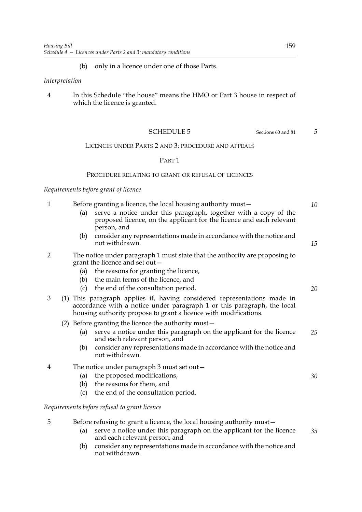(b) only in a licence under one of those Parts.

# *Interpretation*

4 In this Schedule "the house" means the HMO or Part 3 house in respect of which the licence is granted.

# SCHEDULE 5 Sections 60 and 81

# LICENCES UNDER PARTS 2 AND 3: PROCEDURE AND APPEALS

### PART 1

### PROCEDURE RELATING TO GRANT OR REFUSAL OF LICENCES

*Requirements before grant of licence*

|     |                                                                                                                                                         | 10                                                                                                                                                                                                                                                                                                                                                                                                                                                                                                                                                                                                                                                                                                                   |
|-----|---------------------------------------------------------------------------------------------------------------------------------------------------------|----------------------------------------------------------------------------------------------------------------------------------------------------------------------------------------------------------------------------------------------------------------------------------------------------------------------------------------------------------------------------------------------------------------------------------------------------------------------------------------------------------------------------------------------------------------------------------------------------------------------------------------------------------------------------------------------------------------------|
| (a) | serve a notice under this paragraph, together with a copy of the<br>proposed licence, on the applicant for the licence and each relevant<br>person, and |                                                                                                                                                                                                                                                                                                                                                                                                                                                                                                                                                                                                                                                                                                                      |
| (b) | consider any representations made in accordance with the notice and<br>not withdrawn.                                                                   | 15                                                                                                                                                                                                                                                                                                                                                                                                                                                                                                                                                                                                                                                                                                                   |
|     |                                                                                                                                                         |                                                                                                                                                                                                                                                                                                                                                                                                                                                                                                                                                                                                                                                                                                                      |
| (a) | the reasons for granting the licence,                                                                                                                   |                                                                                                                                                                                                                                                                                                                                                                                                                                                                                                                                                                                                                                                                                                                      |
| (b) | the main terms of the licence, and                                                                                                                      |                                                                                                                                                                                                                                                                                                                                                                                                                                                                                                                                                                                                                                                                                                                      |
| (c) |                                                                                                                                                         | 20                                                                                                                                                                                                                                                                                                                                                                                                                                                                                                                                                                                                                                                                                                                   |
|     |                                                                                                                                                         |                                                                                                                                                                                                                                                                                                                                                                                                                                                                                                                                                                                                                                                                                                                      |
|     |                                                                                                                                                         |                                                                                                                                                                                                                                                                                                                                                                                                                                                                                                                                                                                                                                                                                                                      |
| (a) | serve a notice under this paragraph on the applicant for the licence<br>and each relevant person, and                                                   | 25                                                                                                                                                                                                                                                                                                                                                                                                                                                                                                                                                                                                                                                                                                                   |
| (b) | consider any representations made in accordance with the notice and<br>not withdrawn.                                                                   |                                                                                                                                                                                                                                                                                                                                                                                                                                                                                                                                                                                                                                                                                                                      |
|     |                                                                                                                                                         |                                                                                                                                                                                                                                                                                                                                                                                                                                                                                                                                                                                                                                                                                                                      |
|     |                                                                                                                                                         | 30                                                                                                                                                                                                                                                                                                                                                                                                                                                                                                                                                                                                                                                                                                                   |
| (b) | the reasons for them, and                                                                                                                               |                                                                                                                                                                                                                                                                                                                                                                                                                                                                                                                                                                                                                                                                                                                      |
| (c) | the end of the consultation period.                                                                                                                     |                                                                                                                                                                                                                                                                                                                                                                                                                                                                                                                                                                                                                                                                                                                      |
|     |                                                                                                                                                         |                                                                                                                                                                                                                                                                                                                                                                                                                                                                                                                                                                                                                                                                                                                      |
|     |                                                                                                                                                         |                                                                                                                                                                                                                                                                                                                                                                                                                                                                                                                                                                                                                                                                                                                      |
| (a) | serve a notice under this paragraph on the applicant for the licence<br>and each relevant person, and                                                   | 35                                                                                                                                                                                                                                                                                                                                                                                                                                                                                                                                                                                                                                                                                                                   |
|     | (a)                                                                                                                                                     | Before granting a licence, the local housing authority must-<br>The notice under paragraph 1 must state that the authority are proposing to<br>grant the licence and set out -<br>the end of the consultation period.<br>(1) This paragraph applies if, having considered representations made in<br>accordance with a notice under paragraph 1 or this paragraph, the local<br>housing authority propose to grant a licence with modifications.<br>(2) Before granting the licence the authority must -<br>The notice under paragraph $3$ must set out $-$<br>the proposed modifications,<br>Requirements before refusal to grant licence<br>Before refusing to grant a licence, the local housing authority must – |

(b) consider any representations made in accordance with the notice and not withdrawn.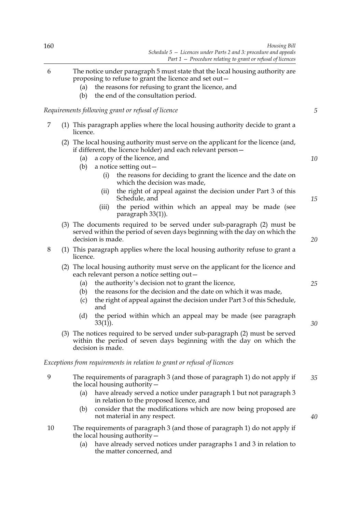- 6 The notice under paragraph 5 must state that the local housing authority are proposing to refuse to grant the licence and set out—
	- (a) the reasons for refusing to grant the licence, and
	- (b) the end of the consultation period.

*Requirements following grant or refusal of licence*

- 7 (1) This paragraph applies where the local housing authority decide to grant a licence.
	- (2) The local housing authority must serve on the applicant for the licence (and, if different, the licence holder) and each relevant person
		- a copy of the licence, and
		- (b) a notice setting out—
			- (i) the reasons for deciding to grant the licence and the date on which the decision was made,
			- (ii) the right of appeal against the decision under Part 3 of this Schedule, and
			- (iii) the period within which an appeal may be made (see paragraph 33(1)).
	- (3) The documents required to be served under sub-paragraph (2) must be served within the period of seven days beginning with the day on which the decision is made.
- 8 (1) This paragraph applies where the local housing authority refuse to grant a licence.
	- (2) The local housing authority must serve on the applicant for the licence and each relevant person a notice setting out—
		- (a) the authority's decision not to grant the licence,
		- (b) the reasons for the decision and the date on which it was made,
		- (c) the right of appeal against the decision under Part 3 of this Schedule, and
		- (d) the period within which an appeal may be made (see paragraph  $33(1)$ ).
	- (3) The notices required to be served under sub-paragraph (2) must be served within the period of seven days beginning with the day on which the decision is made.

# *Exceptions from requirements in relation to grant or refusal of licences*

- 9 The requirements of paragraph 3 (and those of paragraph 1) do not apply if the local housing authority  $-\frac{1}{2}$ *35*
	- (a) have already served a notice under paragraph 1 but not paragraph 3 in relation to the proposed licence, and
	- (b) consider that the modifications which are now being proposed are not material in any respect.
- 10 The requirements of paragraph 3 (and those of paragraph 1) do not apply if the local housing authority—
	- (a) have already served notices under paragraphs 1 and 3 in relation to the matter concerned, and

*40*

*15*

*10*

*5*

*20*

*25*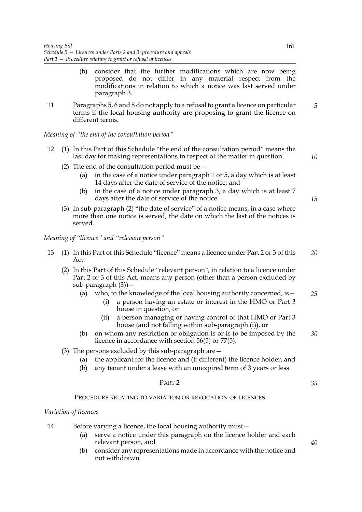- (b) consider that the further modifications which are now being proposed do not differ in any material respect from the modifications in relation to which a notice was last served under paragraph 3.
- 11 Paragraphs 5, 6 and 8 do not apply to a refusal to grant a licence on particular terms if the local housing authority are proposing to grant the licence on different terms. *5*

*Meaning of "the end of the consultation period"*

- 12 (1) In this Part of this Schedule "the end of the consultation period" means the last day for making representations in respect of the matter in question.
	- (2) The end of the consultation period must be  $-$ 
		- (a) in the case of a notice under paragraph 1 or 5, a day which is at least 14 days after the date of service of the notice; and
		- (b) in the case of a notice under paragraph 3, a day which is at least 7 days after the date of service of the notice.
	- (3) In sub-paragraph (2) "the date of service" of a notice means, in a case where more than one notice is served, the date on which the last of the notices is served.

*Meaning of "licence" and "relevant person"*

- 13 (1) In this Part of this Schedule "licence" means a licence under Part 2 or 3 of this Act. *20*
	- (2) In this Part of this Schedule "relevant person", in relation to a licence under Part 2 or 3 of this Act, means any person (other than a person excluded by sub-paragraph  $(3)$ ) —
		- (a) who, to the knowledge of the local housing authority concerned, is  $-$ *25*
			- (i) a person having an estate or interest in the HMO or Part 3 house in question, or
			- (ii) a person managing or having control of that HMO or Part 3 house (and not falling within sub-paragraph (i)), or
		- (b) on whom any restriction or obligation is or is to be imposed by the licence in accordance with section 56(5) or 77(5). *30*
	- (3) The persons excluded by this sub-paragraph are—
		- (a) the applicant for the licence and (if different) the licence holder, and
		- (b) any tenant under a lease with an unexpired term of 3 years or less.

PART 2

### PROCEDURE RELATING TO VARIATION OR REVOCATION OF LICENCES

### *Variation of licences*

- 14 Before varying a licence, the local housing authority must—
	- (a) serve a notice under this paragraph on the licence holder and each relevant person, and
	- (b) consider any representations made in accordance with the notice and not withdrawn.

*35*

*15*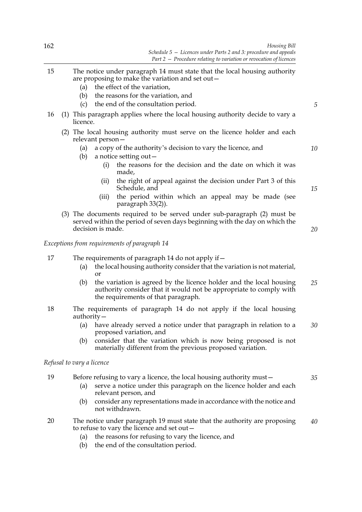- 15 The notice under paragraph 14 must state that the local housing authority are proposing to make the variation and set out—
	- (a) the effect of the variation,
	- (b) the reasons for the variation, and
	- (c) the end of the consultation period.
- 16 (1) This paragraph applies where the local housing authority decide to vary a licence.
	- (2) The local housing authority must serve on the licence holder and each relevant person—
		- (a) a copy of the authority's decision to vary the licence, and
		- (b) a notice setting out—
			- (i) the reasons for the decision and the date on which it was made,
			- (ii) the right of appeal against the decision under Part 3 of this Schedule, and
			- (iii) the period within which an appeal may be made (see paragraph 33(2)).
	- (3) The documents required to be served under sub-paragraph (2) must be served within the period of seven days beginning with the day on which the decision is made.

### *Exceptions from requirements of paragraph 14*

- 17 The requirements of paragraph 14 do not apply if  $-$ 
	- (a) the local housing authority consider that the variation is not material, or
	- (b) the variation is agreed by the licence holder and the local housing authority consider that it would not be appropriate to comply with the requirements of that paragraph. *25*
- 18 The requirements of paragraph 14 do not apply if the local housing authority—
	- (a) have already served a notice under that paragraph in relation to a proposed variation, and *30*
	- (b) consider that the variation which is now being proposed is not materially different from the previous proposed variation.

#### *Refusal to vary a licence*

- 19 Before refusing to vary a licence, the local housing authority must -
	- (a) serve a notice under this paragraph on the licence holder and each relevant person, and
	- (b) consider any representations made in accordance with the notice and not withdrawn.
- 20 The notice under paragraph 19 must state that the authority are proposing to refuse to vary the licence and set out— *40*
	- (a) the reasons for refusing to vary the licence, and
	- (b) the end of the consultation period.

*35*

*10*

*5*

*15*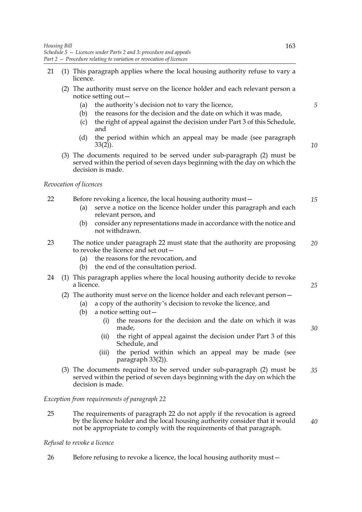- 21 (1) This paragraph applies where the local housing authority refuse to vary a licence.
	- (2) The authority must serve on the licence holder and each relevant person a notice setting out—
		- (a) the authority's decision not to vary the licence,
		- (b) the reasons for the decision and the date on which it was made,
		- (c) the right of appeal against the decision under Part 3 of this Schedule, and
		- (d) the period within which an appeal may be made (see paragraph 33(2)).
	- (3) The documents required to be served under sub-paragraph (2) must be served within the period of seven days beginning with the day on which the decision is made.

### *Revocation of licences*

| 22 | Before revoking a licence, the local housing authority must – |  |  |  |
|----|---------------------------------------------------------------|--|--|--|
|    |                                                               |  |  |  |

- (a) serve a notice on the licence holder under this paragraph and each relevant person, and
- (b) consider any representations made in accordance with the notice and not withdrawn.
- 23 The notice under paragraph 22 must state that the authority are proposing to revoke the licence and set out— *20*
	- (a) the reasons for the revocation, and
	- (b) the end of the consultation period.
- 24 (1) This paragraph applies where the local housing authority decide to revoke a licence.
	- (2) The authority must serve on the licence holder and each relevant person—
		- (a) a copy of the authority's decision to revoke the licence, and
		- (b) a notice setting out—
			- (i) the reasons for the decision and the date on which it was made,
			- (ii) the right of appeal against the decision under Part 3 of this Schedule, and
			- (iii) the period within which an appeal may be made (see paragraph 33(2)).
	- (3) The documents required to be served under sub-paragraph (2) must be served within the period of seven days beginning with the day on which the decision is made. *35*

### *Exception from requirements of paragraph 22*

25 The requirements of paragraph 22 do not apply if the revocation is agreed by the licence holder and the local housing authority consider that it would not be appropriate to comply with the requirements of that paragraph.

#### *Refusal to revoke a licence*

26 Before refusing to revoke a licence, the local housing authority must—

*5*

*10*

*25*

*30*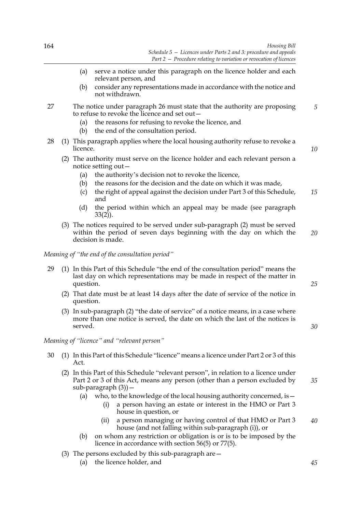- (a) serve a notice under this paragraph on the licence holder and each relevant person, and
- (b) consider any representations made in accordance with the notice and not withdrawn.
- 27 The notice under paragraph 26 must state that the authority are proposing to refuse to revoke the licence and set out— *5*
	- (a) the reasons for refusing to revoke the licence, and
	- (b) the end of the consultation period.
- 28 (1) This paragraph applies where the local housing authority refuse to revoke a licence.
	- (2) The authority must serve on the licence holder and each relevant person a notice setting out—
		- (a) the authority's decision not to revoke the licence,
		- (b) the reasons for the decision and the date on which it was made,
		- (c) the right of appeal against the decision under Part 3 of this Schedule, and *15*
		- (d) the period within which an appeal may be made (see paragraph  $33(2)$ ).
	- (3) The notices required to be served under sub-paragraph (2) must be served within the period of seven days beginning with the day on which the decision is made. *20*

### *Meaning of "the end of the consultation period"*

- 29 (1) In this Part of this Schedule "the end of the consultation period" means the last day on which representations may be made in respect of the matter in question.
	- (2) That date must be at least 14 days after the date of service of the notice in question.
	- (3) In sub-paragraph (2) "the date of service" of a notice means, in a case where more than one notice is served, the date on which the last of the notices is served.

*30*

*25*

*10*

### *Meaning of "licence" and "relevant person"*

- 30 (1) In this Part of this Schedule "licence" means a licence under Part 2 or 3 of this Act.
	- (2) In this Part of this Schedule "relevant person", in relation to a licence under Part 2 or 3 of this Act, means any person (other than a person excluded by sub-paragraph (3))— *35*
		- (a) who, to the knowledge of the local housing authority concerned, is  $-$ 
			- (i) a person having an estate or interest in the HMO or Part 3 house in question, or
			- (ii) a person managing or having control of that HMO or Part 3 house (and not falling within sub-paragraph (i)), or *40*
		- (b) on whom any restriction or obligation is or is to be imposed by the licence in accordance with section 56(5) or 77(5).
	- (3) The persons excluded by this sub-paragraph are—

(a) the licence holder, and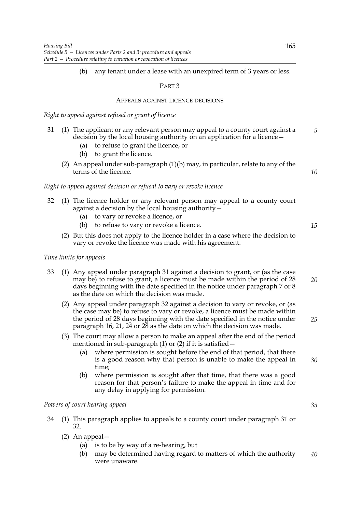### (b) any tenant under a lease with an unexpired term of 3 years or less.

#### PART 3

#### APPEALS AGAINST LICENCE DECISIONS

*Right to appeal against refusal or grant of licence*

- 31 (1) The applicant or any relevant person may appeal to a county court against a decision by the local housing authority on an application for a licence— *5*
	- (a) to refuse to grant the licence, or
	- (b) to grant the licence.
	- (2) An appeal under sub-paragraph (1)(b) may, in particular, relate to any of the terms of the licence.

#### *Right to appeal against decision or refusal to vary or revoke licence*

- 32 (1) The licence holder or any relevant person may appeal to a county court against a decision by the local housing authority—
	- (a) to vary or revoke a licence, or
	- (b) to refuse to vary or revoke a licence.
	- (2) But this does not apply to the licence holder in a case where the decision to vary or revoke the licence was made with his agreement.

#### *Time limits for appeals*

- 33 (1) Any appeal under paragraph 31 against a decision to grant, or (as the case may be) to refuse to grant, a licence must be made within the period of 28 days beginning with the date specified in the notice under paragraph 7 or 8 as the date on which the decision was made.
	- (2) Any appeal under paragraph 32 against a decision to vary or revoke, or (as the case may be) to refuse to vary or revoke, a licence must be made within the period of 28 days beginning with the date specified in the notice under paragraph 16, 21, 24 or 28 as the date on which the decision was made.
	- (3) The court may allow a person to make an appeal after the end of the period mentioned in sub-paragraph  $(1)$  or  $(2)$  if it is satisfied  $-$ 
		- (a) where permission is sought before the end of that period, that there is a good reason why that person is unable to make the appeal in time;
		- (b) where permission is sought after that time, that there was a good reason for that person's failure to make the appeal in time and for any delay in applying for permission.

### *Powers of court hearing appeal*

- 34 (1) This paragraph applies to appeals to a county court under paragraph 31 or 32.
	- (2) An appeal—
		- (a) is to be by way of a re-hearing, but
		- (b) may be determined having regard to matters of which the authority were unaware. *40*

*30*

*10*

*15*

*20*

*25*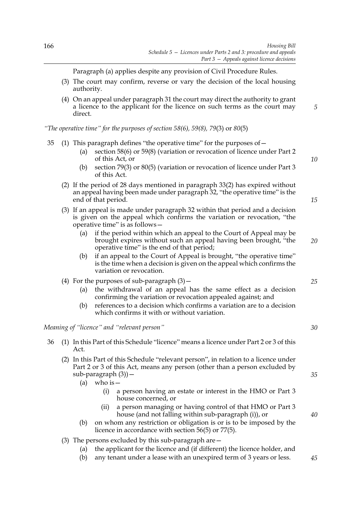Paragraph (a) applies despite any provision of Civil Procedure Rules.

- (3) The court may confirm, reverse or vary the decision of the local housing authority.
- (4) On an appeal under paragraph 31 the court may direct the authority to grant a licence to the applicant for the licence on such terms as the court may direct.

*"The operative time" for the purposes of section 58(6), 59(8), 79*(3) or *80*(5)

- 35 (1) This paragraph defines "the operative time" for the purposes of—
	- (a) section 58(6) or 59(8) (variation or revocation of licence under Part 2 of this Act, or
	- (b) section 79(3) or 80(5) (variation or revocation of licence under Part 3 of this Act.
	- (2) If the period of 28 days mentioned in paragraph 33(2) has expired without an appeal having been made under paragraph 32, "the operative time" is the end of that period.
	- (3) If an appeal is made under paragraph 32 within that period and a decision is given on the appeal which confirms the variation or revocation, "the operative time" is as follows—
		- (a) if the period within which an appeal to the Court of Appeal may be brought expires without such an appeal having been brought, "the operative time" is the end of that period;
		- (b) if an appeal to the Court of Appeal is brought, "the operative time" is the time when a decision is given on the appeal which confirms the variation or revocation.

### (4) For the purposes of sub-paragraph  $(3)$  -

- (a) the withdrawal of an appeal has the same effect as a decision confirming the variation or revocation appealed against; and
- (b) references to a decision which confirms a variation are to a decision which confirms it with or without variation.

*Meaning of "licence" and "relevant person"*

- 36 (1) In this Part of this Schedule "licence" means a licence under Part 2 or 3 of this Act.
	- (2) In this Part of this Schedule "relevant person", in relation to a licence under Part 2 or 3 of this Act, means any person (other than a person excluded by sub-paragraph  $(3)$ ) –
		- (a) who is  $-$ 
			- (i) a person having an estate or interest in the HMO or Part 3 house concerned, or
			- (ii) a person managing or having control of that HMO or Part 3 house (and not falling within sub-paragraph (i)), or
		- (b) on whom any restriction or obligation is or is to be imposed by the licence in accordance with section 56(5) or 77(5).
	- (3) The persons excluded by this sub-paragraph are—
		- (a) the applicant for the licence and (if different) the licence holder, and
		- (b) any tenant under a lease with an unexpired term of 3 years or less.

*25*

*30*

*35*

*40*

*45*

*20*

*5*

*10*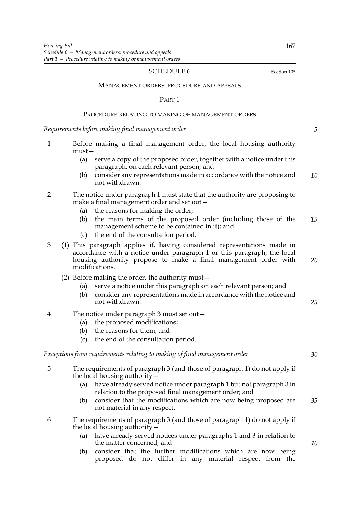#### SCHEDULE 6 Section 105

#### MANAGEMENT ORDERS: PROCEDURE AND APPEALS

#### PART 1

#### PROCEDURE RELATING TO MAKING OF MANAGEMENT ORDERS

*Requirements before making final management order*

- 1 Before making a final management order, the local housing authority must—
	- (a) serve a copy of the proposed order, together with a notice under this paragraph, on each relevant person; and
	- (b) consider any representations made in accordance with the notice and not withdrawn. *10*
- 2 The notice under paragraph 1 must state that the authority are proposing to make a final management order and set out—
	- (a) the reasons for making the order;
	- (b) the main terms of the proposed order (including those of the management scheme to be contained in it); and *15*
	- (c) the end of the consultation period.
- 3 (1) This paragraph applies if, having considered representations made in accordance with a notice under paragraph 1 or this paragraph, the local housing authority propose to make a final management order with modifications. *20*
	- (2) Before making the order, the authority must—
		- (a) serve a notice under this paragraph on each relevant person; and
		- (b) consider any representations made in accordance with the notice and not withdrawn.

#### 4 The notice under paragraph 3 must set out—

- (a) the proposed modifications;
- (b) the reasons for them; and
- (c) the end of the consultation period.

### *Exceptions from requirements relating to making of final management order*

- 5 The requirements of paragraph 3 (and those of paragraph 1) do not apply if the local housing authority—
	- (a) have already served notice under paragraph 1 but not paragraph 3 in relation to the proposed final management order; and
	- (b) consider that the modifications which are now being proposed are not material in any respect. *35*
- 6 The requirements of paragraph 3 (and those of paragraph 1) do not apply if the local housing authority—
	- (a) have already served notices under paragraphs 1 and 3 in relation to the matter concerned; and
	- (b) consider that the further modifications which are now being proposed do not differ in any material respect from the

*40*

*25*

*30*

167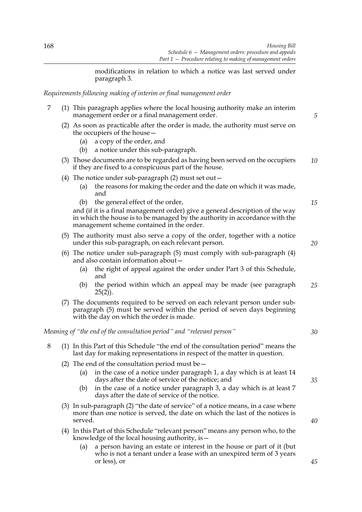modifications in relation to which a notice was last served under paragraph 3.

*Requirements following making of interim or final management order*

- 7 (1) This paragraph applies where the local housing authority make an interim management order or a final management order.
	- (2) As soon as practicable after the order is made, the authority must serve on the occupiers of the house—
		- (a) a copy of the order, and
		- (b) a notice under this sub-paragraph.
	- (3) Those documents are to be regarded as having been served on the occupiers if they are fixed to a conspicuous part of the house. *10*
	- (4) The notice under sub-paragraph  $(2)$  must set out  $-$ 
		- (a) the reasons for making the order and the date on which it was made, and
		- (b) the general effect of the order,

and (if it is a final management order) give a general description of the way in which the house is to be managed by the authority in accordance with the management scheme contained in the order.

- (5) The authority must also serve a copy of the order, together with a notice under this sub-paragraph, on each relevant person.
- (6) The notice under sub-paragraph (5) must comply with sub-paragraph (4) and also contain information about—
	- (a) the right of appeal against the order under Part 3 of this Schedule, and
	- (b) the period within which an appeal may be made (see paragraph  $25(2)$ ). *25*
- (7) The documents required to be served on each relevant person under subparagraph (5) must be served within the period of seven days beginning with the day on which the order is made.

*Meaning of "the end of the consultation period" and "relevant person"*

- 8 (1) In this Part of this Schedule "the end of the consultation period" means the last day for making representations in respect of the matter in question.
	- (2) The end of the consultation period must be  $-$ 
		- (a) in the case of a notice under paragraph 1, a day which is at least 14 days after the date of service of the notice; and
		- (b) in the case of a notice under paragraph 3, a day which is at least 7 days after the date of service of the notice.
	- (3) In sub-paragraph (2) "the date of service" of a notice means, in a case where more than one notice is served, the date on which the last of the notices is served.
	- (4) In this Part of this Schedule "relevant person" means any person who, to the knowledge of the local housing authority, is—
		- (a) a person having an estate or interest in the house or part of it (but who is not a tenant under a lease with an unexpired term of 3 years or less), or

*15*

*20*

*5*

*30*

*40*

*45*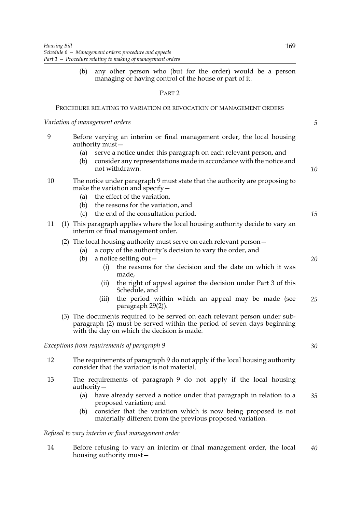(b) any other person who (but for the order) would be a person managing or having control of the house or part of it.

#### PART 2

#### PROCEDURE RELATING TO VARIATION OR REVOCATION OF MANAGEMENT ORDERS

*Variation of management orders*

|    | Variation of management orders |                 |                                                                                                                                                                                                     | 5  |
|----|--------------------------------|-----------------|-----------------------------------------------------------------------------------------------------------------------------------------------------------------------------------------------------|----|
| 9  | (a)                            | authority must- | Before varying an interim or final management order, the local housing<br>serve a notice under this paragraph on each relevant person, and                                                          |    |
|    | (b)                            |                 | consider any representations made in accordance with the notice and<br>not withdrawn.                                                                                                               | 10 |
| 10 | (a)                            |                 | The notice under paragraph 9 must state that the authority are proposing to<br>make the variation and specify -<br>the effect of the variation,                                                     |    |
|    | (b)                            |                 | the reasons for the variation, and                                                                                                                                                                  |    |
|    | (c)                            |                 | the end of the consultation period.                                                                                                                                                                 | 15 |
| 11 |                                |                 | (1) This paragraph applies where the local housing authority decide to vary an<br>interim or final management order.                                                                                |    |
|    |                                |                 | (2) The local housing authority must serve on each relevant person-                                                                                                                                 |    |
|    | (a)                            |                 | a copy of the authority's decision to vary the order, and                                                                                                                                           |    |
|    | (b)                            |                 | a notice setting out-                                                                                                                                                                               | 20 |
|    |                                | (i)             | the reasons for the decision and the date on which it was<br>made,                                                                                                                                  |    |
|    |                                | (ii)            | the right of appeal against the decision under Part 3 of this<br>Schedule, and                                                                                                                      |    |
|    |                                | (iii)           | the period within which an appeal may be made (see<br>paragraph 29(2)).                                                                                                                             | 25 |
|    |                                |                 | (3) The documents required to be served on each relevant person under sub-<br>paragraph (2) must be served within the period of seven days beginning<br>with the day on which the decision is made. |    |
|    |                                |                 | Exceptions from requirements of paragraph 9                                                                                                                                                         | 30 |
| 12 |                                |                 | The requirements of paragraph 9 do not apply if the local housing authority<br>consider that the variation is not material.                                                                         |    |
| 13 | $\text{authority}$ –           |                 | The requirements of paragraph 9 do not apply if the local housing                                                                                                                                   |    |
|    | (a)                            |                 | have already served a notice under that paragraph in relation to a<br>proposed variation; and                                                                                                       | 35 |
|    |                                |                 | (b) and deal that the monitor which is now being moneyed is not                                                                                                                                     |    |

(b) consider that the variation which is now being proposed is not materially different from the previous proposed variation.

#### *Refusal to vary interim or final management order*

14 Before refusing to vary an interim or final management order, the local housing authority must— *40*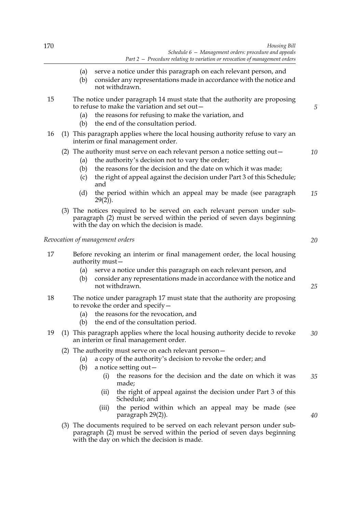- (a) serve a notice under this paragraph on each relevant person, and
- (b) consider any representations made in accordance with the notice and not withdrawn.
- 15 The notice under paragraph 14 must state that the authority are proposing to refuse to make the variation and set out—
	- (a) the reasons for refusing to make the variation, and
	- (b) the end of the consultation period.
- 16 (1) This paragraph applies where the local housing authority refuse to vary an interim or final management order.

### (2) The authority must serve on each relevant person a notice setting out—

- (a) the authority's decision not to vary the order;
- (b) the reasons for the decision and the date on which it was made;
- (c) the right of appeal against the decision under Part 3 of this Schedule; and
- (d) the period within which an appeal may be made (see paragraph  $29(2)$ ). *15*
- (3) The notices required to be served on each relevant person under subparagraph (2) must be served within the period of seven days beginning with the day on which the decision is made.

*Revocation of management orders*

*20*

*25*

*40*

*5*

- 17 Before revoking an interim or final management order, the local housing authority must—
	- (a) serve a notice under this paragraph on each relevant person, and
	- (b) consider any representations made in accordance with the notice and not withdrawn.
- 18 The notice under paragraph 17 must state that the authority are proposing to revoke the order and specify—
	- (a) the reasons for the revocation, and
	- (b) the end of the consultation period.
- 19 (1) This paragraph applies where the local housing authority decide to revoke an interim or final management order. *30*
	- (2) The authority must serve on each relevant person—
		- (a) a copy of the authority's decision to revoke the order; and
		- (b) a notice setting out—
			- (i) the reasons for the decision and the date on which it was made; *35*
			- (ii) the right of appeal against the decision under Part 3 of this Schedule; and
			- (iii) the period within which an appeal may be made (see paragraph 29(2)).
	- (3) The documents required to be served on each relevant person under subparagraph (2) must be served within the period of seven days beginning with the day on which the decision is made.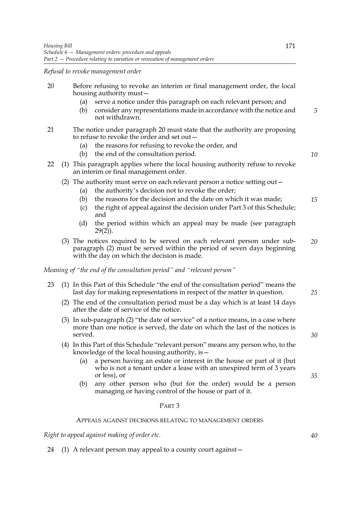*Refusal to revoke management order*

| 20 |                          | Before refusing to revoke an interim or final management order, the local<br>housing authority must-                                                                                                                                                                                                                                                                  |    |
|----|--------------------------|-----------------------------------------------------------------------------------------------------------------------------------------------------------------------------------------------------------------------------------------------------------------------------------------------------------------------------------------------------------------------|----|
|    | (a)<br>(b)               | serve a notice under this paragraph on each relevant person; and<br>consider any representations made in accordance with the notice and<br>not withdrawn.                                                                                                                                                                                                             | 5  |
| 21 | (a)<br>(b)               | The notice under paragraph 20 must state that the authority are proposing<br>to refuse to revoke the order and set out-<br>the reasons for refusing to revoke the order, and<br>the end of the consultation period.                                                                                                                                                   | 10 |
| 22 |                          | (1) This paragraph applies where the local housing authority refuse to revoke<br>an interim or final management order.                                                                                                                                                                                                                                                |    |
|    | (a)<br>(b)<br>(c)<br>(d) | (2) The authority must serve on each relevant person a notice setting out $-$<br>the authority's decision not to revoke the order;<br>the reasons for the decision and the date on which it was made;<br>the right of appeal against the decision under Part 3 of this Schedule;<br>and<br>the period within which an appeal may be made (see paragraph<br>$29(2)$ ). | 15 |
|    |                          | (3) The notices required to be served on each relevant person under sub-<br>paragraph (2) must be served within the period of seven days beginning<br>with the day on which the decision is made.                                                                                                                                                                     | 20 |
|    |                          | Meaning of "the end of the consultation period" and "relevant person"                                                                                                                                                                                                                                                                                                 |    |
| 23 |                          | (1) In this Part of this Schedule "the end of the consultation period" means the<br>last day for making representations in respect of the matter in question.                                                                                                                                                                                                         | 25 |
|    |                          | (2) The end of the consultation period must be a day which is at least 14 days<br>after the date of service of the notice.                                                                                                                                                                                                                                            |    |
|    | served.                  | (3) In sub-paragraph (2) "the date of service" of a notice means, in a case where<br>more than one notice is served, the date on which the last of the notices is                                                                                                                                                                                                     | 30 |
|    |                          | (4) In this Part of this Schedule "relevant person" means any person who, to the<br>knowledge of the local housing authority, is $-$                                                                                                                                                                                                                                  |    |
|    | (a)                      | a person having an estate or interest in the house or part of it (but<br>who is not a tenant under a lease with an unexpired term of 3 years<br>or less), or                                                                                                                                                                                                          | 35 |
|    | (b)                      | any other person who (but for the order) would be a person<br>managing or having control of the house or part of it.                                                                                                                                                                                                                                                  |    |
|    |                          | PART <sub>3</sub>                                                                                                                                                                                                                                                                                                                                                     |    |
|    |                          | APPEALS AGAINST DECISIONS RELATING TO MANAGEMENT ORDERS                                                                                                                                                                                                                                                                                                               |    |

*Right to appeal against making of order etc.*

24 (1) A relevant person may appeal to a county court against—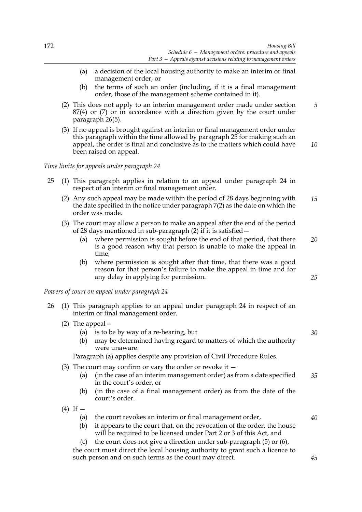- (a) a decision of the local housing authority to make an interim or final management order, or
- (b) the terms of such an order (including, if it is a final management order, those of the management scheme contained in it).
- (2) This does not apply to an interim management order made under section 87(4) or (7) or in accordance with a direction given by the court under paragraph 26(5). *5*
- (3) If no appeal is brought against an interim or final management order under this paragraph within the time allowed by paragraph 25 for making such an appeal, the order is final and conclusive as to the matters which could have been raised on appeal.

#### *Time limits for appeals under paragraph 24*

- 25 (1) This paragraph applies in relation to an appeal under paragraph 24 in respect of an interim or final management order.
	- (2) Any such appeal may be made within the period of 28 days beginning with the date specified in the notice under paragraph 7(2) as the date on which the order was made. *15*
	- (3) The court may allow a person to make an appeal after the end of the period of 28 days mentioned in sub-paragraph (2) if it is satisfied—
		- (a) where permission is sought before the end of that period, that there is a good reason why that person is unable to make the appeal in time; *20*
		- (b) where permission is sought after that time, that there was a good reason for that person's failure to make the appeal in time and for any delay in applying for permission.

*Powers of court on appeal under paragraph 24*

- 26 (1) This paragraph applies to an appeal under paragraph 24 in respect of an interim or final management order.
	- (2) The appeal—
		- (a) is to be by way of a re-hearing, but
		- (b) may be determined having regard to matters of which the authority were unaware.

Paragraph (a) applies despite any provision of Civil Procedure Rules.

- (3) The court may confirm or vary the order or revoke it  $-$ 
	- (a) (in the case of an interim management order) as from a date specified in the court's order, or *35*
	- (b) (in the case of a final management order) as from the date of the court's order.
- $(4)$  If  $-$ 
	- (a) the court revokes an interim or final management order,
	- (b) it appears to the court that, on the revocation of the order, the house will be required to be licensed under Part 2 or 3 of this Act, and
	- (c) the court does not give a direction under sub-paragraph (5) or (6),

the court must direct the local housing authority to grant such a licence to such person and on such terms as the court may direct.

*10*

*25*

*30*

*40*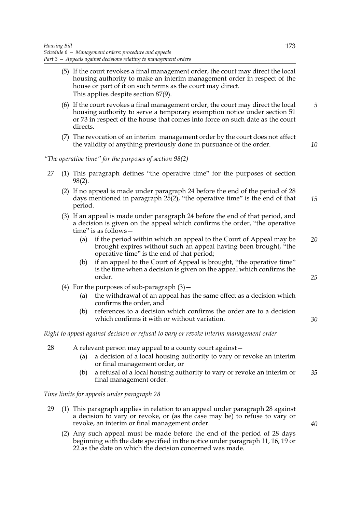- (5) If the court revokes a final management order, the court may direct the local housing authority to make an interim management order in respect of the house or part of it on such terms as the court may direct. This applies despite section 87(9).
- (6) If the court revokes a final management order, the court may direct the local housing authority to serve a temporary exemption notice under section 51 or 73 in respect of the house that comes into force on such date as the court directs. *5*
- (7) The revocation of an interim management order by the court does not affect the validity of anything previously done in pursuance of the order.

*"The operative time" for the purposes of section 98(2)*

- 27 (1) This paragraph defines "the operative time" for the purposes of section 98(2).
	- (2) If no appeal is made under paragraph 24 before the end of the period of 28 days mentioned in paragraph 25(2), "the operative time" is the end of that period. *15*
	- (3) If an appeal is made under paragraph 24 before the end of that period, and a decision is given on the appeal which confirms the order, "the operative time" is as follows—
		- (a) if the period within which an appeal to the Court of Appeal may be brought expires without such an appeal having been brought, "the operative time" is the end of that period; *20*
		- (b) if an appeal to the Court of Appeal is brought, "the operative time" is the time when a decision is given on the appeal which confirms the order.
	- (4) For the purposes of sub-paragraph  $(3)$  -
		- (a) the withdrawal of an appeal has the same effect as a decision which confirms the order, and
		- (b) references to a decision which confirms the order are to a decision which confirms it with or without variation.

*Right to appeal against decision or refusal to vary or revoke interim management order*

- 28 A relevant person may appeal to a county court against—
	- (a) a decision of a local housing authority to vary or revoke an interim or final management order, or
	- (b) a refusal of a local housing authority to vary or revoke an interim or final management order. *35*

*Time limits for appeals under paragraph 28*

- 29 (1) This paragraph applies in relation to an appeal under paragraph 28 against a decision to vary or revoke, or (as the case may be) to refuse to vary or revoke, an interim or final management order.
	- (2) Any such appeal must be made before the end of the period of 28 days beginning with the date specified in the notice under paragraph 11, 16, 19 or 22 as the date on which the decision concerned was made.

*10*

*25*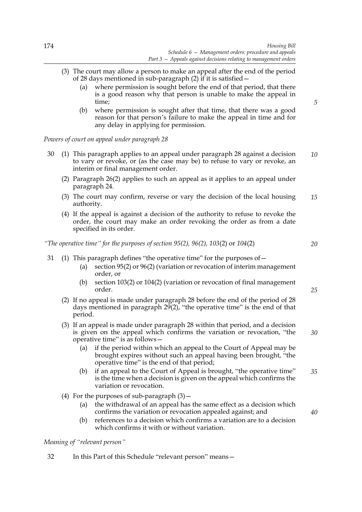- (3) The court may allow a person to make an appeal after the end of the period of 28 days mentioned in sub-paragraph  $(2)$  if it is satisfied –
	- (a) where permission is sought before the end of that period, that there is a good reason why that person is unable to make the appeal in time;
	- (b) where permission is sought after that time, that there was a good reason for that person's failure to make the appeal in time and for any delay in applying for permission.

*Powers of court on appeal under paragraph 28*

- 30 (1) This paragraph applies to an appeal under paragraph 28 against a decision to vary or revoke, or (as the case may be) to refuse to vary or revoke, an interim or final management order. *10*
	- (2) Paragraph 26(2) applies to such an appeal as it applies to an appeal under paragraph 24.
	- (3) The court may confirm, reverse or vary the decision of the local housing authority. *15*
	- (4) If the appeal is against a decision of the authority to refuse to revoke the order, the court may make an order revoking the order as from a date specified in its order.

*"The operative time" for the purposes of section 95(2), 96(2), 103*(2) or *104*(2)

- 31 (1) This paragraph defines "the operative time" for the purposes of—
	- (a) section 95(2) or 96(2) (variation or revocation of interim management order, or
	- (b) section 103(2) or 104(2) (variation or revocation of final management order.
	- (2) If no appeal is made under paragraph 28 before the end of the period of 28 days mentioned in paragraph 29(2), "the operative time" is the end of that period.
	- (3) If an appeal is made under paragraph 28 within that period, and a decision is given on the appeal which confirms the variation or revocation, "the operative time" is as follows—
		- (a) if the period within which an appeal to the Court of Appeal may be brought expires without such an appeal having been brought, "the operative time" is the end of that period;
		- (b) if an appeal to the Court of Appeal is brought, "the operative time" is the time when a decision is given on the appeal which confirms the variation or revocation. *35*
	- (4) For the purposes of sub-paragraph  $(3)$  -
		- (a) the withdrawal of an appeal has the same effect as a decision which confirms the variation or revocation appealed against; and
		- (b) references to a decision which confirms a variation are to a decision which confirms it with or without variation.

*Meaning of "relevant person"*

32 In this Part of this Schedule "relevant person" means—

*20*

*5*

*25*

*30*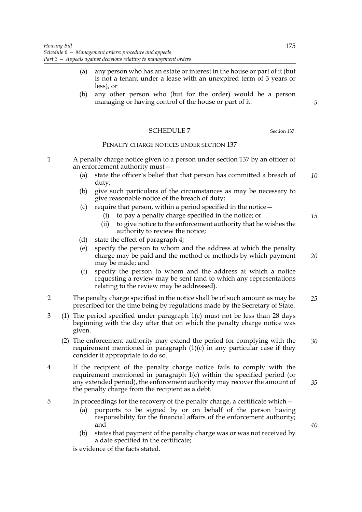- (a) any person who has an estate or interest in the house or part of it (but is not a tenant under a lease with an unexpired term of 3 years or less), or
- (b) any other person who (but for the order) would be a person managing or having control of the house or part of it.

*5*

*15*

### SCHEDULE 7 Section 137.

### PENALTY CHARGE NOTICES UNDER SECTION 137

1 A penalty charge notice given to a person under section 137 by an officer of an enforcement authority must—

- (a) state the officer's belief that that person has committed a breach of duty; *10*
- (b) give such particulars of the circumstances as may be necessary to give reasonable notice of the breach of duty;
- (c) require that person, within a period specified in the notice—
	- (i) to pay a penalty charge specified in the notice; or
	- (ii) to give notice to the enforcement authority that he wishes the authority to review the notice;
- (d) state the effect of paragraph 4;
- (e) specify the person to whom and the address at which the penalty charge may be paid and the method or methods by which payment may be made; and *20*
- (f) specify the person to whom and the address at which a notice requesting a review may be sent (and to which any representations relating to the review may be addressed).
- 2 The penalty charge specified in the notice shall be of such amount as may be prescribed for the time being by regulations made by the Secretary of State. *25*
- 3 (1) The period specified under paragraph 1(c) must not be less than 28 days beginning with the day after that on which the penalty charge notice was given.
	- (2) The enforcement authority may extend the period for complying with the requirement mentioned in paragraph  $(1)(c)$  in any particular case if they consider it appropriate to do so. *30*
- 4 If the recipient of the penalty charge notice fails to comply with the requirement mentioned in paragraph 1(c) within the specified period (or any extended period), the enforcement authority may recover the amount of the penalty charge from the recipient as a debt.

5 In proceedings for the recovery of the penalty charge, a certificate which—

- (a) purports to be signed by or on behalf of the person having responsibility for the financial affairs of the enforcement authority; and
- (b) states that payment of the penalty charge was or was not received by a date specified in the certificate;

is evidence of the facts stated.

*40*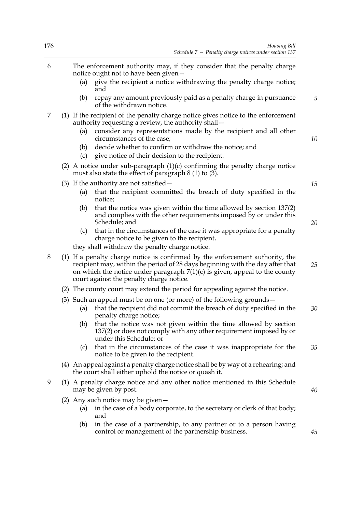- 6 The enforcement authority may, if they consider that the penalty charge notice ought not to have been given—
	- (a) give the recipient a notice withdrawing the penalty charge notice; and
	- (b) repay any amount previously paid as a penalty charge in pursuance of the withdrawn notice.
- 7 (1) If the recipient of the penalty charge notice gives notice to the enforcement authority requesting a review, the authority shall—
	- (a) consider any representations made by the recipient and all other circumstances of the case;
	- (b) decide whether to confirm or withdraw the notice; and
	- (c) give notice of their decision to the recipient.
	- (2) A notice under sub-paragraph (1)(c) confirming the penalty charge notice must also state the effect of paragraph 8 (1) to (3).
	- (3) If the authority are not satisfied—
		- (a) that the recipient committed the breach of duty specified in the notice;
		- (b) that the notice was given within the time allowed by section 137(2) and complies with the other requirements imposed by or under this Schedule; and
		- (c) that in the circumstances of the case it was appropriate for a penalty charge notice to be given to the recipient,

they shall withdraw the penalty charge notice.

- 8 (1) If a penalty charge notice is confirmed by the enforcement authority, the recipient may, within the period of 28 days beginning with the day after that on which the notice under paragraph  $7(1)(c)$  is given, appeal to the county court against the penalty charge notice.
	- (2) The county court may extend the period for appealing against the notice.
	- (3) Such an appeal must be on one (or more) of the following grounds—
		- (a) that the recipient did not commit the breach of duty specified in the penalty charge notice; *30*
		- (b) that the notice was not given within the time allowed by section 137(2) or does not comply with any other requirement imposed by or under this Schedule; or
		- (c) that in the circumstances of the case it was inappropriate for the notice to be given to the recipient. *35*
	- (4) An appeal against a penalty charge notice shall be by way of a rehearing; and the court shall either uphold the notice or quash it.
- 9 (1) A penalty charge notice and any other notice mentioned in this Schedule may be given by post.
	- (2) Any such notice may be given—
		- (a) in the case of a body corporate, to the secretary or clerk of that body; and
		- (b) in the case of a partnership, to any partner or to a person having control or management of the partnership business.

*15*

*5*

*10*

*25*

*40*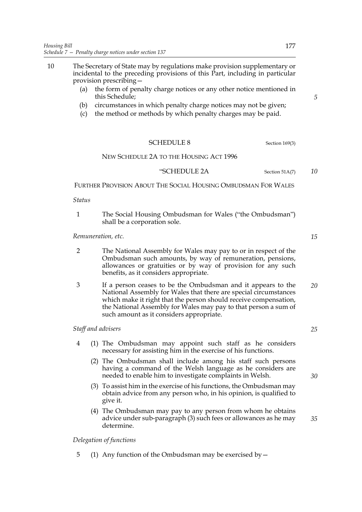- 10 The Secretary of State may by regulations make provision supplementary or incidental to the preceding provisions of this Part, including in particular provision prescribing—
	- (a) the form of penalty charge notices or any other notice mentioned in this Schedule;
	- (b) circumstances in which penalty charge notices may not be given;
	- (c) the method or methods by which penalty charges may be paid.

#### SCHEDULE 8 Section 169(3)

NEW SCHEDULE 2A TO THE HOUSING ACT 1996

#### "SCHEDULE 2A Section 51A(7)

FURTHER PROVISION ABOUT THE SOCIAL HOUSING OMBUDSMAN FOR WALES

*Status*

1 The Social Housing Ombudsman for Wales ("the Ombudsman") shall be a corporation sole.

*Remuneration, etc.*

- 2 The National Assembly for Wales may pay to or in respect of the Ombudsman such amounts, by way of remuneration, pensions, allowances or gratuities or by way of provision for any such benefits, as it considers appropriate.
- 3 If a person ceases to be the Ombudsman and it appears to the National Assembly for Wales that there are special circumstances which make it right that the person should receive compensation, the National Assembly for Wales may pay to that person a sum of such amount as it considers appropriate. *20*

#### *Staff and advisers*

- 4 (1) The Ombudsman may appoint such staff as he considers necessary for assisting him in the exercise of his functions.
	- (2) The Ombudsman shall include among his staff such persons having a command of the Welsh language as he considers are needed to enable him to investigate complaints in Welsh.
	- (3) To assist him in the exercise of his functions, the Ombudsman may obtain advice from any person who, in his opinion, is qualified to give it.
	- (4) The Ombudsman may pay to any person from whom he obtains advice under sub-paragraph (3) such fees or allowances as he may determine.

*Delegation of functions*

5 (1) Any function of the Ombudsman may be exercised by—

*15*

*10*

*25*

*30*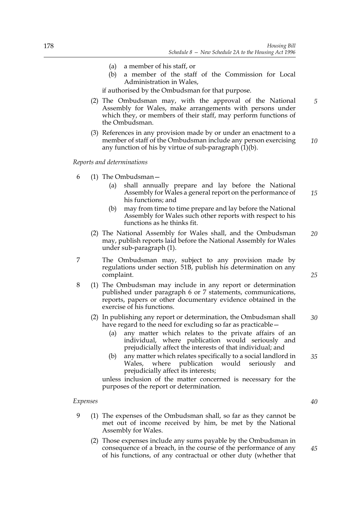- (a) a member of his staff, or
- (b) a member of the staff of the Commission for Local Administration in Wales,

if authorised by the Ombudsman for that purpose.

- (2) The Ombudsman may, with the approval of the National Assembly for Wales, make arrangements with persons under which they, or members of their staff, may perform functions of the Ombudsman. *5*
- (3) References in any provision made by or under an enactment to a member of staff of the Ombudsman include any person exercising any function of his by virtue of sub-paragraph  $(1)(b)$ . *10*

*Reports and determinations*

- 6 (1) The Ombudsman—
	- (a) shall annually prepare and lay before the National Assembly for Wales a general report on the performance of his functions; and
	- (b) may from time to time prepare and lay before the National Assembly for Wales such other reports with respect to his functions as he thinks fit.
	- (2) The National Assembly for Wales shall, and the Ombudsman may, publish reports laid before the National Assembly for Wales under sub-paragraph (1). *20*
- 7 The Ombudsman may, subject to any provision made by regulations under section 51B, publish his determination on any complaint.
- 8 (1) The Ombudsman may include in any report or determination published under paragraph 6 or 7 statements, communications, reports, papers or other documentary evidence obtained in the exercise of his functions.
	- (2) In publishing any report or determination, the Ombudsman shall have regard to the need for excluding so far as practicable— *30*
		- (a) any matter which relates to the private affairs of an individual, where publication would seriously and prejudicially affect the interests of that individual; and
		- (b) any matter which relates specifically to a social landlord in Wales, where publication would seriously and prejudicially affect its interests; *35*

unless inclusion of the matter concerned is necessary for the purposes of the report or determination.

#### *Expenses*

- 9 (1) The expenses of the Ombudsman shall, so far as they cannot be met out of income received by him, be met by the National Assembly for Wales.
	- (2) Those expenses include any sums payable by the Ombudsman in consequence of a breach, in the course of the performance of any of his functions, of any contractual or other duty (whether that

*15*

*40*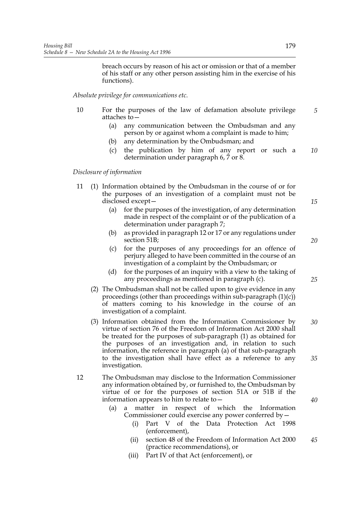breach occurs by reason of his act or omission or that of a member of his staff or any other person assisting him in the exercise of his functions).

*Absolute privilege for communications etc.*

- 10 For the purposes of the law of defamation absolute privilege attaches to—
	- (a) any communication between the Ombudsman and any person by or against whom a complaint is made to him;
	- (b) any determination by the Ombudsman; and
	- (c) the publication by him of any report or such a determination under paragraph 6, 7 or 8. *10*

#### *Disclosure of information*

- 11 (1) Information obtained by the Ombudsman in the course of or for the purposes of an investigation of a complaint must not be disclosed except—
	- (a) for the purposes of the investigation, of any determination made in respect of the complaint or of the publication of a determination under paragraph 7;
	- (b) as provided in paragraph 12 or 17 or any regulations under section 51B;
	- (c) for the purposes of any proceedings for an offence of perjury alleged to have been committed in the course of an investigation of a complaint by the Ombudsman; or
	- (d) for the purposes of an inquiry with a view to the taking of any proceedings as mentioned in paragraph (c).
	- (2) The Ombudsman shall not be called upon to give evidence in any proceedings (other than proceedings within sub-paragraph  $(1)(c)$ ) of matters coming to his knowledge in the course of an investigation of a complaint.
	- (3) Information obtained from the Information Commissioner by virtue of section 76 of the Freedom of Information Act 2000 shall be treated for the purposes of sub-paragraph (1) as obtained for the purposes of an investigation and, in relation to such information, the reference in paragraph (a) of that sub-paragraph to the investigation shall have effect as a reference to any investigation. *30 35*
- 12 The Ombudsman may disclose to the Information Commissioner any information obtained by, or furnished to, the Ombudsman by virtue of or for the purposes of section 51A or 51B if the information appears to him to relate to—
	- (a) a matter in respect of which the Information Commissioner could exercise any power conferred by—
		- (i) Part V of the Data Protection Act 1998 (enforcement),
		- (ii) section 48 of the Freedom of Information Act 2000 (practice recommendations), or *45*
		- (iii) Part IV of that Act (enforcement), or

*5*

*15*

*20*

*25*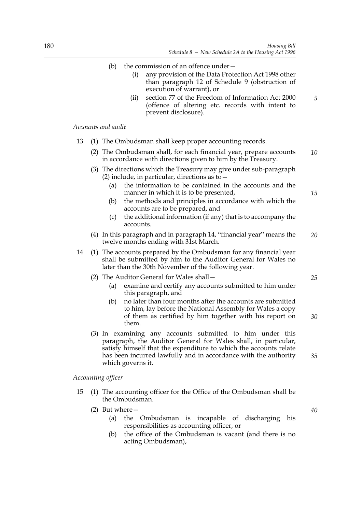#### (b) the commission of an offence under—

- any provision of the Data Protection Act 1998 other than paragraph 12 of Schedule 9 (obstruction of execution of warrant), or
- (ii) section 77 of the Freedom of Information Act 2000 (offence of altering etc. records with intent to prevent disclosure).

*Accounts and audit*

- 13 (1) The Ombudsman shall keep proper accounting records.
	- (2) The Ombudsman shall, for each financial year, prepare accounts in accordance with directions given to him by the Treasury. *10*
	- (3) The directions which the Treasury may give under sub-paragraph (2) include, in particular, directions as  $\mathrm{to}-$ 
		- (a) the information to be contained in the accounts and the manner in which it is to be presented,
		- (b) the methods and principles in accordance with which the accounts are to be prepared, and
		- (c) the additional information (if any) that is to accompany the accounts.
	- (4) In this paragraph and in paragraph 14, "financial year" means the twelve months ending with 31st March. *20*
- 14 (1) The accounts prepared by the Ombudsman for any financial year shall be submitted by him to the Auditor General for Wales no later than the 30th November of the following year.
	- (2) The Auditor General for Wales shall—
		- (a) examine and certify any accounts submitted to him under this paragraph, and
		- (b) no later than four months after the accounts are submitted to him, lay before the National Assembly for Wales a copy of them as certified by him together with his report on them. *30*
	- (3) In examining any accounts submitted to him under this paragraph, the Auditor General for Wales shall, in particular, satisfy himself that the expenditure to which the accounts relate has been incurred lawfully and in accordance with the authority which governs it.

*Accounting officer*

- 15 (1) The accounting officer for the Office of the Ombudsman shall be the Ombudsman.
	- (2) But where—
		- (a) the Ombudsman is incapable of discharging his responsibilities as accounting officer, or
		- (b) the office of the Ombudsman is vacant (and there is no acting Ombudsman),

*25*

*15*

*5*

*40*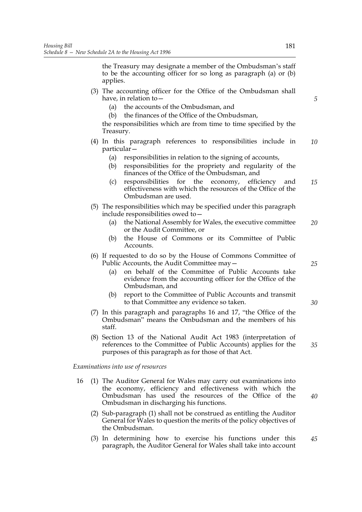the Treasury may designate a member of the Ombudsman's staff to be the accounting officer for so long as paragraph (a) or (b) applies.

- (3) The accounting officer for the Office of the Ombudsman shall have, in relation to—
	- (a) the accounts of the Ombudsman, and
	- (b) the finances of the Office of the Ombudsman,

the responsibilities which are from time to time specified by the Treasury.

- (4) In this paragraph references to responsibilities include in particular— *10*
	- (a) responsibilities in relation to the signing of accounts,
	- (b) responsibilities for the propriety and regularity of the finances of the Office of the Ombudsman, and
	- (c) responsibilities for the economy, efficiency and effectiveness with which the resources of the Office of the Ombudsman are used. *15*
- (5) The responsibilities which may be specified under this paragraph include responsibilities owed to—
	- (a) the National Assembly for Wales, the executive committee or the Audit Committee, or *20*
	- (b) the House of Commons or its Committee of Public Accounts.
- (6) If requested to do so by the House of Commons Committee of Public Accounts, the Audit Committee may—
	- (a) on behalf of the Committee of Public Accounts take evidence from the accounting officer for the Office of the Ombudsman, and
	- (b) report to the Committee of Public Accounts and transmit to that Committee any evidence so taken.
- (7) In this paragraph and paragraphs 16 and 17, "the Office of the Ombudsman" means the Ombudsman and the members of his staff.
- (8) Section 13 of the National Audit Act 1983 (interpretation of references to the Committee of Public Accounts) applies for the purposes of this paragraph as for those of that Act.

*Examinations into use of resources*

- 16 (1) The Auditor General for Wales may carry out examinations into the economy, efficiency and effectiveness with which the Ombudsman has used the resources of the Office of the Ombudsman in discharging his functions.
	- (2) Sub-paragraph (1) shall not be construed as entitling the Auditor General for Wales to question the merits of the policy objectives of the Ombudsman.
	- (3) In determining how to exercise his functions under this paragraph, the Auditor General for Wales shall take into account *45*

181

*5*

*25*

*35*

*30*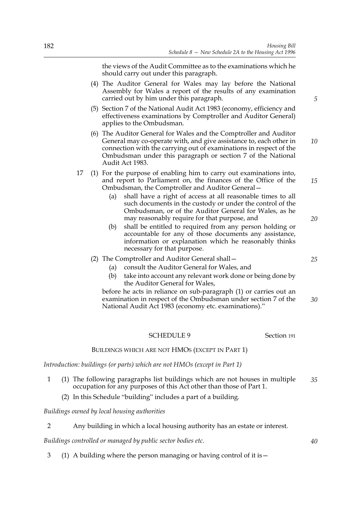the views of the Audit Committee as to the examinations which he should carry out under this paragraph.

- (4) The Auditor General for Wales may lay before the National Assembly for Wales a report of the results of any examination carried out by him under this paragraph.
- (5) Section 7 of the National Audit Act 1983 (economy, efficiency and effectiveness examinations by Comptroller and Auditor General) applies to the Ombudsman.
- (6) The Auditor General for Wales and the Comptroller and Auditor General may co-operate with, and give assistance to, each other in connection with the carrying out of examinations in respect of the Ombudsman under this paragraph or section 7 of the National Audit Act 1983. *10*
- 17 (1) For the purpose of enabling him to carry out examinations into, and report to Parliament on, the finances of the Office of the Ombudsman, the Comptroller and Auditor General—
	- (a) shall have a right of access at all reasonable times to all such documents in the custody or under the control of the Ombudsman, or of the Auditor General for Wales, as he may reasonably require for that purpose, and
	- (b) shall be entitled to required from any person holding or accountable for any of those documents any assistance, information or explanation which he reasonably thinks necessary for that purpose.

#### (2) The Comptroller and Auditor General shall—

- (a) consult the Auditor General for Wales, and
- (b) take into account any relevant work done or being done by the Auditor General for Wales,

before he acts in reliance on sub-paragraph (1) or carries out an examination in respect of the Ombudsman under section 7 of the National Audit Act 1983 (economy etc. examinations)." *30*

#### SCHEDULE 9 Section 191

# BUILDINGS WHICH ARE NOT HMOS (EXCEPT IN PART 1)

*Introduction: buildings (or parts) which are not HMOs (except in Part 1)*

- 1 (1) The following paragraphs list buildings which are not houses in multiple occupation for any purposes of this Act other than those of Part 1. *35*
	- (2) In this Schedule "building" includes a part of a building.

*Buildings owned by local housing authorities*

2 Any building in which a local housing authority has an estate or interest.

*Buildings controlled or managed by public sector bodies etc.*

3 (1) A building where the person managing or having control of it is—

*40*

*15*

*20*

*5*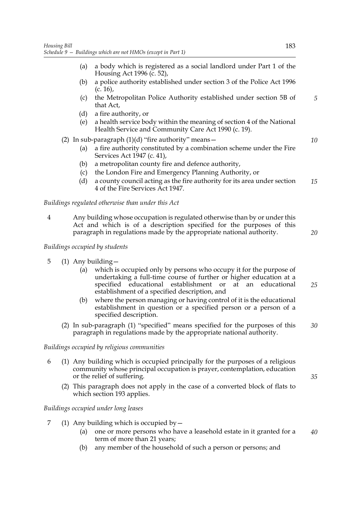- (a) a body which is registered as a social landlord under Part 1 of the Housing Act 1996 (c. 52),
- (b) a police authority established under section 3 of the Police Act 1996  $(c. 16)$ ,
- (c) the Metropolitan Police Authority established under section 5B of that Act, *5*
- (d) a fire authority, or
- (e) a health service body within the meaning of section 4 of the National Health Service and Community Care Act 1990 (c. 19).
- (2) In sub-paragraph  $(1)(d)$  "fire authority" means -
	- (a) a fire authority constituted by a combination scheme under the Fire Services Act 1947 (c. 41),
	- (b) a metropolitan county fire and defence authority,
	- (c) the London Fire and Emergency Planning Authority, or
	- (d) a county council acting as the fire authority for its area under section 4 of the Fire Services Act 1947. *15*

#### *Buildings regulated otherwise than under this Act*

4 Any building whose occupation is regulated otherwise than by or under this Act and which is of a description specified for the purposes of this paragraph in regulations made by the appropriate national authority.

## *Buildings occupied by students*

- 5 (1) Any building—
	- (a) which is occupied only by persons who occupy it for the purpose of undertaking a full-time course of further or higher education at a specified educational establishment or at an educational establishment of a specified description, and
	- (b) where the person managing or having control of it is the educational establishment in question or a specified person or a person of a specified description.
	- (2) In sub-paragraph (1) "specified" means specified for the purposes of this paragraph in regulations made by the appropriate national authority. *30*

#### *Buildings occupied by religious communities*

- 6 (1) Any building which is occupied principally for the purposes of a religious community whose principal occupation is prayer, contemplation, education or the relief of suffering.
	- (2) This paragraph does not apply in the case of a converted block of flats to which section 193 applies.

*Buildings occupied under long leases*

- 7 (1) Any building which is occupied by—
	- (a) one or more persons who have a leasehold estate in it granted for a term of more than 21 years; *40*
	- (b) any member of the household of such a person or persons; and

*10*

*20*

*25*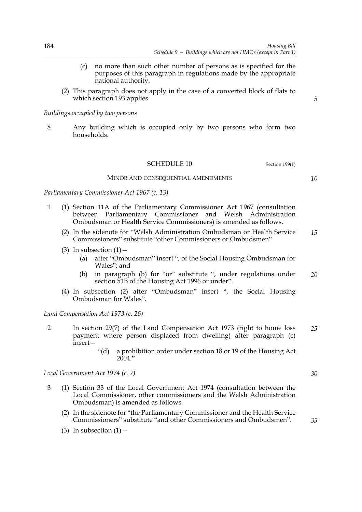- (c) no more than such other number of persons as is specified for the purposes of this paragraph in regulations made by the appropriate national authority.
- (2) This paragraph does not apply in the case of a converted block of flats to which section 193 applies.

# *5*

#### *Buildings occupied by two persons*

8 Any building which is occupied only by two persons who form two households.

#### SCHEDULE 10 Section 199(1)

#### MINOR AND CONSEQUENTIAL AMENDMENTS

*Parliamentary Commissioner Act 1967 (c. 13)*

- 1 (1) Section 11A of the Parliamentary Commissioner Act 1967 (consultation between Parliamentary Commissioner and Welsh Administration Ombudsman or Health Service Commissioners) is amended as follows.
	- (2) In the sidenote for "Welsh Administration Ombudsman or Health Service Commissioners" substitute "other Commissioners or Ombudsmen" *15*
	- (3) In subsection  $(1)$ 
		- (a) after "Ombudsman" insert ", of the Social Housing Ombudsman for Wales"; and
		- (b) in paragraph (b) for "or" substitute ", under regulations under section 51B of the Housing Act 1996 or under". *20*
	- (4) In subsection (2) after "Ombudsman" insert ", the Social Housing Ombudsman for Wales".

*Land Compensation Act 1973 (c. 26)*

- 2 In section 29(7) of the Land Compensation Act 1973 (right to home loss payment where person displaced from dwelling) after paragraph (c) insert— *25*
	- "(d) a prohibition order under section 18 or 19 of the Housing Act  $2004."$

*Local Government Act 1974 (c. 7)*

- 3 (1) Section 33 of the Local Government Act 1974 (consultation between the Local Commissioner, other commissioners and the Welsh Administration Ombudsman) is amended as follows.
	- (2) In the sidenote for "the Parliamentary Commissioner and the Health Service Commissioners" substitute "and other Commissioners and Ombudsmen".
	- (3) In subsection  $(1)$  -

*30*

*35*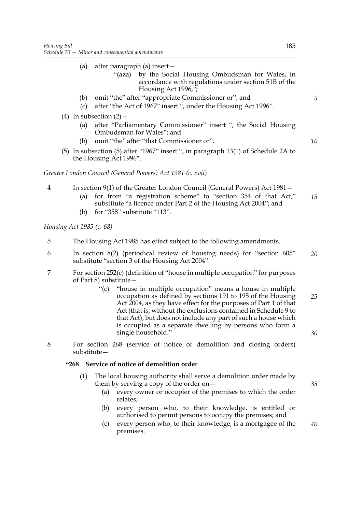- (a) after paragraph (a) insert—
	- "(aza) by the Social Housing Ombudsman for Wales, in accordance with regulations under section 51B of the Housing Act 1996,";
- (b) omit "the" after "appropriate Commissioner or"; and
- (c) after "the Act of 1967" insert ", under the Housing Act 1996".
- (4) In subsection  $(2)$ 
	- (a) after "Parliamentary Commissioner" insert ", the Social Housing Ombudsman for Wales"; and
	- (b) omit "the" after "that Commissioner or".
- (5) In subsection (5) after "1967" insert ", in paragraph 13(1) of Schedule 2A to the Housing Act 1996".

*Greater London Council (General Powers) Act 1981 (c. xvii)*

- 4 In section 9(1) of the Greater London Council (General Powers) Act 1981—
	- (a) for from "a registration scheme" to "section 354 of that Act," substitute "a licence under Part 2 of the Housing Act 2004"; and *15*
	- (b) for "358" substitute "113".

*Housing Act 1985 (c. 68)*

- 5 The Housing Act 1985 has effect subject to the following amendments.
- 6 In section 8(2) (periodical review of housing needs) for "section 605" substitute "section 3 of the Housing Act 2004". *20*
- 7 For section 252(c) (definition of "house in multiple occupation" for purposes of Part 8) substitute—
	- "(c) "house in multiple occupation" means a house in multiple occupation as defined by sections 191 to 195 of the Housing Act 2004, as they have effect for the purposes of Part 1 of that Act (that is, without the exclusions contained in Schedule 9 to that Act), but does not include any part of such a house which is occupied as a separate dwelling by persons who form a single household." *25 30*
- 8 For section 268 (service of notice of demolition and closing orders) substitute—

#### **"268 Service of notice of demolition order**

- (1) The local housing authority shall serve a demolition order made by them by serving a copy of the order on—
	- (a) every owner or occupier of the premises to which the order relates;
	- (b) every person who, to their knowledge, is entitled or authorised to permit persons to occupy the premises; and
	- (c) every person who, to their knowledge, is a mortgagee of the premises. *40*

*5*

*10*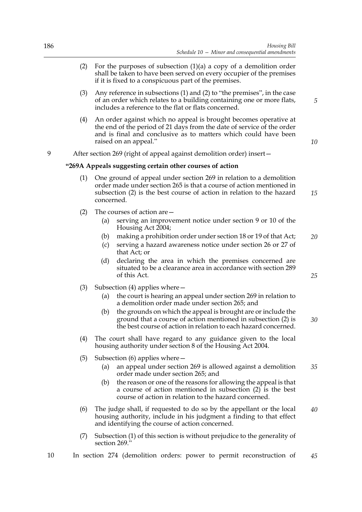- (2) For the purposes of subsection  $(1)(a)$  a copy of a demolition order shall be taken to have been served on every occupier of the premises if it is fixed to a conspicuous part of the premises.
- (3) Any reference in subsections (1) and (2) to "the premises", in the case of an order which relates to a building containing one or more flats, includes a reference to the flat or flats concerned.
- (4) An order against which no appeal is brought becomes operative at the end of the period of 21 days from the date of service of the order and is final and conclusive as to matters which could have been raised on an appeal."

9 After section 269 (right of appeal against demolition order) insert—

#### **"269A Appeals suggesting certain other courses of action**

- (1) One ground of appeal under section 269 in relation to a demolition order made under section 265 is that a course of action mentioned in subsection (2) is the best course of action in relation to the hazard concerned. *15*
- (2) The courses of action are—
	- (a) serving an improvement notice under section 9 or 10 of the Housing Act 2004;
	- (b) making a prohibition order under section 18 or 19 of that Act; *20*
	- (c) serving a hazard awareness notice under section 26 or 27 of that Act; or
	- (d) declaring the area in which the premises concerned are situated to be a clearance area in accordance with section 289 of this Act.
- (3) Subsection (4) applies where—
	- (a) the court is hearing an appeal under section 269 in relation to a demolition order made under section 265; and
	- (b) the grounds on which the appeal is brought are or include the ground that a course of action mentioned in subsection (2) is the best course of action in relation to each hazard concerned.
- (4) The court shall have regard to any guidance given to the local housing authority under section 8 of the Housing Act 2004.
- (5) Subsection (6) applies where—
	- (a) an appeal under section 269 is allowed against a demolition order made under section 265; and *35*
	- (b) the reason or one of the reasons for allowing the appeal is that a course of action mentioned in subsection  $(2)$  is the best course of action in relation to the hazard concerned.
- (6) The judge shall, if requested to do so by the appellant or the local housing authority, include in his judgment a finding to that effect and identifying the course of action concerned. *40*
- (7) Subsection (1) of this section is without prejudice to the generality of section 269."
- 10 In section 274 (demolition orders: power to permit reconstruction of *45*

*25*

*5*

*10*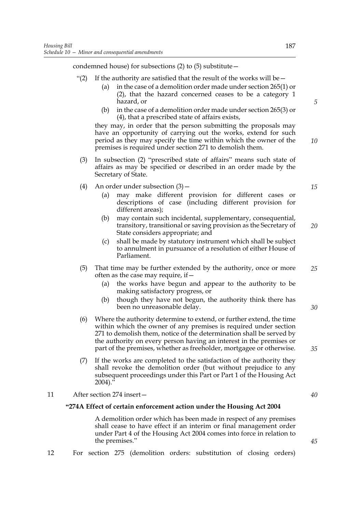condemned house) for subsections (2) to (5) substitute—

- "(2) If the authority are satisfied that the result of the works will be  $$ 
	- in the case of a demolition order made under section  $265(1)$  or (2), that the hazard concerned ceases to be a category 1 hazard, or
	- (b) in the case of a demolition order made under section 265(3) or (4), that a prescribed state of affairs exists,

they may, in order that the person submitting the proposals may have an opportunity of carrying out the works, extend for such period as they may specify the time within which the owner of the premises is required under section 271 to demolish them.

- (3) In subsection (2) "prescribed state of affairs" means such state of affairs as may be specified or described in an order made by the Secretary of State.
- (4) An order under subsection (3)—
	- (a) may make different provision for different cases or descriptions of case (including different provision for different areas);
	- (b) may contain such incidental, supplementary, consequential, transitory, transitional or saving provision as the Secretary of State considers appropriate; and *20*
	- (c) shall be made by statutory instrument which shall be subject to annulment in pursuance of a resolution of either House of Parliament.
- (5) That time may be further extended by the authority, once or more often as the case may require, if—
	- (a) the works have begun and appear to the authority to be making satisfactory progress, or
	- (b) though they have not begun, the authority think there has been no unreasonable delay.
- (6) Where the authority determine to extend, or further extend, the time within which the owner of any premises is required under section 271 to demolish them, notice of the determination shall be served by the authority on every person having an interest in the premises or part of the premises, whether as freeholder, mortgagee or otherwise.
- (7) If the works are completed to the satisfaction of the authority they shall revoke the demolition order (but without prejudice to any subsequent proceedings under this Part or Part 1 of the Housing Act  $2004$ )."

11 After section 274 insert—

#### **"274A Effect of certain enforcement action under the Housing Act 2004**

A demolition order which has been made in respect of any premises shall cease to have effect if an interim or final management order under Part 4 of the Housing Act 2004 comes into force in relation to the premises."

12 For section 275 (demolition orders: substitution of closing orders)

*10*

*5*

*15*

*25*

*30*

*35*

*40*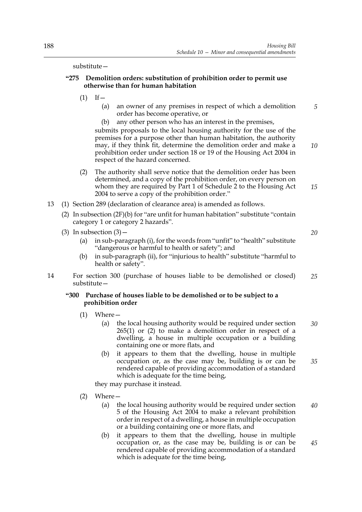#### substitute—

#### **"275 Demolition orders: substitution of prohibition order to permit use otherwise than for human habitation**

- $(1)$  If  $-$ 
	- (a) an owner of any premises in respect of which a demolition order has become operative, or *5*
	- (b) any other person who has an interest in the premises,

submits proposals to the local housing authority for the use of the premises for a purpose other than human habitation, the authority may, if they think fit, determine the demolition order and make a prohibition order under section 18 or 19 of the Housing Act 2004 in respect of the hazard concerned. *10*

- (2) The authority shall serve notice that the demolition order has been determined, and a copy of the prohibition order, on every person on whom they are required by Part 1 of Schedule 2 to the Housing Act 2004 to serve a copy of the prohibition order." *15*
- 13 (1) Section 289 (declaration of clearance area) is amended as follows.
	- (2) In subsection (2F)(b) for "are unfit for human habitation" substitute "contain category 1 or category 2 hazards".
	- (3) In subsection  $(3)$ 
		- (a) in sub-paragraph (i), for the words from "unfit" to "health" substitute "dangerous or harmful to health or safety"; and
		- (b) in sub-paragraph (ii), for "injurious to health" substitute "harmful to health or safety".
- 14 For section 300 (purchase of houses liable to be demolished or closed) substitute— *25*

#### **"300 Purchase of houses liable to be demolished or to be subject to a prohibition order**

- (1) Where—
	- (a) the local housing authority would be required under section 265(1) or (2) to make a demolition order in respect of a dwelling, a house in multiple occupation or a building containing one or more flats, and *30*
	- (b) it appears to them that the dwelling, house in multiple occupation or, as the case may be, building is or can be rendered capable of providing accommodation of a standard which is adequate for the time being,

they may purchase it instead.

- (2) Where—
	- (a) the local housing authority would be required under section 5 of the Housing Act 2004 to make a relevant prohibition order in respect of a dwelling, a house in multiple occupation or a building containing one or more flats, and *40*
	- (b) it appears to them that the dwelling, house in multiple occupation or, as the case may be, building is or can be rendered capable of providing accommodation of a standard which is adequate for the time being,

*20*

*35*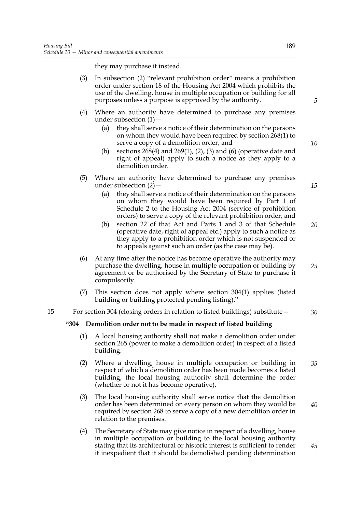they may purchase it instead.

- (3) In subsection (2) "relevant prohibition order" means a prohibition order under section 18 of the Housing Act 2004 which prohibits the use of the dwelling, house in multiple occupation or building for all purposes unless a purpose is approved by the authority.
- (4) Where an authority have determined to purchase any premises under subsection  $(1)$  –
	- (a) they shall serve a notice of their determination on the persons on whom they would have been required by section 268(1) to serve a copy of a demolition order, and
	- (b) sections 268(4) and 269(1), (2), (3) and (6) (operative date and right of appeal) apply to such a notice as they apply to a demolition order.
- (5) Where an authority have determined to purchase any premises under subsection  $(2)$  –
	- (a) they shall serve a notice of their determination on the persons on whom they would have been required by Part 1 of Schedule 2 to the Housing Act 2004 (service of prohibition orders) to serve a copy of the relevant prohibition order; and
	- (b) section 22 of that Act and Parts 1 and 3 of that Schedule (operative date, right of appeal etc.) apply to such a notice as they apply to a prohibition order which is not suspended or to appeals against such an order (as the case may be). *20*
- (6) At any time after the notice has become operative the authority may purchase the dwelling, house in multiple occupation or building by agreement or be authorised by the Secretary of State to purchase it compulsorily.
- (7) This section does not apply where section 304(1) applies (listed building or building protected pending listing)."

#### 15 For section 304 (closing orders in relation to listed buildings) substitute—

#### **"304 Demolition order not to be made in respect of listed building**

- (1) A local housing authority shall not make a demolition order under section 265 (power to make a demolition order) in respect of a listed building.
- (2) Where a dwelling, house in multiple occupation or building in respect of which a demolition order has been made becomes a listed building, the local housing authority shall determine the order (whether or not it has become operative). *35*
- (3) The local housing authority shall serve notice that the demolition order has been determined on every person on whom they would be required by section 268 to serve a copy of a new demolition order in relation to the premises.
- (4) The Secretary of State may give notice in respect of a dwelling, house in multiple occupation or building to the local housing authority stating that its architectural or historic interest is sufficient to render it inexpedient that it should be demolished pending determination

*10*

*15*

*5*

*25*

*30*

*45*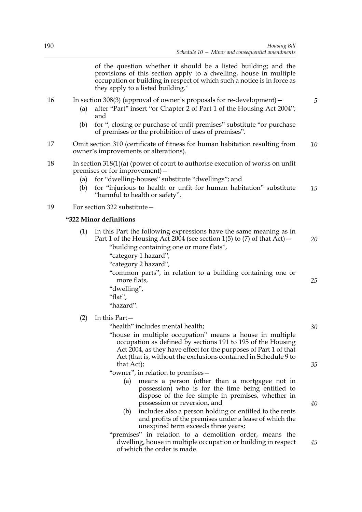of the question whether it should be a listed building; and the provisions of this section apply to a dwelling, house in multiple occupation or building in respect of which such a notice is in force as they apply to a listed building."

| 16 | (a)<br>(b) | In section 308(3) (approval of owner's proposals for re-development) $-$<br>after "Part" insert "or Chapter 2 of Part 1 of the Housing Act 2004";<br>and<br>for ", closing or purchase of unfit premises" substitute "or purchase                                                                                                                                 | 5  |
|----|------------|-------------------------------------------------------------------------------------------------------------------------------------------------------------------------------------------------------------------------------------------------------------------------------------------------------------------------------------------------------------------|----|
|    |            | of premises or the prohibition of uses of premises".                                                                                                                                                                                                                                                                                                              |    |
| 17 |            | Omit section 310 (certificate of fitness for human habitation resulting from<br>owner's improvements or alterations).                                                                                                                                                                                                                                             | 10 |
| 18 | (a)<br>(b) | In section $318(1)(a)$ (power of court to authorise execution of works on unfit<br>premises or for improvement) –<br>for "dwelling-houses" substitute "dwellings"; and<br>for "injurious to health or unfit for human habitation" substitute<br>"harmful to health or safety".                                                                                    | 15 |
| 19 |            | For section 322 substitute -                                                                                                                                                                                                                                                                                                                                      |    |
|    |            | "322 Minor definitions                                                                                                                                                                                                                                                                                                                                            |    |
|    | (1)        | In this Part the following expressions have the same meaning as in<br>Part 1 of the Housing Act 2004 (see section 1(5) to (7) of that Act) $-$<br>"building containing one or more flats",<br>"category 1 hazard",<br>"category 2 hazard",                                                                                                                        | 20 |
|    |            | "common parts", in relation to a building containing one or<br>more flats,<br>"dwelling",<br>"flat",<br>"hazard".                                                                                                                                                                                                                                                 | 25 |
|    | (2)        | In this Part-<br>"health" includes mental health;<br>"house in multiple occupation" means a house in multiple<br>occupation as defined by sections 191 to 195 of the Housing<br>Act 2004, as they have effect for the purposes of Part 1 of that<br>Act (that is, without the exclusions contained in Schedule 9 to                                               | 30 |
|    |            | that Act);<br>"owner", in relation to premises –                                                                                                                                                                                                                                                                                                                  | 35 |
|    |            | means a person (other than a mortgagee not in<br>(a)<br>possession) who is for the time being entitled to<br>dispose of the fee simple in premises, whether in<br>possession or reversion, and<br>includes also a person holding or entitled to the rents<br>(b)<br>and profits of the premises under a lease of which the<br>unexpired term exceeds three years; | 40 |
|    |            | "premises" in relation to a demolition order, means the<br>dwelling, house in multiple occupation or building in respect<br>of which the order is made.                                                                                                                                                                                                           | 45 |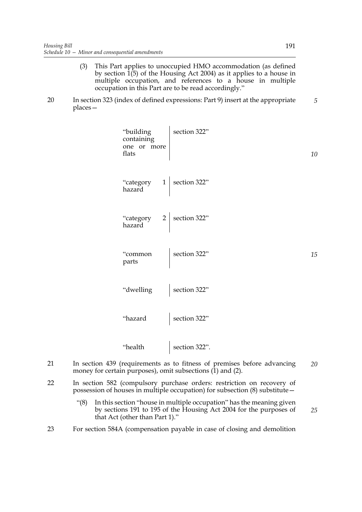- (3) This Part applies to unoccupied HMO accommodation (as defined by section  $1(5)$  of the Housing Act 2004) as it applies to a house in multiple occupation, and references to a house in multiple occupation in this Part are to be read accordingly."
- 20 In section 323 (index of defined expressions: Part 9) insert at the appropriate places—

|    | "building<br>containing<br>one or more<br>flats   | section 322"                                                            | 10 |
|----|---------------------------------------------------|-------------------------------------------------------------------------|----|
|    | "category $1 \times 32$ "<br>hazard               |                                                                         |    |
|    | "category $2 \mid \text{section } 322"$<br>hazard |                                                                         |    |
|    | "common section 322"<br>parts                     |                                                                         | 15 |
|    | "dwelling                                         | section 322"                                                            |    |
|    | "hazard                                           | section 322"                                                            |    |
|    | "health                                           | section 322".                                                           |    |
| 21 |                                                   | In section 439 (requirements as to fitness of premises before advancing | 20 |

- money for certain purposes), omit subsections  $(1)$  and  $(2)$ . 22 In section 582 (compulsory purchase orders: restriction on recovery of possession of houses in multiple occupation) for subsection (8) substitute—
	- "(8) In this section "house in multiple occupation" has the meaning given by sections 191 to 195 of the Housing Act 2004 for the purposes of that Act (other than Part 1)." *25*
- 23 For section 584A (compensation payable in case of closing and demolition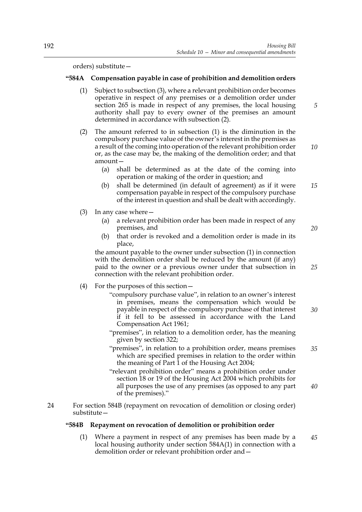orders) substitute—

#### **"584A Compensation payable in case of prohibition and demolition orders**

- (1) Subject to subsection (3), where a relevant prohibition order becomes operative in respect of any premises or a demolition order under section 265 is made in respect of any premises, the local housing authority shall pay to every owner of the premises an amount determined in accordance with subsection (2).
- (2) The amount referred to in subsection (1) is the diminution in the compulsory purchase value of the owner's interest in the premises as a result of the coming into operation of the relevant prohibition order or, as the case may be, the making of the demolition order; and that amount—
	- (a) shall be determined as at the date of the coming into operation or making of the order in question; and
	- (b) shall be determined (in default of agreement) as if it were compensation payable in respect of the compulsory purchase of the interest in question and shall be dealt with accordingly. *15*
- (3) In any case where—
	- (a) a relevant prohibition order has been made in respect of any premises, and
	- (b) that order is revoked and a demolition order is made in its place,

the amount payable to the owner under subsection (1) in connection with the demolition order shall be reduced by the amount (if any) paid to the owner or a previous owner under that subsection in connection with the relevant prohibition order.

#### (4) For the purposes of this section—

- "compulsory purchase value", in relation to an owner's interest in premises, means the compensation which would be payable in respect of the compulsory purchase of that interest if it fell to be assessed in accordance with the Land Compensation Act 1961;
- "premises", in relation to a demolition order, has the meaning given by section 322;
- "premises", in relation to a prohibition order, means premises which are specified premises in relation to the order within the meaning of Part 1 of the Housing Act 2004; *35*
- "relevant prohibition order" means a prohibition order under section 18 or 19 of the Housing Act 2004 which prohibits for all purposes the use of any premises (as opposed to any part of the premises)." *40*
- 24 For section 584B (repayment on revocation of demolition or closing order) substitute—

#### **"584B Repayment on revocation of demolition or prohibition order**

(1) Where a payment in respect of any premises has been made by a local housing authority under section 584A(1) in connection with a demolition order or relevant prohibition order and— *45*

*20*

*25*

*30*

*10*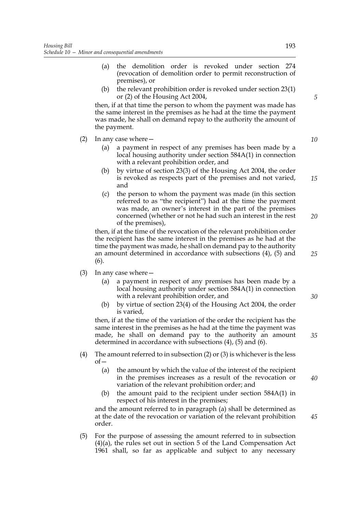- (a) the demolition order is revoked under section 274 (revocation of demolition order to permit reconstruction of premises), or
- (b) the relevant prohibition order is revoked under section 23(1) or (2) of the Housing Act 2004,

then, if at that time the person to whom the payment was made has the same interest in the premises as he had at the time the payment was made, he shall on demand repay to the authority the amount of the payment.

- (2) In any case where—
	- (a) a payment in respect of any premises has been made by a local housing authority under section 584A(1) in connection with a relevant prohibition order, and
	- (b) by virtue of section 23(3) of the Housing Act 2004, the order is revoked as respects part of the premises and not varied, and *15*
	- (c) the person to whom the payment was made (in this section referred to as "the recipient") had at the time the payment was made, an owner's interest in the part of the premises concerned (whether or not he had such an interest in the rest of the premises), *20*

then, if at the time of the revocation of the relevant prohibition order the recipient has the same interest in the premises as he had at the time the payment was made, he shall on demand pay to the authority an amount determined in accordance with subsections (4), (5) and (6).

- (3) In any case where—
	- (a) a payment in respect of any premises has been made by a local housing authority under section 584A(1) in connection with a relevant prohibition order, and
	- (b) by virtue of section 23(4) of the Housing Act 2004, the order is varied,

then, if at the time of the variation of the order the recipient has the same interest in the premises as he had at the time the payment was made, he shall on demand pay to the authority an amount determined in accordance with subsections (4), (5) and (6).

- (4) The amount referred to in subsection (2) or (3) is whichever is the less of—
	- (a) the amount by which the value of the interest of the recipient in the premises increases as a result of the revocation or variation of the relevant prohibition order; and
	- (b) the amount paid to the recipient under section 584A(1) in respect of his interest in the premises;

and the amount referred to in paragraph (a) shall be determined as at the date of the revocation or variation of the relevant prohibition order.

(5) For the purpose of assessing the amount referred to in subsection (4)(a), the rules set out in section 5 of the Land Compensation Act 1961 shall, so far as applicable and subject to any necessary *5*

*10*

*25*

*30*

*35*

*40*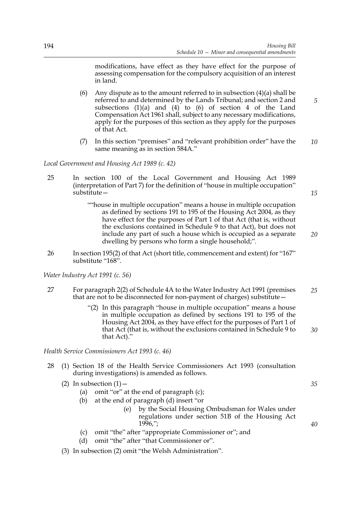modifications, have effect as they have effect for the purpose of assessing compensation for the compulsory acquisition of an interest in land.

- (6) Any dispute as to the amount referred to in subsection  $(4)(a)$  shall be referred to and determined by the Lands Tribunal; and section 2 and subsections  $(1)(a)$  and  $(4)$  to  $(6)$  of section 4 of the Land Compensation Act 1961 shall, subject to any necessary modifications, apply for the purposes of this section as they apply for the purposes of that Act.
- (7) In this section "premises" and "relevant prohibition order" have the same meaning as in section 584A." *10*

*Local Government and Housing Act 1989 (c. 42)*

- 25 In section 100 of the Local Government and Housing Act 1989 (interpretation of Part 7) for the definition of "house in multiple occupation" substitute—
	- ""house in multiple occupation" means a house in multiple occupation as defined by sections 191 to 195 of the Housing Act 2004, as they have effect for the purposes of Part 1 of that Act (that is, without the exclusions contained in Schedule 9 to that Act), but does not include any part of such a house which is occupied as a separate dwelling by persons who form a single household;".
- 26 In section 195(2) of that Act (short title, commencement and extent) for "167" substitute "168".

*Water Industry Act 1991 (c. 56)*

- 27 For paragraph 2(2) of Schedule 4A to the Water Industry Act 1991 (premises that are not to be disconnected for non-payment of charges) substitute— *25*
	- "(2) In this paragraph "house in multiple occupation" means a house in multiple occupation as defined by sections 191 to 195 of the Housing Act 2004, as they have effect for the purposes of Part 1 of that Act (that is, without the exclusions contained in Schedule 9 to that Act)."

*Health Service Commissioners Act 1993 (c. 46)*

- 28 (1) Section 18 of the Health Service Commissioners Act 1993 (consultation during investigations) is amended as follows.
	- (2) In subsection  $(1)$ 
		- (a) omit "or" at the end of paragraph (c);
		- (b) at the end of paragraph (d) insert "or
			- (e) by the Social Housing Ombudsman for Wales under regulations under section 51B of the Housing Act 1996,";
		- (c) omit "the" after "appropriate Commissioner or"; and
		- (d) omit "the" after "that Commissioner or".
	- (3) In subsection (2) omit "the Welsh Administration".

*15*

*5*

*20*

*30*

*35*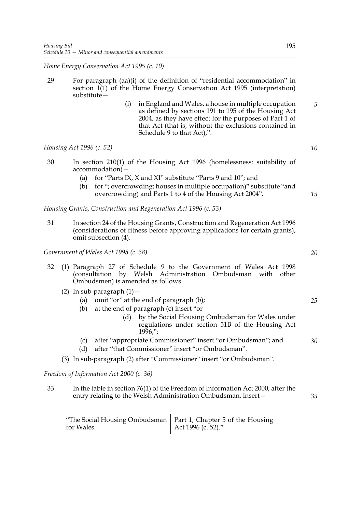*Home Energy Conservation Act 1995 (c. 10)*

| 29 | For paragraph (aa)(i) of the definition of "residential accommodation" in |
|----|---------------------------------------------------------------------------|
|    | section 1(1) of the Home Energy Conservation Act 1995 (interpretation)    |
|    | substitute —                                                              |

(i) in England and Wales, a house in multiple occupation as defined by sections 191 to 195 of the Housing Act 2004, as they have effect for the purposes of Part 1 of that Act (that is, without the exclusions contained in Schedule 9 to that Act),". *5*

*Housing Act 1996 (c. 52)*

- 30 In section 210(1) of the Housing Act 1996 (homelessness: suitability of accommodation)—
	- (a) for "Parts IX, X and XI" substitute "Parts 9 and 10"; and
	- (b) for "; overcrowding; houses in multiple occupation)" substitute "and overcrowding) and Parts 1 to 4 of the Housing Act 2004".

*Housing Grants, Construction and Regeneration Act 1996 (c. 53)*

31 In section 24 of the Housing Grants, Construction and Regeneration Act 1996 (considerations of fitness before approving applications for certain grants), omit subsection (4).

*Government of Wales Act 1998 (c. 38)*

- 32 (1) Paragraph 27 of Schedule 9 to the Government of Wales Act 1998 (consultation by Welsh Administration Ombudsman with other Ombudsmen) is amended as follows.
	- (2) In sub-paragraph  $(1)$  -
		- (a) omit "or" at the end of paragraph (b);
		- (b) at the end of paragraph (c) insert "or
			- (d) by the Social Housing Ombudsman for Wales under regulations under section 51B of the Housing Act  $1996$ ;";
		- (c) after "appropriate Commissioner" insert "or Ombudsman"; and
		- (d) after "that Commissioner" insert "or Ombudsman".
	- (3) In sub-paragraph (2) after "Commissioner" insert "or Ombudsman".

*Freedom of Information Act 2000 (c. 36)*

33 In the table in section 76(1) of the Freedom of Information Act 2000, after the entry relating to the Welsh Administration Ombudsman, insert—

| "The Social Housing Ombudsman   Part 1, Chapter 5 of the Housing |
|------------------------------------------------------------------|
| Act 1996 (c. 52)."                                               |
|                                                                  |

*20*

*10*

*15*

*25*

*30*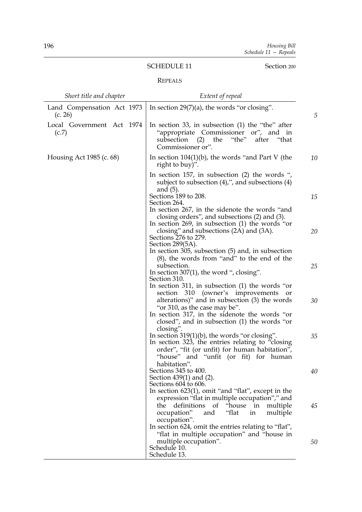# SCHEDULE 11 Section 200

### REPEALS

| Short title and chapter               | Extent of repeal                                                                                                                                                                                                                                                                  |    |
|---------------------------------------|-----------------------------------------------------------------------------------------------------------------------------------------------------------------------------------------------------------------------------------------------------------------------------------|----|
| Land Compensation Act 1973<br>(c. 26) | In section $29(7)(a)$ , the words "or closing".                                                                                                                                                                                                                                   | 5  |
| Local Government Act 1974<br>(c.7)    | In section 33, in subsection $(1)$ the "the" after<br>"appropriate Commissioner or", and in<br>"the"<br>subsection (2)<br>the<br>after<br>"that<br>Commissioner or".                                                                                                              |    |
| Housing Act 1985 (c. 68)              | In section $104(1)(b)$ , the words "and Part V (the<br>right to buy)".                                                                                                                                                                                                            | 10 |
|                                       | In section 157, in subsection $(2)$ the words ",<br>subject to subsection $(4)$ ,", and subsections $(4)$<br>and $(5)$ .                                                                                                                                                          |    |
|                                       | Sections 189 to 208.<br>Section 264.                                                                                                                                                                                                                                              | 15 |
|                                       | In section 267, in the sidenote the words "and<br>closing orders", and subsections (2) and (3).<br>In section 269, in subsection $(1)$ the words "or<br>closing" and subsections (2A) and (3A).<br>Sections 276 to 279.<br>Section 289(5A).                                       | 20 |
|                                       | In section $305$ , subsection $(5)$ and, in subsection<br>(8), the words from "and" to the end of the<br>subsection.<br>In section $307(1)$ , the word ", closing".<br>Section 310.                                                                                               | 25 |
|                                       | In section 311, in subsection $(1)$ the words "or<br>section 310 (owner's improvements<br>or<br>alterations)" and in subsection $(3)$ the words<br>"or 310, as the case may be".<br>In section 317, in the sidenote the words "or<br>closed", and in subsection (1) the words "or | 30 |
|                                       | closing".<br>In section $319(1)(b)$ , the words "or closing".<br>In section 323, the entries relating to "closing"<br>order", "fit (or unfit) for human habitation",<br>"house" and "unfit (or fit) for human                                                                     | 35 |
|                                       | habitation".<br>Sections 345 to 400.<br>Section 439(1) and (2).                                                                                                                                                                                                                   | 40 |
|                                       | Sections 604 to 606.<br>In section $623(1)$ , omit "and "flat", except in the<br>expression "flat in multiple occupation"," and<br>definitions<br>of<br>"house<br>in<br>the<br>multiple<br>"flat<br>occupation"<br>and<br>in<br>multiple                                          | 45 |
|                                       | occupation".<br>In section 624, omit the entries relating to "flat",<br>"flat in multiple occupation" and "house in<br>multiple occupation".<br>Schedule 10.<br>Schedule 13.                                                                                                      | 50 |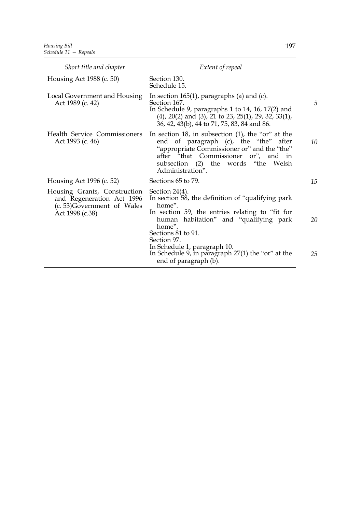| Short title and chapter                                                                                    | Extent of repeal                                                                                                                                                                                                                                 |    |
|------------------------------------------------------------------------------------------------------------|--------------------------------------------------------------------------------------------------------------------------------------------------------------------------------------------------------------------------------------------------|----|
| Housing Act 1988 (c. 50)                                                                                   | Section 130.<br>Schedule 15.                                                                                                                                                                                                                     |    |
| Local Government and Housing<br>Act 1989 (c. 42)                                                           | In section $165(1)$ , paragraphs (a) and (c).<br>Section 167.<br>In Schedule 9, paragraphs 1 to 14, 16, 17(2) and<br>$(4)$ , 20 $(2)$ and $(3)$ , 21 to 23, 25 $(1)$ , 29, 32, 33 $(1)$ ,<br>36, 42, 43(b), 44 to 71, 75, 83, 84 and 86.         | 5  |
| Health Service Commissioners<br>Act 1993 (c. 46)                                                           | In section 18, in subsection $(1)$ , the "or" at the<br>end of paragraph (c), the "the" after<br>"appropriate Commissioner or" and the "the"<br>after "that Commissioner or", and in<br>subsection (2) the words "the Welsh"<br>Administration". | 10 |
| Housing Act 1996 (c. 52)                                                                                   | Sections 65 to 79.                                                                                                                                                                                                                               | 15 |
| Housing Grants, Construction<br>and Regeneration Act 1996<br>(c. 53)Government of Wales<br>Act 1998 (c.38) | Section $24(4)$ .<br>In section 58, the definition of "qualifying park"<br>home".<br>In section 59, the entries relating to "fit for                                                                                                             |    |
|                                                                                                            | human habitation" and "qualifying park<br>home".<br>Sections 81 to 91.<br>Section 97.                                                                                                                                                            | 20 |
|                                                                                                            | In Schedule 1, paragraph 10.<br>In Schedule 9, in paragraph $27(1)$ the "or" at the<br>end of paragraph (b).                                                                                                                                     | 25 |